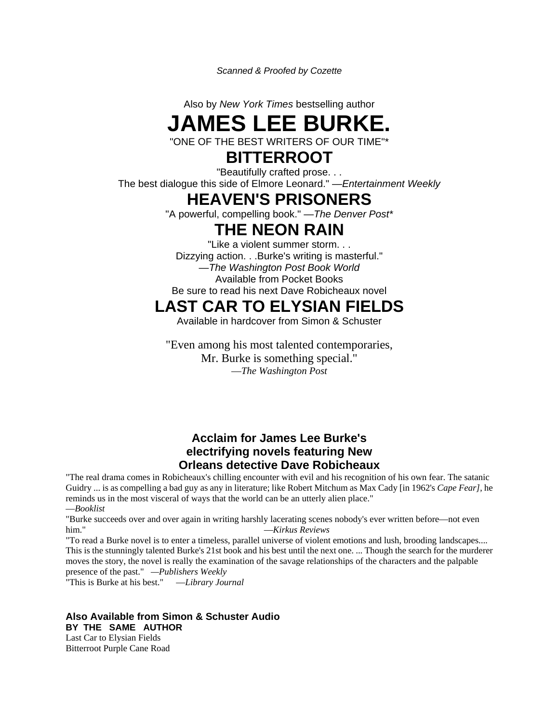*Scanned & Proofed by Cozette* 

Also by *New York Times* bestselling author

## **JAMES LEE BURKE.**

"ONE OF THE BEST WRITERS OF OUR TIME"\*

## **BITTERROOT**

"Beautifully crafted prose. . . The best dialogue this side of Elmore Leonard." —*Entertainment Weekly*

## **HEAVEN'S PRISONERS**

"A powerful, compelling book." —*The Denver Post\**

## **THE NEON RAIN**

"Like a violent summer storm. . . Dizzying action. . .Burke's writing is masterful." —*The Washington Post Book World* Available from Pocket Books Be sure to read his next Dave Robicheaux novel

## **LAST CAR TO ELYSIAN FIELDS**

Available in hardcover from Simon & Schuster

"Even among his most talented contemporaries, Mr. Burke is something special." —*The Washington Post*

#### **Acclaim for James Lee Burke's electrifying novels featuring New Orleans detective Dave Robicheaux**

"The real drama comes in Robicheaux's chilling encounter with evil and his recognition of his own fear. The satanic Guidry ... is as compelling a bad guy as any in literature; like Robert Mitchum as Max Cady [in 1962's *Cape Fear],* he reminds us in the most visceral of ways that the world can be an utterly alien place."

—*Booklist* "Burke succeeds over and over again in writing harshly lacerating scenes nobody's ever written before—not even

him." —*Kirkus Reviews*

"To read a Burke novel is to enter a timeless, parallel universe of violent emotions and lush, brooding landscapes.... This is the stunningly talented Burke's 21st book and his best until the next one. ... Though the search for the murderer moves the story, the novel is really the examination of the savage relationships of the characters and the palpable presence of the past." *—Publishers Weekly*

"This is Burke at his best." —*Library Journal*

#### **Also Available from Simon & Schuster Audio BY THE SAME AUTHOR**

Last Car to Elysian Fields Bitterroot Purple Cane Road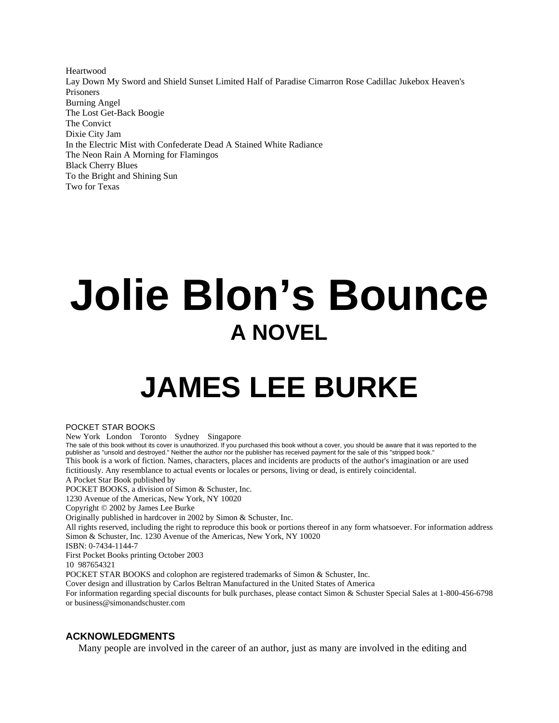Heartwood Lay Down My Sword and Shield Sunset Limited Half of Paradise Cimarron Rose Cadillac Jukebox Heaven's Prisoners Burning Angel The Lost Get-Back Boogie The Convict Dixie City Jam In the Electric Mist with Confederate Dead A Stained White Radiance The Neon Rain A Morning for Flamingos Black Cherry Blues To the Bright and Shining Sun Two for Texas

# **Jolie Blon's Bounce A NOVEL**

# **JAMES LEE BURKE**

#### POCKET STAR BOOKS

New York London Toronto Sydney Singapore

The sale of this book without its cover is unauthorized. If you purchased this book without a cover, you should be aware that it was reported to the publisher as "unsold and destroyed." Neither the author nor the publisher has received payment for the sale of this "stripped book." This book is a work of fiction. Names, characters, places and incidents are products of the author's imagination or are used fictitiously. Any resemblance to actual events or locales or persons, living or dead, is entirely coincidental.

A Pocket Star Book published by

POCKET BOOKS, a division of Simon & Schuster, Inc.

1230 Avenue of the Americas, New York, NY 10020

Copyright © 2002 by James Lee Burke

Originally published in hardcover in 2002 by Simon & Schuster, Inc.

All rights reserved, including the right to reproduce this book or portions thereof in any form whatsoever. For information address Simon & Schuster, Inc. 1230 Avenue of the Americas, New York, NY 10020

ISBN: 0-7434-1144-7

First Pocket Books printing October 2003

10 987654321

POCKET STAR BOOKS and colophon are registered trademarks of Simon & Schuster, Inc.

Cover design and illustration by Carlos Beltran Manufactured in the United States of America

For information regarding special discounts for bulk purchases, please contact Simon & Schuster Special Sales at 1-800-456-6798 or business@simonandschuster.com

#### **ACKNOWLEDGMENTS**

Many people are involved in the career of an author, just as many are involved in the editing and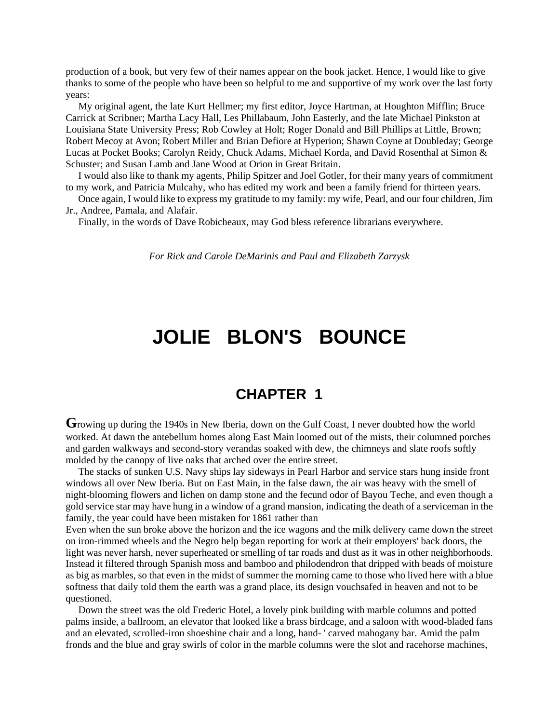production of a book, but very few of their names appear on the book jacket. Hence, I would like to give thanks to some of the people who have been so helpful to me and supportive of my work over the last forty years:

 My original agent, the late Kurt Hellmer; my first editor, Joyce Hartman, at Houghton Mifflin; Bruce Carrick at Scribner; Martha Lacy Hall, Les Phillabaum, John Easterly, and the late Michael Pinkston at Louisiana State University Press; Rob Cowley at Holt; Roger Donald and Bill Phillips at Little, Brown; Robert Mecoy at Avon; Robert Miller and Brian Defiore at Hyperion; Shawn Coyne at Doubleday; George Lucas at Pocket Books; Carolyn Reidy, Chuck Adams, Michael Korda, and David Rosenthal at Simon & Schuster; and Susan Lamb and Jane Wood at Orion in Great Britain.

 I would also like to thank my agents, Philip Spitzer and Joel Gotler, for their many years of commitment to my work, and Patricia Mulcahy, who has edited my work and been a family friend for thirteen years.

 Once again, I would like to express my gratitude to my family: my wife, Pearl, and our four children, Jim Jr., Andree, Pamala, and Alafair.

Finally, in the words of Dave Robicheaux, may God bless reference librarians everywhere.

*For Rick and Carole DeMarinis and Paul and Elizabeth Zarzysk*

## **JOLIE BLON'S BOUNCE**

### **CHAPTER 1**

Growing up during the 1940s in New Iberia, down on the Gulf Coast, I never doubted how the world worked. At dawn the antebellum homes along East Main loomed out of the mists, their columned porches and garden walkways and second-story verandas soaked with dew, the chimneys and slate roofs softly molded by the canopy of live oaks that arched over the entire street.

 The stacks of sunken U.S. Navy ships lay sideways in Pearl Harbor and service stars hung inside front windows all over New Iberia. But on East Main, in the false dawn, the air was heavy with the smell of night-blooming flowers and lichen on damp stone and the fecund odor of Bayou Teche, and even though a gold service star may have hung in a window of a grand mansion, indicating the death of a serviceman in the family, the year could have been mistaken for 1861 rather than

Even when the sun broke above the horizon and the ice wagons and the milk delivery came down the street on iron-rimmed wheels and the Negro help began reporting for work at their employers' back doors, the light was never harsh, never superheated or smelling of tar roads and dust as it was in other neighborhoods. Instead it filtered through Spanish moss and bamboo and philodendron that dripped with beads of moisture as big as marbles, so that even in the midst of summer the morning came to those who lived here with a blue softness that daily told them the earth was a grand place, its design vouchsafed in heaven and not to be questioned.

 Down the street was the old Frederic Hotel, a lovely pink building with marble columns and potted palms inside, a ballroom, an elevator that looked like a brass birdcage, and a saloon with wood-bladed fans and an elevated, scrolled-iron shoeshine chair and a long, hand- ' carved mahogany bar. Amid the palm fronds and the blue and gray swirls of color in the marble columns were the slot and racehorse machines,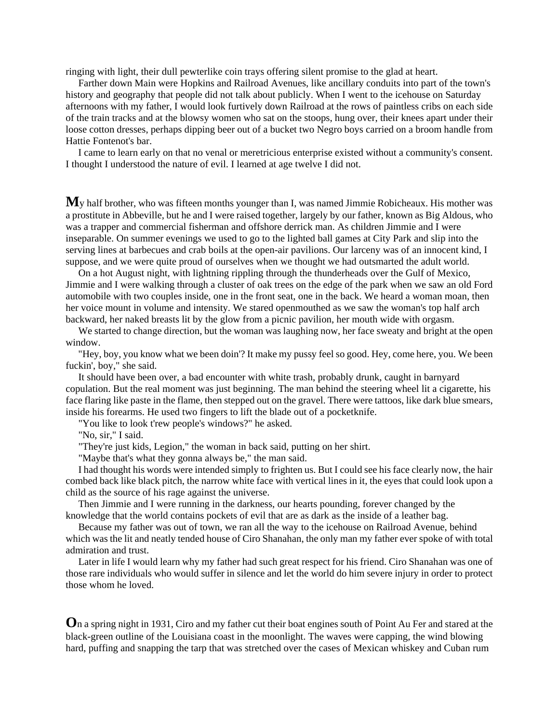ringing with light, their dull pewterlike coin trays offering silent promise to the glad at heart.

 Farther down Main were Hopkins and Railroad Avenues, like ancillary conduits into part of the town's history and geography that people did not talk about publicly. When I went to the icehouse on Saturday afternoons with my father, I would look furtively down Railroad at the rows of paintless cribs on each side of the train tracks and at the blowsy women who sat on the stoops, hung over, their knees apart under their loose cotton dresses, perhaps dipping beer out of a bucket two Negro boys carried on a broom handle from Hattie Fontenot's bar.

 I came to learn early on that no venal or meretricious enterprise existed without a community's consent. I thought I understood the nature of evil. I learned at age twelve I did not.

**M**y half brother, who was fifteen months younger than I, was named Jimmie Robicheaux. His mother was a prostitute in Abbeville, but he and I were raised together, largely by our father, known as Big Aldous, who was a trapper and commercial fisherman and offshore derrick man. As children Jimmie and I were inseparable. On summer evenings we used to go to the lighted ball games at City Park and slip into the serving lines at barbecues and crab boils at the open-air pavilions. Our larceny was of an innocent kind, I suppose, and we were quite proud of ourselves when we thought we had outsmarted the adult world.

 On a hot August night, with lightning rippling through the thunderheads over the Gulf of Mexico, Jimmie and I were walking through a cluster of oak trees on the edge of the park when we saw an old Ford automobile with two couples inside, one in the front seat, one in the back. We heard a woman moan, then her voice mount in volume and intensity. We stared openmouthed as we saw the woman's top half arch backward, her naked breasts lit by the glow from a picnic pavilion, her mouth wide with orgasm.

We started to change direction, but the woman was laughing now, her face sweaty and bright at the open window.

 "Hey, boy, you know what we been doin'? It make my pussy feel so good. Hey, come here, you. We been fuckin', boy," she said.

 It should have been over, a bad encounter with white trash, probably drunk, caught in barnyard copulation. But the real moment was just beginning. The man behind the steering wheel lit a cigarette, his face flaring like paste in the flame, then stepped out on the gravel. There were tattoos, like dark blue smears, inside his forearms. He used two fingers to lift the blade out of a pocketknife.

"You like to look t'rew people's windows?" he asked.

"No, sir," I said.

"They're just kids, Legion," the woman in back said, putting on her shirt.

"Maybe that's what they gonna always be," the man said.

 I had thought his words were intended simply to frighten us. But I could see his face clearly now, the hair combed back like black pitch, the narrow white face with vertical lines in it, the eyes that could look upon a child as the source of his rage against the universe.

 Then Jimmie and I were running in the darkness, our hearts pounding, forever changed by the knowledge that the world contains pockets of evil that are as dark as the inside of a leather bag.

 Because my father was out of town, we ran all the way to the icehouse on Railroad Avenue, behind which was the lit and neatly tended house of Ciro Shanahan, the only man my father ever spoke of with total admiration and trust.

 Later in life I would learn why my father had such great respect for his friend. Ciro Shanahan was one of those rare individuals who would suffer in silence and let the world do him severe injury in order to protect those whom he loved.

**O**n a spring night in 1931, Ciro and my father cut their boat engines south of Point Au Fer and stared at the black-green outline of the Louisiana coast in the moonlight. The waves were capping, the wind blowing hard, puffing and snapping the tarp that was stretched over the cases of Mexican whiskey and Cuban rum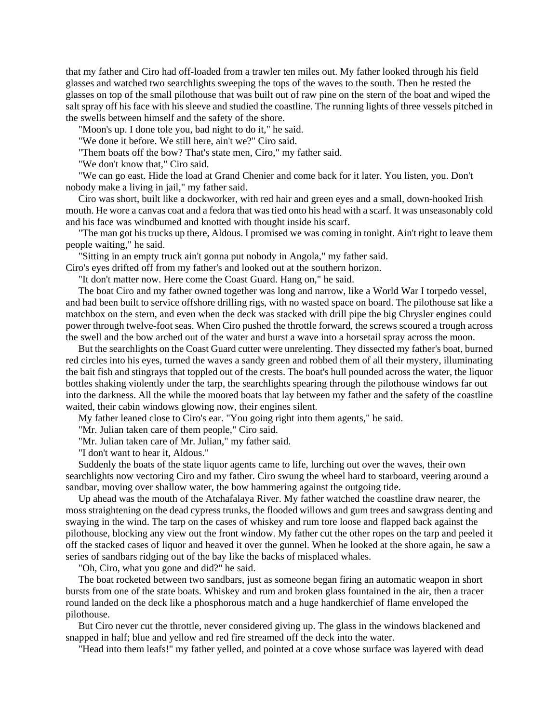that my father and Ciro had off-loaded from a trawler ten miles out. My father looked through his field glasses and watched two searchlights sweeping the tops of the waves to the south. Then he rested the glasses on top of the small pilothouse that was built out of raw pine on the stern of the boat and wiped the salt spray off his face with his sleeve and studied the coastline. The running lights of three vessels pitched in the swells between himself and the safety of the shore.

"Moon's up. I done tole you, bad night to do it," he said.

"We done it before. We still here, ain't we?" Ciro said.

"Them boats off the bow? That's state men, Ciro," my father said.

"We don't know that," Ciro said.

 "We can go east. Hide the load at Grand Chenier and come back for it later. You listen, you. Don't nobody make a living in jail," my father said.

 Ciro was short, built like a dockworker, with red hair and green eyes and a small, down-hooked Irish mouth. He wore a canvas coat and a fedora that was tied onto his head with a scarf. It was unseasonably cold and his face was windbumed and knotted with thought inside his scarf.

 "The man got his trucks up there, Aldous. I promised we was coming in tonight. Ain't right to leave them people waiting," he said.

"Sitting in an empty truck ain't gonna put nobody in Angola," my father said.

Ciro's eyes drifted off from my father's and looked out at the southern horizon.

"It don't matter now. Here come the Coast Guard. Hang on," he said.

 The boat Ciro and my father owned together was long and narrow, like a World War I torpedo vessel, and had been built to service offshore drilling rigs, with no wasted space on board. The pilothouse sat like a matchbox on the stern, and even when the deck was stacked with drill pipe the big Chrysler engines could power through twelve-foot seas. When Ciro pushed the throttle forward, the screws scoured a trough across the swell and the bow arched out of the water and burst a wave into a horsetail spray across the moon.

 But the searchlights on the Coast Guard cutter were unrelenting. They dissected my father's boat, burned red circles into his eyes, turned the waves a sandy green and robbed them of all their mystery, illuminating the bait fish and stingrays that toppled out of the crests. The boat's hull pounded across the water, the liquor bottles shaking violently under the tarp, the searchlights spearing through the pilothouse windows far out into the darkness. All the while the moored boats that lay between my father and the safety of the coastline waited, their cabin windows glowing now, their engines silent.

My father leaned close to Ciro's ear. "You going right into them agents," he said.

"Mr. Julian taken care of them people," Ciro said.

"Mr. Julian taken care of Mr. Julian," my father said.

"I don't want to hear it, Aldous."

 Suddenly the boats of the state liquor agents came to life, lurching out over the waves, their own searchlights now vectoring Ciro and my father. Ciro swung the wheel hard to starboard, veering around a sandbar, moving over shallow water, the bow hammering against the outgoing tide.

 Up ahead was the mouth of the Atchafalaya River. My father watched the coastline draw nearer, the moss straightening on the dead cypress trunks, the flooded willows and gum trees and sawgrass denting and swaying in the wind. The tarp on the cases of whiskey and rum tore loose and flapped back against the pilothouse, blocking any view out the front window. My father cut the other ropes on the tarp and peeled it off the stacked cases of liquor and heaved it over the gunnel. When he looked at the shore again, he saw a series of sandbars ridging out of the bay like the backs of misplaced whales.

"Oh, Ciro, what you gone and did?" he said.

 The boat rocketed between two sandbars, just as someone began firing an automatic weapon in short bursts from one of the state boats. Whiskey and rum and broken glass fountained in the air, then a tracer round landed on the deck like a phosphorous match and a huge handkerchief of flame enveloped the pilothouse.

 But Ciro never cut the throttle, never considered giving up. The glass in the windows blackened and snapped in half; blue and yellow and red fire streamed off the deck into the water.

"Head into them leafs!" my father yelled, and pointed at a cove whose surface was layered with dead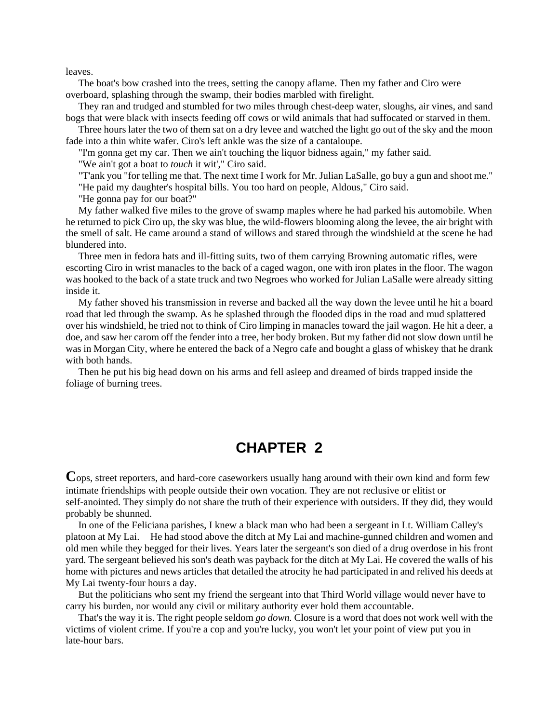leaves.

 The boat's bow crashed into the trees, setting the canopy aflame. Then my father and Ciro were overboard, splashing through the swamp, their bodies marbled with firelight.

 They ran and trudged and stumbled for two miles through chest-deep water, sloughs, air vines, and sand bogs that were black with insects feeding off cows or wild animals that had suffocated or starved in them.

 Three hours later the two of them sat on a dry levee and watched the light go out of the sky and the moon fade into a thin white wafer. Ciro's left ankle was the size of a cantaloupe.

"I'm gonna get my car. Then we ain't touching the liquor bidness again," my father said.

"We ain't got a boat to *touch* it wit'," Ciro said.

"T'ank you "for telling me that. The next time I work for Mr. Julian LaSalle, go buy a gun and shoot me."

"He paid my daughter's hospital bills. You too hard on people, Aldous," Ciro said.

"He gonna pay for our boat?"

 My father walked five miles to the grove of swamp maples where he had parked his automobile. When he returned to pick Ciro up, the sky was blue, the wild-flowers blooming along the levee, the air bright with the smell of salt. He came around a stand of willows and stared through the windshield at the scene he had blundered into.

 Three men in fedora hats and ill-fitting suits, two of them carrying Browning automatic rifles, were escorting Ciro in wrist manacles to the back of a caged wagon, one with iron plates in the floor. The wagon was hooked to the back of a state truck and two Negroes who worked for Julian LaSalle were already sitting inside it.

 My father shoved his transmission in reverse and backed all the way down the levee until he hit a board road that led through the swamp. As he splashed through the flooded dips in the road and mud splattered over his windshield, he tried not to think of Ciro limping in manacles toward the jail wagon. He hit a deer, a doe, and saw her carom off the fender into a tree, her body broken. But my father did not slow down until he was in Morgan City, where he entered the back of a Negro cafe and bought a glass of whiskey that he drank with both hands.

 Then he put his big head down on his arms and fell asleep and dreamed of birds trapped inside the foliage of burning trees.

## **CHAPTER 2**

**C**ops, street reporters, and hard-core caseworkers usually hang around with their own kind and form few intimate friendships with people outside their own vocation. They are not reclusive or elitist or self-anointed. They simply do not share the truth of their experience with outsiders. If they did, they would probably be shunned.

 In one of the Feliciana parishes, I knew a black man who had been a sergeant in Lt. William Calley's platoon at My Lai. He had stood above the ditch at My Lai and machine-gunned children and women and old men while they begged for their lives. Years later the sergeant's son died of a drug overdose in his front yard. The sergeant believed his son's death was payback for the ditch at My Lai. He covered the walls of his home with pictures and news articles that detailed the atrocity he had participated in and relived his deeds at My Lai twenty-four hours a day.

 But the politicians who sent my friend the sergeant into that Third World village would never have to carry his burden, nor would any civil or military authority ever hold them accountable.

 That's the way it is. The right people seldom *go down.* Closure is a word that does not work well with the victims of violent crime. If you're a cop and you're lucky, you won't let your point of view put you in late-hour bars.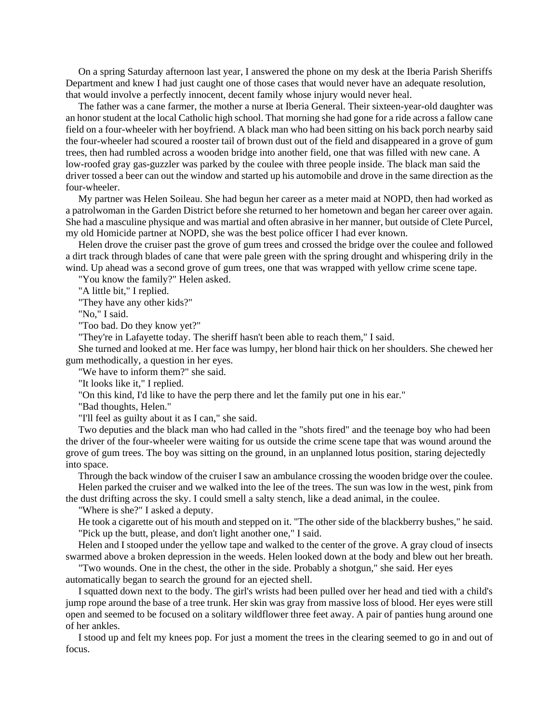On a spring Saturday afternoon last year, I answered the phone on my desk at the Iberia Parish Sheriffs Department and knew I had just caught one of those cases that would never have an adequate resolution, that would involve a perfectly innocent, decent family whose injury would never heal.

 The father was a cane farmer, the mother a nurse at Iberia General. Their sixteen-year-old daughter was an honor student at the local Catholic high school. That morning she had gone for a ride across a fallow cane field on a four-wheeler with her boyfriend. A black man who had been sitting on his back porch nearby said the four-wheeler had scoured a rooster tail of brown dust out of the field and disappeared in a grove of gum trees, then had rumbled across a wooden bridge into another field, one that was filled with new cane. A low-roofed gray gas-guzzler was parked by the coulee with three people inside. The black man said the driver tossed a beer can out the window and started up his automobile and drove in the same direction as the four-wheeler.

 My partner was Helen Soileau. She had begun her career as a meter maid at NOPD, then had worked as a patrolwoman in the Garden District before she returned to her hometown and began her career over again. She had a masculine physique and was martial and often abrasive in her manner, but outside of Clete Purcel, my old Homicide partner at NOPD, she was the best police officer I had ever known.

 Helen drove the cruiser past the grove of gum trees and crossed the bridge over the coulee and followed a dirt track through blades of cane that were pale green with the spring drought and whispering drily in the wind. Up ahead was a second grove of gum trees, one that was wrapped with yellow crime scene tape.

"You know the family?" Helen asked.

"A little bit," I replied.

"They have any other kids?"

"No," I said.

"Too bad. Do they know yet?"

"They're in Lafayette today. The sheriff hasn't been able to reach them," I said.

 She turned and looked at me. Her face was lumpy, her blond hair thick on her shoulders. She chewed her gum methodically, a question in her eyes.

"We have to inform them?" she said.

"It looks like it," I replied.

"On this kind, I'd like to have the perp there and let the family put one in his ear."

"Bad thoughts, Helen."

"I'll feel as guilty about it as I can," she said.

 Two deputies and the black man who had called in the "shots fired" and the teenage boy who had been the driver of the four-wheeler were waiting for us outside the crime scene tape that was wound around the grove of gum trees. The boy was sitting on the ground, in an unplanned lotus position, staring dejectedly into space.

Through the back window of the cruiser I saw an ambulance crossing the wooden bridge over the coulee.

 Helen parked the cruiser and we walked into the lee of the trees. The sun was low in the west, pink from the dust drifting across the sky. I could smell a salty stench, like a dead animal, in the coulee.

"Where is she?" I asked a deputy.

 He took a cigarette out of his mouth and stepped on it. "The other side of the blackberry bushes," he said. "Pick up the butt, please, and don't light another one," I said.

 Helen and I stooped under the yellow tape and walked to the center of the grove. A gray cloud of insects swarmed above a broken depression in the weeds. Helen looked down at the body and blew out her breath.

 "Two wounds. One in the chest, the other in the side. Probably a shotgun," she said. Her eyes automatically began to search the ground for an ejected shell.

 I squatted down next to the body. The girl's wrists had been pulled over her head and tied with a child's jump rope around the base of a tree trunk. Her skin was gray from massive loss of blood. Her eyes were still open and seemed to be focused on a solitary wildflower three feet away. A pair of panties hung around one of her ankles.

 I stood up and felt my knees pop. For just a moment the trees in the clearing seemed to go in and out of focus.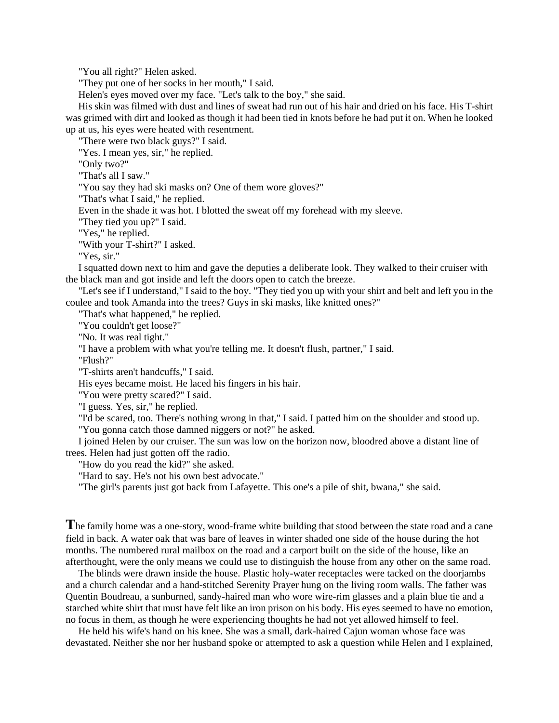"You all right?" Helen asked.

"They put one of her socks in her mouth," I said.

Helen's eyes moved over my face. "Let's talk to the boy," she said.

 His skin was filmed with dust and lines of sweat had run out of his hair and dried on his face. His T-shirt was grimed with dirt and looked as though it had been tied in knots before he had put it on. When he looked up at us, his eyes were heated with resentment.

"There were two black guys?" I said.

"Yes. I mean yes, sir," he replied.

"Only two?"

"That's all I saw."

"You say they had ski masks on? One of them wore gloves?"

"That's what I said," he replied.

Even in the shade it was hot. I blotted the sweat off my forehead with my sleeve.

"They tied you up?" I said.

"Yes," he replied.

"With your T-shirt?" I asked.

"Yes, sir."

 I squatted down next to him and gave the deputies a deliberate look. They walked to their cruiser with the black man and got inside and left the doors open to catch the breeze.

 "Let's see if I understand," I said to the boy. "They tied you up with your shirt and belt and left you in the coulee and took Amanda into the trees? Guys in ski masks, like knitted ones?"

"That's what happened," he replied.

"You couldn't get loose?"

"No. It was real tight."

"I have a problem with what you're telling me. It doesn't flush, partner," I said.

"Flush?"

"T-shirts aren't handcuffs," I said.

His eyes became moist. He laced his fingers in his hair.

"You were pretty scared?" I said.

"I guess. Yes, sir," he replied.

 "I'd be scared, too. There's nothing wrong in that," I said. I patted him on the shoulder and stood up. "You gonna catch those damned niggers or not?" he asked.

 I joined Helen by our cruiser. The sun was low on the horizon now, bloodred above a distant line of trees. Helen had just gotten off the radio.

"How do you read the kid?" she asked.

"Hard to say. He's not his own best advocate."

"The girl's parents just got back from Lafayette. This one's a pile of shit, bwana," she said.

**T**he family home was a one-story, wood-frame white building that stood between the state road and a cane field in back. A water oak that was bare of leaves in winter shaded one side of the house during the hot months. The numbered rural mailbox on the road and a carport built on the side of the house, like an afterthought, were the only means we could use to distinguish the house from any other on the same road.

 The blinds were drawn inside the house. Plastic holy-water receptacles were tacked on the doorjambs and a church calendar and a hand-stitched Serenity Prayer hung on the living room walls. The father was Quentin Boudreau, a sunburned, sandy-haired man who wore wire-rim glasses and a plain blue tie and a starched white shirt that must have felt like an iron prison on his body. His eyes seemed to have no emotion, no focus in them, as though he were experiencing thoughts he had not yet allowed himself to feel.

 He held his wife's hand on his knee. She was a small, dark-haired Cajun woman whose face was devastated. Neither she nor her husband spoke or attempted to ask a question while Helen and I explained,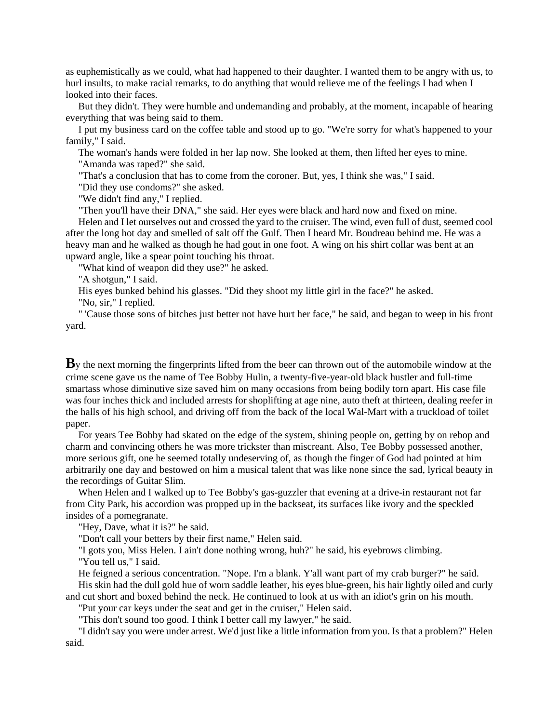as euphemistically as we could, what had happened to their daughter. I wanted them to be angry with us, to hurl insults, to make racial remarks, to do anything that would relieve me of the feelings I had when I looked into their faces.

 But they didn't. They were humble and undemanding and probably, at the moment, incapable of hearing everything that was being said to them.

 I put my business card on the coffee table and stood up to go. "We're sorry for what's happened to your family," I said.

 The woman's hands were folded in her lap now. She looked at them, then lifted her eyes to mine. "Amanda was raped?" she said.

"That's a conclusion that has to come from the coroner. But, yes, I think she was," I said.

"Did they use condoms?" she asked.

"We didn't find any," I replied.

"Then you'll have their DNA," she said. Her eyes were black and hard now and fixed on mine.

 Helen and I let ourselves out and crossed the yard to the cruiser. The wind, even full of dust, seemed cool after the long hot day and smelled of salt off the Gulf. Then I heard Mr. Boudreau behind me. He was a heavy man and he walked as though he had gout in one foot. A wing on his shirt collar was bent at an upward angle, like a spear point touching his throat.

"What kind of weapon did they use?" he asked.

"A shotgun," I said.

His eyes bunked behind his glasses. "Did they shoot my little girl in the face?" he asked.

"No, sir," I replied.

 " 'Cause those sons of bitches just better not have hurt her face," he said, and began to weep in his front yard.

**B**y the next morning the fingerprints lifted from the beer can thrown out of the automobile window at the crime scene gave us the name of Tee Bobby Hulin, a twenty-five-year-old black hustler and full-time smartass whose diminutive size saved him on many occasions from being bodily torn apart. His case file was four inches thick and included arrests for shoplifting at age nine, auto theft at thirteen, dealing reefer in the halls of his high school, and driving off from the back of the local Wal-Mart with a truckload of toilet paper.

 For years Tee Bobby had skated on the edge of the system, shining people on, getting by on rebop and charm and convincing others he was more trickster than miscreant. Also, Tee Bobby possessed another, more serious gift, one he seemed totally undeserving of, as though the finger of God had pointed at him arbitrarily one day and bestowed on him a musical talent that was like none since the sad, lyrical beauty in the recordings of Guitar Slim.

 When Helen and I walked up to Tee Bobby's gas-guzzler that evening at a drive-in restaurant not far from City Park, his accordion was propped up in the backseat, its surfaces like ivory and the speckled insides of a pomegranate.

"Hey, Dave, what it is?" he said.

"Don't call your betters by their first name," Helen said.

"I gots you, Miss Helen. I ain't done nothing wrong, huh?" he said, his eyebrows climbing.

"You tell us," I said.

 He feigned a serious concentration. "Nope. I'm a blank. Y'all want part of my crab burger?" he said. His skin had the dull gold hue of worn saddle leather, his eyes blue-green, his hair lightly oiled and curly and cut short and boxed behind the neck. He continued to look at us with an idiot's grin on his mouth.

"Put your car keys under the seat and get in the cruiser," Helen said.

"This don't sound too good. I think I better call my lawyer," he said.

 "I didn't say you were under arrest. We'd just like a little information from you. Is that a problem?" Helen said.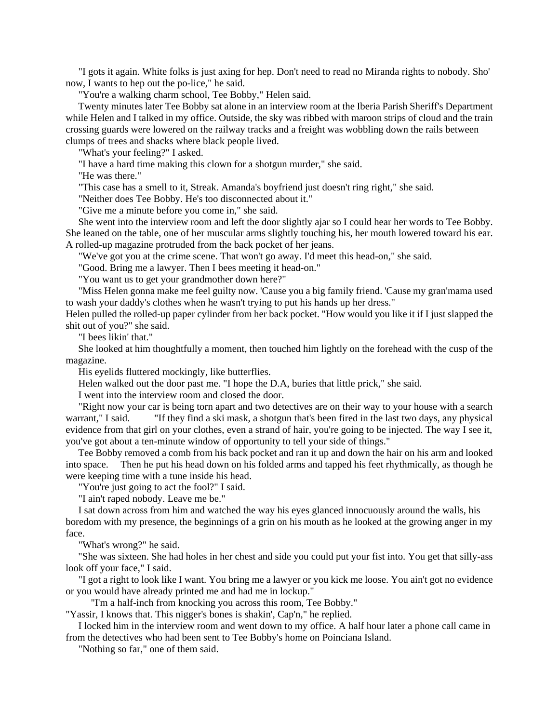"I gots it again. White folks is just axing for hep. Don't need to read no Miranda rights to nobody. Sho' now, I wants to hep out the po-lice," he said.

"You're a walking charm school, Tee Bobby," Helen said.

 Twenty minutes later Tee Bobby sat alone in an interview room at the Iberia Parish Sheriff's Department while Helen and I talked in my office. Outside, the sky was ribbed with maroon strips of cloud and the train crossing guards were lowered on the railway tracks and a freight was wobbling down the rails between clumps of trees and shacks where black people lived.

"What's your feeling?" I asked.

"I have a hard time making this clown for a shotgun murder," she said.

"He was there."

"This case has a smell to it, Streak. Amanda's boyfriend just doesn't ring right," she said.

"Neither does Tee Bobby. He's too disconnected about it."

"Give me a minute before you come in," she said.

 She went into the interview room and left the door slightly ajar so I could hear her words to Tee Bobby. She leaned on the table, one of her muscular arms slightly touching his, her mouth lowered toward his ear. A rolled-up magazine protruded from the back pocket of her jeans.

"We've got you at the crime scene. That won't go away. I'd meet this head-on," she said.

"Good. Bring me a lawyer. Then I bees meeting it head-on."

"You want us to get your grandmother down here?"

 "Miss Helen gonna make me feel guilty now. 'Cause you a big family friend. 'Cause my gran'mama used to wash your daddy's clothes when he wasn't trying to put his hands up her dress."

Helen pulled the rolled-up paper cylinder from her back pocket. "How would you like it if I just slapped the shit out of you?" she said.

"I bees likin' that."

 She looked at him thoughtfully a moment, then touched him lightly on the forehead with the cusp of the magazine.

His eyelids fluttered mockingly, like butterflies.

Helen walked out the door past me. "I hope the D.A, buries that little prick," she said.

I went into the interview room and closed the door.

 "Right now your car is being torn apart and two detectives are on their way to your house with a search warrant," I said. "If they find a ski mask, a shotgun that's been fired in the last two days, any physical evidence from that girl on your clothes, even a strand of hair, you're going to be injected. The way I see it, you've got about a ten-minute window of opportunity to tell your side of things."

 Tee Bobby removed a comb from his back pocket and ran it up and down the hair on his arm and looked into space. Then he put his head down on his folded arms and tapped his feet rhythmically, as though he were keeping time with a tune inside his head.

"You're just going to act the fool?" I said.

"I ain't raped nobody. Leave me be."

 I sat down across from him and watched the way his eyes glanced innocuously around the walls, his boredom with my presence, the beginnings of a grin on his mouth as he looked at the growing anger in my face.

"What's wrong?" he said.

 "She was sixteen. She had holes in her chest and side you could put your fist into. You get that silly-ass look off your face," I said.

 "I got a right to look like I want. You bring me a lawyer or you kick me loose. You ain't got no evidence or you would have already printed me and had me in lockup."

"I'm a half-inch from knocking you across this room, Tee Bobby."

"Yassir, I knows that. This nigger's bones is shakin', Cap'n," he replied.

 I locked him in the interview room and went down to my office. A half hour later a phone call came in from the detectives who had been sent to Tee Bobby's home on Poinciana Island.

"Nothing so far," one of them said.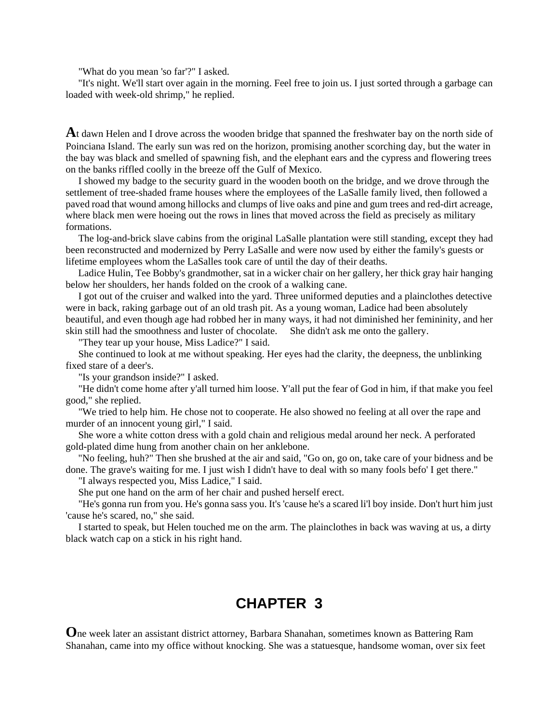"What do you mean 'so far'?" I asked.

 "It's night. We'll start over again in the morning. Feel free to join us. I just sorted through a garbage can loaded with week-old shrimp," he replied.

At dawn Helen and I drove across the wooden bridge that spanned the freshwater bay on the north side of Poinciana Island. The early sun was red on the horizon, promising another scorching day, but the water in the bay was black and smelled of spawning fish, and the elephant ears and the cypress and flowering trees on the banks riffled coolly in the breeze off the Gulf of Mexico.

 I showed my badge to the security guard in the wooden booth on the bridge, and we drove through the settlement of tree-shaded frame houses where the employees of the LaSalle family lived, then followed a paved road that wound among hillocks and clumps of live oaks and pine and gum trees and red-dirt acreage, where black men were hoeing out the rows in lines that moved across the field as precisely as military formations.

 The log-and-brick slave cabins from the original LaSalle plantation were still standing, except they had been reconstructed and modernized by Perry LaSalle and were now used by either the family's guests or lifetime employees whom the LaSalles took care of until the day of their deaths.

 Ladice Hulin, Tee Bobby's grandmother, sat in a wicker chair on her gallery, her thick gray hair hanging below her shoulders, her hands folded on the crook of a walking cane.

 I got out of the cruiser and walked into the yard. Three uniformed deputies and a plainclothes detective were in back, raking garbage out of an old trash pit. As a young woman, Ladice had been absolutely beautiful, and even though age had robbed her in many ways, it had not diminished her femininity, and her skin still had the smoothness and luster of chocolate. She didn't ask me onto the gallery.

"They tear up your house, Miss Ladice?" I said.

 She continued to look at me without speaking. Her eyes had the clarity, the deepness, the unblinking fixed stare of a deer's.

"Is your grandson inside?" I asked.

 "He didn't come home after y'all turned him loose. Y'all put the fear of God in him, if that make you feel good," she replied.

 "We tried to help him. He chose not to cooperate. He also showed no feeling at all over the rape and murder of an innocent young girl," I said.

 She wore a white cotton dress with a gold chain and religious medal around her neck. A perforated gold-plated dime hung from another chain on her anklebone.

 "No feeling, huh?" Then she brushed at the air and said, "Go on, go on, take care of your bidness and be done. The grave's waiting for me. I just wish I didn't have to deal with so many fools befo' I get there."

"I always respected you, Miss Ladice," I said.

She put one hand on the arm of her chair and pushed herself erect.

 "He's gonna run from you. He's gonna sass you. It's 'cause he's a scared li'l boy inside. Don't hurt him just 'cause he's scared, no," she said.

 I started to speak, but Helen touched me on the arm. The plainclothes in back was waving at us, a dirty black watch cap on a stick in his right hand.

## **CHAPTER 3**

**O**ne week later an assistant district attorney, Barbara Shanahan, sometimes known as Battering Ram Shanahan, came into my office without knocking. She was a statuesque, handsome woman, over six feet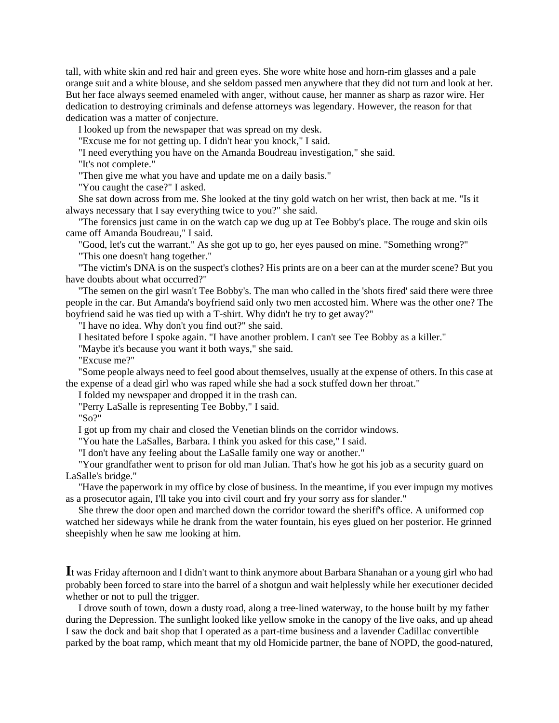tall, with white skin and red hair and green eyes. She wore white hose and horn-rim glasses and a pale orange suit and a white blouse, and she seldom passed men anywhere that they did not turn and look at her. But her face always seemed enameled with anger, without cause, her manner as sharp as razor wire. Her dedication to destroying criminals and defense attorneys was legendary. However, the reason for that dedication was a matter of conjecture.

I looked up from the newspaper that was spread on my desk.

"Excuse me for not getting up. I didn't hear you knock," I said.

"I need everything you have on the Amanda Boudreau investigation," she said.

"It's not complete."

"Then give me what you have and update me on a daily basis."

"You caught the case?" I asked.

 She sat down across from me. She looked at the tiny gold watch on her wrist, then back at me. "Is it always necessary that I say everything twice to you?" she said.

 "The forensics just came in on the watch cap we dug up at Tee Bobby's place. The rouge and skin oils came off Amanda Boudreau," I said.

 "Good, let's cut the warrant." As she got up to go, her eyes paused on mine. "Something wrong?" "This one doesn't hang together."

 "The victim's DNA is on the suspect's clothes? His prints are on a beer can at the murder scene? But you have doubts about what occurred?"

 "The semen on the girl wasn't Tee Bobby's. The man who called in the 'shots fired' said there were three people in the car. But Amanda's boyfriend said only two men accosted him. Where was the other one? The boyfriend said he was tied up with a T-shirt. Why didn't he try to get away?"

"I have no idea. Why don't you find out?" she said.

I hesitated before I spoke again. "I have another problem. I can't see Tee Bobby as a killer."

"Maybe it's because you want it both ways," she said.

"Excuse me?"

 "Some people always need to feel good about themselves, usually at the expense of others. In this case at the expense of a dead girl who was raped while she had a sock stuffed down her throat."

I folded my newspaper and dropped it in the trash can.

"Perry LaSalle is representing Tee Bobby," I said.

"So?"

I got up from my chair and closed the Venetian blinds on the corridor windows.

"You hate the LaSalles, Barbara. I think you asked for this case," I said.

"I don't have any feeling about the LaSalle family one way or another."

 "Your grandfather went to prison for old man Julian. That's how he got his job as a security guard on LaSalle's bridge."

 "Have the paperwork in my office by close of business. In the meantime, if you ever impugn my motives as a prosecutor again, I'll take you into civil court and fry your sorry ass for slander."

 She threw the door open and marched down the corridor toward the sheriff's office. A uniformed cop watched her sideways while he drank from the water fountain, his eyes glued on her posterior. He grinned sheepishly when he saw me looking at him.

**I**t was Friday afternoon and I didn't want to think anymore about Barbara Shanahan or a young girl who had probably been forced to stare into the barrel of a shotgun and wait helplessly while her executioner decided whether or not to pull the trigger.

 I drove south of town, down a dusty road, along a tree-lined waterway, to the house built by my father during the Depression. The sunlight looked like yellow smoke in the canopy of the live oaks, and up ahead I saw the dock and bait shop that I operated as a part-time business and a lavender Cadillac convertible parked by the boat ramp, which meant that my old Homicide partner, the bane of NOPD, the good-natured,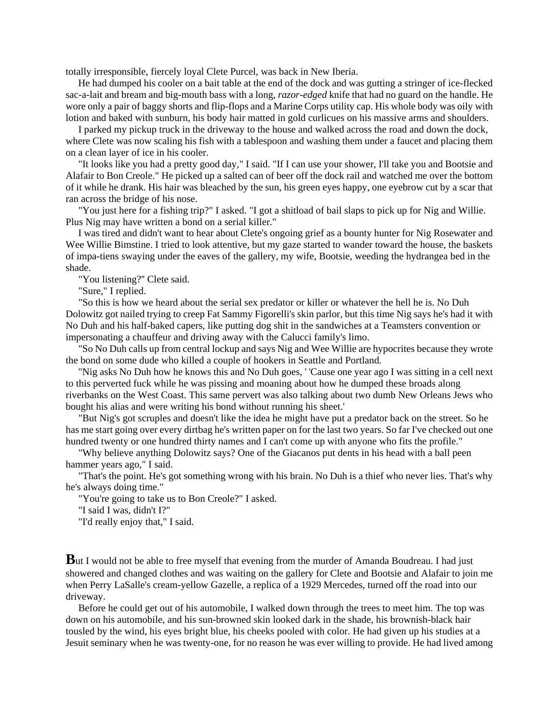totally irresponsible, fiercely loyal Clete Purcel, was back in New Iberia.

 He had dumped his cooler on a bait table at the end of the dock and was gutting a stringer of ice-flecked sac-a-lait and bream and big-mouth bass with a long, *razor-edged* knife that had no guard on the handle. He wore only a pair of baggy shorts and flip-flops and a Marine Corps utility cap. His whole body was oily with lotion and baked with sunburn, his body hair matted in gold curlicues on his massive arms and shoulders.

 I parked my pickup truck in the driveway to the house and walked across the road and down the dock, where Clete was now scaling his fish with a tablespoon and washing them under a faucet and placing them on a clean layer of ice in his cooler.

 "It looks like you had a pretty good day," I said. "If I can use your shower, I'll take you and Bootsie and Alafair to Bon Creole." He picked up a salted can of beer off the dock rail and watched me over the bottom of it while he drank. His hair was bleached by the sun, his green eyes happy, one eyebrow cut by a scar that ran across the bridge of his nose.

 "You just here for a fishing trip?" I asked. "I got a shitload of bail slaps to pick up for Nig and Willie. Plus Nig may have written a bond on a serial killer."

 I was tired and didn't want to hear about Clete's ongoing grief as a bounty hunter for Nig Rosewater and Wee Willie Bimstine. I tried to look attentive, but my gaze started to wander toward the house, the baskets of impa-tiens swaying under the eaves of the gallery, my wife, Bootsie, weeding the hydrangea bed in the shade.

"You listening?'' Clete said.

"Sure," I replied.

 "So this is how we heard about the serial sex predator or killer or whatever the hell he is. No Duh Dolowitz got nailed trying to creep Fat Sammy Figorelli's skin parlor, but this time Nig says he's had it with No Duh and his half-baked capers, like putting dog shit in the sandwiches at a Teamsters convention or impersonating a chauffeur and driving away with the Calucci family's limo.

 "So No Duh calls up from central lockup and says Nig and Wee Willie are hypocrites because they wrote the bond on some dude who killed a couple of hookers in Seattle and Portland.

 "Nig asks No Duh how he knows this and No Duh goes, ' 'Cause one year ago I was sitting in a cell next to this perverted fuck while he was pissing and moaning about how he dumped these broads along riverbanks on the West Coast. This same pervert was also talking about two dumb New Orleans Jews who bought his alias and were writing his bond without running his sheet.'

 "But Nig's got scruples and doesn't like the idea he might have put a predator back on the street. So he has me start going over every dirtbag he's written paper on for the last two years. So far I've checked out one hundred twenty or one hundred thirty names and I can't come up with anyone who fits the profile."

 "Why believe anything Dolowitz says? One of the Giacanos put dents in his head with a ball peen hammer years ago," I said.

 "That's the point. He's got something wrong with his brain. No Duh is a thief who never lies. That's why he's always doing time."

"You're going to take us to Bon Creole?" I asked.

"I said I was, didn't I?"

"I'd really enjoy that," I said.

**But I** would not be able to free myself that evening from the murder of Amanda Boudreau. I had just showered and changed clothes and was waiting on the gallery for Clete and Bootsie and Alafair to join me when Perry LaSalle's cream-yellow Gazelle, a replica of a 1929 Mercedes, turned off the road into our driveway.

 Before he could get out of his automobile, I walked down through the trees to meet him. The top was down on his automobile, and his sun-browned skin looked dark in the shade, his brownish-black hair tousled by the wind, his eyes bright blue, his cheeks pooled with color. He had given up his studies at a Jesuit seminary when he was twenty-one, for no reason he was ever willing to provide. He had lived among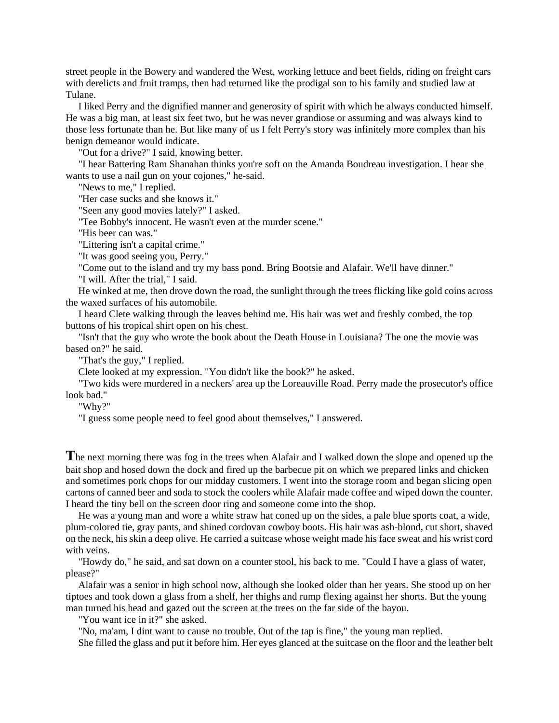street people in the Bowery and wandered the West, working lettuce and beet fields, riding on freight cars with derelicts and fruit tramps, then had returned like the prodigal son to his family and studied law at Tulane.

 I liked Perry and the dignified manner and generosity of spirit with which he always conducted himself. He was a big man, at least six feet two, but he was never grandiose or assuming and was always kind to those less fortunate than he. But like many of us I felt Perry's story was infinitely more complex than his benign demeanor would indicate.

"Out for a drive?" I said, knowing better.

 "I hear Battering Ram Shanahan thinks you're soft on the Amanda Boudreau investigation. I hear she wants to use a nail gun on your cojones," he-said.

"News to me," I replied.

"Her case sucks and she knows it."

"Seen any good movies lately?" I asked.

"Tee Bobby's innocent. He wasn't even at the murder scene."

"His beer can was."

"Littering isn't a capital crime."

"It was good seeing you, Perry."

 "Come out to the island and try my bass pond. Bring Bootsie and Alafair. We'll have dinner." "I will. After the trial," I said.

 He winked at me, then drove down the road, the sunlight through the trees flicking like gold coins across the waxed surfaces of his automobile.

 I heard Clete walking through the leaves behind me. His hair was wet and freshly combed, the top buttons of his tropical shirt open on his chest.

 "Isn't that the guy who wrote the book about the Death House in Louisiana? The one the movie was based on?" he said.

"That's the guy," I replied.

Clete looked at my expression. "You didn't like the book?" he asked.

 "Two kids were murdered in a neckers' area up the Loreauville Road. Perry made the prosecutor's office look bad."

"Why?"

"I guess some people need to feel good about themselves," I answered.

The next morning there was fog in the trees when Alafair and I walked down the slope and opened up the bait shop and hosed down the dock and fired up the barbecue pit on which we prepared links and chicken and sometimes pork chops for our midday customers. I went into the storage room and began slicing open cartons of canned beer and soda to stock the coolers while Alafair made coffee and wiped down the counter. I heard the tiny bell on the screen door ring and someone come into the shop.

 He was a young man and wore a white straw hat coned up on the sides, a pale blue sports coat, a wide, plum-colored tie, gray pants, and shined cordovan cowboy boots. His hair was ash-blond, cut short, shaved on the neck, his skin a deep olive. He carried a suitcase whose weight made his face sweat and his wrist cord with veins.

 "Howdy do," he said, and sat down on a counter stool, his back to me. "Could I have a glass of water, please?"

 Alafair was a senior in high school now, although she looked older than her years. She stood up on her tiptoes and took down a glass from a shelf, her thighs and rump flexing against her shorts. But the young man turned his head and gazed out the screen at the trees on the far side of the bayou.

"You want ice in it?" she asked.

"No, ma'am, I dint want to cause no trouble. Out of the tap is fine," the young man replied.

She filled the glass and put it before him. Her eyes glanced at the suitcase on the floor and the leather belt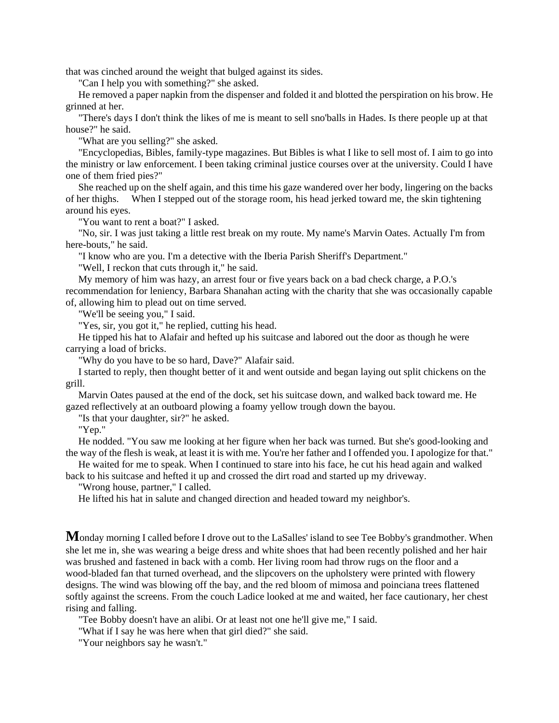that was cinched around the weight that bulged against its sides.

"Can I help you with something?" she asked.

 He removed a paper napkin from the dispenser and folded it and blotted the perspiration on his brow. He grinned at her.

 "There's days I don't think the likes of me is meant to sell sno'balls in Hades. Is there people up at that house?" he said.

"What are you selling?" she asked.

 "Encyclopedias, Bibles, family-type magazines. But Bibles is what I like to sell most of. I aim to go into the ministry or law enforcement. I been taking criminal justice courses over at the university. Could I have one of them fried pies?"

 She reached up on the shelf again, and this time his gaze wandered over her body, lingering on the backs of her thighs. When I stepped out of the storage room, his head jerked toward me, the skin tightening around his eyes.

"You want to rent a boat?" I asked.

 "No, sir. I was just taking a little rest break on my route. My name's Marvin Oates. Actually I'm from here-bouts," he said.

"I know who are you. I'm a detective with the Iberia Parish Sheriff's Department."

"Well, I reckon that cuts through it," he said.

 My memory of him was hazy, an arrest four or five years back on a bad check charge, a P.O.'s recommendation for leniency, Barbara Shanahan acting with the charity that she was occasionally capable of, allowing him to plead out on time served.

"We'll be seeing you," I said.

"Yes, sir, you got it," he replied, cutting his head.

 He tipped his hat to Alafair and hefted up his suitcase and labored out the door as though he were carrying a load of bricks.

"Why do you have to be so hard, Dave?" Alafair said.

 I started to reply, then thought better of it and went outside and began laying out split chickens on the grill.

 Marvin Oates paused at the end of the dock, set his suitcase down, and walked back toward me. He gazed reflectively at an outboard plowing a foamy yellow trough down the bayou.

"Is that your daughter, sir?" he asked.

"Yep."

 He nodded. "You saw me looking at her figure when her back was turned. But she's good-looking and the way of the flesh is weak, at least it is with me. You're her father and I offended you. I apologize for that."

He waited for me to speak. When I continued to stare into his face, he cut his head again and walked

back to his suitcase and hefted it up and crossed the dirt road and started up my driveway.

"Wrong house, partner," I called.

He lifted his hat in salute and changed direction and headed toward my neighbor's.

**M**onday morning I called before I drove out to the LaSalles' island to see Tee Bobby's grandmother. When she let me in, she was wearing a beige dress and white shoes that had been recently polished and her hair was brushed and fastened in back with a comb. Her living room had throw rugs on the floor and a wood-bladed fan that turned overhead, and the slipcovers on the upholstery were printed with flowery designs. The wind was blowing off the bay, and the red bloom of mimosa and poinciana trees flattened softly against the screens. From the couch Ladice looked at me and waited, her face cautionary, her chest rising and falling.

"Tee Bobby doesn't have an alibi. Or at least not one he'll give me," I said.

"What if I say he was here when that girl died?" she said.

"Your neighbors say he wasn't."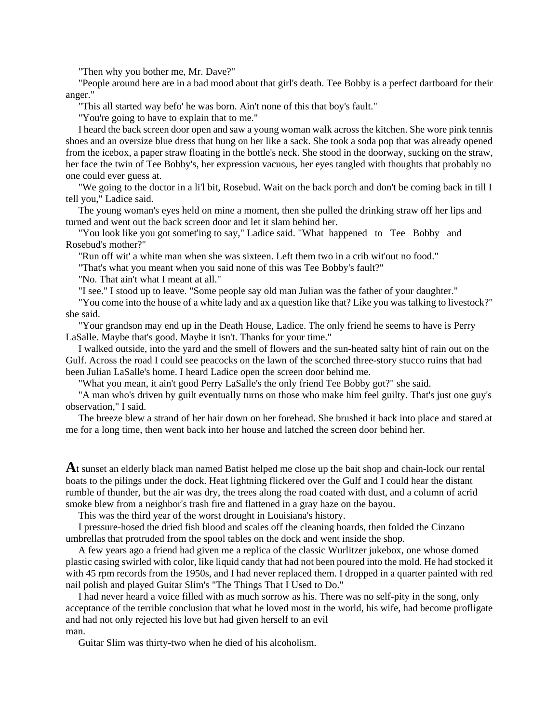"Then why you bother me, Mr. Dave?"

 "People around here are in a bad mood about that girl's death. Tee Bobby is a perfect dartboard for their anger."

"This all started way befo' he was born. Ain't none of this that boy's fault."

"You're going to have to explain that to me."

 I heard the back screen door open and saw a young woman walk across the kitchen. She wore pink tennis shoes and an oversize blue dress that hung on her like a sack. She took a soda pop that was already opened from the icebox, a paper straw floating in the bottle's neck. She stood in the doorway, sucking on the straw, her face the twin of Tee Bobby's, her expression vacuous, her eyes tangled with thoughts that probably no one could ever guess at.

 "We going to the doctor in a li'l bit, Rosebud. Wait on the back porch and don't be coming back in till I tell you," Ladice said.

 The young woman's eyes held on mine a moment, then she pulled the drinking straw off her lips and turned and went out the back screen door and let it slam behind her.

 "You look like you got somet'ing to say," Ladice said. "What happened to Tee Bobby and Rosebud's mother?"

"Run off wit' a white man when she was sixteen. Left them two in a crib wit'out no food."

"That's what you meant when you said none of this was Tee Bobby's fault?"

"No. That ain't what I meant at all."

"I see." I stood up to leave. "Some people say old man Julian was the father of your daughter."

 "You come into the house of a white lady and ax a question like that? Like you was talking to livestock?" she said.

 "Your grandson may end up in the Death House, Ladice. The only friend he seems to have is Perry LaSalle. Maybe that's good. Maybe it isn't. Thanks for your time."

 I walked outside, into the yard and the smell of flowers and the sun-heated salty hint of rain out on the Gulf. Across the road I could see peacocks on the lawn of the scorched three-story stucco ruins that had been Julian LaSalle's home. I heard Ladice open the screen door behind me.

"What you mean, it ain't good Perry LaSalle's the only friend Tee Bobby got?" she said.

 "A man who's driven by guilt eventually turns on those who make him feel guilty. That's just one guy's observation," I said.

 The breeze blew a strand of her hair down on her forehead. She brushed it back into place and stared at me for a long time, then went back into her house and latched the screen door behind her.

**A**t sunset an elderly black man named Batist helped me close up the bait shop and chain-lock our rental boats to the pilings under the dock. Heat lightning flickered over the Gulf and I could hear the distant rumble of thunder, but the air was dry, the trees along the road coated with dust, and a column of acrid smoke blew from a neighbor's trash fire and flattened in a gray haze on the bayou.

This was the third year of the worst drought in Louisiana's history.

 I pressure-hosed the dried fish blood and scales off the cleaning boards, then folded the Cinzano umbrellas that protruded from the spool tables on the dock and went inside the shop.

 A few years ago a friend had given me a replica of the classic Wurlitzer jukebox, one whose domed plastic casing swirled with color, like liquid candy that had not been poured into the mold. He had stocked it with 45 rpm records from the 1950s, and I had never replaced them. I dropped in a quarter painted with red nail polish and played Guitar Slim's "The Things That I Used to Do."

 I had never heard a voice filled with as much sorrow as his. There was no self-pity in the song, only acceptance of the terrible conclusion that what he loved most in the world, his wife, had become profligate and had not only rejected his love but had given herself to an evil man.

Guitar Slim was thirty-two when he died of his alcoholism.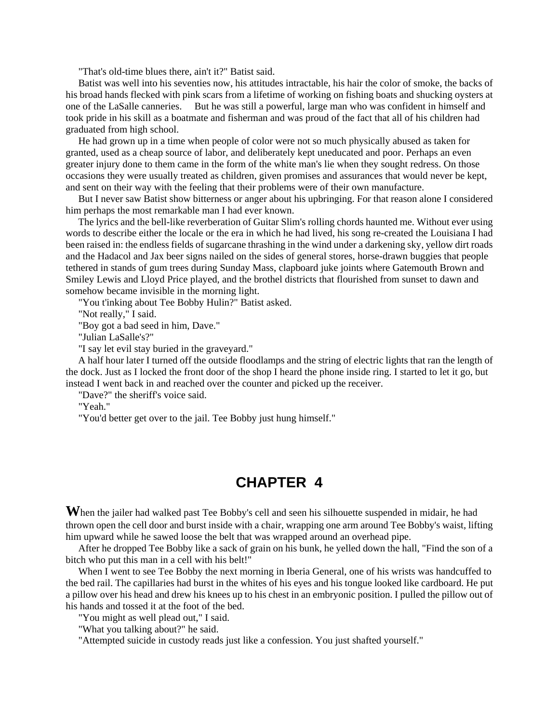"That's old-time blues there, ain't it?" Batist said.

 Batist was well into his seventies now, his attitudes intractable, his hair the color of smoke, the backs of his broad hands flecked with pink scars from a lifetime of working on fishing boats and shucking oysters at one of the LaSalle canneries. But he was still a powerful, large man who was confident in himself and took pride in his skill as a boatmate and fisherman and was proud of the fact that all of his children had graduated from high school.

 He had grown up in a time when people of color were not so much physically abused as taken for granted, used as a cheap source of labor, and deliberately kept uneducated and poor. Perhaps an even greater injury done to them came in the form of the white man's lie when they sought redress. On those occasions they were usually treated as children, given promises and assurances that would never be kept, and sent on their way with the feeling that their problems were of their own manufacture.

 But I never saw Batist show bitterness or anger about his upbringing. For that reason alone I considered him perhaps the most remarkable man I had ever known.

 The lyrics and the bell-like reverberation of Guitar Slim's rolling chords haunted me. Without ever using words to describe either the locale or the era in which he had lived, his song re-created the Louisiana I had been raised in: the endless fields of sugarcane thrashing in the wind under a darkening sky, yellow dirt roads and the Hadacol and Jax beer signs nailed on the sides of general stores, horse-drawn buggies that people tethered in stands of gum trees during Sunday Mass, clapboard juke joints where Gatemouth Brown and Smiley Lewis and Lloyd Price played, and the brothel districts that flourished from sunset to dawn and somehow became invisible in the morning light.

"You t'inking about Tee Bobby Hulin?" Batist asked.

"Not really," I said.

"Boy got a bad seed in him, Dave."

"Julian LaSalle's?"

"I say let evil stay buried in the graveyard."

 A half hour later I turned off the outside floodlamps and the string of electric lights that ran the length of the dock. Just as I locked the front door of the shop I heard the phone inside ring. I started to let it go, but instead I went back in and reached over the counter and picked up the receiver.

"Dave?" the sheriff's voice said.

"Yeah."

"You'd better get over to the jail. Tee Bobby just hung himself."

## **CHAPTER 4**

**W**hen the jailer had walked past Tee Bobby's cell and seen his silhouette suspended in midair, he had thrown open the cell door and burst inside with a chair, wrapping one arm around Tee Bobby's waist, lifting him upward while he sawed loose the belt that was wrapped around an overhead pipe.

 After he dropped Tee Bobby like a sack of grain on his bunk, he yelled down the hall, "Find the son of a bitch who put this man in a cell with his belt!"

 When I went to see Tee Bobby the next morning in Iberia General, one of his wrists was handcuffed to the bed rail. The capillaries had burst in the whites of his eyes and his tongue looked like cardboard. He put a pillow over his head and drew his knees up to his chest in an embryonic position. I pulled the pillow out of his hands and tossed it at the foot of the bed.

"You might as well plead out," I said.

"What you talking about?" he said.

"Attempted suicide in custody reads just like a confession. You just shafted yourself."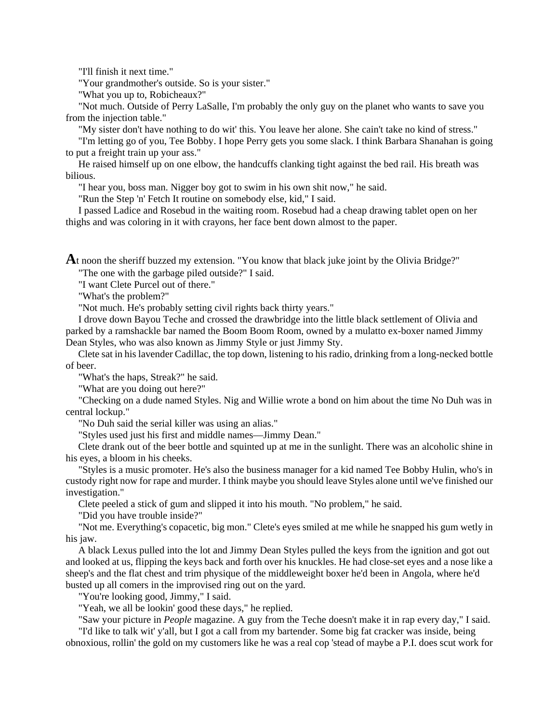"I'll finish it next time."

"Your grandmother's outside. So is your sister."

"What you up to, Robicheaux?"

 "Not much. Outside of Perry LaSalle, I'm probably the only guy on the planet who wants to save you from the injection table."

"My sister don't have nothing to do wit' this. You leave her alone. She cain't take no kind of stress."

 "I'm letting go of you, Tee Bobby. I hope Perry gets you some slack. I think Barbara Shanahan is going to put a freight train up your ass."

 He raised himself up on one elbow, the handcuffs clanking tight against the bed rail. His breath was bilious.

"I hear you, boss man. Nigger boy got to swim in his own shit now," he said.

"Run the Step 'n' Fetch It routine on somebody else, kid," I said.

 I passed Ladice and Rosebud in the waiting room. Rosebud had a cheap drawing tablet open on her thighs and was coloring in it with crayons, her face bent down almost to the paper.

**A**t noon the sheriff buzzed my extension. "You know that black juke joint by the Olivia Bridge?"

"The one with the garbage piled outside?" I said.

"I want Clete Purcel out of there."

"What's the problem?"

"Not much. He's probably setting civil rights back thirty years."

 I drove down Bayou Teche and crossed the drawbridge into the little black settlement of Olivia and parked by a ramshackle bar named the Boom Boom Room, owned by a mulatto ex-boxer named Jimmy Dean Styles, who was also known as Jimmy Style or just Jimmy Sty.

 Clete sat in his lavender Cadillac, the top down, listening to his radio, drinking from a long-necked bottle of beer.

"What's the haps, Streak?" he said.

"What are you doing out here?"

 "Checking on a dude named Styles. Nig and Willie wrote a bond on him about the time No Duh was in central lockup."

"No Duh said the serial killer was using an alias."

"Styles used just his first and middle names—Jimmy Dean."

 Clete drank out of the beer bottle and squinted up at me in the sunlight. There was an alcoholic shine in his eyes, a bloom in his cheeks.

 "Styles is a music promoter. He's also the business manager for a kid named Tee Bobby Hulin, who's in custody right now for rape and murder. I think maybe you should leave Styles alone until we've finished our investigation."

Clete peeled a stick of gum and slipped it into his mouth. "No problem," he said.

"Did you have trouble inside?"

 "Not me. Everything's copacetic, big mon." Clete's eyes smiled at me while he snapped his gum wetly in his jaw.

 A black Lexus pulled into the lot and Jimmy Dean Styles pulled the keys from the ignition and got out and looked at us, flipping the keys back and forth over his knuckles. He had close-set eyes and a nose like a sheep's and the flat chest and trim physique of the middleweight boxer he'd been in Angola, where he'd busted up all comers in the improvised ring out on the yard.

"You're looking good, Jimmy," I said.

"Yeah, we all be lookin' good these days," he replied.

"Saw your picture in *People* magazine. A guy from the Teche doesn't make it in rap every day," I said.

 "I'd like to talk wit' y'all, but I got a call from my bartender. Some big fat cracker was inside, being obnoxious, rollin' the gold on my customers like he was a real cop 'stead of maybe a P.I. does scut work for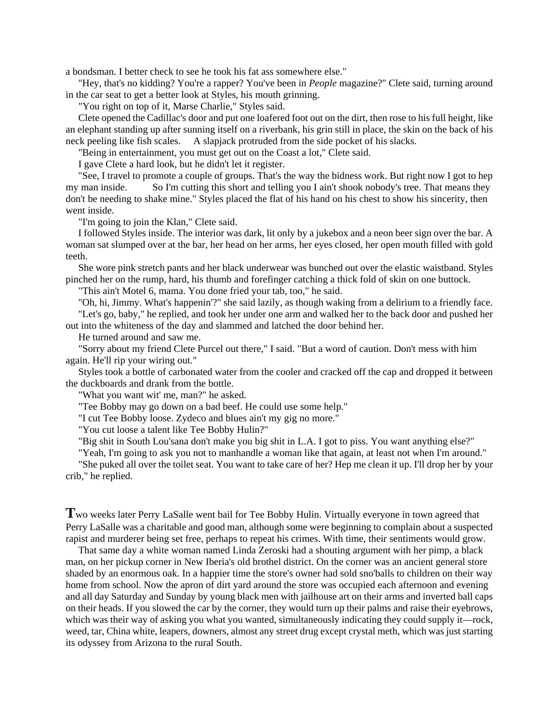a bondsman. I better check to see he took his fat ass somewhere else."

 "Hey, that's no kidding? You're a rapper? You've been in *People* magazine?" Clete said, turning around in the car seat to get a better look at Styles, his mouth grinning.

"You right on top of it, Marse Charlie," Styles said.

 Clete opened the Cadillac's door and put one loafered foot out on the dirt, then rose to his full height, like an elephant standing up after sunning itself on a riverbank, his grin still in place, the skin on the back of his neck peeling like fish scales. A slapjack protruded from the side pocket of his slacks.

"Being in entertainment, you must get out on the Coast a lot," Clete said.

I gave Clete a hard look, but he didn't let it register.

 "See, I travel to promote a couple of groups. That's the way the bidness work. But right now I got to hep my man inside. So I'm cutting this short and telling you I ain't shook nobody's tree. That means they don't be needing to shake mine." Styles placed the flat of his hand on his chest to show his sincerity, then went inside.

"I'm going to join the Klan," Clete said.

 I followed Styles inside. The interior was dark, lit only by a jukebox and a neon beer sign over the bar. A woman sat slumped over at the bar, her head on her arms, her eyes closed, her open mouth filled with gold teeth.

 She wore pink stretch pants and her black underwear was bunched out over the elastic waistband. Styles pinched her on the rump, hard, his thumb and forefinger catching a thick fold of skin on one buttock.

"This ain't Motel 6, mama. You done fried your tab, too," he said.

 "Oh, hi, Jimmy. What's happenin'?" she said lazily, as though waking from a delirium to a friendly face. "Let's go, baby," he replied, and took her under one arm and walked her to the back door and pushed her out into the whiteness of the day and slammed and latched the door behind her.

He turned around and saw me.

 "Sorry about my friend Clete Purcel out there," I said. "But a word of caution. Don't mess with him again. He'll rip your wiring out."

 Styles took a bottle of carbonated water from the cooler and cracked off the cap and dropped it between the duckboards and drank from the bottle.

"What you want wit' me, man?" he asked.

"Tee Bobby may go down on a bad beef. He could use some help."

"I cut Tee Bobby loose. Zydeco and blues ain't my gig no more."

"You cut loose a talent like Tee Bobby Hulin?"

"Big shit in South Lou'sana don't make you big shit in L.A. I got to piss. You want anything else?"

"Yeah, I'm going to ask you not to manhandle a woman like that again, at least not when I'm around."

 "She puked all over the toilet seat. You want to take care of her? Hep me clean it up. I'll drop her by your crib," he replied.

**T**wo weeks later Perry LaSalle went bail for Tee Bobby Hulin. Virtually everyone in town agreed that Perry LaSalle was a charitable and good man, although some were beginning to complain about a suspected rapist and murderer being set free, perhaps to repeat his crimes. With time, their sentiments would grow.

 That same day a white woman named Linda Zeroski had a shouting argument with her pimp, a black man, on her pickup corner in New Iberia's old brothel district. On the corner was an ancient general store shaded by an enormous oak. In a happier time the store's owner had sold sno'balls to children on their way home from school. Now the apron of dirt yard around the store was occupied each afternoon and evening and all day Saturday and Sunday by young black men with jailhouse art on their arms and inverted ball caps on their heads. If you slowed the car by the corner, they would turn up their palms and raise their eyebrows, which was their way of asking you what you wanted, simultaneously indicating they could supply it—rock, weed, tar, China white, leapers, downers, almost any street drug except crystal meth, which was just starting its odyssey from Arizona to the rural South.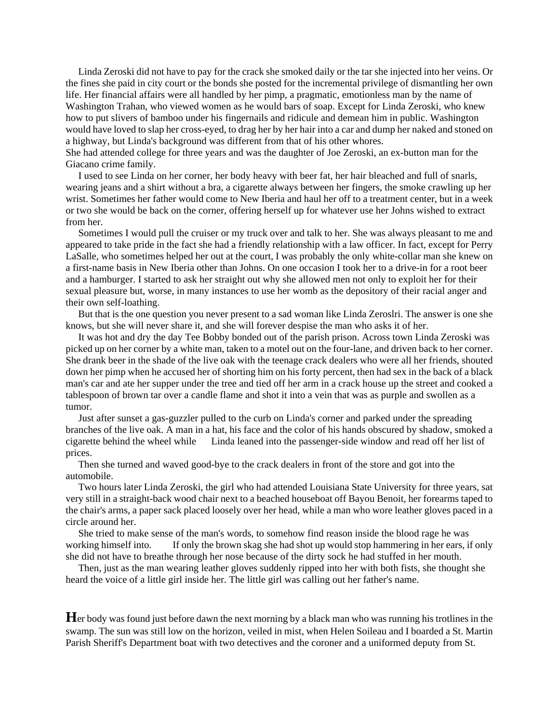Linda Zeroski did not have to pay for the crack she smoked daily or the tar she injected into her veins. Or the fines she paid in city court or the bonds she posted for the incremental privilege of dismantling her own life. Her financial affairs were all handled by her pimp, a pragmatic, emotionless man by the name of Washington Trahan, who viewed women as he would bars of soap. Except for Linda Zeroski, who knew how to put slivers of bamboo under his fingernails and ridicule and demean him in public. Washington would have loved to slap her cross-eyed, to drag her by her hair into a car and dump her naked and stoned on a highway, but Linda's background was different from that of his other whores.

She had attended college for three years and was the daughter of Joe Zeroski, an ex-button man for the Giacano crime family.

 I used to see Linda on her corner, her body heavy with beer fat, her hair bleached and full of snarls, wearing jeans and a shirt without a bra, a cigarette always between her fingers, the smoke crawling up her wrist. Sometimes her father would come to New Iberia and haul her off to a treatment center, but in a week or two she would be back on the corner, offering herself up for whatever use her Johns wished to extract from her.

 Sometimes I would pull the cruiser or my truck over and talk to her. She was always pleasant to me and appeared to take pride in the fact she had a friendly relationship with a law officer. In fact, except for Perry LaSalle, who sometimes helped her out at the court, I was probably the only white-collar man she knew on a first-name basis in New Iberia other than Johns. On one occasion I took her to a drive-in for a root beer and a hamburger. I started to ask her straight out why she allowed men not only to exploit her for their sexual pleasure but, worse, in many instances to use her womb as the depository of their racial anger and their own self-loathing.

 But that is the one question you never present to a sad woman like Linda Zeroslri. The answer is one she knows, but she will never share it, and she will forever despise the man who asks it of her.

 It was hot and dry the day Tee Bobby bonded out of the parish prison. Across town Linda Zeroski was picked up on her corner by a white man, taken to a motel out on the four-lane, and driven back to her corner. She drank beer in the shade of the live oak with the teenage crack dealers who were all her friends, shouted down her pimp when he accused her of shorting him on his forty percent, then had sex in the back of a black man's car and ate her supper under the tree and tied off her arm in a crack house up the street and cooked a tablespoon of brown tar over a candle flame and shot it into a vein that was as purple and swollen as a tumor.

 Just after sunset a gas-guzzler pulled to the curb on Linda's corner and parked under the spreading branches of the live oak. A man in a hat, his face and the color of his hands obscured by shadow, smoked a cigarette behind the wheel while Linda leaned into the passenger-side window and read off her list of prices.

 Then she turned and waved good-bye to the crack dealers in front of the store and got into the automobile.

 Two hours later Linda Zeroski, the girl who had attended Louisiana State University for three years, sat very still in a straight-back wood chair next to a beached houseboat off Bayou Benoit, her forearms taped to the chair's arms, a paper sack placed loosely over her head, while a man who wore leather gloves paced in a circle around her.

 She tried to make sense of the man's words, to somehow find reason inside the blood rage he was working himself into. If only the brown skag she had shot up would stop hammering in her ears, if only she did not have to breathe through her nose because of the dirty sock he had stuffed in her mouth.

 Then, just as the man wearing leather gloves suddenly ripped into her with both fists, she thought she heard the voice of a little girl inside her. The little girl was calling out her father's name.

**H**er body was found just before dawn the next morning by a black man who was running his trotlines in the swamp. The sun was still low on the horizon, veiled in mist, when Helen Soileau and I boarded a St. Martin Parish Sheriff's Department boat with two detectives and the coroner and a uniformed deputy from St.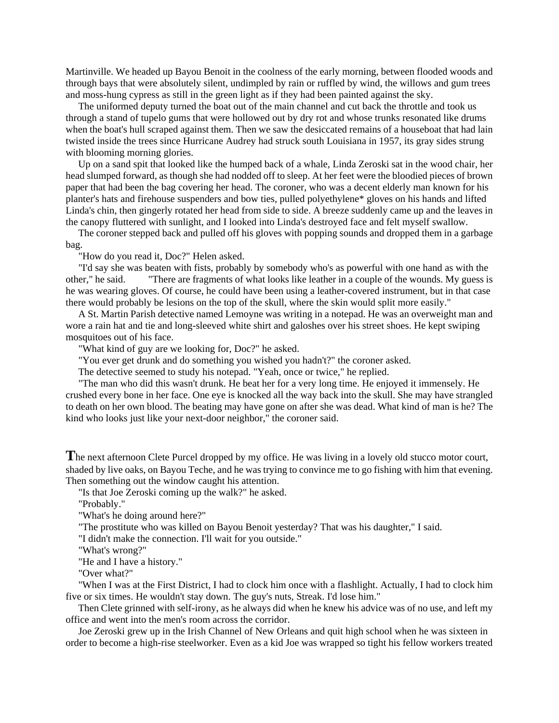Martinville. We headed up Bayou Benoit in the coolness of the early morning, between flooded woods and through bays that were absolutely silent, undimpled by rain or ruffled by wind, the willows and gum trees and moss-hung cypress as still in the green light as if they had been painted against the sky.

 The uniformed deputy turned the boat out of the main channel and cut back the throttle and took us through a stand of tupelo gums that were hollowed out by dry rot and whose trunks resonated like drums when the boat's hull scraped against them. Then we saw the desiccated remains of a houseboat that had lain twisted inside the trees since Hurricane Audrey had struck south Louisiana in 1957, its gray sides strung with blooming morning glories.

 Up on a sand spit that looked like the humped back of a whale, Linda Zeroski sat in the wood chair, her head slumped forward, as though she had nodded off to sleep. At her feet were the bloodied pieces of brown paper that had been the bag covering her head. The coroner, who was a decent elderly man known for his planter's hats and firehouse suspenders and bow ties, pulled polyethylene\* gloves on his hands and lifted Linda's chin, then gingerly rotated her head from side to side. A breeze suddenly came up and the leaves in the canopy fluttered with sunlight, and I looked into Linda's destroyed face and felt myself swallow.

 The coroner stepped back and pulled off his gloves with popping sounds and dropped them in a garbage bag.

"How do you read it, Doc?" Helen asked.

 "I'd say she was beaten with fists, probably by somebody who's as powerful with one hand as with the other," he said. "There are fragments of what looks like leather in a couple of the wounds. My guess is he was wearing gloves. Of course, he could have been using a leather-covered instrument, but in that case there would probably be lesions on the top of the skull, where the skin would split more easily."

 A St. Martin Parish detective named Lemoyne was writing in a notepad. He was an overweight man and wore a rain hat and tie and long-sleeved white shirt and galoshes over his street shoes. He kept swiping mosquitoes out of his face.

"What kind of guy are we looking for, Doc?" he asked.

"You ever get drunk and do something you wished you hadn't?" the coroner asked.

The detective seemed to study his notepad. "Yeah, once or twice," he replied.

 "The man who did this wasn't drunk. He beat her for a very long time. He enjoyed it immensely. He crushed every bone in her face. One eye is knocked all the way back into the skull. She may have strangled to death on her own blood. The beating may have gone on after she was dead. What kind of man is he? The kind who looks just like your next-door neighbor," the coroner said.

The next afternoon Clete Purcel dropped by my office. He was living in a lovely old stucco motor court, shaded by live oaks, on Bayou Teche, and he was trying to convince me to go fishing with him that evening. Then something out the window caught his attention.

"Is that Joe Zeroski coming up the walk?" he asked.

"Probably."

"What's he doing around here?"

"The prostitute who was killed on Bayou Benoit yesterday? That was his daughter," I said.

"I didn't make the connection. I'll wait for you outside."

"What's wrong?"

"He and I have a history."

"Over what?"

 "When I was at the First District, I had to clock him once with a flashlight. Actually, I had to clock him five or six times. He wouldn't stay down. The guy's nuts, Streak. I'd lose him."

 Then Clete grinned with self-irony, as he always did when he knew his advice was of no use, and left my office and went into the men's room across the corridor.

 Joe Zeroski grew up in the Irish Channel of New Orleans and quit high school when he was sixteen in order to become a high-rise steelworker. Even as a kid Joe was wrapped so tight his fellow workers treated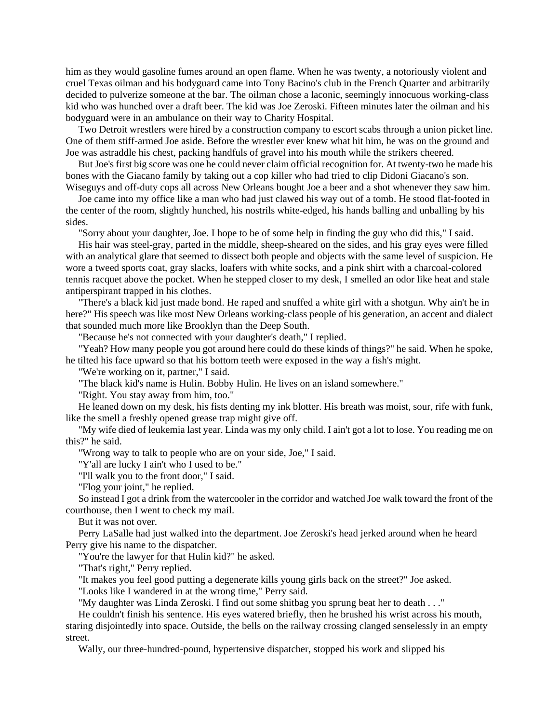him as they would gasoline fumes around an open flame. When he was twenty, a notoriously violent and cruel Texas oilman and his bodyguard came into Tony Bacino's club in the French Quarter and arbitrarily decided to pulverize someone at the bar. The oilman chose a laconic, seemingly innocuous working-class kid who was hunched over a draft beer. The kid was Joe Zeroski. Fifteen minutes later the oilman and his bodyguard were in an ambulance on their way to Charity Hospital.

 Two Detroit wrestlers were hired by a construction company to escort scabs through a union picket line. One of them stiff-armed Joe aside. Before the wrestler ever knew what hit him, he was on the ground and Joe was astraddle his chest, packing handfuls of gravel into his mouth while the strikers cheered.

 But Joe's first big score was one he could never claim official recognition for. At twenty-two he made his bones with the Giacano family by taking out a cop killer who had tried to clip Didoni Giacano's son. Wiseguys and off-duty cops all across New Orleans bought Joe a beer and a shot whenever they saw him.

 Joe came into my office like a man who had just clawed his way out of a tomb. He stood flat-footed in the center of the room, slightly hunched, his nostrils white-edged, his hands balling and unballing by his sides.

"Sorry about your daughter, Joe. I hope to be of some help in finding the guy who did this," I said.

 His hair was steel-gray, parted in the middle, sheep-sheared on the sides, and his gray eyes were filled with an analytical glare that seemed to dissect both people and objects with the same level of suspicion. He wore a tweed sports coat, gray slacks, loafers with white socks, and a pink shirt with a charcoal-colored tennis racquet above the pocket. When he stepped closer to my desk, I smelled an odor like heat and stale antiperspirant trapped in his clothes.

 "There's a black kid just made bond. He raped and snuffed a white girl with a shotgun. Why ain't he in here?" His speech was like most New Orleans working-class people of his generation, an accent and dialect that sounded much more like Brooklyn than the Deep South.

"Because he's not connected with your daughter's death," I replied.

 "Yeah? How many people you got around here could do these kinds of things?" he said. When he spoke, he tilted his face upward so that his bottom teeth were exposed in the way a fish's might.

"We're working on it, partner," I said.

"The black kid's name is Hulin. Bobby Hulin. He lives on an island somewhere."

"Right. You stay away from him, too."

 He leaned down on my desk, his fists denting my ink blotter. His breath was moist, sour, rife with funk, like the smell a freshly opened grease trap might give off.

 "My wife died of leukemia last year. Linda was my only child. I ain't got a lot to lose. You reading me on this?" he said.

"Wrong way to talk to people who are on your side, Joe," I said.

"Y'all are lucky I ain't who I used to be."

"I'll walk you to the front door," I said.

"Flog your joint," he replied.

 So instead I got a drink from the watercooler in the corridor and watched Joe walk toward the front of the courthouse, then I went to check my mail.

But it was not over.

 Perry LaSalle had just walked into the department. Joe Zeroski's head jerked around when he heard Perry give his name to the dispatcher.

"You're the lawyer for that Hulin kid?" he asked.

"That's right," Perry replied.

"It makes you feel good putting a degenerate kills young girls back on the street?" Joe asked.

"Looks like I wandered in at the wrong time," Perry said.

"My daughter was Linda Zeroski. I find out some shitbag you sprung beat her to death . . ."

He couldn't finish his sentence. His eyes watered briefly, then he brushed his wrist across his mouth, staring disjointedly into space. Outside, the bells on the railway crossing clanged senselessly in an empty street.

Wally, our three-hundred-pound, hypertensive dispatcher, stopped his work and slipped his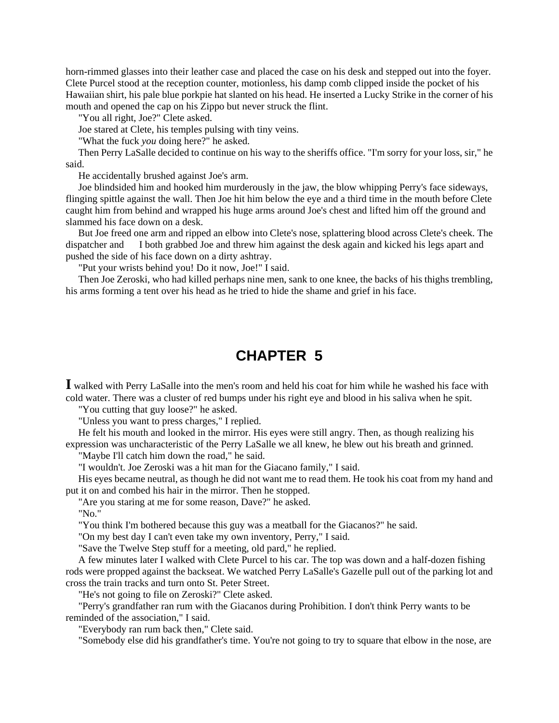horn-rimmed glasses into their leather case and placed the case on his desk and stepped out into the foyer. Clete Purcel stood at the reception counter, motionless, his damp comb clipped inside the pocket of his Hawaiian shirt, his pale blue porkpie hat slanted on his head. He inserted a Lucky Strike in the corner of his mouth and opened the cap on his Zippo but never struck the flint.

"You all right, Joe?" Clete asked.

Joe stared at Clete, his temples pulsing with tiny veins.

"What the fuck *you* doing here?" he asked.

 Then Perry LaSalle decided to continue on his way to the sheriffs office. "I'm sorry for your loss, sir," he said.

He accidentally brushed against Joe's arm.

 Joe blindsided him and hooked him murderously in the jaw, the blow whipping Perry's face sideways, flinging spittle against the wall. Then Joe hit him below the eye and a third time in the mouth before Clete caught him from behind and wrapped his huge arms around Joe's chest and lifted him off the ground and slammed his face down on a desk.

 But Joe freed one arm and ripped an elbow into Clete's nose, splattering blood across Clete's cheek. The dispatcher and I both grabbed Joe and threw him against the desk again and kicked his legs apart and pushed the side of his face down on a dirty ashtray.

"Put your wrists behind you! Do it now, Joe!" I said.

 Then Joe Zeroski, who had killed perhaps nine men, sank to one knee, the backs of his thighs trembling, his arms forming a tent over his head as he tried to hide the shame and grief in his face.

### **CHAPTER 5**

**I** walked with Perry LaSalle into the men's room and held his coat for him while he washed his face with cold water. There was a cluster of red bumps under his right eye and blood in his saliva when he spit.

"You cutting that guy loose?" he asked.

"Unless you want to press charges," I replied.

 He felt his mouth and looked in the mirror. His eyes were still angry. Then, as though realizing his expression was uncharacteristic of the Perry LaSalle we all knew, he blew out his breath and grinned.

"Maybe I'll catch him down the road," he said.

"I wouldn't. Joe Zeroski was a hit man for the Giacano family," I said.

 His eyes became neutral, as though he did not want me to read them. He took his coat from my hand and put it on and combed his hair in the mirror. Then he stopped.

"Are you staring at me for some reason, Dave?" he asked.

"No."

"You think I'm bothered because this guy was a meatball for the Giacanos?" he said.

"On my best day I can't even take my own inventory, Perry," I said.

"Save the Twelve Step stuff for a meeting, old pard," he replied.

 A few minutes later I walked with Clete Purcel to his car. The top was down and a half-dozen fishing rods were propped against the backseat. We watched Perry LaSalle's Gazelle pull out of the parking lot and cross the train tracks and turn onto St. Peter Street.

"He's not going to file on Zeroski?" Clete asked.

 "Perry's grandfather ran rum with the Giacanos during Prohibition. I don't think Perry wants to be reminded of the association," I said.

"Everybody ran rum back then," Clete said.

"Somebody else did his grandfather's time. You're not going to try to square that elbow in the nose, are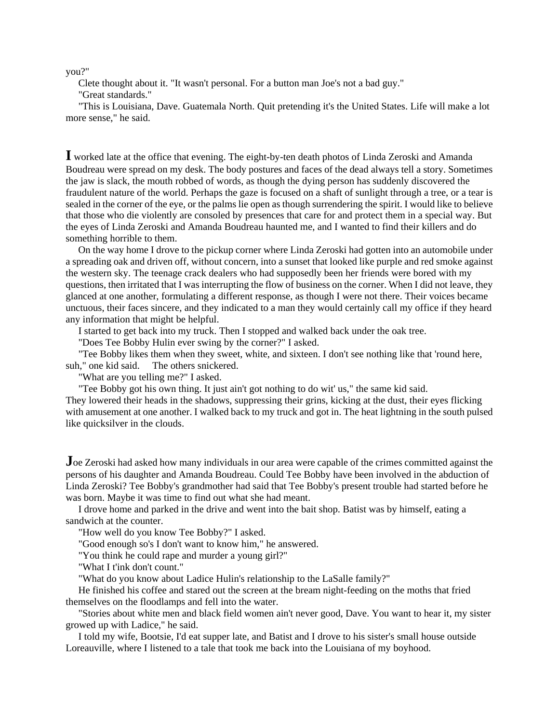you?"

Clete thought about it. "It wasn't personal. For a button man Joe's not a bad guy."

"Great standards."

 "This is Louisiana, Dave. Guatemala North. Quit pretending it's the United States. Life will make a lot more sense," he said.

**I** worked late at the office that evening. The eight-by-ten death photos of Linda Zeroski and Amanda Boudreau were spread on my desk. The body postures and faces of the dead always tell a story. Sometimes the jaw is slack, the mouth robbed of words, as though the dying person has suddenly discovered the fraudulent nature of the world. Perhaps the gaze is focused on a shaft of sunlight through a tree, or a tear is sealed in the corner of the eye, or the palms lie open as though surrendering the spirit. I would like to believe that those who die violently are consoled by presences that care for and protect them in a special way. But the eyes of Linda Zeroski and Amanda Boudreau haunted me, and I wanted to find their killers and do something horrible to them.

 On the way home I drove to the pickup corner where Linda Zeroski had gotten into an automobile under a spreading oak and driven off, without concern, into a sunset that looked like purple and red smoke against the western sky. The teenage crack dealers who had supposedly been her friends were bored with my questions, then irritated that I was interrupting the flow of business on the corner. When I did not leave, they glanced at one another, formulating a different response, as though I were not there. Their voices became unctuous, their faces sincere, and they indicated to a man they would certainly call my office if they heard any information that might be helpful.

I started to get back into my truck. Then I stopped and walked back under the oak tree.

"Does Tee Bobby Hulin ever swing by the corner?" I asked.

 "Tee Bobby likes them when they sweet, white, and sixteen. I don't see nothing like that 'round here, suh," one kid said. The others snickered.

"What are you telling me?" I asked.

"Tee Bobby got his own thing. It just ain't got nothing to do wit' us," the same kid said.

They lowered their heads in the shadows, suppressing their grins, kicking at the dust, their eyes flicking with amusement at one another. I walked back to my truck and got in. The heat lightning in the south pulsed like quicksilver in the clouds.

**J**oe Zeroski had asked how many individuals in our area were capable of the crimes committed against the persons of his daughter and Amanda Boudreau. Could Tee Bobby have been involved in the abduction of Linda Zeroski? Tee Bobby's grandmother had said that Tee Bobby's present trouble had started before he was born. Maybe it was time to find out what she had meant.

 I drove home and parked in the drive and went into the bait shop. Batist was by himself, eating a sandwich at the counter.

"How well do you know Tee Bobby?" I asked.

"Good enough so's I don't want to know him," he answered.

"You think he could rape and murder a young girl?"

"What I t'ink don't count."

"What do you know about Ladice Hulin's relationship to the LaSalle family?"

 He finished his coffee and stared out the screen at the bream night-feeding on the moths that fried themselves on the floodlamps and fell into the water.

 "Stories about white men and black field women ain't never good, Dave. You want to hear it, my sister growed up with Ladice," he said.

 I told my wife, Bootsie, I'd eat supper late, and Batist and I drove to his sister's small house outside Loreauville, where I listened to a tale that took me back into the Louisiana of my boyhood.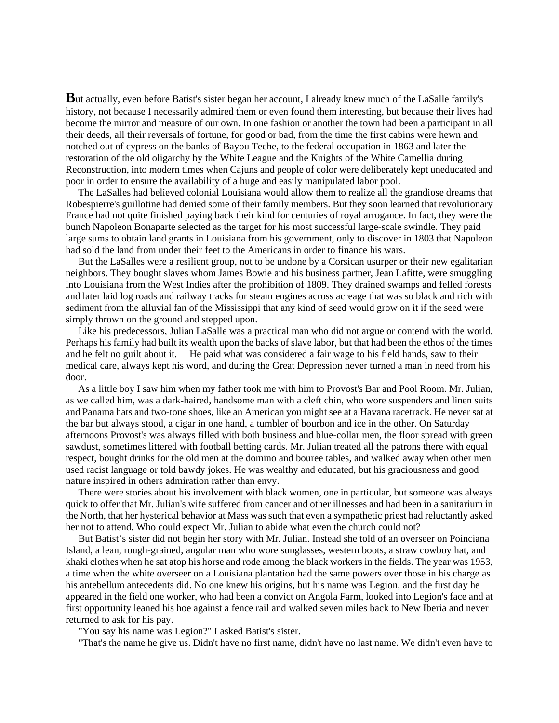**B**ut actually, even before Batist's sister began her account, I already knew much of the LaSalle family's history, not because I necessarily admired them or even found them interesting, but because their lives had become the mirror and measure of our own. In one fashion or another the town had been a participant in all their deeds, all their reversals of fortune, for good or bad, from the time the first cabins were hewn and notched out of cypress on the banks of Bayou Teche, to the federal occupation in 1863 and later the restoration of the old oligarchy by the White League and the Knights of the White Camellia during Reconstruction, into modern times when Cajuns and people of color were deliberately kept uneducated and poor in order to ensure the availability of a huge and easily manipulated labor pool.

 The LaSalles had believed colonial Louisiana would allow them to realize all the grandiose dreams that Robespierre's guillotine had denied some of their family members. But they soon learned that revolutionary France had not quite finished paying back their kind for centuries of royal arrogance. In fact, they were the bunch Napoleon Bonaparte selected as the target for his most successful large-scale swindle. They paid large sums to obtain land grants in Louisiana from his government, only to discover in 1803 that Napoleon had sold the land from under their feet to the Americans in order to finance his wars.

 But the LaSalles were a resilient group, not to be undone by a Corsican usurper or their new egalitarian neighbors. They bought slaves whom James Bowie and his business partner, Jean Lafitte, were smuggling into Louisiana from the West Indies after the prohibition of 1809. They drained swamps and felled forests and later laid log roads and railway tracks for steam engines across acreage that was so black and rich with sediment from the alluvial fan of the Mississippi that any kind of seed would grow on it if the seed were simply thrown on the ground and stepped upon.

 Like his predecessors, Julian LaSalle was a practical man who did not argue or contend with the world. Perhaps his family had built its wealth upon the backs of slave labor, but that had been the ethos of the times and he felt no guilt about it. He paid what was considered a fair wage to his field hands, saw to their medical care, always kept his word, and during the Great Depression never turned a man in need from his door.

 As a little boy I saw him when my father took me with him to Provost's Bar and Pool Room. Mr. Julian, as we called him, was a dark-haired, handsome man with a cleft chin, who wore suspenders and linen suits and Panama hats and two-tone shoes, like an American you might see at a Havana racetrack. He never sat at the bar but always stood, a cigar in one hand, a tumbler of bourbon and ice in the other. On Saturday afternoons Provost's was always filled with both business and blue-collar men, the floor spread with green sawdust, sometimes littered with football betting cards. Mr. Julian treated all the patrons there with equal respect, bought drinks for the old men at the domino and bouree tables, and walked away when other men used racist language or told bawdy jokes. He was wealthy and educated, but his graciousness and good nature inspired in others admiration rather than envy.

 There were stories about his involvement with black women, one in particular, but someone was always quick to offer that Mr. Julian's wife suffered from cancer and other illnesses and had been in a sanitarium in the North, that her hysterical behavior at Mass was such that even a sympathetic priest had reluctantly asked her not to attend. Who could expect Mr. Julian to abide what even the church could not?

 But Batist's sister did not begin her story with Mr. Julian. Instead she told of an overseer on Poinciana Island, a lean, rough-grained, angular man who wore sunglasses, western boots, a straw cowboy hat, and khaki clothes when he sat atop his horse and rode among the black workers in the fields. The year was 1953, a time when the white overseer on a Louisiana plantation had the same powers over those in his charge as his antebellum antecedents did. No one knew his origins, but his name was Legion, and the first day he appeared in the field one worker, who had been a convict on Angola Farm, looked into Legion's face and at first opportunity leaned his hoe against a fence rail and walked seven miles back to New Iberia and never returned to ask for his pay.

"You say his name was Legion?" I asked Batist's sister.

"That's the name he give us. Didn't have no first name, didn't have no last name. We didn't even have to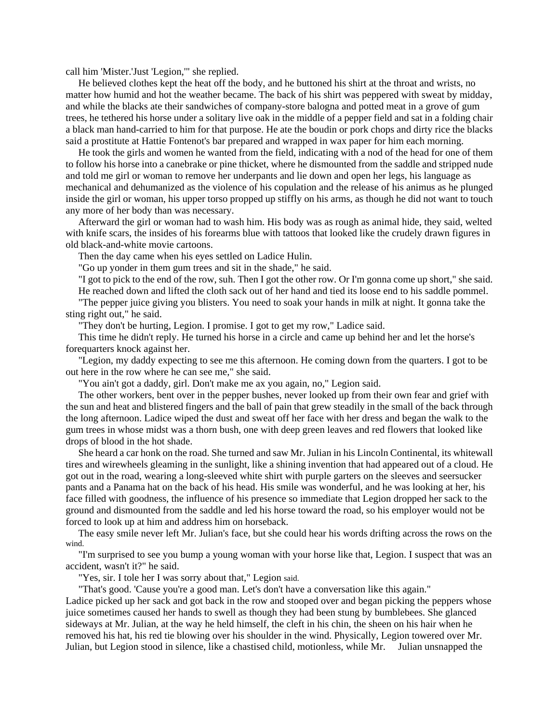call him 'Mister.'Just 'Legion,'" she replied.

 He believed clothes kept the heat off the body, and he buttoned his shirt at the throat and wrists, no matter how humid and hot the weather became. The back of his shirt was peppered with sweat by midday, and while the blacks ate their sandwiches of company-store balogna and potted meat in a grove of gum trees, he tethered his horse under a solitary live oak in the middle of a pepper field and sat in a folding chair a black man hand-carried to him for that purpose. He ate the boudin or pork chops and dirty rice the blacks said a prostitute at Hattie Fontenot's bar prepared and wrapped in wax paper for him each morning.

 He took the girls and women he wanted from the field, indicating with a nod of the head for one of them to follow his horse into a canebrake or pine thicket, where he dismounted from the saddle and stripped nude and told me girl or woman to remove her underpants and lie down and open her legs, his language as mechanical and dehumanized as the violence of his copulation and the release of his animus as he plunged inside the girl or woman, his upper torso propped up stiffly on his arms, as though he did not want to touch any more of her body than was necessary.

 Afterward the girl or woman had to wash him. His body was as rough as animal hide, they said, welted with knife scars, the insides of his forearms blue with tattoos that looked like the crudely drawn figures in old black-and-white movie cartoons.

Then the day came when his eyes settled on Ladice Hulin.

"Go up yonder in them gum trees and sit in the shade," he said.

 "I got to pick to the end of the row, suh. Then I got the other row. Or I'm gonna come up short," she said. He reached down and lifted the cloth sack out of her hand and tied its loose end to his saddle pommel.

 "The pepper juice giving you blisters. You need to soak your hands in milk at night. It gonna take the sting right out," he said.

"They don't be hurting, Legion. I promise. I got to get my row," Ladice said.

 This time he didn't reply. He turned his horse in a circle and came up behind her and let the horse's forequarters knock against her.

 "Legion, my daddy expecting to see me this afternoon. He coming down from the quarters. I got to be out here in the row where he can see me," she said.

"You ain't got a daddy, girl. Don't make me ax you again, no," Legion said.

 The other workers, bent over in the pepper bushes, never looked up from their own fear and grief with the sun and heat and blistered fingers and the ball of pain that grew steadily in the small of the back through the long afternoon. Ladice wiped the dust and sweat off her face with her dress and began the walk to the gum trees in whose midst was a thorn bush, one with deep green leaves and red flowers that looked like drops of blood in the hot shade.

 She heard a car honk on the road. She turned and saw Mr. Julian in his Lincoln Continental, its whitewall tires and wirewheels gleaming in the sunlight, like a shining invention that had appeared out of a cloud. He got out in the road, wearing a long-sleeved white shirt with purple garters on the sleeves and seersucker pants and a Panama hat on the back of his head. His smile was wonderful, and he was looking at her, his face filled with goodness, the influence of his presence so immediate that Legion dropped her sack to the ground and dismounted from the saddle and led his horse toward the road, so his employer would not be forced to look up at him and address him on horseback.

 The easy smile never left Mr. Julian's face, but she could hear his words drifting across the rows on the wind.

 "I'm surprised to see you bump a young woman with your horse like that, Legion. I suspect that was an accident, wasn't it?" he said.

"Yes, sir. I tole her I was sorry about that," Legion said.

"That's good. 'Cause you're a good man. Let's don't have a conversation like this again."

Ladice picked up her sack and got back in the row and stooped over and began picking the peppers whose juice sometimes caused her hands to swell as though they had been stung by bumblebees. She glanced sideways at Mr. Julian, at the way he held himself, the cleft in his chin, the sheen on his hair when he removed his hat, his red tie blowing over his shoulder in the wind. Physically, Legion towered over Mr. Julian, but Legion stood in silence, like a chastised child, motionless, while Mr. Julian unsnapped the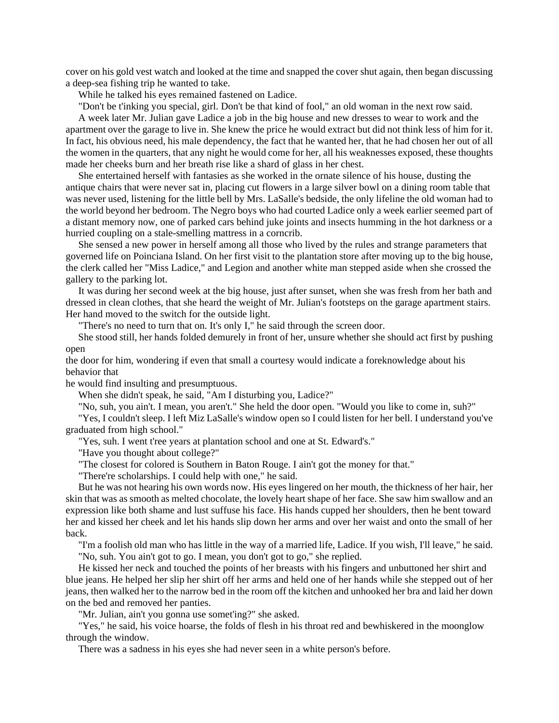cover on his gold vest watch and looked at the time and snapped the cover shut again, then began discussing a deep-sea fishing trip he wanted to take.

While he talked his eyes remained fastened on Ladice.

"Don't be t'inking you special, girl. Don't be that kind of fool," an old woman in the next row said.

 A week later Mr. Julian gave Ladice a job in the big house and new dresses to wear to work and the apartment over the garage to live in. She knew the price he would extract but did not think less of him for it. In fact, his obvious need, his male dependency, the fact that he wanted her, that he had chosen her out of all the women in the quarters, that any night he would come for her, all his weaknesses exposed, these thoughts made her cheeks burn and her breath rise like a shard of glass in her chest.

 She entertained herself with fantasies as she worked in the ornate silence of his house, dusting the antique chairs that were never sat in, placing cut flowers in a large silver bowl on a dining room table that was never used, listening for the little bell by Mrs. LaSalle's bedside, the only lifeline the old woman had to the world beyond her bedroom. The Negro boys who had courted Ladice only a week earlier seemed part of a distant memory now, one of parked cars behind juke joints and insects humming in the hot darkness or a hurried coupling on a stale-smelling mattress in a corncrib.

 She sensed a new power in herself among all those who lived by the rules and strange parameters that governed life on Poinciana Island. On her first visit to the plantation store after moving up to the big house, the clerk called her "Miss Ladice," and Legion and another white man stepped aside when she crossed the gallery to the parking lot.

 It was during her second week at the big house, just after sunset, when she was fresh from her bath and dressed in clean clothes, that she heard the weight of Mr. Julian's footsteps on the garage apartment stairs. Her hand moved to the switch for the outside light.

"There's no need to turn that on. It's only I," he said through the screen door.

 She stood still, her hands folded demurely in front of her, unsure whether she should act first by pushing open

the door for him, wondering if even that small a courtesy would indicate a foreknowledge about his behavior that

he would find insulting and presumptuous.

When she didn't speak, he said, "Am I disturbing you, Ladice?"

"No, suh, you ain't. I mean, you aren't." She held the door open. "Would you like to come in, suh?"

 "Yes, I couldn't sleep. I left Miz LaSalle's window open so I could listen for her bell. I understand you've graduated from high school."

"Yes, suh. I went t'ree years at plantation school and one at St. Edward's."

"Have you thought about college?"

"The closest for colored is Southern in Baton Rouge. I ain't got the money for that."

"There're scholarships. I could help with one," he said.

 But he was not hearing his own words now. His eyes lingered on her mouth, the thickness of her hair, her skin that was as smooth as melted chocolate, the lovely heart shape of her face. She saw him swallow and an expression like both shame and lust suffuse his face. His hands cupped her shoulders, then he bent toward her and kissed her cheek and let his hands slip down her arms and over her waist and onto the small of her back.

 "I'm a foolish old man who has little in the way of a married life, Ladice. If you wish, I'll leave," he said. "No, suh. You ain't got to go. I mean, you don't got to go," she replied.

 He kissed her neck and touched the points of her breasts with his fingers and unbuttoned her shirt and blue jeans. He helped her slip her shirt off her arms and held one of her hands while she stepped out of her jeans, then walked her to the narrow bed in the room off the kitchen and unhooked her bra and laid her down on the bed and removed her panties.

"Mr. Julian, ain't you gonna use somet'ing?" she asked.

 "Yes," he said, his voice hoarse, the folds of flesh in his throat red and bewhiskered in the moonglow through the window.

There was a sadness in his eyes she had never seen in a white person's before.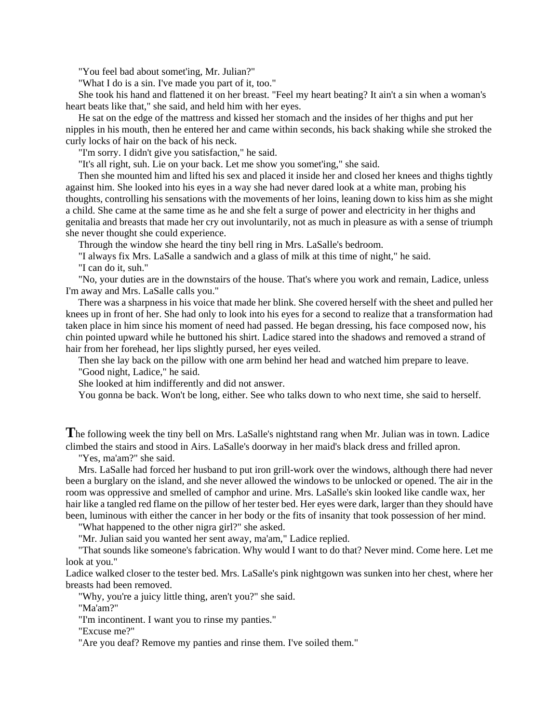"You feel bad about somet'ing, Mr. Julian?"

"What I do is a sin. I've made you part of it, too."

 She took his hand and flattened it on her breast. "Feel my heart beating? It ain't a sin when a woman's heart beats like that," she said, and held him with her eyes.

 He sat on the edge of the mattress and kissed her stomach and the insides of her thighs and put her nipples in his mouth, then he entered her and came within seconds, his back shaking while she stroked the curly locks of hair on the back of his neck.

"I'm sorry. I didn't give you satisfaction," he said.

"It's all right, suh. Lie on your back. Let me show you somet'ing," she said.

 Then she mounted him and lifted his sex and placed it inside her and closed her knees and thighs tightly against him. She looked into his eyes in a way she had never dared look at a white man, probing his thoughts, controlling his sensations with the movements of her loins, leaning down to kiss him as she might a child. She came at the same time as he and she felt a surge of power and electricity in her thighs and genitalia and breasts that made her cry out involuntarily, not as much in pleasure as with a sense of triumph she never thought she could experience.

Through the window she heard the tiny bell ring in Mrs. LaSalle's bedroom.

"I always fix Mrs. LaSalle a sandwich and a glass of milk at this time of night," he said.

"I can do it, suh."

 "No, your duties are in the downstairs of the house. That's where you work and remain, Ladice, unless I'm away and Mrs. LaSalle calls you."

 There was a sharpness in his voice that made her blink. She covered herself with the sheet and pulled her knees up in front of her. She had only to look into his eyes for a second to realize that a transformation had taken place in him since his moment of need had passed. He began dressing, his face composed now, his chin pointed upward while he buttoned his shirt. Ladice stared into the shadows and removed a strand of hair from her forehead, her lips slightly pursed, her eyes veiled.

 Then she lay back on the pillow with one arm behind her head and watched him prepare to leave. "Good night, Ladice," he said.

She looked at him indifferently and did not answer.

You gonna be back. Won't be long, either. See who talks down to who next time, she said to herself.

**T**he following week the tiny bell on Mrs. LaSalle's nightstand rang when Mr. Julian was in town. Ladice climbed the stairs and stood in Airs. LaSalle's doorway in her maid's black dress and frilled apron.

"Yes, ma'am?" she said.

 Mrs. LaSalle had forced her husband to put iron grill-work over the windows, although there had never been a burglary on the island, and she never allowed the windows to be unlocked or opened. The air in the room was oppressive and smelled of camphor and urine. Mrs. LaSalle's skin looked like candle wax, her hair like a tangled red flame on the pillow of her tester bed. Her eyes were dark, larger than they should have been, luminous with either the cancer in her body or the fits of insanity that took possession of her mind.

"What happened to the other nigra girl?" she asked.

"Mr. Julian said you wanted her sent away, ma'am," Ladice replied.

 "That sounds like someone's fabrication. Why would I want to do that? Never mind. Come here. Let me look at you."

Ladice walked closer to the tester bed. Mrs. LaSalle's pink nightgown was sunken into her chest, where her breasts had been removed.

"Why, you're a juicy little thing, aren't you?" she said.

"Ma'am?"

"I'm incontinent. I want you to rinse my panties."

"Excuse me?"

"Are you deaf? Remove my panties and rinse them. I've soiled them."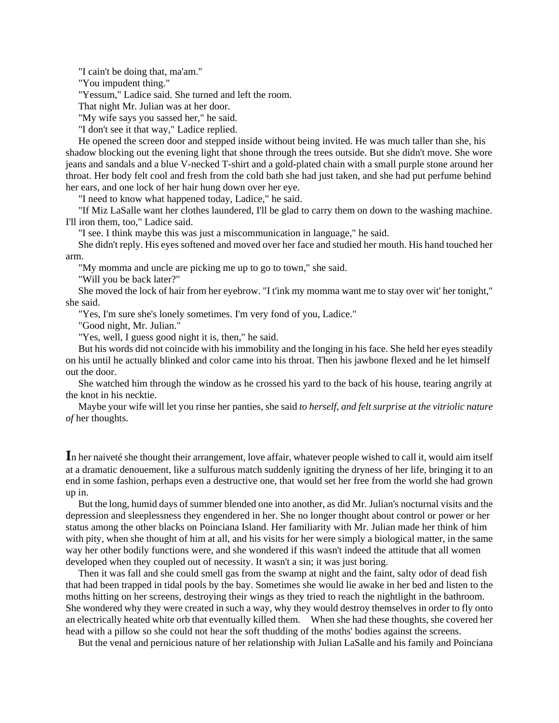"I cain't be doing that, ma'am."

"You impudent thing."

"Yessum," Ladice said. She turned and left the room.

That night Mr. Julian was at her door.

"My wife says you sassed her," he said.

"I don't see it that way," Ladice replied.

 He opened the screen door and stepped inside without being invited. He was much taller than she, his shadow blocking out the evening light that shone through the trees outside. But she didn't move. She wore jeans and sandals and a blue V-necked T-shirt and a gold-plated chain with a small purple stone around her throat. Her body felt cool and fresh from the cold bath she had just taken, and she had put perfume behind her ears, and one lock of her hair hung down over her eye.

"I need to know what happened today, Ladice," he said.

 "If Miz LaSalle want her clothes laundered, I'll be glad to carry them on down to the washing machine. I'll iron them, too," Ladice said.

"I see. I think maybe this was just a miscommunication in language," he said.

 She didn't reply. His eyes softened and moved over her face and studied her mouth. His hand touched her arm.

"My momma and uncle are picking me up to go to town," she said.

"Will you be back later?"

 She moved the lock of hair from her eyebrow. "I t'ink my momma want me to stay over wit' her tonight," she said.

"Yes, I'm sure she's lonely sometimes. I'm very fond of you, Ladice."

"Good night, Mr. Julian."

"Yes, well, I guess good night it is, then," he said.

 But his words did not coincide with his immobility and the longing in his face. She held her eyes steadily on his until he actually blinked and color came into his throat. Then his jawbone flexed and he let himself out the door.

 She watched him through the window as he crossed his yard to the back of his house, tearing angrily at the knot in his necktie.

 Maybe your wife will let you rinse her panties, she said *to herself, and felt surprise at the vitriolic nature of* her thoughts.

In her naiveté she thought their arrangement, love affair, whatever people wished to call it, would aim itself at a dramatic denouement, like a sulfurous match suddenly igniting the dryness of her life, bringing it to an end in some fashion, perhaps even a destructive one, that would set her free from the world she had grown up in.

 But the long, humid days of summer blended one into another, as did Mr. Julian's nocturnal visits and the depression and sleeplessness they engendered in her. She no longer thought about control or power or her status among the other blacks on Poinciana Island. Her familiarity with Mr. Julian made her think of him with pity, when she thought of him at all, and his visits for her were simply a biological matter, in the same way her other bodily functions were, and she wondered if this wasn't indeed the attitude that all women developed when they coupled out of necessity. It wasn't a sin; it was just boring.

 Then it was fall and she could smell gas from the swamp at night and the faint, salty odor of dead fish that had been trapped in tidal pools by the bay. Sometimes she would lie awake in her bed and listen to the moths hitting on her screens, destroying their wings as they tried to reach the nightlight in the bathroom. She wondered why they were created in such a way, why they would destroy themselves in order to fly onto an electrically heated white orb that eventually killed them. When she had these thoughts, she covered her head with a pillow so she could not hear the soft thudding of the moths' bodies against the screens.

But the venal and pernicious nature of her relationship with Julian LaSalle and his family and Poinciana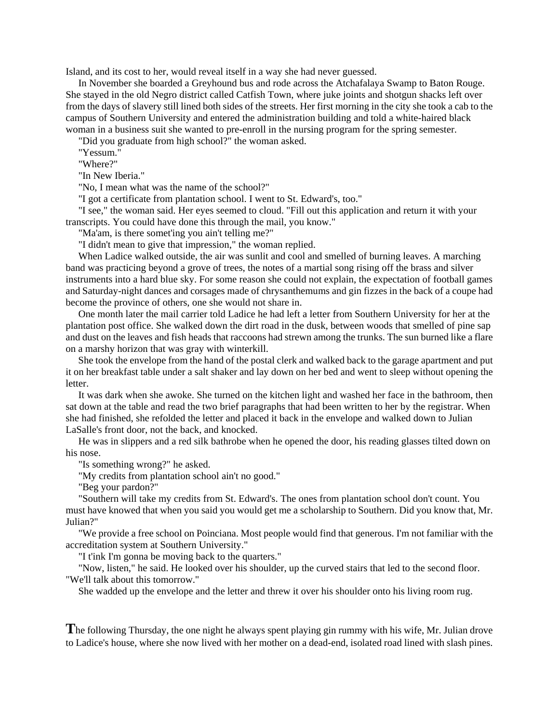Island, and its cost to her, would reveal itself in a way she had never guessed.

 In November she boarded a Greyhound bus and rode across the Atchafalaya Swamp to Baton Rouge. She stayed in the old Negro district called Catfish Town, where juke joints and shotgun shacks left over from the days of slavery still lined both sides of the streets. Her first morning in the city she took a cab to the campus of Southern University and entered the administration building and told a white-haired black woman in a business suit she wanted to pre-enroll in the nursing program for the spring semester.

"Did you graduate from high school?" the woman asked.

"Yessum."

"Where?"

"In New Iberia."

"No, I mean what was the name of the school?"

"I got a certificate from plantation school. I went to St. Edward's, too."

 "I see," the woman said. Her eyes seemed to cloud. "Fill out this application and return it with your transcripts. You could have done this through the mail, you know."

"Ma'am, is there somet'ing you ain't telling me?"

"I didn't mean to give that impression," the woman replied.

 When Ladice walked outside, the air was sunlit and cool and smelled of burning leaves. A marching band was practicing beyond a grove of trees, the notes of a martial song rising off the brass and silver instruments into a hard blue sky. For some reason she could not explain, the expectation of football games and Saturday-night dances and corsages made of chrysanthemums and gin fizzes in the back of a coupe had become the province of others, one she would not share in.

 One month later the mail carrier told Ladice he had left a letter from Southern University for her at the plantation post office. She walked down the dirt road in the dusk, between woods that smelled of pine sap and dust on the leaves and fish heads that raccoons had strewn among the trunks. The sun burned like a flare on a marshy horizon that was gray with winterkill.

 She took the envelope from the hand of the postal clerk and walked back to the garage apartment and put it on her breakfast table under a salt shaker and lay down on her bed and went to sleep without opening the letter.

 It was dark when she awoke. She turned on the kitchen light and washed her face in the bathroom, then sat down at the table and read the two brief paragraphs that had been written to her by the registrar. When she had finished, she refolded the letter and placed it back in the envelope and walked down to Julian LaSalle's front door, not the back, and knocked.

 He was in slippers and a red silk bathrobe when he opened the door, his reading glasses tilted down on his nose.

"Is something wrong?" he asked.

"My credits from plantation school ain't no good."

"Beg your pardon?"

 "Southern will take my credits from St. Edward's. The ones from plantation school don't count. You must have knowed that when you said you would get me a scholarship to Southern. Did you know that, Mr. Julian?"

 "We provide a free school on Poinciana. Most people would find that generous. I'm not familiar with the accreditation system at Southern University."

"I t'ink I'm gonna be moving back to the quarters."

 "Now, listen," he said. He looked over his shoulder, up the curved stairs that led to the second floor. "We'll talk about this tomorrow."

She wadded up the envelope and the letter and threw it over his shoulder onto his living room rug.

The following Thursday, the one night he always spent playing gin rummy with his wife, Mr. Julian drove to Ladice's house, where she now lived with her mother on a dead-end, isolated road lined with slash pines.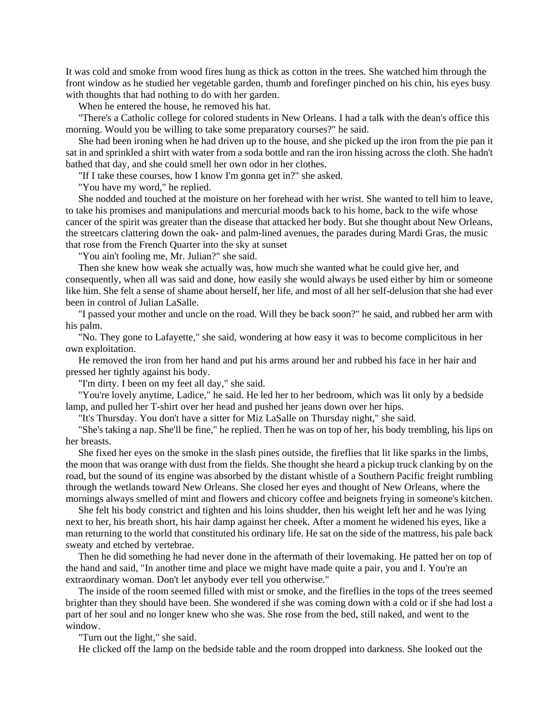It was cold and smoke from wood fires hung as thick as cotton in the trees. She watched him through the front window as he studied her vegetable garden, thumb and forefinger pinched on his chin, his eyes busy with thoughts that had nothing to do with her garden.

When he entered the house, he removed his hat.

 "There's a Catholic college for colored students in New Orleans. I had a talk with the dean's office this morning. Would you be willing to take some preparatory courses?" he said.

 She had been ironing when he had driven up to the house, and she picked up the iron from the pie pan it sat in and sprinkled a shirt with water from a soda bottle and ran the iron hissing across the cloth. She hadn't bathed that day, and she could smell her own odor in her clothes.

"If I take these courses, how I know I'm gonna get in?" she asked.

"You have my word," he replied.

 She nodded and touched at the moisture on her forehead with her wrist. She wanted to tell him to leave, to take his promises and manipulations and mercurial moods back to his home, back to the wife whose cancer of the spirit was greater than the disease that attacked her body. But she thought about New Orleans, the streetcars clattering down the oak- and palm-lined avenues, the parades during Mardi Gras, the music that rose from the French Quarter into the sky at sunset

"You ain't fooling me, Mr. Julian?" she said.

 Then she knew how weak she actually was, how much she wanted what he could give her, and consequently, when all was said and done, how easily she would always be used either by him or someone like him. She felt a sense of shame about herself, her life, and most of all her self-delusion that she had ever been in control of Julian LaSalle.

 "I passed your mother and uncle on the road. Will they be back soon?" he said, and rubbed her arm with his palm.

 "No. They gone to Lafayette," she said, wondering at how easy it was to become complicitous in her own exploitation.

 He removed the iron from her hand and put his arms around her and rubbed his face in her hair and pressed her tightly against his body.

"I'm dirty. I been on my feet all day," she said.

 "You're lovely anytime, Ladice," he said. He led her to her bedroom, which was lit only by a bedside lamp, and pulled her T-shirt over her head and pushed her jeans down over her hips.

"It's Thursday. You don't have a sitter for Miz LaSalle on Thursday night," she said.

 "She's taking a nap. She'll be fine," he replied. Then he was on top of her, his body trembling, his lips on her breasts.

 She fixed her eyes on the smoke in the slash pines outside, the fireflies that lit like sparks in the limbs, the moon that was orange with dust from the fields. She thought she heard a pickup truck clanking by on the road, but the sound of its engine was absorbed by the distant whistle of a Southern Pacific freight rumbling through the wetlands toward New Orleans. She closed her eyes and thought of New Orleans, where the mornings always smelled of mint and flowers and chicory coffee and beignets frying in someone's kitchen.

 She felt his body constrict and tighten and his loins shudder, then his weight left her and he was lying next to her, his breath short, his hair damp against her cheek. After a moment he widened his eyes, like a man returning to the world that constituted his ordinary life. He sat on the side of the mattress, his pale back sweaty and etched by vertebrae.

 Then he did something he had never done in the aftermath of their lovemaking. He patted her on top of the hand and said, "In another time and place we might have made quite a pair, you and I. You're an extraordinary woman. Don't let anybody ever tell you otherwise."

 The inside of the room seemed filled with mist or smoke, and the fireflies in the tops of the trees seemed brighter than they should have been. She wondered if she was coming down with a cold or if she had lost a part of her soul and no longer knew who she was. She rose from the bed, still naked, and went to the window.

"Turn out the light," she said.

He clicked off the lamp on the bedside table and the room dropped into darkness. She looked out the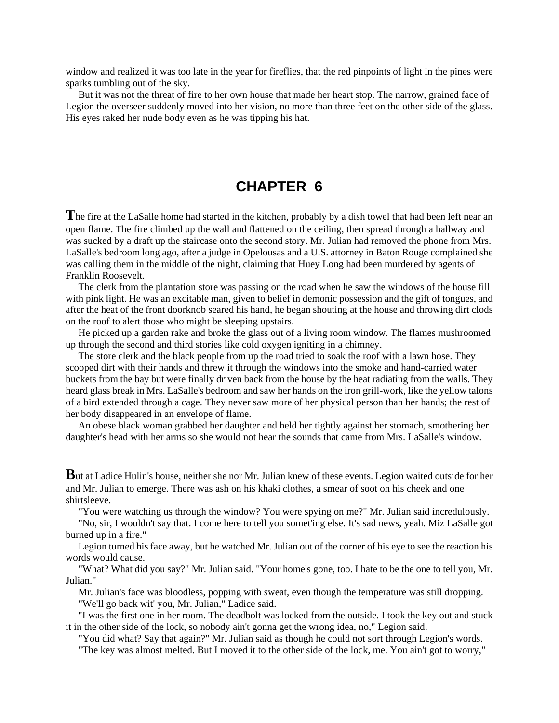window and realized it was too late in the year for fireflies, that the red pinpoints of light in the pines were sparks tumbling out of the sky.

 But it was not the threat of fire to her own house that made her heart stop. The narrow, grained face of Legion the overseer suddenly moved into her vision, no more than three feet on the other side of the glass. His eyes raked her nude body even as he was tipping his hat.

## **CHAPTER 6**

The fire at the LaSalle home had started in the kitchen, probably by a dish towel that had been left near an open flame. The fire climbed up the wall and flattened on the ceiling, then spread through a hallway and was sucked by a draft up the staircase onto the second story. Mr. Julian had removed the phone from Mrs. LaSalle's bedroom long ago, after a judge in Opelousas and a U.S. attorney in Baton Rouge complained she was calling them in the middle of the night, claiming that Huey Long had been murdered by agents of Franklin Roosevelt.

 The clerk from the plantation store was passing on the road when he saw the windows of the house fill with pink light. He was an excitable man, given to belief in demonic possession and the gift of tongues, and after the heat of the front doorknob seared his hand, he began shouting at the house and throwing dirt clods on the roof to alert those who might be sleeping upstairs.

 He picked up a garden rake and broke the glass out of a living room window. The flames mushroomed up through the second and third stories like cold oxygen igniting in a chimney.

 The store clerk and the black people from up the road tried to soak the roof with a lawn hose. They scooped dirt with their hands and threw it through the windows into the smoke and hand-carried water buckets from the bay but were finally driven back from the house by the heat radiating from the walls. They heard glass break in Mrs. LaSalle's bedroom and saw her hands on the iron grill-work, like the yellow talons of a bird extended through a cage. They never saw more of her physical person than her hands; the rest of her body disappeared in an envelope of flame.

 An obese black woman grabbed her daughter and held her tightly against her stomach, smothering her daughter's head with her arms so she would not hear the sounds that came from Mrs. LaSalle's window.

**B**ut at Ladice Hulin's house, neither she nor Mr. Julian knew of these events. Legion waited outside for her and Mr. Julian to emerge. There was ash on his khaki clothes, a smear of soot on his cheek and one shirtsleeve.

"You were watching us through the window? You were spying on me?" Mr. Julian said incredulously.

 "No, sir, I wouldn't say that. I come here to tell you somet'ing else. It's sad news, yeah. Miz LaSalle got burned up in a fire."

 Legion turned his face away, but he watched Mr. Julian out of the corner of his eye to see the reaction his words would cause.

 "What? What did you say?" Mr. Julian said. "Your home's gone, too. I hate to be the one to tell you, Mr. Julian."

Mr. Julian's face was bloodless, popping with sweat, even though the temperature was still dropping.

"We'll go back wit' you, Mr. Julian," Ladice said.

 "I was the first one in her room. The deadbolt was locked from the outside. I took the key out and stuck it in the other side of the lock, so nobody ain't gonna get the wrong idea, no," Legion said.

"You did what? Say that again?" Mr. Julian said as though he could not sort through Legion's words.

"The key was almost melted. But I moved it to the other side of the lock, me. You ain't got to worry,"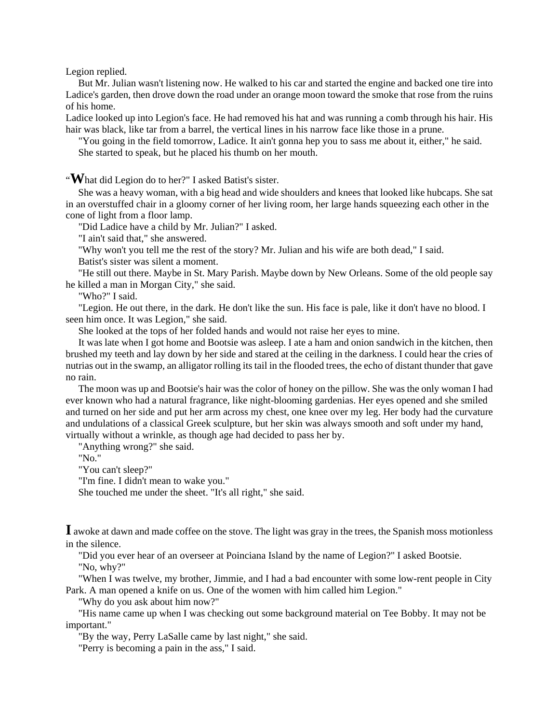Legion replied.

 But Mr. Julian wasn't listening now. He walked to his car and started the engine and backed one tire into Ladice's garden, then drove down the road under an orange moon toward the smoke that rose from the ruins of his home.

Ladice looked up into Legion's face. He had removed his hat and was running a comb through his hair. His hair was black, like tar from a barrel, the vertical lines in his narrow face like those in a prune.

 "You going in the field tomorrow, Ladice. It ain't gonna hep you to sass me about it, either," he said. She started to speak, but he placed his thumb on her mouth.

"What did Legion do to her?" I asked Batist's sister.

 She was a heavy woman, with a big head and wide shoulders and knees that looked like hubcaps. She sat in an overstuffed chair in a gloomy corner of her living room, her large hands squeezing each other in the cone of light from a floor lamp.

"Did Ladice have a child by Mr. Julian?" I asked.

"I ain't said that," she answered.

"Why won't you tell me the rest of the story? Mr. Julian and his wife are both dead," I said.

Batist's sister was silent a moment.

 "He still out there. Maybe in St. Mary Parish. Maybe down by New Orleans. Some of the old people say he killed a man in Morgan City," she said.

"Who?" I said.

 "Legion. He out there, in the dark. He don't like the sun. His face is pale, like it don't have no blood. I seen him once. It was Legion," she said.

She looked at the tops of her folded hands and would not raise her eyes to mine.

 It was late when I got home and Bootsie was asleep. I ate a ham and onion sandwich in the kitchen, then brushed my teeth and lay down by her side and stared at the ceiling in the darkness. I could hear the cries of nutrias out in the swamp, an alligator rolling its tail in the flooded trees, the echo of distant thunder that gave no rain.

 The moon was up and Bootsie's hair was the color of honey on the pillow. She was the only woman I had ever known who had a natural fragrance, like night-blooming gardenias. Her eyes opened and she smiled and turned on her side and put her arm across my chest, one knee over my leg. Her body had the curvature and undulations of a classical Greek sculpture, but her skin was always smooth and soft under my hand, virtually without a wrinkle, as though age had decided to pass her by.

"Anything wrong?" she said.

"No."

"You can't sleep?"

"I'm fine. I didn't mean to wake you."

She touched me under the sheet. "It's all right," she said.

**I** awoke at dawn and made coffee on the stove. The light was gray in the trees, the Spanish moss motionless in the silence.

 "Did you ever hear of an overseer at Poinciana Island by the name of Legion?" I asked Bootsie. "No, why?"

 "When I was twelve, my brother, Jimmie, and I had a bad encounter with some low-rent people in City Park. A man opened a knife on us. One of the women with him called him Legion."

"Why do you ask about him now?"

 "His name came up when I was checking out some background material on Tee Bobby. It may not be important."

"By the way, Perry LaSalle came by last night," she said.

"Perry is becoming a pain in the ass," I said.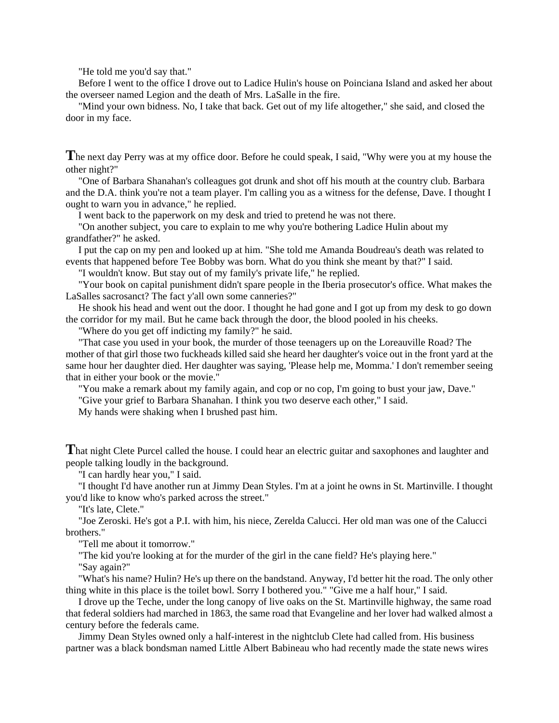"He told me you'd say that."

 Before I went to the office I drove out to Ladice Hulin's house on Poinciana Island and asked her about the overseer named Legion and the death of Mrs. LaSalle in the fire.

 "Mind your own bidness. No, I take that back. Get out of my life altogether," she said, and closed the door in my face.

The next day Perry was at my office door. Before he could speak, I said, "Why were you at my house the other night?"

 "One of Barbara Shanahan's colleagues got drunk and shot off his mouth at the country club. Barbara and the D.A. think you're not a team player. I'm calling you as a witness for the defense, Dave. I thought I ought to warn you in advance," he replied.

I went back to the paperwork on my desk and tried to pretend he was not there.

 "On another subject, you care to explain to me why you're bothering Ladice Hulin about my grandfather?" he asked.

 I put the cap on my pen and looked up at him. "She told me Amanda Boudreau's death was related to events that happened before Tee Bobby was born. What do you think she meant by that?" I said.

"I wouldn't know. But stay out of my family's private life," he replied.

 "Your book on capital punishment didn't spare people in the Iberia prosecutor's office. What makes the LaSalles sacrosanct? The fact y'all own some canneries?"

 He shook his head and went out the door. I thought he had gone and I got up from my desk to go down the corridor for my mail. But he came back through the door, the blood pooled in his cheeks.

"Where do you get off indicting my family?" he said.

 "That case you used in your book, the murder of those teenagers up on the Loreauville Road? The mother of that girl those two fuckheads killed said she heard her daughter's voice out in the front yard at the same hour her daughter died. Her daughter was saying, 'Please help me, Momma.' I don't remember seeing that in either your book or the movie."

 "You make a remark about my family again, and cop or no cop, I'm going to bust your jaw, Dave." "Give your grief to Barbara Shanahan. I think you two deserve each other," I said. My hands were shaking when I brushed past him.

That night Clete Purcel called the house. I could hear an electric guitar and saxophones and laughter and people talking loudly in the background.

"I can hardly hear you," I said.

 "I thought I'd have another run at Jimmy Dean Styles. I'm at a joint he owns in St. Martinville. I thought you'd like to know who's parked across the street."

"It's late, Clete."

 "Joe Zeroski. He's got a P.I. with him, his niece, Zerelda Calucci. Her old man was one of the Calucci brothers."

"Tell me about it tomorrow."

"The kid you're looking at for the murder of the girl in the cane field? He's playing here."

"Say again?"

 "What's his name? Hulin? He's up there on the bandstand. Anyway, I'd better hit the road. The only other thing white in this place is the toilet bowl. Sorry I bothered you." "Give me a half hour," I said.

 I drove up the Teche, under the long canopy of live oaks on the St. Martinville highway, the same road that federal soldiers had marched in 1863, the same road that Evangeline and her lover had walked almost a century before the federals came.

 Jimmy Dean Styles owned only a half-interest in the nightclub Clete had called from. His business partner was a black bondsman named Little Albert Babineau who had recently made the state news wires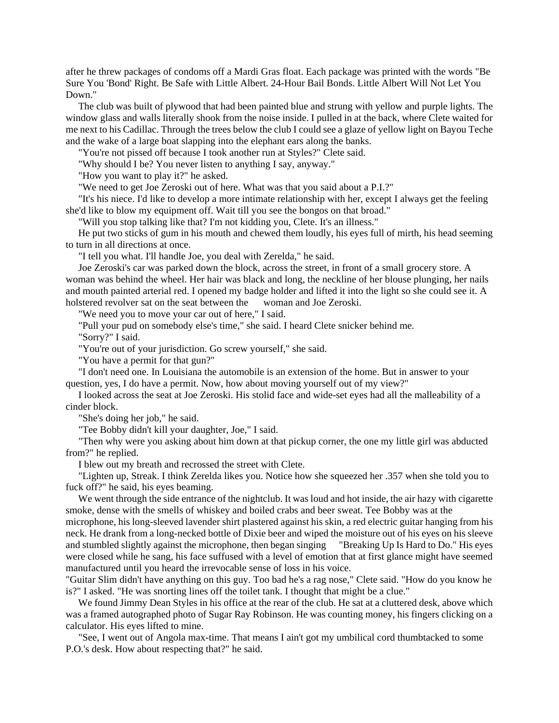after he threw packages of condoms off a Mardi Gras float. Each package was printed with the words "Be Sure You 'Bond' Right. Be Safe with Little Albert. 24-Hour Bail Bonds. Little Albert Will Not Let You Down."

 The club was built of plywood that had been painted blue and strung with yellow and purple lights. The window glass and walls literally shook from the noise inside. I pulled in at the back, where Clete waited for me next to his Cadillac. Through the trees below the club I could see a glaze of yellow light on Bayou Teche and the wake of a large boat slapping into the elephant ears along the banks.

"You're not pissed off because I took another run at Styles?" Clete said.

"Why should I be? You never listen to anything I say, anyway."

"How you want to play it?" he asked.

"We need to get Joe Zeroski out of here. What was that you said about a P.I.?"

 "It's his niece. I'd like to develop a more intimate relationship with her, except I always get the feeling she'd like to blow my equipment off. Wait till you see the bongos on that broad."

"Will you stop talking like that? I'm not kidding you, Clete. It's an illness."

 He put two sticks of gum in his mouth and chewed them loudly, his eyes full of mirth, his head seeming to turn in all directions at once.

"I tell you what. I'll handle Joe, you deal with Zerelda," he said.

 Joe Zeroski's car was parked down the block, across the street, in front of a small grocery store. A woman was behind the wheel. Her hair was black and long, the neckline of her blouse plunging, her nails and mouth painted arterial red. I opened my badge holder and lifted it into the light so she could see it. A holstered revolver sat on the seat between the woman and Joe Zeroski.

"We need you to move your car out of here," I said.

"Pull your pud on somebody else's time," she said. I heard Clete snicker behind me.

"Sorry?" I said.

"You're out of your jurisdiction. Go screw yourself," she said.

"You have a permit for that gun?"

 "I don't need one. In Louisiana the automobile is an extension of the home. But in answer to your question, yes, I do have a permit. Now, how about moving yourself out of my view?"

 I looked across the seat at Joe Zeroski. His stolid face and wide-set eyes had all the malleability of a cinder block.

"She's doing her job," he said.

"Tee Bobby didn't kill your daughter, Joe," I said.

 "Then why were you asking about him down at that pickup corner, the one my little girl was abducted from?" he replied.

I blew out my breath and recrossed the street with Clete.

 "Lighten up, Streak. I think Zerelda likes you. Notice how she squeezed her .357 when she told you to fuck off?" he said, his eyes beaming.

We went through the side entrance of the nightclub. It was loud and hot inside, the air hazy with cigarette smoke, dense with the smells of whiskey and boiled crabs and beer sweat. Tee Bobby was at the

microphone, his long-sleeved lavender shirt plastered against his skin, a red electric guitar hanging from his neck. He drank from a long-necked bottle of Dixie beer and wiped the moisture out of his eyes on his sleeve and stumbled slightly against the microphone, then began singing "Breaking Up Is Hard to Do." His eyes were closed while he sang, his face suffused with a level of emotion that at first glance might have seemed manufactured until you heard the irrevocable sense of loss in his voice.

"Guitar Slim didn't have anything on this guy. Too bad he's a rag nose," Clete said. "How do you know he is?" I asked. "He was snorting lines off the toilet tank. I thought that might be a clue."

 We found Jimmy Dean Styles in his office at the rear of the club. He sat at a cluttered desk, above which was a framed autographed photo of Sugar Ray Robinson. He was counting money, his fingers clicking on a calculator. His eyes lifted to mine.

 "See, I went out of Angola max-time. That means I ain't got my umbilical cord thumbtacked to some P.O.'s desk. How about respecting that?" he said.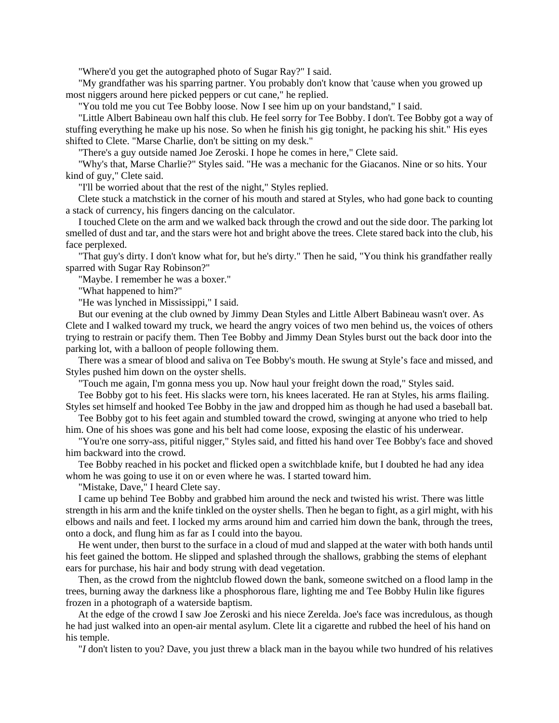"Where'd you get the autographed photo of Sugar Ray?" I said.

 "My grandfather was his sparring partner. You probably don't know that 'cause when you growed up most niggers around here picked peppers or cut cane," he replied.

"You told me you cut Tee Bobby loose. Now I see him up on your bandstand," I said.

 "Little Albert Babineau own half this club. He feel sorry for Tee Bobby. I don't. Tee Bobby got a way of stuffing everything he make up his nose. So when he finish his gig tonight, he packing his shit." His eyes shifted to Clete. "Marse Charlie, don't be sitting on my desk."

"There's a guy outside named Joe Zeroski. I hope he comes in here," Clete said.

 "Why's that, Marse Charlie?" Styles said. "He was a mechanic for the Giacanos. Nine or so hits. Your kind of guy," Clete said.

"I'll be worried about that the rest of the night," Styles replied.

 Clete stuck a matchstick in the corner of his mouth and stared at Styles, who had gone back to counting a stack of currency, his fingers dancing on the calculator.

 I touched Clete on the arm and we walked back through the crowd and out the side door. The parking lot smelled of dust and tar, and the stars were hot and bright above the trees. Clete stared back into the club, his face perplexed.

 "That guy's dirty. I don't know what for, but he's dirty." Then he said, "You think his grandfather really sparred with Sugar Ray Robinson?"

"Maybe. I remember he was a boxer."

"What happened to him?"

"He was lynched in Mississippi," I said.

 But our evening at the club owned by Jimmy Dean Styles and Little Albert Babineau wasn't over. As Clete and I walked toward my truck, we heard the angry voices of two men behind us, the voices of others trying to restrain or pacify them. Then Tee Bobby and Jimmy Dean Styles burst out the back door into the parking lot, with a balloon of people following them.

 There was a smear of blood and saliva on Tee Bobby's mouth. He swung at Style's face and missed, and Styles pushed him down on the oyster shells.

"Touch me again, I'm gonna mess you up. Now haul your freight down the road," Styles said.

 Tee Bobby got to his feet. His slacks were torn, his knees lacerated. He ran at Styles, his arms flailing. Styles set himself and hooked Tee Bobby in the jaw and dropped him as though he had used a baseball bat.

 Tee Bobby got to his feet again and stumbled toward the crowd, swinging at anyone who tried to help him. One of his shoes was gone and his belt had come loose, exposing the elastic of his underwear.

 "You're one sorry-ass, pitiful nigger," Styles said, and fitted his hand over Tee Bobby's face and shoved him backward into the crowd.

 Tee Bobby reached in his pocket and flicked open a switchblade knife, but I doubted he had any idea whom he was going to use it on or even where he was. I started toward him.

"Mistake, Dave," I heard Clete say.

 I came up behind Tee Bobby and grabbed him around the neck and twisted his wrist. There was little strength in his arm and the knife tinkled on the oyster shells. Then he began to fight, as a girl might, with his elbows and nails and feet. I locked my arms around him and carried him down the bank, through the trees, onto a dock, and flung him as far as I could into the bayou.

 He went under, then burst to the surface in a cloud of mud and slapped at the water with both hands until his feet gained the bottom. He slipped and splashed through the shallows, grabbing the stems of elephant ears for purchase, his hair and body strung with dead vegetation.

 Then, as the crowd from the nightclub flowed down the bank, someone switched on a flood lamp in the trees, burning away the darkness like a phosphorous flare, lighting me and Tee Bobby Hulin like figures frozen in a photograph of a waterside baptism.

 At the edge of the crowd I saw Joe Zeroski and his niece Zerelda. Joe's face was incredulous, as though he had just walked into an open-air mental asylum. Clete lit a cigarette and rubbed the heel of his hand on his temple.

"*I* don't listen to you? Dave, you just threw a black man in the bayou while two hundred of his relatives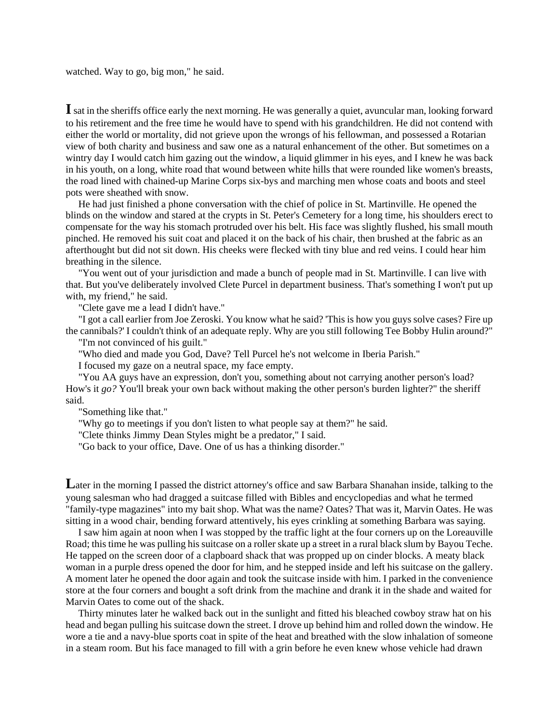**I** sat in the sheriffs office early the next morning. He was generally a quiet, avuncular man, looking forward to his retirement and the free time he would have to spend with his grandchildren. He did not contend with either the world or mortality, did not grieve upon the wrongs of his fellowman, and possessed a Rotarian view of both charity and business and saw one as a natural enhancement of the other. But sometimes on a wintry day I would catch him gazing out the window, a liquid glimmer in his eyes, and I knew he was back in his youth, on a long, white road that wound between white hills that were rounded like women's breasts, the road lined with chained-up Marine Corps six-bys and marching men whose coats and boots and steel pots were sheathed with snow.

 He had just finished a phone conversation with the chief of police in St. Martinville. He opened the blinds on the window and stared at the crypts in St. Peter's Cemetery for a long time, his shoulders erect to compensate for the way his stomach protruded over his belt. His face was slightly flushed, his small mouth pinched. He removed his suit coat and placed it on the back of his chair, then brushed at the fabric as an afterthought but did not sit down. His cheeks were flecked with tiny blue and red veins. I could hear him breathing in the silence.

 "You went out of your jurisdiction and made a bunch of people mad in St. Martinville. I can live with that. But you've deliberately involved Clete Purcel in department business. That's something I won't put up with, my friend," he said.

"Clete gave me a lead I didn't have."

 "I got a call earlier from Joe Zeroski. You know what he said? 'This is how you guys solve cases? Fire up the cannibals?' I couldn't think of an adequate reply. Why are you still following Tee Bobby Hulin around?" "I'm not convinced of his guilt."

"Who died and made you God, Dave? Tell Purcel he's not welcome in Iberia Parish."

I focused my gaze on a neutral space, my face empty.

 "You AA guys have an expression, don't you, something about not carrying another person's load? How's it *go?* You'll break your own back without making the other person's burden lighter?" the sheriff said.

"Something like that."

"Why go to meetings if you don't listen to what people say at them?" he said.

"Clete thinks Jimmy Dean Styles might be a predator," I said.

"Go back to your office, Dave. One of us has a thinking disorder."

Later in the morning I passed the district attorney's office and saw Barbara Shanahan inside, talking to the young salesman who had dragged a suitcase filled with Bibles and encyclopedias and what he termed "family-type magazines" into my bait shop. What was the name? Oates? That was it, Marvin Oates. He was sitting in a wood chair, bending forward attentively, his eyes crinkling at something Barbara was saying.

 I saw him again at noon when I was stopped by the traffic light at the four corners up on the Loreauville Road; this time he was pulling his suitcase on a roller skate up a street in a rural black slum by Bayou Teche. He tapped on the screen door of a clapboard shack that was propped up on cinder blocks. A meaty black woman in a purple dress opened the door for him, and he stepped inside and left his suitcase on the gallery. A moment later he opened the door again and took the suitcase inside with him. I parked in the convenience store at the four corners and bought a soft drink from the machine and drank it in the shade and waited for Marvin Oates to come out of the shack.

 Thirty minutes later he walked back out in the sunlight and fitted his bleached cowboy straw hat on his head and began pulling his suitcase down the street. I drove up behind him and rolled down the window. He wore a tie and a navy-blue sports coat in spite of the heat and breathed with the slow inhalation of someone in a steam room. But his face managed to fill with a grin before he even knew whose vehicle had drawn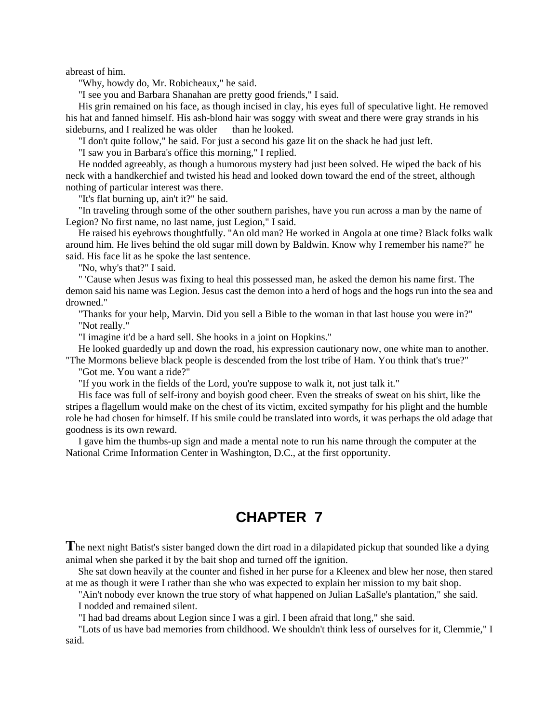abreast of him.

"Why, howdy do, Mr. Robicheaux," he said.

"I see you and Barbara Shanahan are pretty good friends," I said.

 His grin remained on his face, as though incised in clay, his eyes full of speculative light. He removed his hat and fanned himself. His ash-blond hair was soggy with sweat and there were gray strands in his sideburns, and I realized he was older than he looked.

"I don't quite follow," he said. For just a second his gaze lit on the shack he had just left.

"I saw you in Barbara's office this morning," I replied.

 He nodded agreeably, as though a humorous mystery had just been solved. He wiped the back of his neck with a handkerchief and twisted his head and looked down toward the end of the street, although nothing of particular interest was there.

"It's flat burning up, ain't it?" he said.

 "In traveling through some of the other southern parishes, have you run across a man by the name of Legion? No first name, no last name, just Legion," I said.

 He raised his eyebrows thoughtfully. "An old man? He worked in Angola at one time? Black folks walk around him. He lives behind the old sugar mill down by Baldwin. Know why I remember his name?" he said. His face lit as he spoke the last sentence.

"No, why's that?" I said.

 " 'Cause when Jesus was fixing to heal this possessed man, he asked the demon his name first. The demon said his name was Legion. Jesus cast the demon into a herd of hogs and the hogs run into the sea and drowned."

 "Thanks for your help, Marvin. Did you sell a Bible to the woman in that last house you were in?" "Not really."

"I imagine it'd be a hard sell. She hooks in a joint on Hopkins."

 He looked guardedly up and down the road, his expression cautionary now, one white man to another. "The Mormons believe black people is descended from the lost tribe of Ham. You think that's true?"

"Got me. You want a ride?"

"If you work in the fields of the Lord, you're suppose to walk it, not just talk it."

 His face was full of self-irony and boyish good cheer. Even the streaks of sweat on his shirt, like the stripes a flagellum would make on the chest of its victim, excited sympathy for his plight and the humble role he had chosen for himself. If his smile could be translated into words, it was perhaps the old adage that goodness is its own reward.

 I gave him the thumbs-up sign and made a mental note to run his name through the computer at the National Crime Information Center in Washington, D.C., at the first opportunity.

# **CHAPTER 7**

**T**he next night Batist's sister banged down the dirt road in a dilapidated pickup that sounded like a dying animal when she parked it by the bait shop and turned off the ignition.

 She sat down heavily at the counter and fished in her purse for a Kleenex and blew her nose, then stared at me as though it were I rather than she who was expected to explain her mission to my bait shop.

 "Ain't nobody ever known the true story of what happened on Julian LaSalle's plantation," she said. I nodded and remained silent.

"I had bad dreams about Legion since I was a girl. I been afraid that long," she said.

 "Lots of us have bad memories from childhood. We shouldn't think less of ourselves for it, Clemmie," I said.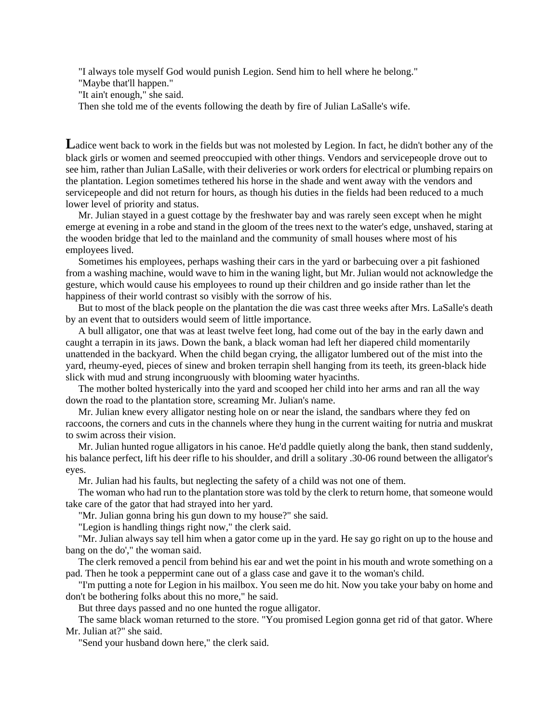"I always tole myself God would punish Legion. Send him to hell where he belong."

"Maybe that'll happen."

"It ain't enough," she said.

Then she told me of the events following the death by fire of Julian LaSalle's wife.

**L**adice went back to work in the fields but was not molested by Legion. In fact, he didn't bother any of the black girls or women and seemed preoccupied with other things. Vendors and servicepeople drove out to see him, rather than Julian LaSalle, with their deliveries or work orders for electrical or plumbing repairs on the plantation. Legion sometimes tethered his horse in the shade and went away with the vendors and servicepeople and did not return for hours, as though his duties in the fields had been reduced to a much lower level of priority and status.

 Mr. Julian stayed in a guest cottage by the freshwater bay and was rarely seen except when he might emerge at evening in a robe and stand in the gloom of the trees next to the water's edge, unshaved, staring at the wooden bridge that led to the mainland and the community of small houses where most of his employees lived.

 Sometimes his employees, perhaps washing their cars in the yard or barbecuing over a pit fashioned from a washing machine, would wave to him in the waning light, but Mr. Julian would not acknowledge the gesture, which would cause his employees to round up their children and go inside rather than let the happiness of their world contrast so visibly with the sorrow of his.

 But to most of the black people on the plantation the die was cast three weeks after Mrs. LaSalle's death by an event that to outsiders would seem of little importance.

 A bull alligator, one that was at least twelve feet long, had come out of the bay in the early dawn and caught a terrapin in its jaws. Down the bank, a black woman had left her diapered child momentarily unattended in the backyard. When the child began crying, the alligator lumbered out of the mist into the yard, rheumy-eyed, pieces of sinew and broken terrapin shell hanging from its teeth, its green-black hide slick with mud and strung incongruously with blooming water hyacinths.

 The mother bolted hysterically into the yard and scooped her child into her arms and ran all the way down the road to the plantation store, screaming Mr. Julian's name.

 Mr. Julian knew every alligator nesting hole on or near the island, the sandbars where they fed on raccoons, the corners and cuts in the channels where they hung in the current waiting for nutria and muskrat to swim across their vision.

 Mr. Julian hunted rogue alligators in his canoe. He'd paddle quietly along the bank, then stand suddenly, his balance perfect, lift his deer rifle to his shoulder, and drill a solitary .30-06 round between the alligator's eyes.

Mr. Julian had his faults, but neglecting the safety of a child was not one of them.

 The woman who had run to the plantation store was told by the clerk to return home, that someone would take care of the gator that had strayed into her yard.

"Mr. Julian gonna bring his gun down to my house?" she said.

"Legion is handling things right now," the clerk said.

 "Mr. Julian always say tell him when a gator come up in the yard. He say go right on up to the house and bang on the do'," the woman said.

 The clerk removed a pencil from behind his ear and wet the point in his mouth and wrote something on a pad. Then he took a peppermint cane out of a glass case and gave it to the woman's child.

 "I'm putting a note for Legion in his mailbox. You seen me do hit. Now you take your baby on home and don't be bothering folks about this no more," he said.

But three days passed and no one hunted the rogue alligator.

 The same black woman returned to the store. "You promised Legion gonna get rid of that gator. Where Mr. Julian at?" she said.

"Send your husband down here," the clerk said.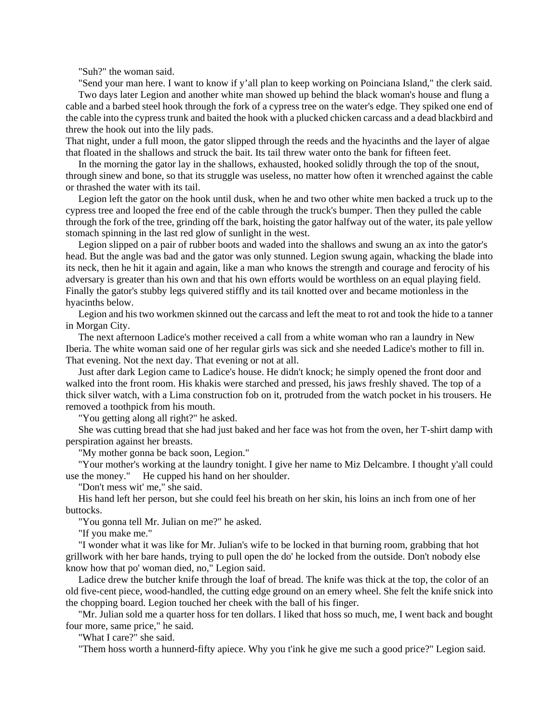"Suh?" the woman said.

"Send your man here. I want to know if y'all plan to keep working on Poinciana Island," the clerk said.

 Two days later Legion and another white man showed up behind the black woman's house and flung a cable and a barbed steel hook through the fork of a cypress tree on the water's edge. They spiked one end of the cable into the cypress trunk and baited the hook with a plucked chicken carcass and a dead blackbird and threw the hook out into the lily pads.

That night, under a full moon, the gator slipped through the reeds and the hyacinths and the layer of algae that floated in the shallows and struck the bait. Its tail threw water onto the bank for fifteen feet.

 In the morning the gator lay in the shallows, exhausted, hooked solidly through the top of the snout, through sinew and bone, so that its struggle was useless, no matter how often it wrenched against the cable or thrashed the water with its tail.

 Legion left the gator on the hook until dusk, when he and two other white men backed a truck up to the cypress tree and looped the free end of the cable through the truck's bumper. Then they pulled the cable through the fork of the tree, grinding off the bark, hoisting the gator halfway out of the water, its pale yellow stomach spinning in the last red glow of sunlight in the west.

 Legion slipped on a pair of rubber boots and waded into the shallows and swung an ax into the gator's head. But the angle was bad and the gator was only stunned. Legion swung again, whacking the blade into its neck, then he hit it again and again, like a man who knows the strength and courage and ferocity of his adversary is greater than his own and that his own efforts would be worthless on an equal playing field. Finally the gator's stubby legs quivered stiffly and its tail knotted over and became motionless in the hyacinths below.

 Legion and his two workmen skinned out the carcass and left the meat to rot and took the hide to a tanner in Morgan City.

 The next afternoon Ladice's mother received a call from a white woman who ran a laundry in New Iberia. The white woman said one of her regular girls was sick and she needed Ladice's mother to fill in. That evening. Not the next day. That evening or not at all.

 Just after dark Legion came to Ladice's house. He didn't knock; he simply opened the front door and walked into the front room. His khakis were starched and pressed, his jaws freshly shaved. The top of a thick silver watch, with a Lima construction fob on it, protruded from the watch pocket in his trousers. He removed a toothpick from his mouth.

"You getting along all right?" he asked.

 She was cutting bread that she had just baked and her face was hot from the oven, her T-shirt damp with perspiration against her breasts.

"My mother gonna be back soon, Legion."

 "Your mother's working at the laundry tonight. I give her name to Miz Delcambre. I thought y'all could use the money." He cupped his hand on her shoulder.

"Don't mess wit' me," she said.

 His hand left her person, but she could feel his breath on her skin, his loins an inch from one of her buttocks.

"You gonna tell Mr. Julian on me?" he asked.

"If you make me."

 "I wonder what it was like for Mr. Julian's wife to be locked in that burning room, grabbing that hot grillwork with her bare hands, trying to pull open the do' he locked from the outside. Don't nobody else know how that po' woman died, no," Legion said.

 Ladice drew the butcher knife through the loaf of bread. The knife was thick at the top, the color of an old five-cent piece, wood-handled, the cutting edge ground on an emery wheel. She felt the knife snick into the chopping board. Legion touched her cheek with the ball of his finger.

 "Mr. Julian sold me a quarter hoss for ten dollars. I liked that hoss so much, me, I went back and bought four more, same price," he said.

"What I care?" she said.

"Them hoss worth a hunnerd-fifty apiece. Why you t'ink he give me such a good price?" Legion said.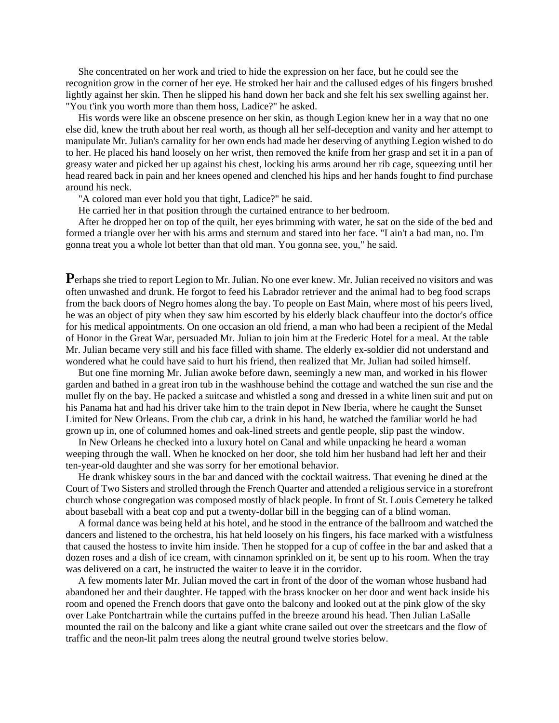She concentrated on her work and tried to hide the expression on her face, but he could see the recognition grow in the corner of her eye. He stroked her hair and the callused edges of his fingers brushed lightly against her skin. Then he slipped his hand down her back and she felt his sex swelling against her. "You t'ink you worth more than them hoss, Ladice?" he asked.

 His words were like an obscene presence on her skin, as though Legion knew her in a way that no one else did, knew the truth about her real worth, as though all her self-deception and vanity and her attempt to manipulate Mr. Julian's carnality for her own ends had made her deserving of anything Legion wished to do to her. He placed his hand loosely on her wrist, then removed the knife from her grasp and set it in a pan of greasy water and picked her up against his chest, locking his arms around her rib cage, squeezing until her head reared back in pain and her knees opened and clenched his hips and her hands fought to find purchase around his neck.

"A colored man ever hold you that tight, Ladice?" he said.

He carried her in that position through the curtained entrance to her bedroom.

 After he dropped her on top of the quilt, her eyes brimming with water, he sat on the side of the bed and formed a triangle over her with his arms and sternum and stared into her face. "I ain't a bad man, no. I'm gonna treat you a whole lot better than that old man. You gonna see, you," he said.

**P**erhaps she tried to report Legion to Mr. Julian. No one ever knew. Mr. Julian received no visitors and was often unwashed and drunk. He forgot to feed his Labrador retriever and the animal had to beg food scraps from the back doors of Negro homes along the bay. To people on East Main, where most of his peers lived, he was an object of pity when they saw him escorted by his elderly black chauffeur into the doctor's office for his medical appointments. On one occasion an old friend, a man who had been a recipient of the Medal of Honor in the Great War, persuaded Mr. Julian to join him at the Frederic Hotel for a meal. At the table Mr. Julian became very still and his face filled with shame. The elderly ex-soldier did not understand and wondered what he could have said to hurt his friend, then realized that Mr. Julian had soiled himself.

 But one fine morning Mr. Julian awoke before dawn, seemingly a new man, and worked in his flower garden and bathed in a great iron tub in the washhouse behind the cottage and watched the sun rise and the mullet fly on the bay. He packed a suitcase and whistled a song and dressed in a white linen suit and put on his Panama hat and had his driver take him to the train depot in New Iberia, where he caught the Sunset Limited for New Orleans. From the club car, a drink in his hand, he watched the familiar world he had grown up in, one of columned homes and oak-lined streets and gentle people, slip past the window.

 In New Orleans he checked into a luxury hotel on Canal and while unpacking he heard a woman weeping through the wall. When he knocked on her door, she told him her husband had left her and their ten-year-old daughter and she was sorry for her emotional behavior.

 He drank whiskey sours in the bar and danced with the cocktail waitress. That evening he dined at the Court of Two Sisters and strolled through the French Quarter and attended a religious service in a storefront church whose congregation was composed mostly of black people. In front of St. Louis Cemetery he talked about baseball with a beat cop and put a twenty-dollar bill in the begging can of a blind woman.

 A formal dance was being held at his hotel, and he stood in the entrance of the ballroom and watched the dancers and listened to the orchestra, his hat held loosely on his fingers, his face marked with a wistfulness that caused the hostess to invite him inside. Then he stopped for a cup of coffee in the bar and asked that a dozen roses and a dish of ice cream, with cinnamon sprinkled on it, be sent up to his room. When the tray was delivered on a cart, he instructed the waiter to leave it in the corridor.

 A few moments later Mr. Julian moved the cart in front of the door of the woman whose husband had abandoned her and their daughter. He tapped with the brass knocker on her door and went back inside his room and opened the French doors that gave onto the balcony and looked out at the pink glow of the sky over Lake Pontchartrain while the curtains puffed in the breeze around his head. Then Julian LaSalle mounted the rail on the balcony and like a giant white crane sailed out over the streetcars and the flow of traffic and the neon-lit palm trees along the neutral ground twelve stories below.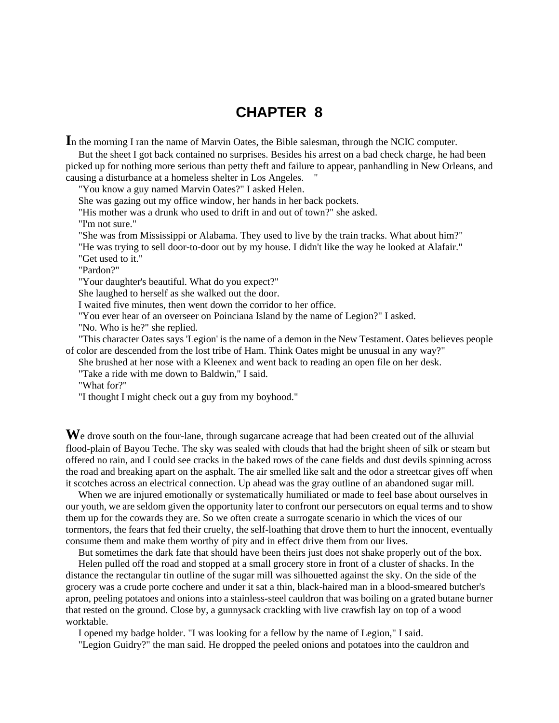### **CHAPTER 8**

**I**n the morning I ran the name of Marvin Oates, the Bible salesman, through the NCIC computer.

 But the sheet I got back contained no surprises. Besides his arrest on a bad check charge, he had been picked up for nothing more serious than petty theft and failure to appear, panhandling in New Orleans, and causing a disturbance at a homeless shelter in Los Angeles. "

"You know a guy named Marvin Oates?" I asked Helen.

She was gazing out my office window, her hands in her back pockets.

"His mother was a drunk who used to drift in and out of town?" she asked.

"I'm not sure."

"She was from Mississippi or Alabama. They used to live by the train tracks. What about him?"

 "He was trying to sell door-to-door out by my house. I didn't like the way he looked at Alafair." "Get used to it."

"Pardon?"

"Your daughter's beautiful. What do you expect?"

She laughed to herself as she walked out the door.

I waited five minutes, then went down the corridor to her office.

"You ever hear of an overseer on Poinciana Island by the name of Legion?" I asked.

"No. Who is he?" she replied.

 "This character Oates says 'Legion' is the name of a demon in the New Testament. Oates believes people of color are descended from the lost tribe of Ham. Think Oates might be unusual in any way?"

She brushed at her nose with a Kleenex and went back to reading an open file on her desk.

"Take a ride with me down to Baldwin," I said.

"What for?"

"I thought I might check out a guy from my boyhood."

We drove south on the four-lane, through sugarcane acreage that had been created out of the alluvial flood-plain of Bayou Teche. The sky was sealed with clouds that had the bright sheen of silk or steam but offered no rain, and I could see cracks in the baked rows of the cane fields and dust devils spinning across the road and breaking apart on the asphalt. The air smelled like salt and the odor a streetcar gives off when it scotches across an electrical connection. Up ahead was the gray outline of an abandoned sugar mill.

 When we are injured emotionally or systematically humiliated or made to feel base about ourselves in our youth, we are seldom given the opportunity later to confront our persecutors on equal terms and to show them up for the cowards they are. So we often create a surrogate scenario in which the vices of our tormentors, the fears that fed their cruelty, the self-loathing that drove them to hurt the innocent, eventually consume them and make them worthy of pity and in effect drive them from our lives.

But sometimes the dark fate that should have been theirs just does not shake properly out of the box.

 Helen pulled off the road and stopped at a small grocery store in front of a cluster of shacks. In the distance the rectangular tin outline of the sugar mill was silhouetted against the sky. On the side of the grocery was a crude porte cochere and under it sat a thin, black-haired man in a blood-smeared butcher's apron, peeling potatoes and onions into a stainless-steel cauldron that was boiling on a grated butane burner that rested on the ground. Close by, a gunnysack crackling with live crawfish lay on top of a wood worktable.

I opened my badge holder. "I was looking for a fellow by the name of Legion," I said.

"Legion Guidry?" the man said. He dropped the peeled onions and potatoes into the cauldron and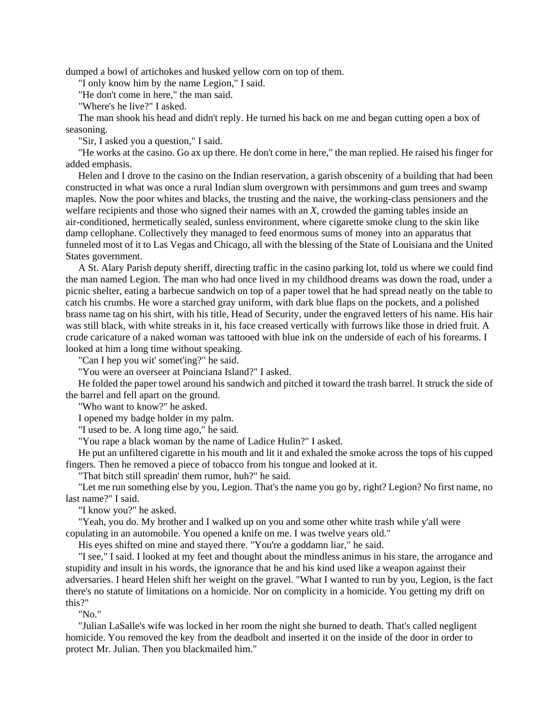dumped a bowl of artichokes and husked yellow corn on top of them.

"I only know him by the name Legion," I said.

"He don't come in here," the man said.

"Where's he live?" I asked.

 The man shook his head and didn't reply. He turned his back on me and began cutting open a box of seasoning.

"Sir, I asked you a question," I said.

 "He works at the casino. Go ax up there. He don't come in here," the man replied. He raised his finger for added emphasis.

 Helen and I drove to the casino on the Indian reservation, a garish obscenity of a building that had been constructed in what was once a rural Indian slum overgrown with persimmons and gum trees and swamp maples. Now the poor whites and blacks, the trusting and the naive, the working-class pensioners and the welfare recipients and those who signed their names with an *X*, crowded the gaming tables inside an air-conditioned, hermetically sealed, sunless environment, where cigarette smoke clung to the skin like damp cellophane. Collectively they managed to feed enormous sums of money into an apparatus that funneled most of it to Las Vegas and Chicago, all with the blessing of the State of Louisiana and the United States government.

 A St. Alary Parish deputy sheriff, directing traffic in the casino parking lot, told us where we could find the man named Legion. The man who had once lived in my childhood dreams was down the road, under a picnic shelter, eating a barbecue sandwich on top of a paper towel that he had spread neatly on the table to catch his crumbs. He wore a starched gray uniform, with dark blue flaps on the pockets, and a polished brass name tag on his shirt, with his title, Head of Security, under the engraved letters of his name. His hair was still black, with white streaks in it, his face creased vertically with furrows like those in dried fruit. A crude caricature of a naked woman was tattooed with blue ink on the underside of each of his forearms. I looked at him a long time without speaking.

"Can I hep you wit' somet'ing?" he said.

"You were an overseer at Poinciana Island?" I asked.

 He folded the paper towel around his sandwich and pitched it toward the trash barrel. It struck the side of the barrel and fell apart on the ground.

"Who want to know?" he asked.

I opened my badge holder in my palm.

"I used to be. A long time ago," he said.

"You rape a black woman by the name of Ladice Hulin?" I asked.

 He put an unfiltered cigarette in his mouth and lit it and exhaled the smoke across the tops of his cupped fingers. Then he removed a piece of tobacco from his tongue and looked at it.

"That bitch still spreadin' them rumor, huh?" he said.

 "Let me run something else by you, Legion. That's the name you go by, right? Legion? No first name, no last name?" I said.

"I know you?" he asked.

 "Yeah, you do. My brother and I walked up on you and some other white trash while y'all were copulating in an automobile. You opened a knife on me. I was twelve years old."

His eyes shifted on mine and stayed there. "You're a goddamn liar," he said.

 "I see," I said. I looked at my feet and thought about the mindless animus in his stare, the arrogance and stupidity and insult in his words, the ignorance that he and his kind used like a weapon against their adversaries. I heard Helen shift her weight on the gravel. "What I wanted to run by you, Legion, is the fact there's no statute of limitations on a homicide. Nor on complicity in a homicide. You getting my drift on this?"

"No."

 "Julian LaSalle's wife was locked in her room the night she burned to death. That's called negligent homicide. You removed the key from the deadbolt and inserted it on the inside of the door in order to protect Mr. Julian. Then you blackmailed him."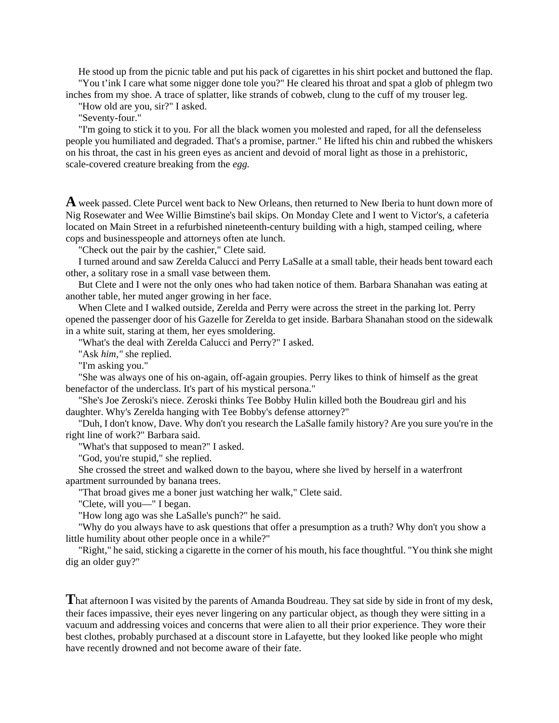He stood up from the picnic table and put his pack of cigarettes in his shirt pocket and buttoned the flap. "You t'ink I care what some nigger done tole you?" He cleared his throat and spat a glob of phlegm two

inches from my shoe. A trace of splatter, like strands of cobweb, clung to the cuff of my trouser leg. "How old are you, sir?" I asked.

"Seventy-four."

 "I'm going to stick it to you. For all the black women you molested and raped, for all the defenseless people you humiliated and degraded. That's a promise, partner." He lifted his chin and rubbed the whiskers on his throat, the cast in his green eyes as ancient and devoid of moral light as those in a prehistoric, scale-covered creature breaking from the *egg.*

**A** week passed. Clete Purcel went back to New Orleans, then returned to New Iberia to hunt down more of Nig Rosewater and Wee Willie Bimstine's bail skips. On Monday Clete and I went to Victor's, a cafeteria located on Main Street in a refurbished nineteenth-century building with a high, stamped ceiling, where cops and businesspeople and attorneys often ate lunch.

"Check out the pair by the cashier," Clete said.

 I turned around and saw Zerelda Calucci and Perry LaSalle at a small table, their heads bent toward each other, a solitary rose in a small vase between them.

 But Clete and I were not the only ones who had taken notice of them. Barbara Shanahan was eating at another table, her muted anger growing in her face.

 When Clete and I walked outside, Zerelda and Perry were across the street in the parking lot. Perry opened the passenger door of his Gazelle for Zerelda to get inside. Barbara Shanahan stood on the sidewalk in a white suit, staring at them, her eyes smoldering.

"What's the deal with Zerelda Calucci and Perry?" I asked.

"Ask *him,"* she replied.

"I'm asking you."

 "She was always one of his on-again, off-again groupies. Perry likes to think of himself as the great benefactor of the underclass. It's part of his mystical persona."

 "She's Joe Zeroski's niece. Zeroski thinks Tee Bobby Hulin killed both the Boudreau girl and his daughter. Why's Zerelda hanging with Tee Bobby's defense attorney?"

 "Duh, I don't know, Dave. Why don't you research the LaSalle family history? Are you sure you're in the right line of work?" Barbara said.

"What's that supposed to mean?" I asked.

"God, you're stupid," she replied.

 She crossed the street and walked down to the bayou, where she lived by herself in a waterfront apartment surrounded by banana trees.

"That broad gives me a boner just watching her walk," Clete said.

"Clete, will you—" I began.

"How long ago was she LaSalle's punch?" he said.

 "Why do you always have to ask questions that offer a presumption as a truth? Why don't you show a little humility about other people once in a while?"

 "Right," he said, sticking a cigarette in the corner of his mouth, his face thoughtful. "You think she might dig an older guy?"

**T**hat afternoon I was visited by the parents of Amanda Boudreau. They sat side by side in front of my desk, their faces impassive, their eyes never lingering on any particular object, as though they were sitting in a vacuum and addressing voices and concerns that were alien to all their prior experience. They wore their best clothes, probably purchased at a discount store in Lafayette, but they looked like people who might have recently drowned and not become aware of their fate.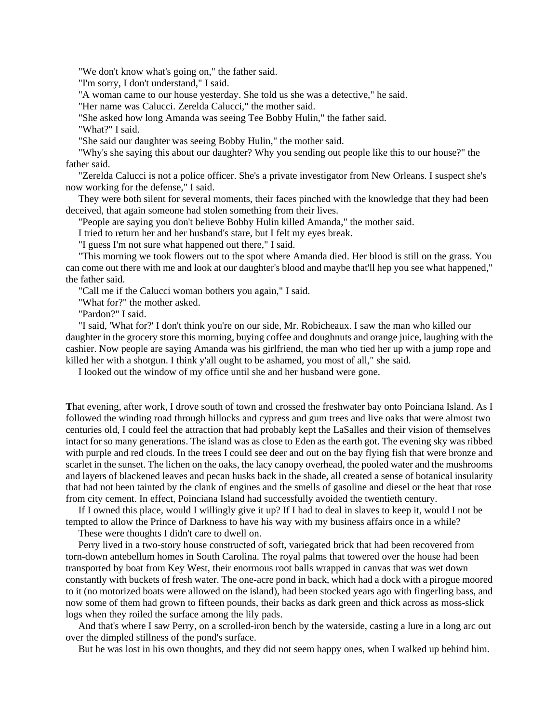"We don't know what's going on," the father said.

"I'm sorry, I don't understand," I said.

"A woman came to our house yesterday. She told us she was a detective," he said.

"Her name was Calucci. Zerelda Calucci," the mother said.

"She asked how long Amanda was seeing Tee Bobby Hulin," the father said.

"What?" I said.

"She said our daughter was seeing Bobby Hulin," the mother said.

 "Why's she saying this about our daughter? Why you sending out people like this to our house?" the father said.

 "Zerelda Calucci is not a police officer. She's a private investigator from New Orleans. I suspect she's now working for the defense," I said.

 They were both silent for several moments, their faces pinched with the knowledge that they had been deceived, that again someone had stolen something from their lives.

"People are saying you don't believe Bobby Hulin killed Amanda," the mother said.

I tried to return her and her husband's stare, but I felt my eyes break.

"I guess I'm not sure what happened out there," I said.

 "This morning we took flowers out to the spot where Amanda died. Her blood is still on the grass. You can come out there with me and look at our daughter's blood and maybe that'll hep you see what happened," the father said.

"Call me if the Calucci woman bothers you again," I said.

"What for?" the mother asked.

"Pardon?" I said.

 "I said, 'What for?' I don't think you're on our side, Mr. Robicheaux. I saw the man who killed our daughter in the grocery store this morning, buying coffee and doughnuts and orange juice, laughing with the cashier. Now people are saying Amanda was his girlfriend, the man who tied her up with a jump rope and killed her with a shotgun. I think y'all ought to be ashamed, you most of all," she said.

I looked out the window of my office until she and her husband were gone.

**T**hat evening, after work, I drove south of town and crossed the freshwater bay onto Poinciana Island. As I followed the winding road through hillocks and cypress and gum trees and live oaks that were almost two centuries old, I could feel the attraction that had probably kept the LaSalles and their vision of themselves intact for so many generations. The island was as close to Eden as the earth got. The evening sky was ribbed with purple and red clouds. In the trees I could see deer and out on the bay flying fish that were bronze and scarlet in the sunset. The lichen on the oaks, the lacy canopy overhead, the pooled water and the mushrooms and layers of blackened leaves and pecan husks back in the shade, all created a sense of botanical insularity that had not been tainted by the clank of engines and the smells of gasoline and diesel or the heat that rose from city cement. In effect, Poinciana Island had successfully avoided the twentieth century.

 If I owned this place, would I willingly give it up? If I had to deal in slaves to keep it, would I not be tempted to allow the Prince of Darkness to have his way with my business affairs once in a while?

These were thoughts I didn't care to dwell on.

 Perry lived in a two-story house constructed of soft, variegated brick that had been recovered from torn-down antebellum homes in South Carolina. The royal palms that towered over the house had been transported by boat from Key West, their enormous root balls wrapped in canvas that was wet down constantly with buckets of fresh water. The one-acre pond in back, which had a dock with a pirogue moored to it (no motorized boats were allowed on the island), had been stocked years ago with fingerling bass, and now some of them had grown to fifteen pounds, their backs as dark green and thick across as moss-slick logs when they roiled the surface among the lily pads.

 And that's where I saw Perry, on a scrolled-iron bench by the waterside, casting a lure in a long arc out over the dimpled stillness of the pond's surface.

But he was lost in his own thoughts, and they did not seem happy ones, when I walked up behind him.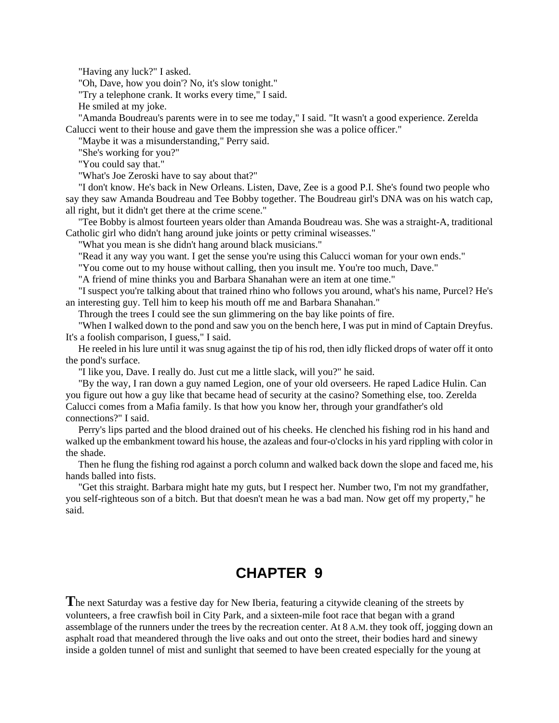"Having any luck?" I asked.

"Oh, Dave, how you doin'? No, it's slow tonight."

"Try a telephone crank. It works every time," I said.

He smiled at my joke.

 "Amanda Boudreau's parents were in to see me today," I said. "It wasn't a good experience. Zerelda Calucci went to their house and gave them the impression she was a police officer."

"Maybe it was a misunderstanding," Perry said.

"She's working for you?"

"You could say that."

"What's Joe Zeroski have to say about that?"

 "I don't know. He's back in New Orleans. Listen, Dave, Zee is a good P.I. She's found two people who say they saw Amanda Boudreau and Tee Bobby together. The Boudreau girl's DNA was on his watch cap, all right, but it didn't get there at the crime scene."

 "Tee Bobby is almost fourteen years older than Amanda Boudreau was. She was a straight-A, traditional Catholic girl who didn't hang around juke joints or petty criminal wiseasses."

"What you mean is she didn't hang around black musicians."

"Read it any way you want. I get the sense you're using this Calucci woman for your own ends."

"You come out to my house without calling, then you insult me. You're too much, Dave."

"A friend of mine thinks you and Barbara Shanahan were an item at one time."

 "I suspect you're talking about that trained rhino who follows you around, what's his name, Purcel? He's an interesting guy. Tell him to keep his mouth off me and Barbara Shanahan."

Through the trees I could see the sun glimmering on the bay like points of fire.

 "When I walked down to the pond and saw you on the bench here, I was put in mind of Captain Dreyfus. It's a foolish comparison, I guess," I said.

 He reeled in his lure until it was snug against the tip of his rod, then idly flicked drops of water off it onto the pond's surface.

"I like you, Dave. I really do. Just cut me a little slack, will you?" he said.

 "By the way, I ran down a guy named Legion, one of your old overseers. He raped Ladice Hulin. Can you figure out how a guy like that became head of security at the casino? Something else, too. Zerelda Calucci comes from a Mafia family. Is that how you know her, through your grandfather's old connections?" I said.

 Perry's lips parted and the blood drained out of his cheeks. He clenched his fishing rod in his hand and walked up the embankment toward his house, the azaleas and four-o'clocks in his yard rippling with color in the shade.

 Then he flung the fishing rod against a porch column and walked back down the slope and faced me, his hands balled into fists.

 "Get this straight. Barbara might hate my guts, but I respect her. Number two, I'm not my grandfather, you self-righteous son of a bitch. But that doesn't mean he was a bad man. Now get off my property," he said.

# **CHAPTER 9**

The next Saturday was a festive day for New Iberia, featuring a citywide cleaning of the streets by volunteers, a free crawfish boil in City Park, and a sixteen-mile foot race that began with a grand assemblage of the runners under the trees by the recreation center. At 8 A.M. they took off, jogging down an asphalt road that meandered through the live oaks and out onto the street, their bodies hard and sinewy inside a golden tunnel of mist and sunlight that seemed to have been created especially for the young at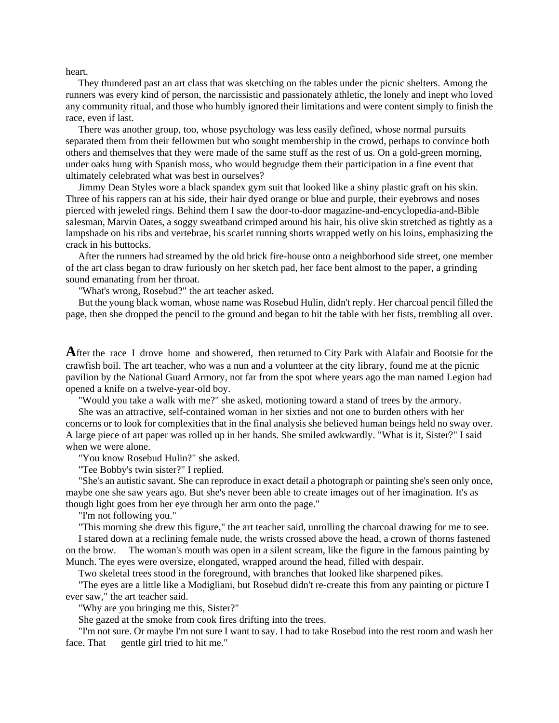heart.

 They thundered past an art class that was sketching on the tables under the picnic shelters. Among the runners was every kind of person, the narcissistic and passionately athletic, the lonely and inept who loved any community ritual, and those who humbly ignored their limitations and were content simply to finish the race, even if last.

 There was another group, too, whose psychology was less easily defined, whose normal pursuits separated them from their fellowmen but who sought membership in the crowd, perhaps to convince both others and themselves that they were made of the same stuff as the rest of us. On a gold-green morning, under oaks hung with Spanish moss, who would begrudge them their participation in a fine event that ultimately celebrated what was best in ourselves?

 Jimmy Dean Styles wore a black spandex gym suit that looked like a shiny plastic graft on his skin. Three of his rappers ran at his side, their hair dyed orange or blue and purple, their eyebrows and noses pierced with jeweled rings. Behind them I saw the door-to-door magazine-and-encyclopedia-and-Bible salesman, Marvin Oates, a soggy sweatband crimped around his hair, his olive skin stretched as tightly as a lampshade on his ribs and vertebrae, his scarlet running shorts wrapped wetly on his loins, emphasizing the crack in his buttocks.

 After the runners had streamed by the old brick fire-house onto a neighborhood side street, one member of the art class began to draw furiously on her sketch pad, her face bent almost to the paper, a grinding sound emanating from her throat.

"What's wrong, Rosebud?" the art teacher asked.

 But the young black woman, whose name was Rosebud Hulin, didn't reply. Her charcoal pencil filled the page, then she dropped the pencil to the ground and began to hit the table with her fists, trembling all over.

**A**fter the race I drove home and showered, then returned to City Park with Alafair and Bootsie for the crawfish boil. The art teacher, who was a nun and a volunteer at the city library, found me at the picnic pavilion by the National Guard Armory, not far from the spot where years ago the man named Legion had opened a knife on a twelve-year-old boy.

"Would you take a walk with me?" she asked, motioning toward a stand of trees by the armory.

 She was an attractive, self-contained woman in her sixties and not one to burden others with her concerns or to look for complexities that in the final analysis she believed human beings held no sway over. A large piece of art paper was rolled up in her hands. She smiled awkwardly. "What is it, Sister?" I said when we were alone.

"You know Rosebud Hulin?" she asked.

"Tee Bobby's twin sister?" I replied.

 "She's an autistic savant. She can reproduce in exact detail a photograph or painting she's seen only once, maybe one she saw years ago. But she's never been able to create images out of her imagination. It's as though light goes from her eye through her arm onto the page."

"I'm not following you."

 "This morning she drew this figure," the art teacher said, unrolling the charcoal drawing for me to see. I stared down at a reclining female nude, the wrists crossed above the head, a crown of thorns fastened on the brow. The woman's mouth was open in a silent scream, like the figure in the famous painting by Munch. The eyes were oversize, elongated, wrapped around the head, filled with despair.

Two skeletal trees stood in the foreground, with branches that looked like sharpened pikes.

 "The eyes are a little like a Modigliani, but Rosebud didn't re-create this from any painting or picture I ever saw," the art teacher said.

"Why are you bringing me this, Sister?"

She gazed at the smoke from cook fires drifting into the trees.

 "I'm not sure. Or maybe I'm not sure I want to say. I had to take Rosebud into the rest room and wash her face. That gentle girl tried to hit me."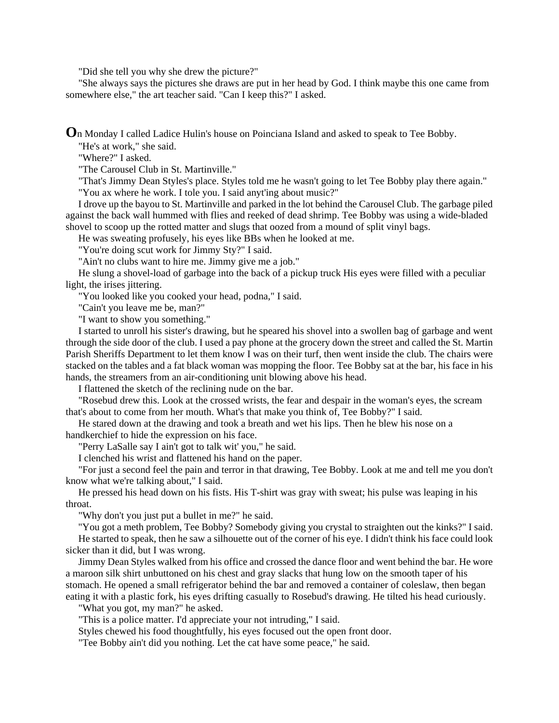"Did she tell you why she drew the picture?"

 "She always says the pictures she draws are put in her head by God. I think maybe this one came from somewhere else," the art teacher said. "Can I keep this?" I asked.

**O**n Monday I called Ladice Hulin's house on Poinciana Island and asked to speak to Tee Bobby.

"He's at work," she said.

"Where?" I asked.

"The Carousel Club in St. Martinville."

 "That's Jimmy Dean Styles's place. Styles told me he wasn't going to let Tee Bobby play there again." "You ax where he work. I tole you. I said anyt'ing about music?"

 I drove up the bayou to St. Martinville and parked in the lot behind the Carousel Club. The garbage piled against the back wall hummed with flies and reeked of dead shrimp. Tee Bobby was using a wide-bladed shovel to scoop up the rotted matter and slugs that oozed from a mound of split vinyl bags.

He was sweating profusely, his eyes like BBs when he looked at me.

"You're doing scut work for Jimmy Sty?" I said.

"Ain't no clubs want to hire me. Jimmy give me a job."

 He slung a shovel-load of garbage into the back of a pickup truck His eyes were filled with a peculiar light, the irises jittering.

"You looked like you cooked your head, podna," I said.

"Cain't you leave me be, man?"

"I want to show you something."

 I started to unroll his sister's drawing, but he speared his shovel into a swollen bag of garbage and went through the side door of the club. I used a pay phone at the grocery down the street and called the St. Martin Parish Sheriffs Department to let them know I was on their turf, then went inside the club. The chairs were stacked on the tables and a fat black woman was mopping the floor. Tee Bobby sat at the bar, his face in his hands, the streamers from an air-conditioning unit blowing above his head.

I flattened the sketch of the reclining nude on the bar.

 "Rosebud drew this. Look at the crossed wrists, the fear and despair in the woman's eyes, the scream that's about to come from her mouth. What's that make you think of, Tee Bobby?" I said.

 He stared down at the drawing and took a breath and wet his lips. Then he blew his nose on a handkerchief to hide the expression on his face.

"Perry LaSalle say I ain't got to talk wit' you," he said.

I clenched his wrist and flattened his hand on the paper.

 "For just a second feel the pain and terror in that drawing, Tee Bobby. Look at me and tell me you don't know what we're talking about," I said.

 He pressed his head down on his fists. His T-shirt was gray with sweat; his pulse was leaping in his throat.

"Why don't you just put a bullet in me?" he said.

 "You got a meth problem, Tee Bobby? Somebody giving you crystal to straighten out the kinks?" I said. He started to speak, then he saw a silhouette out of the corner of his eye. I didn't think his face could look

sicker than it did, but I was wrong.

 Jimmy Dean Styles walked from his office and crossed the dance floor and went behind the bar. He wore a maroon silk shirt unbuttoned on his chest and gray slacks that hung low on the smooth taper of his stomach. He opened a small refrigerator behind the bar and removed a container of coleslaw, then began eating it with a plastic fork, his eyes drifting casually to Rosebud's drawing. He tilted his head curiously.

"What you got, my man?" he asked.

"This is a police matter. I'd appreciate your not intruding," I said.

Styles chewed his food thoughtfully, his eyes focused out the open front door.

"Tee Bobby ain't did you nothing. Let the cat have some peace," he said.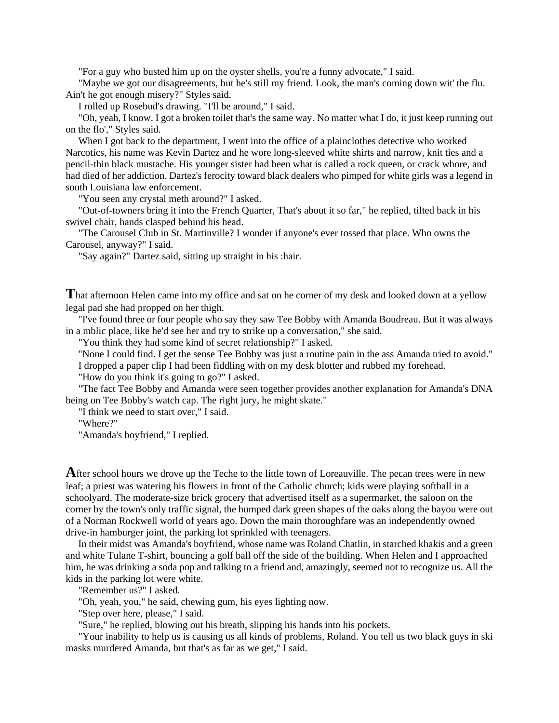"For a guy who busted him up on the oyster shells, you're a funny advocate," I said.

 "Maybe we got our disagreements, but he's still my friend. Look, the man's coming down wit' the flu. Ain't he got enough misery?" Styles said.

I rolled up Rosebud's drawing. "I'll be around," I said.

 "Oh, yeah, I know. I got a broken toilet that's the same way. No matter what I do, it just keep running out on the flo'," Styles said.

 When I got back to the department, I went into the office of a plainclothes detective who worked Narcotics, his name was Kevin Dartez and he wore long-sleeved white shirts and narrow, knit ties and a pencil-thin black mustache. His younger sister had been what is called a rock queen, or crack whore, and had died of her addiction. Dartez's ferocity toward black dealers who pimped for white girls was a legend in south Louisiana law enforcement.

"You seen any crystal meth around?" I asked.

 "Out-of-towners bring it into the French Quarter, That's about it so far," he replied, tilted back in his swivel chair, hands clasped behind his head.

 "The Carousel Club in St. Martinville? I wonder if anyone's ever tossed that place. Who owns the Carousel, anyway?" I said.

"Say again?" Dartez said, sitting up straight in his :hair.

That afternoon Helen came into my office and sat on he corner of my desk and looked down at a yellow legal pad she had propped on her thigh.

 "I've found three or four people who say they saw Tee Bobby with Amanda Boudreau. But it was always in a mblic place, like he'd see her and try to strike up a conversation," she said.

"You think they had some kind of secret relationship?" I asked.

 "None I could find. I get the sense Tee Bobby was just a routine pain in the ass Amanda tried to avoid." I dropped a paper clip I had been fiddling with on my desk blotter and rubbed my forehead.

"How do you think it's going to go?" I asked.

 "The fact Tee Bobby and Amanda were seen together provides another explanation for Amanda's DNA being on Tee Bobby's watch cap. The right jury, he might skate."

"I think we need to start over," I said.

"Where?"

"Amanda's boyfriend," I replied.

After school hours we drove up the Teche to the little town of Loreauville. The pecan trees were in new leaf; a priest was watering his flowers in front of the Catholic church; kids were playing softball in a schoolyard. The moderate-size brick grocery that advertised itself as a supermarket, the saloon on the corner by the town's only traffic signal, the humped dark green shapes of the oaks along the bayou were out of a Norman Rockwell world of years ago. Down the main thoroughfare was an independently owned drive-in hamburger joint, the parking lot sprinkled with teenagers.

 In their midst was Amanda's boyfriend, whose name was Roland Chatlin, in starched khakis and a green and white Tulane T-shirt, bouncing a golf ball off the side of the building. When Helen and I approached him, he was drinking a soda pop and talking to a friend and, amazingly, seemed not to recognize us. All the kids in the parking lot were white.

"Remember us?" I asked.

"Oh, yeah, you," he said, chewing gum, his eyes lighting now.

"Step over here, please," I said.

"Sure," he replied, blowing out his breath, slipping his hands into his pockets.

 "Your inability to help us is causing us all kinds of problems, Roland. You tell us two black guys in ski masks murdered Amanda, but that's as far as we get," I said.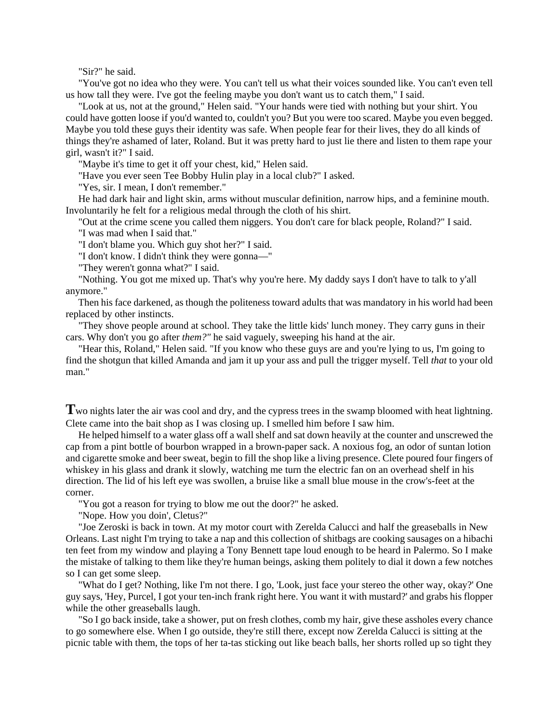"Sir?" he said.

 "You've got no idea who they were. You can't tell us what their voices sounded like. You can't even tell us how tall they were. I've got the feeling maybe you don't want us to catch them," I said.

 "Look at us, not at the ground," Helen said. "Your hands were tied with nothing but your shirt. You could have gotten loose if you'd wanted to, couldn't you? But you were too scared. Maybe you even begged. Maybe you told these guys their identity was safe. When people fear for their lives, they do all kinds of things they're ashamed of later, Roland. But it was pretty hard to just lie there and listen to them rape your girl, wasn't it?" I said.

"Maybe it's time to get it off your chest, kid," Helen said.

"Have you ever seen Tee Bobby Hulin play in a local club?" I asked.

"Yes, sir. I mean, I don't remember."

 He had dark hair and light skin, arms without muscular definition, narrow hips, and a feminine mouth. Involuntarily he felt for a religious medal through the cloth of his shirt.

 "Out at the crime scene you called them niggers. You don't care for black people, Roland?" I said. "I was mad when I said that."

"I don't blame you. Which guy shot her?" I said.

"I don't know. I didn't think they were gonna—"

"They weren't gonna what?" I said.

 "Nothing. You got me mixed up. That's why you're here. My daddy says I don't have to talk to y'all anymore."

 Then his face darkened, as though the politeness toward adults that was mandatory in his world had been replaced by other instincts.

 "They shove people around at school. They take the little kids' lunch money. They carry guns in their cars. Why don't you go after *them?"* he said vaguely, sweeping his hand at the air.

 "Hear this, Roland," Helen said. "If you know who these guys are and you're lying to us, I'm going to find the shotgun that killed Amanda and jam it up your ass and pull the trigger myself. Tell *that* to your old man."

Two nights later the air was cool and dry, and the cypress trees in the swamp bloomed with heat lightning. Clete came into the bait shop as I was closing up. I smelled him before I saw him.

 He helped himself to a water glass off a wall shelf and sat down heavily at the counter and unscrewed the cap from a pint bottle of bourbon wrapped in a brown-paper sack. A noxious fog, an odor of suntan lotion and cigarette smoke and beer sweat, begin to fill the shop like a living presence. Clete poured four fingers of whiskey in his glass and drank it slowly, watching me turn the electric fan on an overhead shelf in his direction. The lid of his left eye was swollen, a bruise like a small blue mouse in the crow's-feet at the corner.

"You got a reason for trying to blow me out the door?" he asked.

"Nope. How you doin', Cletus?"

 "Joe Zeroski is back in town. At my motor court with Zerelda Calucci and half the greaseballs in New Orleans. Last night I'm trying to take a nap and this collection of shitbags are cooking sausages on a hibachi ten feet from my window and playing a Tony Bennett tape loud enough to be heard in Palermo. So I make the mistake of talking to them like they're human beings, asking them politely to dial it down a few notches so I can get some sleep.

 "What do I get? Nothing, like I'm not there. I go, 'Look, just face your stereo the other way, okay?' One guy says, 'Hey, Purcel, I got your ten-inch frank right here. You want it with mustard?' and grabs his flopper while the other greaseballs laugh.

 "So I go back inside, take a shower, put on fresh clothes, comb my hair, give these assholes every chance to go somewhere else. When I go outside, they're still there, except now Zerelda Calucci is sitting at the picnic table with them, the tops of her ta-tas sticking out like beach balls, her shorts rolled up so tight they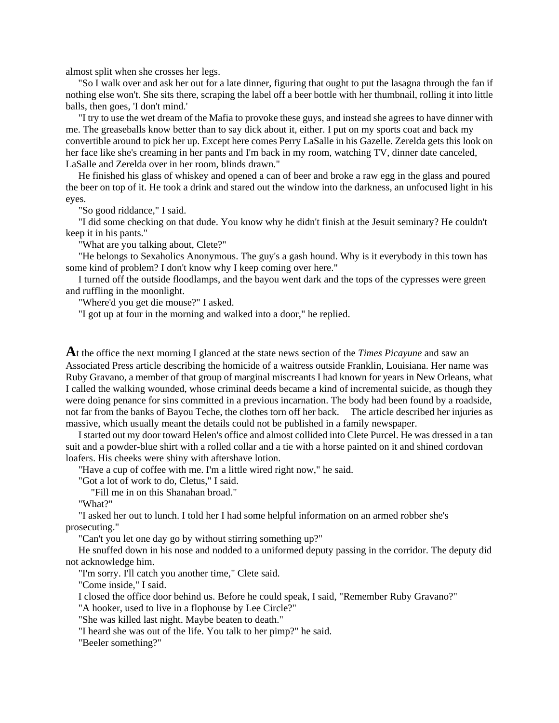almost split when she crosses her legs.

 "So I walk over and ask her out for a late dinner, figuring that ought to put the lasagna through the fan if nothing else won't. She sits there, scraping the label off a beer bottle with her thumbnail, rolling it into little balls, then goes, 'I don't mind.'

 "I try to use the wet dream of the Mafia to provoke these guys, and instead she agrees to have dinner with me. The greaseballs know better than to say dick about it, either. I put on my sports coat and back my convertible around to pick her up. Except here comes Perry LaSalle in his Gazelle. Zerelda gets this look on her face like she's creaming in her pants and I'm back in my room, watching TV, dinner date canceled, LaSalle and Zerelda over in her room, blinds drawn."

 He finished his glass of whiskey and opened a can of beer and broke a raw egg in the glass and poured the beer on top of it. He took a drink and stared out the window into the darkness, an unfocused light in his eyes.

"So good riddance," I said.

 "I did some checking on that dude. You know why he didn't finish at the Jesuit seminary? He couldn't keep it in his pants."

"What are you talking about, Clete?"

 "He belongs to Sexaholics Anonymous. The guy's a gash hound. Why is it everybody in this town has some kind of problem? I don't know why I keep coming over here."

 I turned off the outside floodlamps, and the bayou went dark and the tops of the cypresses were green and ruffling in the moonlight.

"Where'd you get die mouse?" I asked.

"I got up at four in the morning and walked into a door," he replied.

**A**t the office the next morning I glanced at the state news section of the *Times Picayune* and saw an Associated Press article describing the homicide of a waitress outside Franklin, Louisiana. Her name was Ruby Gravano, a member of that group of marginal miscreants I had known for years in New Orleans, what I called the walking wounded, whose criminal deeds became a kind of incremental suicide, as though they were doing penance for sins committed in a previous incarnation. The body had been found by a roadside, not far from the banks of Bayou Teche, the clothes torn off her back. The article described her injuries as massive, which usually meant the details could not be published in a family newspaper.

 I started out my door toward Helen's office and almost collided into Clete Purcel. He was dressed in a tan suit and a powder-blue shirt with a rolled collar and a tie with a horse painted on it and shined cordovan loafers. His cheeks were shiny with aftershave lotion.

"Have a cup of coffee with me. I'm a little wired right now," he said.

"Got a lot of work to do, Cletus," I said.

"Fill me in on this Shanahan broad."

"What?"

 "I asked her out to lunch. I told her I had some helpful information on an armed robber she's prosecuting."

"Can't you let one day go by without stirring something up?"

 He snuffed down in his nose and nodded to a uniformed deputy passing in the corridor. The deputy did not acknowledge him.

"I'm sorry. I'll catch you another time," Clete said.

"Come inside," I said.

I closed the office door behind us. Before he could speak, I said, "Remember Ruby Gravano?"

"A hooker, used to live in a flophouse by Lee Circle?"

"She was killed last night. Maybe beaten to death."

"I heard she was out of the life. You talk to her pimp?" he said.

"Beeler something?"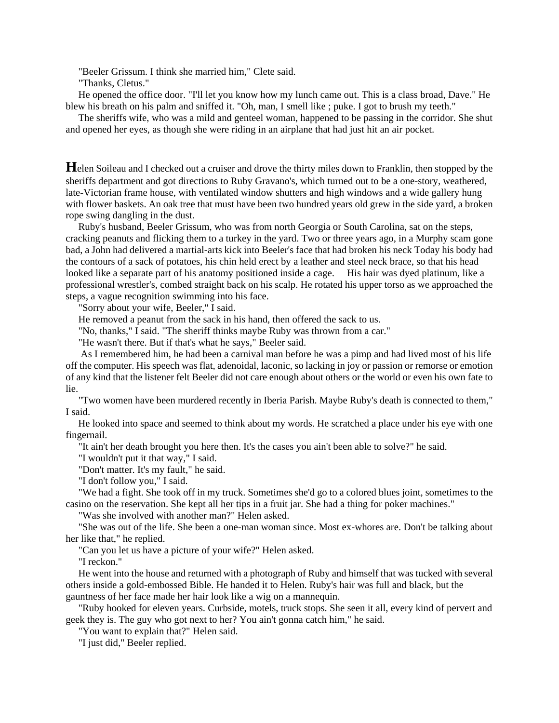"Beeler Grissum. I think she married him," Clete said. "Thanks, Cletus."

 He opened the office door. "I'll let you know how my lunch came out. This is a class broad, Dave." He blew his breath on his palm and sniffed it. "Oh, man, I smell like ; puke. I got to brush my teeth."

 The sheriffs wife, who was a mild and genteel woman, happened to be passing in the corridor. She shut and opened her eyes, as though she were riding in an airplane that had just hit an air pocket.

**H**elen Soileau and I checked out a cruiser and drove the thirty miles down to Franklin, then stopped by the sheriffs department and got directions to Ruby Gravano's, which turned out to be a one-story, weathered, late-Victorian frame house, with ventilated window shutters and high windows and a wide gallery hung with flower baskets. An oak tree that must have been two hundred years old grew in the side yard, a broken rope swing dangling in the dust.

 Ruby's husband, Beeler Grissum, who was from north Georgia or South Carolina, sat on the steps, cracking peanuts and flicking them to a turkey in the yard. Two or three years ago, in a Murphy scam gone bad, a John had delivered a martial-arts kick into Beeler's face that had broken his neck Today his body had the contours of a sack of potatoes, his chin held erect by a leather and steel neck brace, so that his head looked like a separate part of his anatomy positioned inside a cage. His hair was dyed platinum, like a professional wrestler's, combed straight back on his scalp. He rotated his upper torso as we approached the steps, a vague recognition swimming into his face.

"Sorry about your wife, Beeler," I said.

He removed a peanut from the sack in his hand, then offered the sack to us.

"No, thanks," I said. "The sheriff thinks maybe Ruby was thrown from a car."

"He wasn't there. But if that's what he says," Beeler said.

 As I remembered him, he had been a carnival man before he was a pimp and had lived most of his life off the computer. His speech was flat, adenoidal, laconic, so lacking in joy or passion or remorse or emotion of any kind that the listener felt Beeler did not care enough about others or the world or even his own fate to lie.

 "Two women have been murdered recently in Iberia Parish. Maybe Ruby's death is connected to them," I said.

 He looked into space and seemed to think about my words. He scratched a place under his eye with one fingernail.

"It ain't her death brought you here then. It's the cases you ain't been able to solve?" he said.

"I wouldn't put it that way," I said.

"Don't matter. It's my fault," he said.

"I don't follow you," I said.

 "We had a fight. She took off in my truck. Sometimes she'd go to a colored blues joint, sometimes to the casino on the reservation. She kept all her tips in a fruit jar. She had a thing for poker machines."

"Was she involved with another man?" Helen asked.

 "She was out of the life. She been a one-man woman since. Most ex-whores are. Don't be talking about her like that," he replied.

"Can you let us have a picture of your wife?" Helen asked.

"I reckon."

 He went into the house and returned with a photograph of Ruby and himself that was tucked with several others inside a gold-embossed Bible. He handed it to Helen. Ruby's hair was full and black, but the gauntness of her face made her hair look like a wig on a mannequin.

 "Ruby hooked for eleven years. Curbside, motels, truck stops. She seen it all, every kind of pervert and geek they is. The guy who got next to her? You ain't gonna catch him," he said.

"You want to explain that?" Helen said.

"I just did," Beeler replied.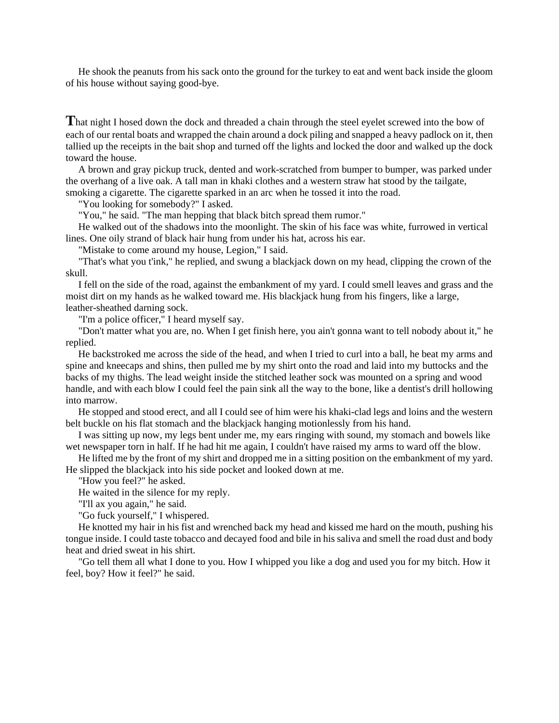He shook the peanuts from his sack onto the ground for the turkey to eat and went back inside the gloom of his house without saying good-bye.

That night I hosed down the dock and threaded a chain through the steel eyelet screwed into the bow of each of our rental boats and wrapped the chain around a dock piling and snapped a heavy padlock on it, then tallied up the receipts in the bait shop and turned off the lights and locked the door and walked up the dock toward the house.

 A brown and gray pickup truck, dented and work-scratched from bumper to bumper, was parked under the overhang of a live oak. A tall man in khaki clothes and a western straw hat stood by the tailgate, smoking a cigarette. The cigarette sparked in an arc when he tossed it into the road.

"You looking for somebody?" I asked.

"You," he said. "The man hepping that black bitch spread them rumor."

 He walked out of the shadows into the moonlight. The skin of his face was white, furrowed in vertical lines. One oily strand of black hair hung from under his hat, across his ear.

"Mistake to come around my house, Legion," I said.

 "That's what you t'ink," he replied, and swung a blackjack down on my head, clipping the crown of the skull.

 I fell on the side of the road, against the embankment of my yard. I could smell leaves and grass and the moist dirt on my hands as he walked toward me. His blackjack hung from his fingers, like a large, leather-sheathed darning sock.

"I'm a police officer," I heard myself say.

 "Don't matter what you are, no. When I get finish here, you ain't gonna want to tell nobody about it," he replied.

 He backstroked me across the side of the head, and when I tried to curl into a ball, he beat my arms and spine and kneecaps and shins, then pulled me by my shirt onto the road and laid into my buttocks and the backs of my thighs. The lead weight inside the stitched leather sock was mounted on a spring and wood handle, and with each blow I could feel the pain sink all the way to the bone, like a dentist's drill hollowing into marrow.

 He stopped and stood erect, and all I could see of him were his khaki-clad legs and loins and the western belt buckle on his flat stomach and the blackjack hanging motionlessly from his hand.

 I was sitting up now, my legs bent under me, my ears ringing with sound, my stomach and bowels like wet newspaper torn in half. If he had hit me again, I couldn't have raised my arms to ward off the blow.

 He lifted me by the front of my shirt and dropped me in a sitting position on the embankment of my yard. He slipped the blackjack into his side pocket and looked down at me.

"How you feel?" he asked.

He waited in the silence for my reply.

"I'll ax you again," he said.

"Go fuck yourself," I whispered.

 He knotted my hair in his fist and wrenched back my head and kissed me hard on the mouth, pushing his tongue inside. I could taste tobacco and decayed food and bile in his saliva and smell the road dust and body heat and dried sweat in his shirt.

 "Go tell them all what I done to you. How I whipped you like a dog and used you for my bitch. How it feel, boy? How it feel?" he said.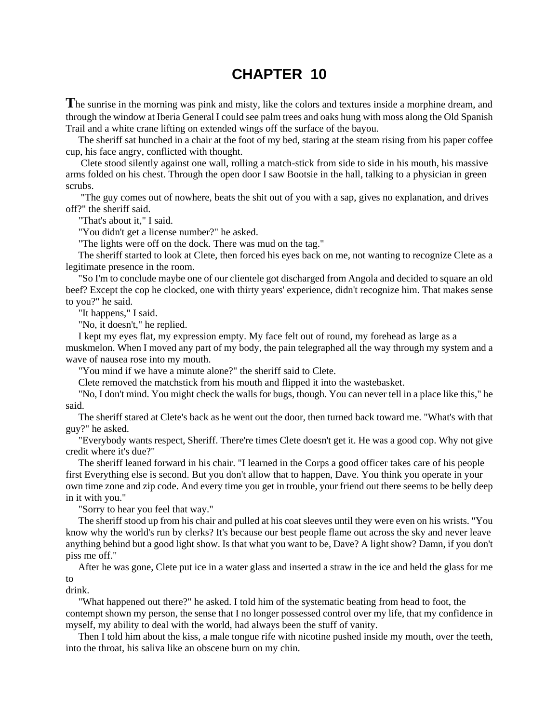# **CHAPTER 10**

The sunrise in the morning was pink and misty, like the colors and textures inside a morphine dream, and through the window at Iberia General I could see palm trees and oaks hung with moss along the Old Spanish Trail and a white crane lifting on extended wings off the surface of the bayou.

 The sheriff sat hunched in a chair at the foot of my bed, staring at the steam rising from his paper coffee cup, his face angry, conflicted with thought.

 Clete stood silently against one wall, rolling a match-stick from side to side in his mouth, his massive arms folded on his chest. Through the open door I saw Bootsie in the hall, talking to a physician in green scrubs.

 "The guy comes out of nowhere, beats the shit out of you with a sap, gives no explanation, and drives off?" the sheriff said.

"That's about it," I said.

"You didn't get a license number?" he asked.

"The lights were off on the dock. There was mud on the tag."

 The sheriff started to look at Clete, then forced his eyes back on me, not wanting to recognize Clete as a legitimate presence in the room.

 "So I'm to conclude maybe one of our clientele got discharged from Angola and decided to square an old beef? Except the cop he clocked, one with thirty years' experience, didn't recognize him. That makes sense to you?" he said.

"It happens," I said.

"No, it doesn't," he replied.

 I kept my eyes flat, my expression empty. My face felt out of round, my forehead as large as a muskmelon. When I moved any part of my body, the pain telegraphed all the way through my system and a wave of nausea rose into my mouth.

"You mind if we have a minute alone?" the sheriff said to Clete.

Clete removed the matchstick from his mouth and flipped it into the wastebasket.

 "No, I don't mind. You might check the walls for bugs, though. You can never tell in a place like this," he said.

 The sheriff stared at Clete's back as he went out the door, then turned back toward me. "What's with that guy?" he asked.

 "Everybody wants respect, Sheriff. There're times Clete doesn't get it. He was a good cop. Why not give credit where it's due?"

 The sheriff leaned forward in his chair. "I learned in the Corps a good officer takes care of his people first Everything else is second. But you don't allow that to happen, Dave. You think you operate in your own time zone and zip code. And every time you get in trouble, your friend out there seems to be belly deep in it with you."

"Sorry to hear you feel that way."

 The sheriff stood up from his chair and pulled at his coat sleeves until they were even on his wrists. "You know why the world's run by clerks? It's because our best people flame out across the sky and never leave anything behind but a good light show. Is that what you want to be, Dave? A light show? Damn, if you don't piss me off."

 After he was gone, Clete put ice in a water glass and inserted a straw in the ice and held the glass for me to

drink.

 "What happened out there?" he asked. I told him of the systematic beating from head to foot, the contempt shown my person, the sense that I no longer possessed control over my life, that my confidence in myself, my ability to deal with the world, had always been the stuff of vanity.

 Then I told him about the kiss, a male tongue rife with nicotine pushed inside my mouth, over the teeth, into the throat, his saliva like an obscene burn on my chin.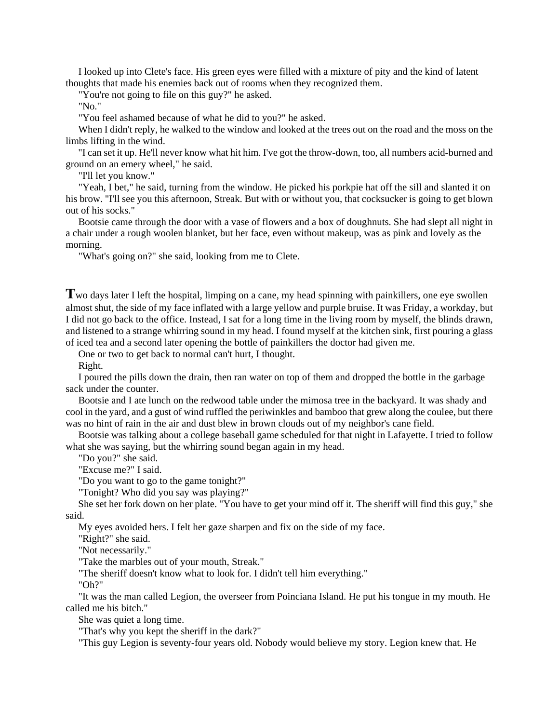I looked up into Clete's face. His green eyes were filled with a mixture of pity and the kind of latent thoughts that made his enemies back out of rooms when they recognized them.

"You're not going to file on this guy?" he asked.

"No."

"You feel ashamed because of what he did to you?" he asked.

 When I didn't reply, he walked to the window and looked at the trees out on the road and the moss on the limbs lifting in the wind.

 "I can set it up. He'll never know what hit him. I've got the throw-down, too, all numbers acid-burned and ground on an emery wheel," he said.

"I'll let you know."

 "Yeah, I bet," he said, turning from the window. He picked his porkpie hat off the sill and slanted it on his brow. "I'll see you this afternoon, Streak. But with or without you, that cocksucker is going to get blown out of his socks."

 Bootsie came through the door with a vase of flowers and a box of doughnuts. She had slept all night in a chair under a rough woolen blanket, but her face, even without makeup, was as pink and lovely as the morning.

"What's going on?" she said, looking from me to Clete.

**T**wo days later I left the hospital, limping on a cane, my head spinning with painkillers, one eye swollen almost shut, the side of my face inflated with a large yellow and purple bruise. It was Friday, a workday, but I did not go back to the office. Instead, I sat for a long time in the living room by myself, the blinds drawn, and listened to a strange whirring sound in my head. I found myself at the kitchen sink, first pouring a glass of iced tea and a second later opening the bottle of painkillers the doctor had given me.

One or two to get back to normal can't hurt, I thought.

Right.

 I poured the pills down the drain, then ran water on top of them and dropped the bottle in the garbage sack under the counter.

 Bootsie and I ate lunch on the redwood table under the mimosa tree in the backyard. It was shady and cool in the yard, and a gust of wind ruffled the periwinkles and bamboo that grew along the coulee, but there was no hint of rain in the air and dust blew in brown clouds out of my neighbor's cane field.

 Bootsie was talking about a college baseball game scheduled for that night in Lafayette. I tried to follow what she was saying, but the whirring sound began again in my head.

"Do you?" she said.

"Excuse me?" I said.

"Do you want to go to the game tonight?"

"Tonight? Who did you say was playing?"

 She set her fork down on her plate. "You have to get your mind off it. The sheriff will find this guy," she said.

My eyes avoided hers. I felt her gaze sharpen and fix on the side of my face.

"Right?" she said.

"Not necessarily."

"Take the marbles out of your mouth, Streak."

"The sheriff doesn't know what to look for. I didn't tell him everything."

"Oh?"

 "It was the man called Legion, the overseer from Poinciana Island. He put his tongue in my mouth. He called me his bitch."

She was quiet a long time.

"That's why you kept the sheriff in the dark?"

"This guy Legion is seventy-four years old. Nobody would believe my story. Legion knew that. He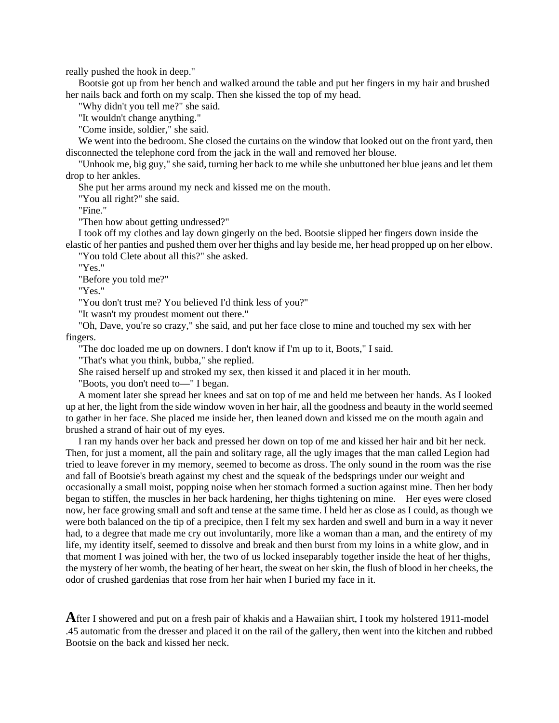really pushed the hook in deep."

 Bootsie got up from her bench and walked around the table and put her fingers in my hair and brushed her nails back and forth on my scalp. Then she kissed the top of my head.

"Why didn't you tell me?" she said.

"It wouldn't change anything."

"Come inside, soldier," she said.

 We went into the bedroom. She closed the curtains on the window that looked out on the front yard, then disconnected the telephone cord from the jack in the wall and removed her blouse.

 "Unhook me, big guy," she said, turning her back to me while she unbuttoned her blue jeans and let them drop to her ankles.

She put her arms around my neck and kissed me on the mouth.

"You all right?" she said.

"Fine."

"Then how about getting undressed?"

 I took off my clothes and lay down gingerly on the bed. Bootsie slipped her fingers down inside the elastic of her panties and pushed them over her thighs and lay beside me, her head propped up on her elbow.

"You told Clete about all this?" she asked.

"Yes."

"Before you told me?"

"Yes."

"You don't trust me? You believed I'd think less of you?"

"It wasn't my proudest moment out there."

 "Oh, Dave, you're so crazy," she said, and put her face close to mine and touched my sex with her fingers.

"The doc loaded me up on downers. I don't know if I'm up to it, Boots," I said.

"That's what you think, bubba," she replied.

She raised herself up and stroked my sex, then kissed it and placed it in her mouth.

"Boots, you don't need to—" I began.

 A moment later she spread her knees and sat on top of me and held me between her hands. As I looked up at her, the light from the side window woven in her hair, all the goodness and beauty in the world seemed to gather in her face. She placed me inside her, then leaned down and kissed me on the mouth again and brushed a strand of hair out of my eyes.

 I ran my hands over her back and pressed her down on top of me and kissed her hair and bit her neck. Then, for just a moment, all the pain and solitary rage, all the ugly images that the man called Legion had tried to leave forever in my memory, seemed to become as dross. The only sound in the room was the rise and fall of Bootsie's breath against my chest and the squeak of the bedsprings under our weight and occasionally a small moist, popping noise when her stomach formed a suction against mine. Then her body began to stiffen, the muscles in her back hardening, her thighs tightening on mine. Her eyes were closed now, her face growing small and soft and tense at the same time. I held her as close as I could, as though we were both balanced on the tip of a precipice, then I felt my sex harden and swell and burn in a way it never had, to a degree that made me cry out involuntarily, more like a woman than a man, and the entirety of my life, my identity itself, seemed to dissolve and break and then burst from my loins in a white glow, and in that moment I was joined with her, the two of us locked inseparably together inside the heat of her thighs, the mystery of her womb, the beating of her heart, the sweat on her skin, the flush of blood in her cheeks, the odor of crushed gardenias that rose from her hair when I buried my face in it.

**A**fter I showered and put on a fresh pair of khakis and a Hawaiian shirt, I took my holstered 1911-model .45 automatic from the dresser and placed it on the rail of the gallery, then went into the kitchen and rubbed Bootsie on the back and kissed her neck.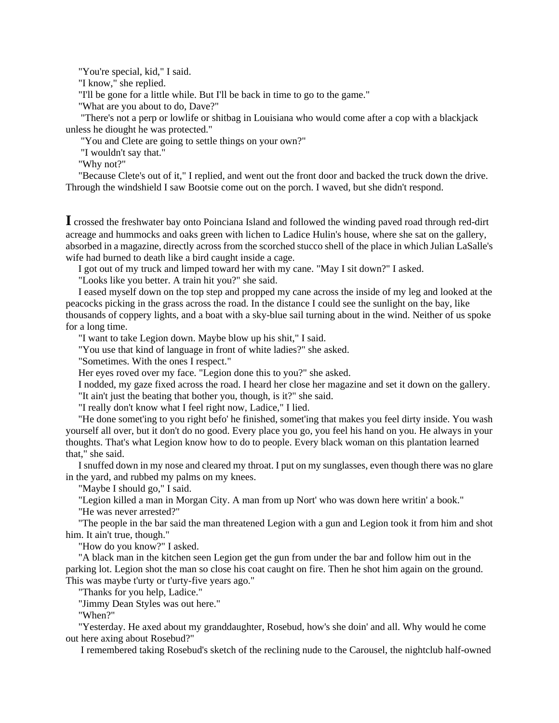"You're special, kid," I said.

"I know," she replied.

"I'll be gone for a little while. But I'll be back in time to go to the game."

"What are you about to do, Dave?"

 "There's not a perp or lowlife or shitbag in Louisiana who would come after a cop with a blackjack unless he diought he was protected."

"You and Clete are going to settle things on your own?"

"I wouldn't say that."

"Why not?"

 "Because Clete's out of it," I replied, and went out the front door and backed the truck down the drive. Through the windshield I saw Bootsie come out on the porch. I waved, but she didn't respond.

**I** crossed the freshwater bay onto Poinciana Island and followed the winding paved road through red-dirt acreage and hummocks and oaks green with lichen to Ladice Hulin's house, where she sat on the gallery, absorbed in a magazine, directly across from the scorched stucco shell of the place in which Julian LaSalle's wife had burned to death like a bird caught inside a cage.

I got out of my truck and limped toward her with my cane. "May I sit down?" I asked.

"Looks like you better. A train hit you?" she said.

 I eased myself down on the top step and propped my cane across the inside of my leg and looked at the peacocks picking in the grass across the road. In the distance I could see the sunlight on the bay, like thousands of coppery lights, and a boat with a sky-blue sail turning about in the wind. Neither of us spoke for a long time.

"I want to take Legion down. Maybe blow up his shit," I said.

"You use that kind of language in front of white ladies?" she asked.

"Sometimes. With the ones I respect."

Her eyes roved over my face. "Legion done this to you?" she asked.

I nodded, my gaze fixed across the road. I heard her close her magazine and set it down on the gallery.

"It ain't just the beating that bother you, though, is it?" she said.

"I really don't know what I feel right now, Ladice," I lied.

 "He done somet'ing to you right befo' he finished, somet'ing that makes you feel dirty inside. You wash yourself all over, but it don't do no good. Every place you go, you feel his hand on you. He always in your thoughts. That's what Legion know how to do to people. Every black woman on this plantation learned that," she said.

 I snuffed down in my nose and cleared my throat. I put on my sunglasses, even though there was no glare in the yard, and rubbed my palms on my knees.

"Maybe I should go," I said.

"Legion killed a man in Morgan City. A man from up Nort' who was down here writin' a book."

"He was never arrested?"

 "The people in the bar said the man threatened Legion with a gun and Legion took it from him and shot him. It ain't true, though."

"How do you know?" I asked.

 "A black man in the kitchen seen Legion get the gun from under the bar and follow him out in the parking lot. Legion shot the man so close his coat caught on fire. Then he shot him again on the ground. This was maybe t'urty or t'urty-five years ago."

"Thanks for you help, Ladice."

"Jimmy Dean Styles was out here."

"When?"

 "Yesterday. He axed about my granddaughter, Rosebud, how's she doin' and all. Why would he come out here axing about Rosebud?"

I remembered taking Rosebud's sketch of the reclining nude to the Carousel, the nightclub half-owned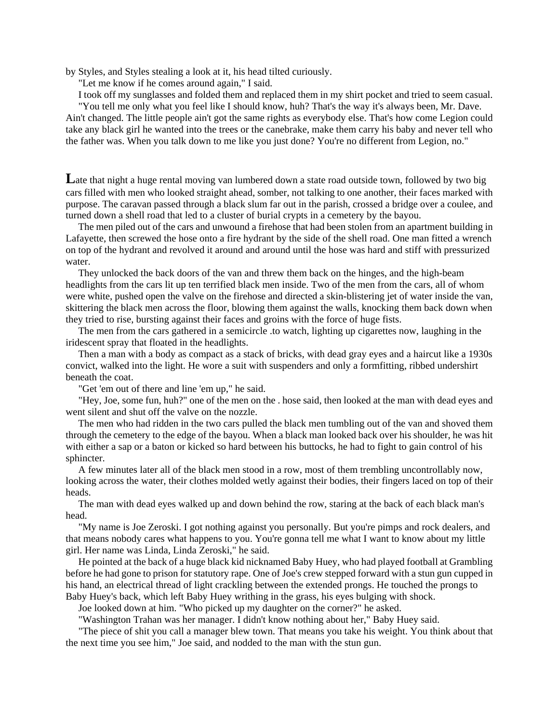by Styles, and Styles stealing a look at it, his head tilted curiously.

"Let me know if he comes around again," I said.

I took off my sunglasses and folded them and replaced them in my shirt pocket and tried to seem casual.

 "You tell me only what you feel like I should know, huh? That's the way it's always been, Mr. Dave. Ain't changed. The little people ain't got the same rights as everybody else. That's how come Legion could take any black girl he wanted into the trees or the canebrake, make them carry his baby and never tell who the father was. When you talk down to me like you just done? You're no different from Legion, no."

Late that night a huge rental moving van lumbered down a state road outside town, followed by two big cars filled with men who looked straight ahead, somber, not talking to one another, their faces marked with purpose. The caravan passed through a black slum far out in the parish, crossed a bridge over a coulee, and turned down a shell road that led to a cluster of burial crypts in a cemetery by the bayou.

 The men piled out of the cars and unwound a firehose that had been stolen from an apartment building in Lafayette, then screwed the hose onto a fire hydrant by the side of the shell road. One man fitted a wrench on top of the hydrant and revolved it around and around until the hose was hard and stiff with pressurized water.

 They unlocked the back doors of the van and threw them back on the hinges, and the high-beam headlights from the cars lit up ten terrified black men inside. Two of the men from the cars, all of whom were white, pushed open the valve on the firehose and directed a skin-blistering jet of water inside the van, skittering the black men across the floor, blowing them against the walls, knocking them back down when they tried to rise, bursting against their faces and groins with the force of huge fists.

 The men from the cars gathered in a semicircle .to watch, lighting up cigarettes now, laughing in the iridescent spray that floated in the headlights.

 Then a man with a body as compact as a stack of bricks, with dead gray eyes and a haircut like a 1930s convict, walked into the light. He wore a suit with suspenders and only a formfitting, ribbed undershirt beneath the coat.

"Get 'em out of there and line 'em up," he said.

 "Hey, Joe, some fun, huh?" one of the men on the . hose said, then looked at the man with dead eyes and went silent and shut off the valve on the nozzle.

 The men who had ridden in the two cars pulled the black men tumbling out of the van and shoved them through the cemetery to the edge of the bayou. When a black man looked back over his shoulder, he was hit with either a sap or a baton or kicked so hard between his buttocks, he had to fight to gain control of his sphincter.

 A few minutes later all of the black men stood in a row, most of them trembling uncontrollably now, looking across the water, their clothes molded wetly against their bodies, their fingers laced on top of their heads.

 The man with dead eyes walked up and down behind the row, staring at the back of each black man's head.

 "My name is Joe Zeroski. I got nothing against you personally. But you're pimps and rock dealers, and that means nobody cares what happens to you. You're gonna tell me what I want to know about my little girl. Her name was Linda, Linda Zeroski," he said.

 He pointed at the back of a huge black kid nicknamed Baby Huey, who had played football at Grambling before he had gone to prison for statutory rape. One of Joe's crew stepped forward with a stun gun cupped in his hand, an electrical thread of light crackling between the extended prongs. He touched the prongs to Baby Huey's back, which left Baby Huey writhing in the grass, his eyes bulging with shock.

Joe looked down at him. "Who picked up my daughter on the corner?" he asked.

"Washington Trahan was her manager. I didn't know nothing about her," Baby Huey said.

 "The piece of shit you call a manager blew town. That means you take his weight. You think about that the next time you see him," Joe said, and nodded to the man with the stun gun.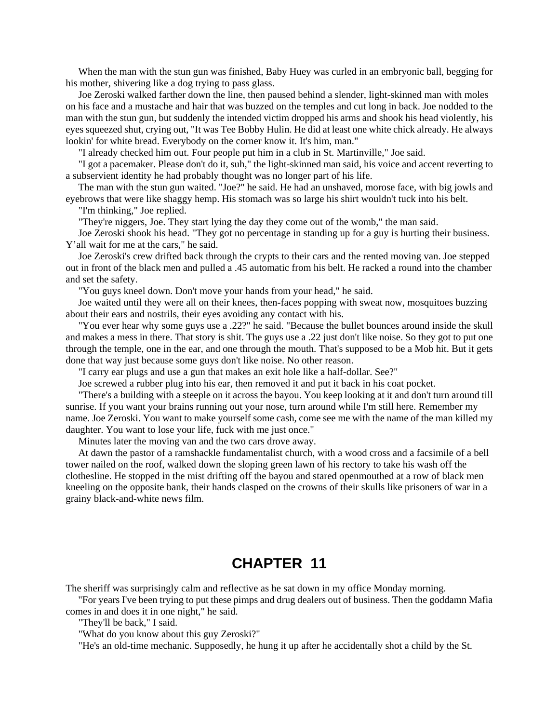When the man with the stun gun was finished, Baby Huey was curled in an embryonic ball, begging for his mother, shivering like a dog trying to pass glass.

 Joe Zeroski walked farther down the line, then paused behind a slender, light-skinned man with moles on his face and a mustache and hair that was buzzed on the temples and cut long in back. Joe nodded to the man with the stun gun, but suddenly the intended victim dropped his arms and shook his head violently, his eyes squeezed shut, crying out, "It was Tee Bobby Hulin. He did at least one white chick already. He always lookin' for white bread. Everybody on the corner know it. It's him, man."

"I already checked him out. Four people put him in a club in St. Martinville," Joe said.

 "I got a pacemaker. Please don't do it, suh," the light-skinned man said, his voice and accent reverting to a subservient identity he had probably thought was no longer part of his life.

 The man with the stun gun waited. "Joe?" he said. He had an unshaved, morose face, with big jowls and eyebrows that were like shaggy hemp. His stomach was so large his shirt wouldn't tuck into his belt.

"I'm thinking," Joe replied.

"They're niggers, Joe. They start lying the day they come out of the womb," the man said.

 Joe Zeroski shook his head. "They got no percentage in standing up for a guy is hurting their business. Y'all wait for me at the cars," he said.

 Joe Zeroski's crew drifted back through the crypts to their cars and the rented moving van. Joe stepped out in front of the black men and pulled a .45 automatic from his belt. He racked a round into the chamber and set the safety.

"You guys kneel down. Don't move your hands from your head," he said.

 Joe waited until they were all on their knees, then-faces popping with sweat now, mosquitoes buzzing about their ears and nostrils, their eyes avoiding any contact with his.

 "You ever hear why some guys use a .22?" he said. "Because the bullet bounces around inside the skull and makes a mess in there. That story is shit. The guys use a .22 just don't like noise. So they got to put one through the temple, one in the ear, and one through the mouth. That's supposed to be a Mob hit. But it gets done that way just because some guys don't like noise. No other reason.

"I carry ear plugs and use a gun that makes an exit hole like a half-dollar. See?"

Joe screwed a rubber plug into his ear, then removed it and put it back in his coat pocket.

 "There's a building with a steeple on it across the bayou. You keep looking at it and don't turn around till sunrise. If you want your brains running out your nose, turn around while I'm still here. Remember my name. Joe Zeroski. You want to make yourself some cash, come see me with the name of the man killed my daughter. You want to lose your life, fuck with me just once."

Minutes later the moving van and the two cars drove away.

 At dawn the pastor of a ramshackle fundamentalist church, with a wood cross and a facsimile of a bell tower nailed on the roof, walked down the sloping green lawn of his rectory to take his wash off the clothesline. He stopped in the mist drifting off the bayou and stared openmouthed at a row of black men kneeling on the opposite bank, their hands clasped on the crowns of their skulls like prisoners of war in a grainy black-and-white news film.

#### **CHAPTER 11**

The sheriff was surprisingly calm and reflective as he sat down in my office Monday morning.

 "For years I've been trying to put these pimps and drug dealers out of business. Then the goddamn Mafia comes in and does it in one night," he said.

"They'll be back," I said.

"What do you know about this guy Zeroski?"

"He's an old-time mechanic. Supposedly, he hung it up after he accidentally shot a child by the St.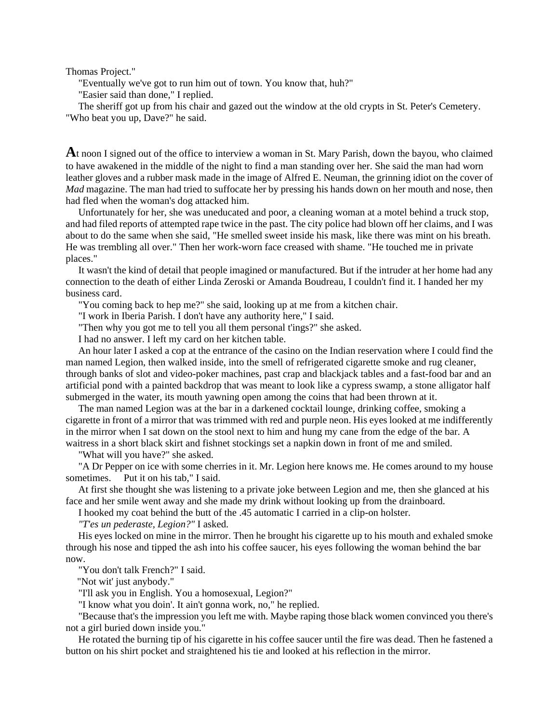Thomas Project."

"Eventually we've got to run him out of town. You know that, huh?"

"Easier said than done," I replied.

 The sheriff got up from his chair and gazed out the window at the old crypts in St. Peter's Cemetery. "Who beat you up, Dave?" he said.

**A**t noon I signed out of the office to interview a woman in St. Mary Parish, down the bayou, who claimed to have awakened in the middle of the night to find a man standing over her. She said the man had worn leather gloves and a rubber mask made in the image of Alfred E. Neuman, the grinning idiot on the cover of *Mad* magazine. The man had tried to suffocate her by pressing his hands down on her mouth and nose, then had fled when the woman's dog attacked him.

 Unfortunately for her, she was uneducated and poor, a cleaning woman at a motel behind a truck stop, and had filed reports of attempted rape twice in the past. The city police had blown off her claims, and I was about to do the same when she said, "He smelled sweet inside his mask, like there was mint on his breath. He was trembling all over." Then her work-worn face creased with shame. "He touched me in private places."

 It wasn't the kind of detail that people imagined or manufactured. But if the intruder at her home had any connection to the death of either Linda Zeroski or Amanda Boudreau, I couldn't find it. I handed her my business card.

"You coming back to hep me?" she said, looking up at me from a kitchen chair.

"I work in Iberia Parish. I don't have any authority here," I said.

"Then why you got me to tell you all them personal t'ings?" she asked.

I had no answer. I left my card on her kitchen table.

 An hour later I asked a cop at the entrance of the casino on the Indian reservation where I could find the man named Legion, then walked inside, into the smell of refrigerated cigarette smoke and rug cleaner, through banks of slot and video-poker machines, past crap and blackjack tables and a fast-food bar and an artificial pond with a painted backdrop that was meant to look like a cypress swamp, a stone alligator half submerged in the water, its mouth yawning open among the coins that had been thrown at it.

 The man named Legion was at the bar in a darkened cocktail lounge, drinking coffee, smoking a cigarette in front of a mirror that was trimmed with red and purple neon. His eyes looked at me indifferently in the mirror when I sat down on the stool next to him and hung my cane from the edge of the bar. A waitress in a short black skirt and fishnet stockings set a napkin down in front of me and smiled.

"What will you have?" she asked.

 "A Dr Pepper on ice with some cherries in it. Mr. Legion here knows me. He comes around to my house sometimes. Put it on his tab," I said.

 At first she thought she was listening to a private joke between Legion and me, then she glanced at his face and her smile went away and she made my drink without looking up from the drainboard.

I hooked my coat behind the butt of the .45 automatic I carried in a clip-on holster.

*"T'es un pederaste, Legion?"* I asked.

 His eyes locked on mine in the mirror. Then he brought his cigarette up to his mouth and exhaled smoke through his nose and tipped the ash into his coffee saucer, his eyes following the woman behind the bar now.

"You don't talk French?" I said.

"Not wit' just anybody."

"I'll ask you in English. You a homosexual, Legion?"

"I know what you doin'. It ain't gonna work, no," he replied.

 "Because that's the impression you left me with. Maybe raping those black women convinced you there's not a girl buried down inside you."

 He rotated the burning tip of his cigarette in his coffee saucer until the fire was dead. Then he fastened a button on his shirt pocket and straightened his tie and looked at his reflection in the mirror.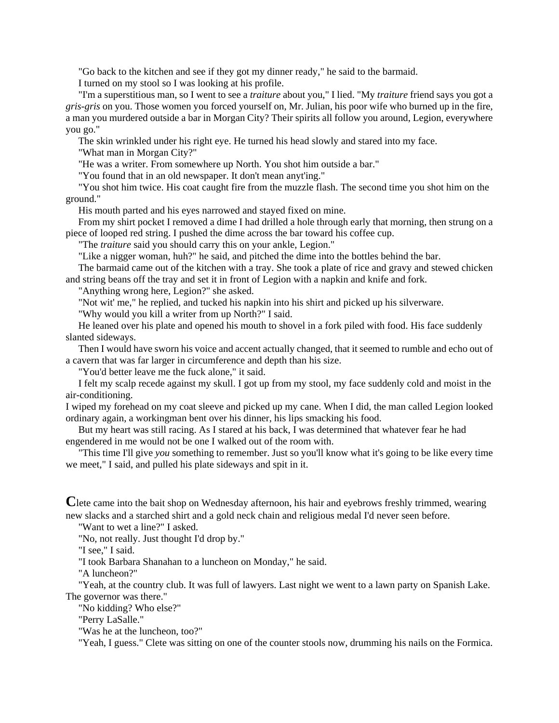"Go back to the kitchen and see if they got my dinner ready," he said to the barmaid.

I turned on my stool so I was looking at his profile.

 "I'm a superstitious man, so I went to see a *traiture* about you," I lied. "My *traiture* friend says you got a *gris-gris* on you. Those women you forced yourself on, Mr. Julian, his poor wife who burned up in the fire, a man you murdered outside a bar in Morgan City? Their spirits all follow you around, Legion, everywhere you go."

The skin wrinkled under his right eye. He turned his head slowly and stared into my face.

"What man in Morgan City?"

"He was a writer. From somewhere up North. You shot him outside a bar."

"You found that in an old newspaper. It don't mean anyt'ing."

 "You shot him twice. His coat caught fire from the muzzle flash. The second time you shot him on the ground."

His mouth parted and his eyes narrowed and stayed fixed on mine.

 From my shirt pocket I removed a dime I had drilled a hole through early that morning, then strung on a piece of looped red string. I pushed the dime across the bar toward his coffee cup.

"The *traiture* said you should carry this on your ankle, Legion."

"Like a nigger woman, huh?" he said, and pitched the dime into the bottles behind the bar.

 The barmaid came out of the kitchen with a tray. She took a plate of rice and gravy and stewed chicken and string beans off the tray and set it in front of Legion with a napkin and knife and fork.

"Anything wrong here, Legion?" she asked.

"Not wit' me," he replied, and tucked his napkin into his shirt and picked up his silverware.

"Why would you kill a writer from up North?" I said.

 He leaned over his plate and opened his mouth to shovel in a fork piled with food. His face suddenly slanted sideways.

 Then I would have sworn his voice and accent actually changed, that it seemed to rumble and echo out of a cavern that was far larger in circumference and depth than his size.

"You'd better leave me the fuck alone," it said.

 I felt my scalp recede against my skull. I got up from my stool, my face suddenly cold and moist in the air-conditioning.

I wiped my forehead on my coat sleeve and picked up my cane. When I did, the man called Legion looked ordinary again, a workingman bent over his dinner, his lips smacking his food.

 But my heart was still racing. As I stared at his back, I was determined that whatever fear he had engendered in me would not be one I walked out of the room with.

 "This time I'll give *you* something to remember. Just so you'll know what it's going to be like every time we meet," I said, and pulled his plate sideways and spit in it.

**C**lete came into the bait shop on Wednesday afternoon, his hair and eyebrows freshly trimmed, wearing new slacks and a starched shirt and a gold neck chain and religious medal I'd never seen before.

"Want to wet a line?" I asked.

"No, not really. Just thought I'd drop by."

"I see," I said.

"I took Barbara Shanahan to a luncheon on Monday," he said.

"A luncheon?"

 "Yeah, at the country club. It was full of lawyers. Last night we went to a lawn party on Spanish Lake. The governor was there."

"No kidding? Who else?"

"Perry LaSalle."

"Was he at the luncheon, too?"

"Yeah, I guess." Clete was sitting on one of the counter stools now, drumming his nails on the Formica.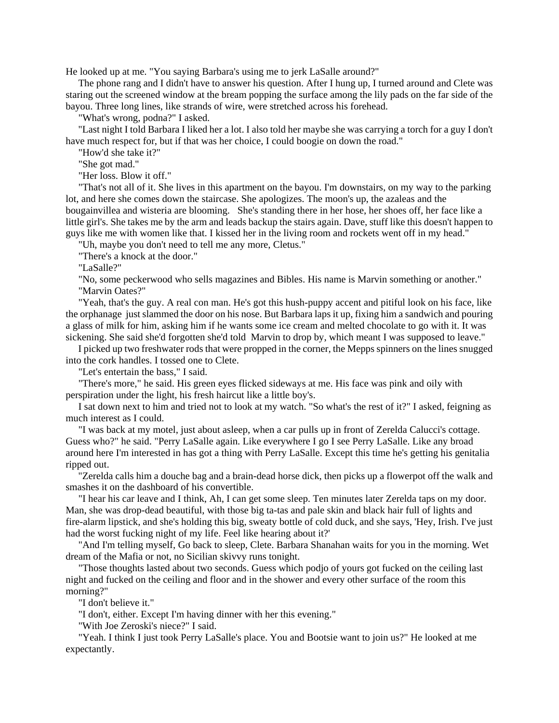He looked up at me. "You saying Barbara's using me to jerk LaSalle around?"

 The phone rang and I didn't have to answer his question. After I hung up, I turned around and Clete was staring out the screened window at the bream popping the surface among the lily pads on the far side of the bayou. Three long lines, like strands of wire, were stretched across his forehead.

"What's wrong, podna?" I asked.

 "Last night I told Barbara I liked her a lot. I also told her maybe she was carrying a torch for a guy I don't have much respect for, but if that was her choice, I could boogie on down the road."

"How'd she take it?"

"She got mad."

"Her loss. Blow it off."

 "That's not all of it. She lives in this apartment on the bayou. I'm downstairs, on my way to the parking lot, and here she comes down the staircase. She apologizes. The moon's up, the azaleas and the bougainvillea and wisteria are blooming. She's standing there in her hose, her shoes off, her face like a little girl's. She takes me by the arm and leads backup the stairs again. Dave, stuff like this doesn't happen to guys like me with women like that. I kissed her in the living room and rockets went off in my head."

"Uh, maybe you don't need to tell me any more, Cletus."

"There's a knock at the door."

"LaSalle?"

 "No, some peckerwood who sells magazines and Bibles. His name is Marvin something or another." "Marvin Oates?"

 "Yeah, that's the guy. A real con man. He's got this hush-puppy accent and pitiful look on his face, like the orphanage just slammed the door on his nose. But Barbara laps it up, fixing him a sandwich and pouring a glass of milk for him, asking him if he wants some ice cream and melted chocolate to go with it. It was sickening. She said she'd forgotten she'd told Marvin to drop by, which meant I was supposed to leave."

 I picked up two freshwater rods that were propped in the corner, the Mepps spinners on the lines snugged into the cork handles. I tossed one to Clete.

"Let's entertain the bass," I said.

 "There's more," he said. His green eyes flicked sideways at me. His face was pink and oily with perspiration under the light, his fresh haircut like a little boy's.

 I sat down next to him and tried not to look at my watch. "So what's the rest of it?" I asked, feigning as much interest as I could.

 "I was back at my motel, just about asleep, when a car pulls up in front of Zerelda Calucci's cottage. Guess who?" he said. "Perry LaSalle again. Like everywhere I go I see Perry LaSalle. Like any broad around here I'm interested in has got a thing with Perry LaSalle. Except this time he's getting his genitalia ripped out.

 "Zerelda calls him a douche bag and a brain-dead horse dick, then picks up a flowerpot off the walk and smashes it on the dashboard of his convertible.

 "I hear his car leave and I think, Ah, I can get some sleep. Ten minutes later Zerelda taps on my door. Man, she was drop-dead beautiful, with those big ta-tas and pale skin and black hair full of lights and fire-alarm lipstick, and she's holding this big, sweaty bottle of cold duck, and she says, 'Hey, Irish. I've just had the worst fucking night of my life. Feel like hearing about it?'

 "And I'm telling myself, Go back to sleep, Clete. Barbara Shanahan waits for you in the morning. Wet dream of the Mafia or not, no Sicilian skivvy runs tonight.

 "Those thoughts lasted about two seconds. Guess which podjo of yours got fucked on the ceiling last night and fucked on the ceiling and floor and in the shower and every other surface of the room this morning?"

"I don't believe it."

"I don't, either. Except I'm having dinner with her this evening."

"With Joe Zeroski's niece?" I said.

 "Yeah. I think I just took Perry LaSalle's place. You and Bootsie want to join us?" He looked at me expectantly.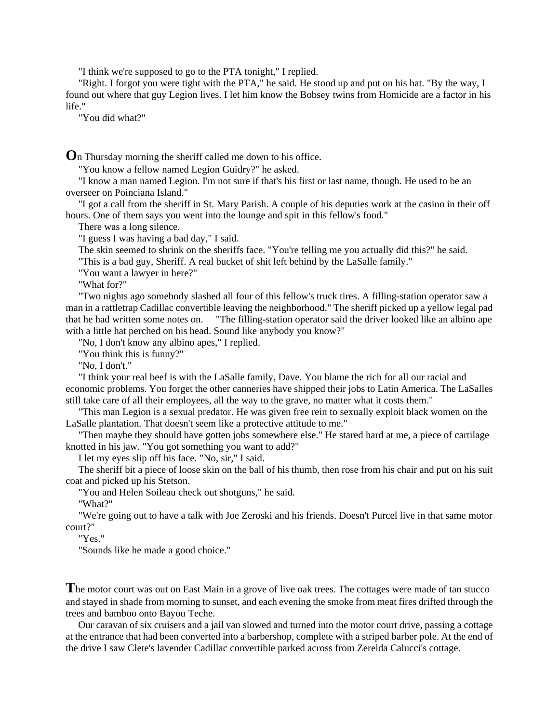"I think we're supposed to go to the PTA tonight," I replied.

 "Right. I forgot you were tight with the PTA," he said. He stood up and put on his hat. "By the way, I found out where that guy Legion lives. I let him know the Bobsey twins from Homicide are a factor in his life."

"You did what?"

**O**n Thursday morning the sheriff called me down to his office.

"You know a fellow named Legion Guidry?" he asked.

 "I know a man named Legion. I'm not sure if that's his first or last name, though. He used to be an overseer on Poinciana Island."

 "I got a call from the sheriff in St. Mary Parish. A couple of his deputies work at the casino in their off hours. One of them says you went into the lounge and spit in this fellow's food."

There was a long silence.

"I guess I was having a bad day," I said.

The skin seemed to shrink on the sheriffs face. "You're telling me you actually did this?" he said.

"This is a bad guy, Sheriff. A real bucket of shit left behind by the LaSalle family."

"You want a lawyer in here?"

"What for?"

 "Two nights ago somebody slashed all four of this fellow's truck tires. A filling-station operator saw a man in a rattletrap Cadillac convertible leaving the neighborhood." The sheriff picked up a yellow legal pad that he had written some notes on. "The filling-station operator said the driver looked like an albino ape with a little hat perched on his head. Sound like anybody you know?"

"No, I don't know any albino apes," I replied.

"You think this is funny?"

"No, I don't."

 "I think your real beef is with the LaSalle family, Dave. You blame the rich for all our racial and economic problems. You forget the other canneries have shipped their jobs to Latin America. The LaSalles still take care of all their employees, all the way to the grave, no matter what it costs them."

 "This man Legion is a sexual predator. He was given free rein to sexually exploit black women on the LaSalle plantation. That doesn't seem like a protective attitude to me."

 "Then maybe they should have gotten jobs somewhere else." He stared hard at me, a piece of cartilage knotted in his jaw. "You got something you want to add?"

I let my eyes slip off his face. "No, sir," I said.

 The sheriff bit a piece of loose skin on the ball of his thumb, then rose from his chair and put on his suit coat and picked up his Stetson.

"You and Helen Soileau check out shotguns," he said.

"What?"

 "We're going out to have a talk with Joe Zeroski and his friends. Doesn't Purcel live in that same motor court?"

"Yes."

"Sounds like he made a good choice."

The motor court was out on East Main in a grove of live oak trees. The cottages were made of tan stucco and stayed in shade from morning to sunset, and each evening the smoke from meat fires drifted through the trees and bamboo onto Bayou Teche.

 Our caravan of six cruisers and a jail van slowed and turned into the motor court drive, passing a cottage at the entrance that had been converted into a barbershop, complete with a striped barber pole. At the end of the drive I saw Clete's lavender Cadillac convertible parked across from Zerelda Calucci's cottage.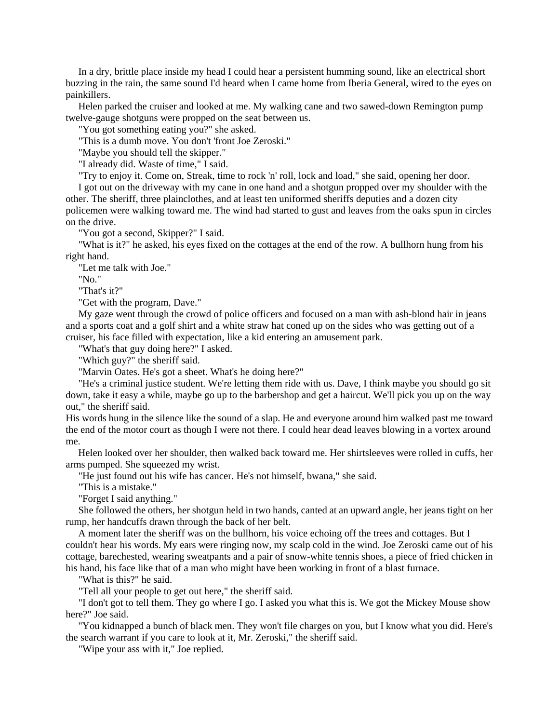In a dry, brittle place inside my head I could hear a persistent humming sound, like an electrical short buzzing in the rain, the same sound I'd heard when I came home from Iberia General, wired to the eyes on painkillers.

 Helen parked the cruiser and looked at me. My walking cane and two sawed-down Remington pump twelve-gauge shotguns were propped on the seat between us.

"You got something eating you?" she asked.

"This is a dumb move. You don't 'front Joe Zeroski."

"Maybe you should tell the skipper."

"I already did. Waste of time," I said.

"Try to enjoy it. Come on, Streak, time to rock 'n' roll, lock and load," she said, opening her door.

 I got out on the driveway with my cane in one hand and a shotgun propped over my shoulder with the other. The sheriff, three plainclothes, and at least ten uniformed sheriffs deputies and a dozen city policemen were walking toward me. The wind had started to gust and leaves from the oaks spun in circles on the drive.

"You got a second, Skipper?" I said.

 "What is it?" he asked, his eyes fixed on the cottages at the end of the row. A bullhorn hung from his right hand.

"Let me talk with Joe."

"No."

"That's it?"

"Get with the program, Dave."

 My gaze went through the crowd of police officers and focused on a man with ash-blond hair in jeans and a sports coat and a golf shirt and a white straw hat coned up on the sides who was getting out of a cruiser, his face filled with expectation, like a kid entering an amusement park.

"What's that guy doing here?" I asked.

"Which guy?" the sheriff said.

"Marvin Oates. He's got a sheet. What's he doing here?"

 "He's a criminal justice student. We're letting them ride with us. Dave, I think maybe you should go sit down, take it easy a while, maybe go up to the barbershop and get a haircut. We'll pick you up on the way out," the sheriff said.

His words hung in the silence like the sound of a slap. He and everyone around him walked past me toward the end of the motor court as though I were not there. I could hear dead leaves blowing in a vortex around me.

 Helen looked over her shoulder, then walked back toward me. Her shirtsleeves were rolled in cuffs, her arms pumped. She squeezed my wrist.

"He just found out his wife has cancer. He's not himself, bwana," she said.

"This is a mistake."

"Forget I said anything."

 She followed the others, her shotgun held in two hands, canted at an upward angle, her jeans tight on her rump, her handcuffs drawn through the back of her belt.

 A moment later the sheriff was on the bullhorn, his voice echoing off the trees and cottages. But I couldn't hear his words. My ears were ringing now, my scalp cold in the wind. Joe Zeroski came out of his cottage, barechested, wearing sweatpants and a pair of snow-white tennis shoes, a piece of fried chicken in his hand, his face like that of a man who might have been working in front of a blast furnace.

"What is this?" he said.

"Tell all your people to get out here," the sheriff said.

 "I don't got to tell them. They go where I go. I asked you what this is. We got the Mickey Mouse show here?" Joe said.

 "You kidnapped a bunch of black men. They won't file charges on you, but I know what you did. Here's the search warrant if you care to look at it, Mr. Zeroski," the sheriff said.

"Wipe your ass with it," Joe replied.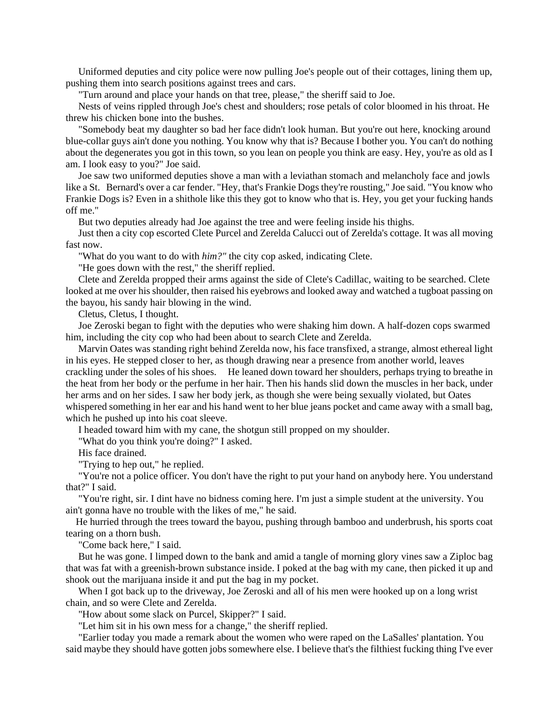Uniformed deputies and city police were now pulling Joe's people out of their cottages, lining them up, pushing them into search positions against trees and cars.

"Turn around and place your hands on that tree, please," the sheriff said to Joe.

 Nests of veins rippled through Joe's chest and shoulders; rose petals of color bloomed in his throat. He threw his chicken bone into the bushes.

 "Somebody beat my daughter so bad her face didn't look human. But you're out here, knocking around blue-collar guys ain't done you nothing. You know why that is? Because I bother you. You can't do nothing about the degenerates you got in this town, so you lean on people you think are easy. Hey, you're as old as I am. I look easy to you?" Joe said.

 Joe saw two uniformed deputies shove a man with a leviathan stomach and melancholy face and jowls like a St. Bernard's over a car fender. "Hey, that's Frankie Dogs they're rousting," Joe said. "You know who Frankie Dogs is? Even in a shithole like this they got to know who that is. Hey, you get your fucking hands off me."

But two deputies already had Joe against the tree and were feeling inside his thighs.

 Just then a city cop escorted Clete Purcel and Zerelda Calucci out of Zerelda's cottage. It was all moving fast now.

"What do you want to do with *him?"* the city cop asked, indicating Clete.

"He goes down with the rest," the sheriff replied.

 Clete and Zerelda propped their arms against the side of Clete's Cadillac, waiting to be searched. Clete looked at me over his shoulder, then raised his eyebrows and looked away and watched a tugboat passing on the bayou, his sandy hair blowing in the wind.

Cletus, Cletus, I thought.

 Joe Zeroski began to fight with the deputies who were shaking him down. A half-dozen cops swarmed him, including the city cop who had been about to search Clete and Zerelda.

 Marvin Oates was standing right behind Zerelda now, his face transfixed, a strange, almost ethereal light in his eyes. He stepped closer to her, as though drawing near a presence from another world, leaves crackling under the soles of his shoes. He leaned down toward her shoulders, perhaps trying to breathe in the heat from her body or the perfume in her hair. Then his hands slid down the muscles in her back, under her arms and on her sides. I saw her body jerk, as though she were being sexually violated, but Oates whispered something in her ear and his hand went to her blue jeans pocket and came away with a small bag, which he pushed up into his coat sleeve.

I headed toward him with my cane, the shotgun still propped on my shoulder.

"What do you think you're doing?" I asked.

His face drained.

"Trying to hep out," he replied.

 "You're not a police officer. You don't have the right to put your hand on anybody here. You understand that?" I said.

 "You're right, sir. I dint have no bidness coming here. I'm just a simple student at the university. You ain't gonna have no trouble with the likes of me," he said.

 He hurried through the trees toward the bayou, pushing through bamboo and underbrush, his sports coat tearing on a thorn bush.

"Come back here," I said.

 But he was gone. I limped down to the bank and amid a tangle of morning glory vines saw a Ziploc bag that was fat with a greenish-brown substance inside. I poked at the bag with my cane, then picked it up and shook out the marijuana inside it and put the bag in my pocket.

 When I got back up to the driveway, Joe Zeroski and all of his men were hooked up on a long wrist chain, and so were Clete and Zerelda.

"How about some slack on Purcel, Skipper?" I said.

"Let him sit in his own mess for a change," the sheriff replied.

 "Earlier today you made a remark about the women who were raped on the LaSalles' plantation. You said maybe they should have gotten jobs somewhere else. I believe that's the filthiest fucking thing I've ever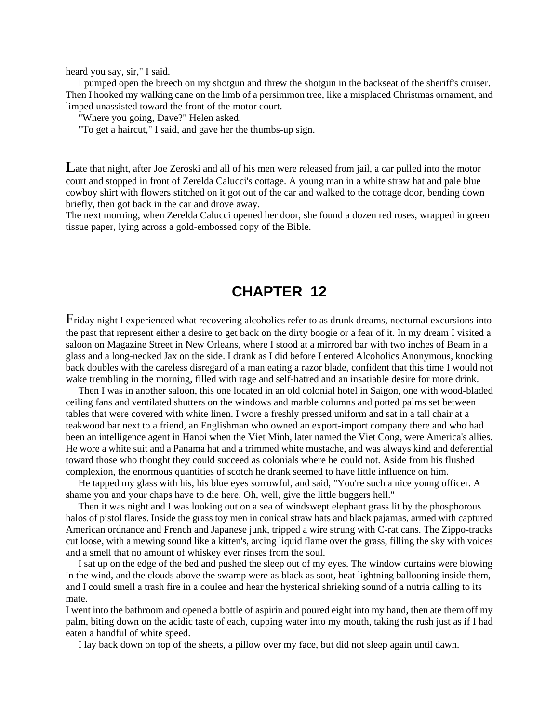heard you say, sir," I said.

 I pumped open the breech on my shotgun and threw the shotgun in the backseat of the sheriff's cruiser. Then I hooked my walking cane on the limb of a persimmon tree, like a misplaced Christmas ornament, and limped unassisted toward the front of the motor court.

"Where you going, Dave?" Helen asked.

"To get a haircut," I said, and gave her the thumbs-up sign.

Late that night, after Joe Zeroski and all of his men were released from jail, a car pulled into the motor court and stopped in front of Zerelda Calucci's cottage. A young man in a white straw hat and pale blue cowboy shirt with flowers stitched on it got out of the car and walked to the cottage door, bending down briefly, then got back in the car and drove away.

The next morning, when Zerelda Calucci opened her door, she found a dozen red roses, wrapped in green tissue paper, lying across a gold-embossed copy of the Bible.

### **CHAPTER 12**

Friday night I experienced what recovering alcoholics refer to as drunk dreams, nocturnal excursions into the past that represent either a desire to get back on the dirty boogie or a fear of it. In my dream I visited a saloon on Magazine Street in New Orleans, where I stood at a mirrored bar with two inches of Beam in a glass and a long-necked Jax on the side. I drank as I did before I entered Alcoholics Anonymous, knocking back doubles with the careless disregard of a man eating a razor blade, confident that this time I would not wake trembling in the morning, filled with rage and self-hatred and an insatiable desire for more drink.

 Then I was in another saloon, this one located in an old colonial hotel in Saigon, one with wood-bladed ceiling fans and ventilated shutters on the windows and marble columns and potted palms set between tables that were covered with white linen. I wore a freshly pressed uniform and sat in a tall chair at a teakwood bar next to a friend, an Englishman who owned an export-import company there and who had been an intelligence agent in Hanoi when the Viet Minh, later named the Viet Cong, were America's allies. He wore a white suit and a Panama hat and a trimmed white mustache, and was always kind and deferential toward those who thought they could succeed as colonials where he could not. Aside from his flushed complexion, the enormous quantities of scotch he drank seemed to have little influence on him.

 He tapped my glass with his, his blue eyes sorrowful, and said, "You're such a nice young officer. A shame you and your chaps have to die here. Oh, well, give the little buggers hell."

 Then it was night and I was looking out on a sea of windswept elephant grass lit by the phosphorous halos of pistol flares. Inside the grass toy men in conical straw hats and black pajamas, armed with captured American ordnance and French and Japanese junk, tripped a wire strung with C-rat cans. The Zippo-tracks cut loose, with a mewing sound like a kitten's, arcing liquid flame over the grass, filling the sky with voices and a smell that no amount of whiskey ever rinses from the soul.

 I sat up on the edge of the bed and pushed the sleep out of my eyes. The window curtains were blowing in the wind, and the clouds above the swamp were as black as soot, heat lightning ballooning inside them, and I could smell a trash fire in a coulee and hear the hysterical shrieking sound of a nutria calling to its mate.

I went into the bathroom and opened a bottle of aspirin and poured eight into my hand, then ate them off my palm, biting down on the acidic taste of each, cupping water into my mouth, taking the rush just as if I had eaten a handful of white speed.

I lay back down on top of the sheets, a pillow over my face, but did not sleep again until dawn.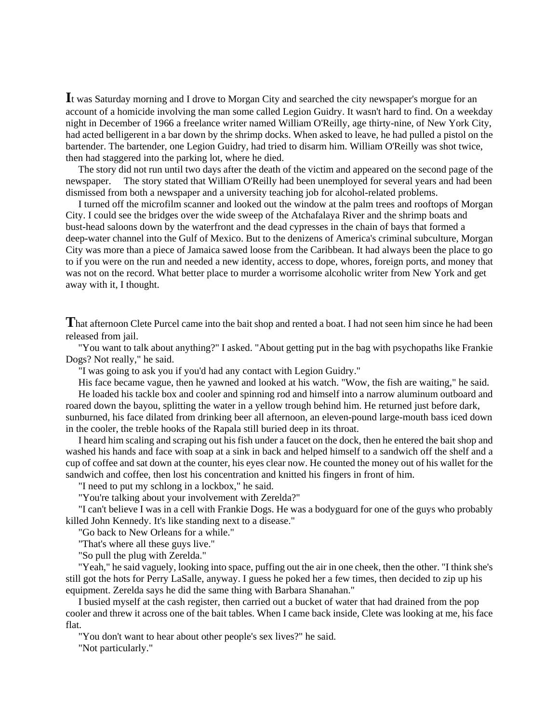**I**t was Saturday morning and I drove to Morgan City and searched the city newspaper's morgue for an account of a homicide involving the man some called Legion Guidry. It wasn't hard to find. On a weekday night in December of 1966 a freelance writer named William O'Reilly, age thirty-nine, of New York City, had acted belligerent in a bar down by the shrimp docks. When asked to leave, he had pulled a pistol on the bartender. The bartender, one Legion Guidry, had tried to disarm him. William O'Reilly was shot twice, then had staggered into the parking lot, where he died.

 The story did not run until two days after the death of the victim and appeared on the second page of the newspaper. The story stated that William O'Reilly had been unemployed for several years and had been dismissed from both a newspaper and a university teaching job for alcohol-related problems.

 I turned off the microfilm scanner and looked out the window at the palm trees and rooftops of Morgan City. I could see the bridges over the wide sweep of the Atchafalaya River and the shrimp boats and bust-head saloons down by the waterfront and the dead cypresses in the chain of bays that formed a deep-water channel into the Gulf of Mexico. But to the denizens of America's criminal subculture, Morgan City was more than a piece of Jamaica sawed loose from the Caribbean. It had always been the place to go to if you were on the run and needed a new identity, access to dope, whores, foreign ports, and money that was not on the record. What better place to murder a worrisome alcoholic writer from New York and get away with it, I thought.

**T**hat afternoon Clete Purcel came into the bait shop and rented a boat. I had not seen him since he had been released from jail.

 "You want to talk about anything?" I asked. "About getting put in the bag with psychopaths like Frankie Dogs? Not really," he said.

"I was going to ask you if you'd had any contact with Legion Guidry."

His face became vague, then he yawned and looked at his watch. "Wow, the fish are waiting," he said.

 He loaded his tackle box and cooler and spinning rod and himself into a narrow aluminum outboard and roared down the bayou, splitting the water in a yellow trough behind him. He returned just before dark, sunburned, his face dilated from drinking beer all afternoon, an eleven-pound large-mouth bass iced down in the cooler, the treble hooks of the Rapala still buried deep in its throat.

 I heard him scaling and scraping out his fish under a faucet on the dock, then he entered the bait shop and washed his hands and face with soap at a sink in back and helped himself to a sandwich off the shelf and a cup of coffee and sat down at the counter, his eyes clear now. He counted the money out of his wallet for the sandwich and coffee, then lost his concentration and knitted his fingers in front of him.

"I need to put my schlong in a lockbox," he said.

"You're talking about your involvement with Zerelda?"

 "I can't believe I was in a cell with Frankie Dogs. He was a bodyguard for one of the guys who probably killed John Kennedy. It's like standing next to a disease."

"Go back to New Orleans for a while."

"That's where all these guys live."

"So pull the plug with Zerelda."

 "Yeah," he said vaguely, looking into space, puffing out the air in one cheek, then the other. "I think she's still got the hots for Perry LaSalle, anyway. I guess he poked her a few times, then decided to zip up his equipment. Zerelda says he did the same thing with Barbara Shanahan."

 I busied myself at the cash register, then carried out a bucket of water that had drained from the pop cooler and threw it across one of the bait tables. When I came back inside, Clete was looking at me, his face flat.

"You don't want to hear about other people's sex lives?" he said.

"Not particularly."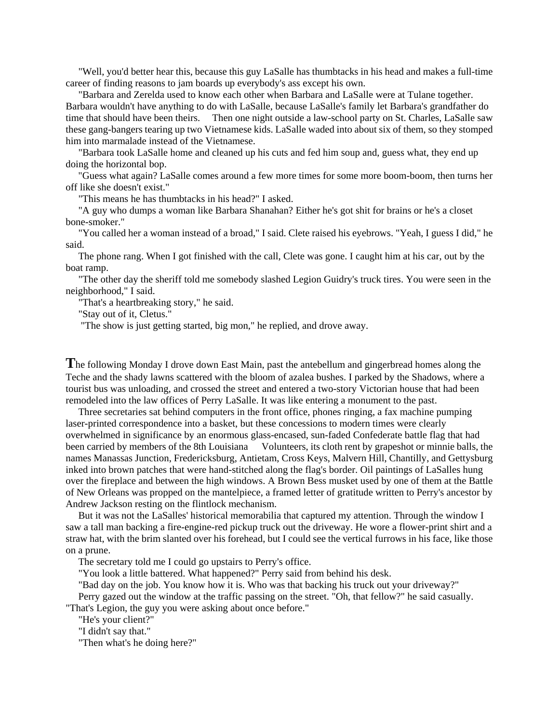"Well, you'd better hear this, because this guy LaSalle has thumbtacks in his head and makes a full-time career of finding reasons to jam boards up everybody's ass except his own.

 "Barbara and Zerelda used to know each other when Barbara and LaSalle were at Tulane together. Barbara wouldn't have anything to do with LaSalle, because LaSalle's family let Barbara's grandfather do time that should have been theirs. Then one night outside a law-school party on St. Charles, LaSalle saw these gang-bangers tearing up two Vietnamese kids. LaSalle waded into about six of them, so they stomped him into marmalade instead of the Vietnamese.

 "Barbara took LaSalle home and cleaned up his cuts and fed him soup and, guess what, they end up doing the horizontal bop.

 "Guess what again? LaSalle comes around a few more times for some more boom-boom, then turns her off like she doesn't exist."

"This means he has thumbtacks in his head?" I asked.

 "A guy who dumps a woman like Barbara Shanahan? Either he's got shit for brains or he's a closet bone-smoker."

 "You called her a woman instead of a broad," I said. Clete raised his eyebrows. "Yeah, I guess I did," he said.

 The phone rang. When I got finished with the call, Clete was gone. I caught him at his car, out by the boat ramp.

 "The other day the sheriff told me somebody slashed Legion Guidry's truck tires. You were seen in the neighborhood," I said.

"That's a heartbreaking story," he said.

"Stay out of it, Cletus."

"The show is just getting started, big mon," he replied, and drove away.

The following Monday I drove down East Main, past the antebellum and gingerbread homes along the Teche and the shady lawns scattered with the bloom of azalea bushes. I parked by the Shadows, where a tourist bus was unloading, and crossed the street and entered a two-story Victorian house that had been remodeled into the law offices of Perry LaSalle. It was like entering a monument to the past.

 Three secretaries sat behind computers in the front office, phones ringing, a fax machine pumping laser-printed correspondence into a basket, but these concessions to modern times were clearly overwhelmed in significance by an enormous glass-encased, sun-faded Confederate battle flag that had been carried by members of the 8th Louisiana Volunteers, its cloth rent by grapeshot or minnie balls, the names Manassas Junction, Fredericksburg, Antietam, Cross Keys, Malvern Hill, Chantilly, and Gettysburg inked into brown patches that were hand-stitched along the flag's border. Oil paintings of LaSalles hung over the fireplace and between the high windows. A Brown Bess musket used by one of them at the Battle of New Orleans was propped on the mantelpiece, a framed letter of gratitude written to Perry's ancestor by Andrew Jackson resting on the flintlock mechanism.

 But it was not the LaSalles' historical memorabilia that captured my attention. Through the window I saw a tall man backing a fire-engine-red pickup truck out the driveway. He wore a flower-print shirt and a straw hat, with the brim slanted over his forehead, but I could see the vertical furrows in his face, like those on a prune.

The secretary told me I could go upstairs to Perry's office.

"You look a little battered. What happened?" Perry said from behind his desk.

"Bad day on the job. You know how it is. Who was that backing his truck out your driveway?"

Perry gazed out the window at the traffic passing on the street. "Oh, that fellow?" he said casually.

"That's Legion, the guy you were asking about once before."

"He's your client?"

"I didn't say that."

"Then what's he doing here?"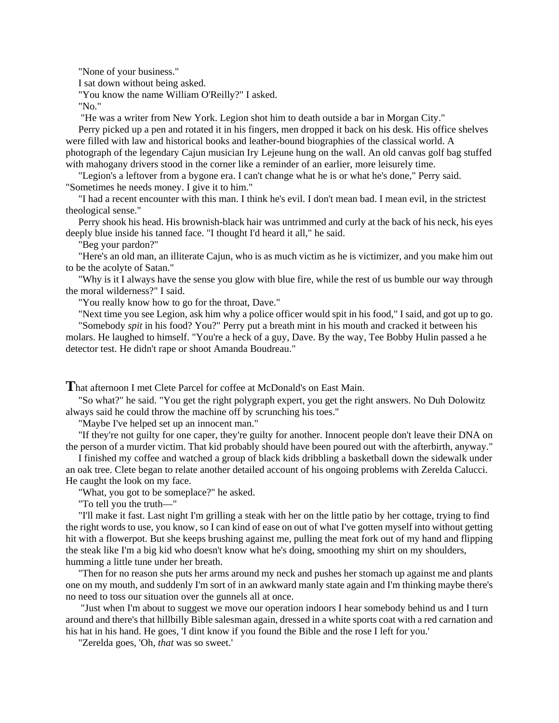"None of your business."

I sat down without being asked.

"You know the name William O'Reilly?" I asked.

"No."

"He was a writer from New York. Legion shot him to death outside a bar in Morgan City."

 Perry picked up a pen and rotated it in his fingers, men dropped it back on his desk. His office shelves were filled with law and historical books and leather-bound biographies of the classical world. A

photograph of the legendary Cajun musician Iry Lejeune hung on the wall. An old canvas golf bag stuffed with mahogany drivers stood in the corner like a reminder of an earlier, more leisurely time.

 "Legion's a leftover from a bygone era. I can't change what he is or what he's done," Perry said. "Sometimes he needs money. I give it to him."

 "I had a recent encounter with this man. I think he's evil. I don't mean bad. I mean evil, in the strictest theological sense."

 Perry shook his head. His brownish-black hair was untrimmed and curly at the back of his neck, his eyes deeply blue inside his tanned face. "I thought I'd heard it all," he said.

"Beg your pardon?"

 "Here's an old man, an illiterate Cajun, who is as much victim as he is victimizer, and you make him out to be the acolyte of Satan."

 "Why is it I always have the sense you glow with blue fire, while the rest of us bumble our way through the moral wilderness?" I said.

"You really know how to go for the throat, Dave."

 "Next time you see Legion, ask him why a police officer would spit in his food," I said, and got up to go. "Somebody *spit* in his food? You?" Perry put a breath mint in his mouth and cracked it between his

molars. He laughed to himself. "You're a heck of a guy, Dave. By the way, Tee Bobby Hulin passed a he detector test. He didn't rape or shoot Amanda Boudreau."

**T**hat afternoon I met Clete Parcel for coffee at McDonald's on East Main.

 "So what?" he said. "You get the right polygraph expert, you get the right answers. No Duh Dolowitz always said he could throw the machine off by scrunching his toes."

"Maybe I've helped set up an innocent man."

 "If they're not guilty for one caper, they're guilty for another. Innocent people don't leave their DNA on the person of a murder victim. That kid probably should have been poured out with the afterbirth, anyway."

 I finished my coffee and watched a group of black kids dribbling a basketball down the sidewalk under an oak tree. Clete began to relate another detailed account of his ongoing problems with Zerelda Calucci. He caught the look on my face.

"What, you got to be someplace?" he asked.

"To tell you the truth—"

 "I'll make it fast. Last night I'm grilling a steak with her on the little patio by her cottage, trying to find the right words to use, you know, so I can kind of ease on out of what I've gotten myself into without getting hit with a flowerpot. But she keeps brushing against me, pulling the meat fork out of my hand and flipping the steak like I'm a big kid who doesn't know what he's doing, smoothing my shirt on my shoulders, humming a little tune under her breath.

 "Then for no reason she puts her arms around my neck and pushes her stomach up against me and plants one on my mouth, and suddenly I'm sort of in an awkward manly state again and I'm thinking maybe there's no need to toss our situation over the gunnels all at once.

 "Just when I'm about to suggest we move our operation indoors I hear somebody behind us and I turn around and there's that hillbilly Bible salesman again, dressed in a white sports coat with a red carnation and his hat in his hand. He goes, 'I dint know if you found the Bible and the rose I left for you.'

"Zerelda goes, 'Oh, *that* was so sweet.'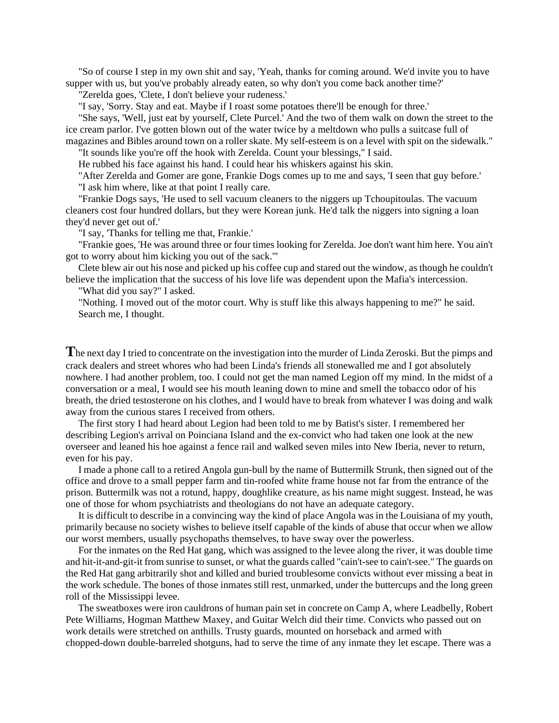"So of course I step in my own shit and say, 'Yeah, thanks for coming around. We'd invite you to have supper with us, but you've probably already eaten, so why don't you come back another time?'

"Zerelda goes, 'Clete, I don't believe your rudeness.'

"I say, 'Sorry. Stay and eat. Maybe if I roast some potatoes there'll be enough for three.'

 "She says, 'Well, just eat by yourself, Clete Purcel.' And the two of them walk on down the street to the ice cream parlor. I've gotten blown out of the water twice by a meltdown who pulls a suitcase full of magazines and Bibles around town on a roller skate. My self-esteem is on a level with spit on the sidewalk."

"It sounds like you're off the hook with Zerelda. Count your blessings," I said.

He rubbed his face against his hand. I could hear his whiskers against his skin.

 "After Zerelda and Gomer are gone, Frankie Dogs comes up to me and says, 'I seen that guy before.' "I ask him where, like at that point I really care.

 "Frankie Dogs says, 'He used to sell vacuum cleaners to the niggers up Tchoupitoulas. The vacuum cleaners cost four hundred dollars, but they were Korean junk. He'd talk the niggers into signing a loan they'd never get out of.'

"I say, 'Thanks for telling me that, Frankie.'

 "Frankie goes, 'He was around three or four times looking for Zerelda. Joe don't want him here. You ain't got to worry about him kicking you out of the sack.'"

 Clete blew air out his nose and picked up his coffee cup and stared out the window, as though he couldn't believe the implication that the success of his love life was dependent upon the Mafia's intercession.

"What did you say?" I asked.

 "Nothing. I moved out of the motor court. Why is stuff like this always happening to me?" he said. Search me, I thought.

**T**he next day I tried to concentrate on the investigation into the murder of Linda Zeroski. But the pimps and crack dealers and street whores who had been Linda's friends all stonewalled me and I got absolutely nowhere. I had another problem, too. I could not get the man named Legion off my mind. In the midst of a conversation or a meal, I would see his mouth leaning down to mine and smell the tobacco odor of his breath, the dried testosterone on his clothes, and I would have to break from whatever I was doing and walk away from the curious stares I received from others.

 The first story I had heard about Legion had been told to me by Batist's sister. I remembered her describing Legion's arrival on Poinciana Island and the ex-convict who had taken one look at the new overseer and leaned his hoe against a fence rail and walked seven miles into New Iberia, never to return, even for his pay.

 I made a phone call to a retired Angola gun-bull by the name of Buttermilk Strunk, then signed out of the office and drove to a small pepper farm and tin-roofed white frame house not far from the entrance of the prison. Buttermilk was not a rotund, happy, doughlike creature, as his name might suggest. Instead, he was one of those for whom psychiatrists and theologians do not have an adequate category.

 It is difficult to describe in a convincing way the kind of place Angola was in the Louisiana of my youth, primarily because no society wishes to believe itself capable of the kinds of abuse that occur when we allow our worst members, usually psychopaths themselves, to have sway over the powerless.

 For the inmates on the Red Hat gang, which was assigned to the levee along the river, it was double time and hit-it-and-git-it from sunrise to sunset, or what the guards called "cain't-see to cain't-see." The guards on the Red Hat gang arbitrarily shot and killed and buried troublesome convicts without ever missing a beat in the work schedule. The bones of those inmates still rest, unmarked, under the buttercups and the long green roll of the Mississippi levee.

 The sweatboxes were iron cauldrons of human pain set in concrete on Camp A, where Leadbelly, Robert Pete Williams, Hogman Matthew Maxey, and Guitar Welch did their time. Convicts who passed out on work details were stretched on anthills. Trusty guards, mounted on horseback and armed with chopped-down double-barreled shotguns, had to serve the time of any inmate they let escape. There was a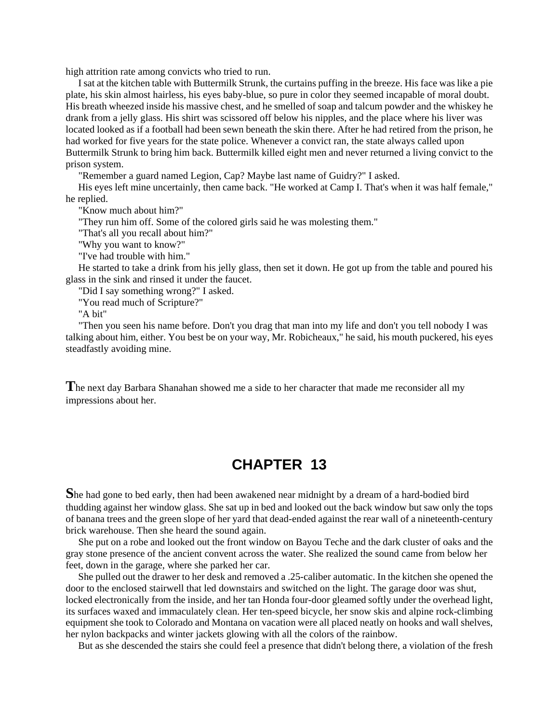high attrition rate among convicts who tried to run.

 I sat at the kitchen table with Buttermilk Strunk, the curtains puffing in the breeze. His face was like a pie plate, his skin almost hairless, his eyes baby-blue, so pure in color they seemed incapable of moral doubt. His breath wheezed inside his massive chest, and he smelled of soap and talcum powder and the whiskey he drank from a jelly glass. His shirt was scissored off below his nipples, and the place where his liver was located looked as if a football had been sewn beneath the skin there. After he had retired from the prison, he had worked for five years for the state police. Whenever a convict ran, the state always called upon Buttermilk Strunk to bring him back. Buttermilk killed eight men and never returned a living convict to the prison system.

"Remember a guard named Legion, Cap? Maybe last name of Guidry?" I asked.

 His eyes left mine uncertainly, then came back. "He worked at Camp I. That's when it was half female," he replied.

"Know much about him?"

"They run him off. Some of the colored girls said he was molesting them."

"That's all you recall about him?"

"Why you want to know?"

"I've had trouble with him."

 He started to take a drink from his jelly glass, then set it down. He got up from the table and poured his glass in the sink and rinsed it under the faucet.

"Did I say something wrong?" I asked.

"You read much of Scripture?"

"A bit"

 "Then you seen his name before. Don't you drag that man into my life and don't you tell nobody I was talking about him, either. You best be on your way, Mr. Robicheaux," he said, his mouth puckered, his eyes steadfastly avoiding mine.

The next day Barbara Shanahan showed me a side to her character that made me reconsider all my impressions about her.

### **CHAPTER 13**

**S**he had gone to bed early, then had been awakened near midnight by a dream of a hard-bodied bird thudding against her window glass. She sat up in bed and looked out the back window but saw only the tops of banana trees and the green slope of her yard that dead-ended against the rear wall of a nineteenth-century brick warehouse. Then she heard the sound again.

 She put on a robe and looked out the front window on Bayou Teche and the dark cluster of oaks and the gray stone presence of the ancient convent across the water. She realized the sound came from below her feet, down in the garage, where she parked her car.

 She pulled out the drawer to her desk and removed a .25-caliber automatic. In the kitchen she opened the door to the enclosed stairwell that led downstairs and switched on the light. The garage door was shut, locked electronically from the inside, and her tan Honda four-door gleamed softly under the overhead light, its surfaces waxed and immaculately clean. Her ten-speed bicycle, her snow skis and alpine rock-climbing equipment she took to Colorado and Montana on vacation were all placed neatly on hooks and wall shelves, her nylon backpacks and winter jackets glowing with all the colors of the rainbow.

But as she descended the stairs she could feel a presence that didn't belong there, a violation of the fresh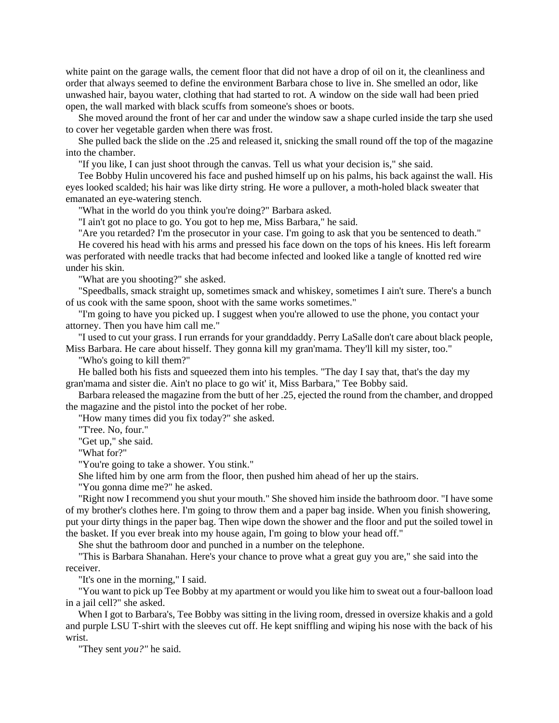white paint on the garage walls, the cement floor that did not have a drop of oil on it, the cleanliness and order that always seemed to define the environment Barbara chose to live in. She smelled an odor, like unwashed hair, bayou water, clothing that had started to rot. A window on the side wall had been pried open, the wall marked with black scuffs from someone's shoes or boots.

 She moved around the front of her car and under the window saw a shape curled inside the tarp she used to cover her vegetable garden when there was frost.

 She pulled back the slide on the .25 and released it, snicking the small round off the top of the magazine into the chamber.

"If you like, I can just shoot through the canvas. Tell us what your decision is," she said.

 Tee Bobby Hulin uncovered his face and pushed himself up on his palms, his back against the wall. His eyes looked scalded; his hair was like dirty string. He wore a pullover, a moth-holed black sweater that emanated an eye-watering stench.

"What in the world do you think you're doing?" Barbara asked.

"I ain't got no place to go. You got to hep me, Miss Barbara," he said.

"Are you retarded? I'm the prosecutor in your case. I'm going to ask that you be sentenced to death."

 He covered his head with his arms and pressed his face down on the tops of his knees. His left forearm was perforated with needle tracks that had become infected and looked like a tangle of knotted red wire under his skin.

"What are you shooting?" she asked.

 "Speedballs, smack straight up, sometimes smack and whiskey, sometimes I ain't sure. There's a bunch of us cook with the same spoon, shoot with the same works sometimes."

 "I'm going to have you picked up. I suggest when you're allowed to use the phone, you contact your attorney. Then you have him call me."

 "I used to cut your grass. I run errands for your granddaddy. Perry LaSalle don't care about black people, Miss Barbara. He care about hisself. They gonna kill my gran'mama. They'll kill my sister, too."

"Who's going to kill them?"

 He balled both his fists and squeezed them into his temples. "The day I say that, that's the day my gran'mama and sister die. Ain't no place to go wit' it, Miss Barbara," Tee Bobby said.

 Barbara released the magazine from the butt of her .25, ejected the round from the chamber, and dropped the magazine and the pistol into the pocket of her robe.

"How many times did you fix today?" she asked.

"T'ree. No, four."

"Get up," she said.

"What for?"

"You're going to take a shower. You stink."

She lifted him by one arm from the floor, then pushed him ahead of her up the stairs.

"You gonna dime me?" he asked.

 "Right now I recommend you shut your mouth." She shoved him inside the bathroom door. "I have some of my brother's clothes here. I'm going to throw them and a paper bag inside. When you finish showering, put your dirty things in the paper bag. Then wipe down the shower and the floor and put the soiled towel in the basket. If you ever break into my house again, I'm going to blow your head off."

She shut the bathroom door and punched in a number on the telephone.

 "This is Barbara Shanahan. Here's your chance to prove what a great guy you are," she said into the receiver.

"It's one in the morning," I said.

 "You want to pick up Tee Bobby at my apartment or would you like him to sweat out a four-balloon load in a jail cell?" she asked.

 When I got to Barbara's, Tee Bobby was sitting in the living room, dressed in oversize khakis and a gold and purple LSU T-shirt with the sleeves cut off. He kept sniffling and wiping his nose with the back of his wrist.

"They sent *you?"* he said.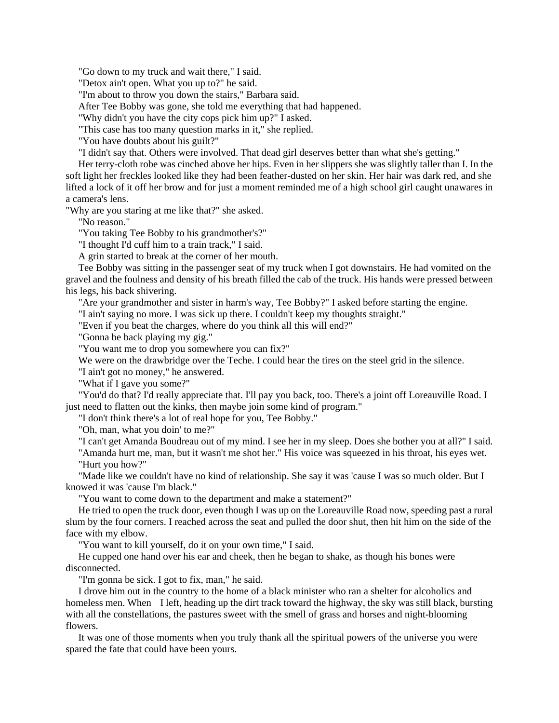"Go down to my truck and wait there," I said.

"Detox ain't open. What you up to?" he said.

"I'm about to throw you down the stairs," Barbara said.

After Tee Bobby was gone, she told me everything that had happened.

"Why didn't you have the city cops pick him up?" I asked.

"This case has too many question marks in it," she replied.

"You have doubts about his guilt?"

"I didn't say that. Others were involved. That dead girl deserves better than what she's getting."

 Her terry-cloth robe was cinched above her hips. Even in her slippers she was slightly taller than I. In the soft light her freckles looked like they had been feather-dusted on her skin. Her hair was dark red, and she lifted a lock of it off her brow and for just a moment reminded me of a high school girl caught unawares in a camera's lens.

"Why are you staring at me like that?" she asked.

"No reason."

"You taking Tee Bobby to his grandmother's?"

"I thought I'd cuff him to a train track," I said.

A grin started to break at the corner of her mouth.

 Tee Bobby was sitting in the passenger seat of my truck when I got downstairs. He had vomited on the gravel and the foulness and density of his breath filled the cab of the truck. His hands were pressed between his legs, his back shivering.

"Are your grandmother and sister in harm's way, Tee Bobby?" I asked before starting the engine.

"I ain't saying no more. I was sick up there. I couldn't keep my thoughts straight."

"Even if you beat the charges, where do you think all this will end?"

"Gonna be back playing my gig."

"You want me to drop you somewhere you can fix?"

We were on the drawbridge over the Teche. I could hear the tires on the steel grid in the silence.

"I ain't got no money," he answered.

"What if I gave you some?"

 "You'd do that? I'd really appreciate that. I'll pay you back, too. There's a joint off Loreauville Road. I just need to flatten out the kinks, then maybe join some kind of program."

"I don't think there's a lot of real hope for you, Tee Bobby."

"Oh, man, what you doin' to me?"

 "I can't get Amanda Boudreau out of my mind. I see her in my sleep. Does she bother you at all?" I said. "Amanda hurt me, man, but it wasn't me shot her." His voice was squeezed in his throat, his eyes wet. "Hurt you how?"

 "Made like we couldn't have no kind of relationship. She say it was 'cause I was so much older. But I knowed it was 'cause I'm black."

"You want to come down to the department and make a statement?"

 He tried to open the truck door, even though I was up on the Loreauville Road now, speeding past a rural slum by the four corners. I reached across the seat and pulled the door shut, then hit him on the side of the face with my elbow.

"You want to kill yourself, do it on your own time," I said.

 He cupped one hand over his ear and cheek, then he began to shake, as though his bones were disconnected.

"I'm gonna be sick. I got to fix, man," he said.

 I drove him out in the country to the home of a black minister who ran a shelter for alcoholics and homeless men. When I left, heading up the dirt track toward the highway, the sky was still black, bursting with all the constellations, the pastures sweet with the smell of grass and horses and night-blooming flowers.

 It was one of those moments when you truly thank all the spiritual powers of the universe you were spared the fate that could have been yours.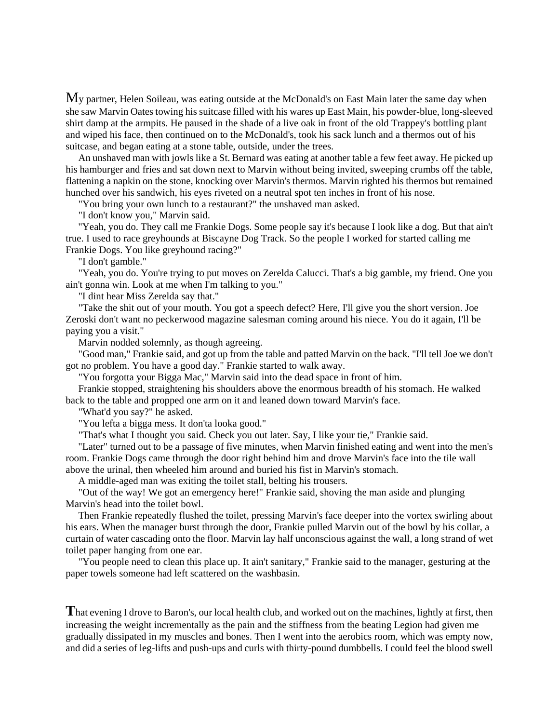My partner, Helen Soileau, was eating outside at the McDonald's on East Main later the same day when she saw Marvin Oates towing his suitcase filled with his wares up East Main, his powder-blue, long-sleeved shirt damp at the armpits. He paused in the shade of a live oak in front of the old Trappey's bottling plant and wiped his face, then continued on to the McDonald's, took his sack lunch and a thermos out of his suitcase, and began eating at a stone table, outside, under the trees.

 An unshaved man with jowls like a St. Bernard was eating at another table a few feet away. He picked up his hamburger and fries and sat down next to Marvin without being invited, sweeping crumbs off the table, flattening a napkin on the stone, knocking over Marvin's thermos. Marvin righted his thermos but remained hunched over his sandwich, his eyes riveted on a neutral spot ten inches in front of his nose.

"You bring your own lunch to a restaurant?" the unshaved man asked.

"I don't know you," Marvin said.

 "Yeah, you do. They call me Frankie Dogs. Some people say it's because I look like a dog. But that ain't true. I used to race greyhounds at Biscayne Dog Track. So the people I worked for started calling me Frankie Dogs. You like greyhound racing?"

"I don't gamble."

 "Yeah, you do. You're trying to put moves on Zerelda Calucci. That's a big gamble, my friend. One you ain't gonna win. Look at me when I'm talking to you."

"I dint hear Miss Zerelda say that."

 "Take the shit out of your mouth. You got a speech defect? Here, I'll give you the short version. Joe Zeroski don't want no peckerwood magazine salesman coming around his niece. You do it again, I'll be paying you a visit."

Marvin nodded solemnly, as though agreeing.

 "Good man," Frankie said, and got up from the table and patted Marvin on the back. "I'll tell Joe we don't got no problem. You have a good day." Frankie started to walk away.

"You forgotta your Bigga Mac," Marvin said into the dead space in front of him.

 Frankie stopped, straightening his shoulders above the enormous breadth of his stomach. He walked back to the table and propped one arm on it and leaned down toward Marvin's face.

"What'd you say?" he asked.

"You lefta a bigga mess. It don'ta looka good."

"That's what I thought you said. Check you out later. Say, I like your tie," Frankie said.

 "Later" turned out to be a passage of five minutes, when Marvin finished eating and went into the men's room. Frankie Dogs came through the door right behind him and drove Marvin's face into the tile wall above the urinal, then wheeled him around and buried his fist in Marvin's stomach.

A middle-aged man was exiting the toilet stall, belting his trousers.

 "Out of the way! We got an emergency here!" Frankie said, shoving the man aside and plunging Marvin's head into the toilet bowl.

 Then Frankie repeatedly flushed the toilet, pressing Marvin's face deeper into the vortex swirling about his ears. When the manager burst through the door, Frankie pulled Marvin out of the bowl by his collar, a curtain of water cascading onto the floor. Marvin lay half unconscious against the wall, a long strand of wet toilet paper hanging from one ear.

 "You people need to clean this place up. It ain't sanitary," Frankie said to the manager, gesturing at the paper towels someone had left scattered on the washbasin.

**T**hat evening I drove to Baron's, our local health club, and worked out on the machines, lightly at first, then increasing the weight incrementally as the pain and the stiffness from the beating Legion had given me gradually dissipated in my muscles and bones. Then I went into the aerobics room, which was empty now, and did a series of leg-lifts and push-ups and curls with thirty-pound dumbbells. I could feel the blood swell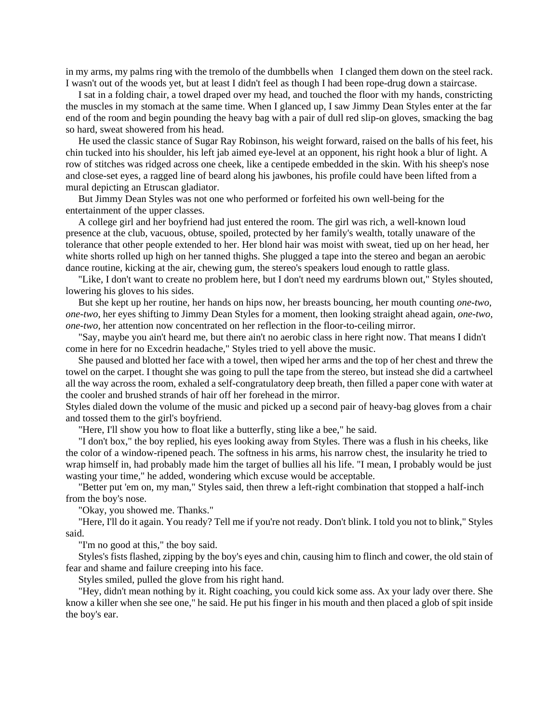in my arms, my palms ring with the tremolo of the dumbbells when I clanged them down on the steel rack. I wasn't out of the woods yet, but at least I didn't feel as though I had been rope-drug down a staircase.

 I sat in a folding chair, a towel draped over my head, and touched the floor with my hands, constricting the muscles in my stomach at the same time. When I glanced up, I saw Jimmy Dean Styles enter at the far end of the room and begin pounding the heavy bag with a pair of dull red slip-on gloves, smacking the bag so hard, sweat showered from his head.

 He used the classic stance of Sugar Ray Robinson, his weight forward, raised on the balls of his feet, his chin tucked into his shoulder, his left jab aimed eye-level at an opponent, his right hook a blur of light. A row of stitches was ridged across one cheek, like a centipede embedded in the skin. With his sheep's nose and close-set eyes, a ragged line of beard along his jawbones, his profile could have been lifted from a mural depicting an Etruscan gladiator.

 But Jimmy Dean Styles was not one who performed or forfeited his own well-being for the entertainment of the upper classes.

 A college girl and her boyfriend had just entered the room. The girl was rich, a well-known loud presence at the club, vacuous, obtuse, spoiled, protected by her family's wealth, totally unaware of the tolerance that other people extended to her. Her blond hair was moist with sweat, tied up on her head, her white shorts rolled up high on her tanned thighs. She plugged a tape into the stereo and began an aerobic dance routine, kicking at the air, chewing gum, the stereo's speakers loud enough to rattle glass.

 "Like, I don't want to create no problem here, but I don't need my eardrums blown out," Styles shouted, lowering his gloves to his sides.

 But she kept up her routine, her hands on hips now, her breasts bouncing, her mouth counting *one-two, one-two,* her eyes shifting to Jimmy Dean Styles for a moment, then looking straight ahead again, *one-two, one-two,* her attention now concentrated on her reflection in the floor-to-ceiling mirror.

 "Say, maybe you ain't heard me, but there ain't no aerobic class in here right now. That means I didn't come in here for no Excedrin headache," Styles tried to yell above the music.

 She paused and blotted her face with a towel, then wiped her arms and the top of her chest and threw the towel on the carpet. I thought she was going to pull the tape from the stereo, but instead she did a cartwheel all the way across the room, exhaled a self-congratulatory deep breath, then filled a paper cone with water at the cooler and brushed strands of hair off her forehead in the mirror.

Styles dialed down the volume of the music and picked up a second pair of heavy-bag gloves from a chair and tossed them to the girl's boyfriend.

"Here, I'll show you how to float like a butterfly, sting like a bee," he said.

 "I don't box," the boy replied, his eyes looking away from Styles. There was a flush in his cheeks, like the color of a window-ripened peach. The softness in his arms, his narrow chest, the insularity he tried to wrap himself in, had probably made him the target of bullies all his life. "I mean, I probably would be just wasting your time," he added, wondering which excuse would be acceptable.

 "Better put 'em on, my man," Styles said, then threw a left-right combination that stopped a half-inch from the boy's nose.

"Okay, you showed me. Thanks."

 "Here, I'll do it again. You ready? Tell me if you're not ready. Don't blink. I told you not to blink," Styles said.

"I'm no good at this," the boy said.

 Styles's fists flashed, zipping by the boy's eyes and chin, causing him to flinch and cower, the old stain of fear and shame and failure creeping into his face.

Styles smiled, pulled the glove from his right hand.

 "Hey, didn't mean nothing by it. Right coaching, you could kick some ass. Ax your lady over there. She know a killer when she see one," he said. He put his finger in his mouth and then placed a glob of spit inside the boy's ear.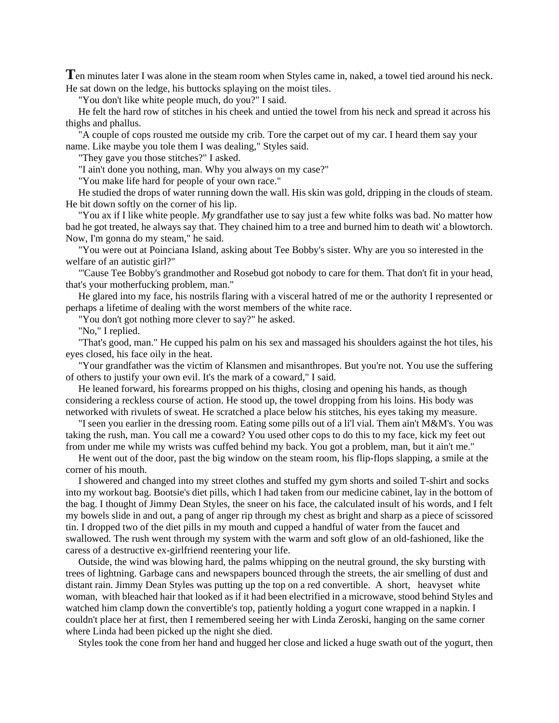**T**en minutes later I was alone in the steam room when Styles came in, naked, a towel tied around his neck. He sat down on the ledge, his buttocks splaying on the moist tiles.

"You don't like white people much, do you?" I said.

 He felt the hard row of stitches in his cheek and untied the towel from his neck and spread it across his thighs and phallus.

 "A couple of cops rousted me outside my crib. Tore the carpet out of my car. I heard them say your name. Like maybe you tole them I was dealing," Styles said.

"They gave you those stitches?" I asked.

"I ain't done you nothing, man. Why you always on my case?"

"You make life hard for people of your own race."

 He studied the drops of water running down the wall. His skin was gold, dripping in the clouds of steam. He bit down softly on the corner of his lip.

 "You ax if I like white people. *My* grandfather use to say just a few white folks was bad. No matter how bad he got treated, he always say that. They chained him to a tree and burned him to death wit' a blowtorch. Now, I'm gonna do my steam," he said.

 "You were out at Poinciana Island, asking about Tee Bobby's sister. Why are you so interested in the welfare of an autistic girl?"

 "'Cause Tee Bobby's grandmother and Rosebud got nobody to care for them. That don't fit in your head, that's your motherfucking problem, man."

 He glared into my face, his nostrils flaring with a visceral hatred of me or the authority I represented or perhaps a lifetime of dealing with the worst members of the white race.

"You don't got nothing more clever to say?" he asked.

"No," I replied.

 "That's good, man." He cupped his palm on his sex and massaged his shoulders against the hot tiles, his eyes closed, his face oily in the heat.

 "Your grandfather was the victim of Klansmen and misanthropes. But you're not. You use the suffering of others to justify your own evil. It's the mark of a coward," I said.

 He leaned forward, his forearms propped on his thighs, closing and opening his hands, as though considering a reckless course of action. He stood up, the towel dropping from his loins. His body was networked with rivulets of sweat. He scratched a place below his stitches, his eyes taking my measure.

 "I seen you earlier in the dressing room. Eating some pills out of a li'l vial. Them ain't M&M's. You was taking the rush, man. You call me a coward? You used other cops to do this to my face, kick my feet out from under me while my wrists was cuffed behind my back. You got a problem, man, but it ain't me."

 He went out of the door, past the big window on the steam room, his flip-flops slapping, a smile at the corner of his mouth.

 I showered and changed into my street clothes and stuffed my gym shorts and soiled T-shirt and socks into my workout bag. Bootsie's diet pills, which I had taken from our medicine cabinet, lay in the bottom of the bag. I thought of Jimmy Dean Styles, the sneer on his face, the calculated insult of his words, and I felt my bowels slide in and out, a pang of anger rip through my chest as bright and sharp as a piece of scissored tin. I dropped two of the diet pills in my mouth and cupped a handful of water from the faucet and swallowed. The rush went through my system with the warm and soft glow of an old-fashioned, like the caress of a destructive ex-girlfriend reentering your life.

 Outside, the wind was blowing hard, the palms whipping on the neutral ground, the sky bursting with trees of lightning. Garbage cans and newspapers bounced through the streets, the air smelling of dust and distant rain. Jimmy Dean Styles was putting up the top on a red convertible. A short, heavyset white woman, with bleached hair that looked as if it had been electrified in a microwave, stood behind Styles and watched him clamp down the convertible's top, patiently holding a yogurt cone wrapped in a napkin. I couldn't place her at first, then I remembered seeing her with Linda Zeroski, hanging on the same corner where Linda had been picked up the night she died.

Styles took the cone from her hand and hugged her close and licked a huge swath out of the yogurt, then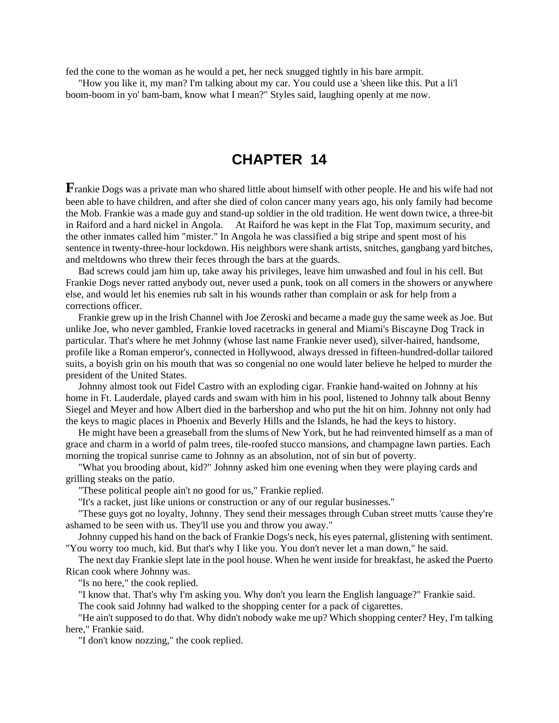fed the cone to the woman as he would a pet, her neck snugged tightly in his bare armpit.

 "How you like it, my man? I'm talking about my car. You could use a 'sheen like this. Put a li'l boom-boom in yo' bam-bam, know what I mean?" Styles said, laughing openly at me now.

## **CHAPTER 14**

**F**rankie Dogs was a private man who shared little about himself with other people. He and his wife had not been able to have children, and after she died of colon cancer many years ago, his only family had become the Mob. Frankie was a made guy and stand-up soldier in the old tradition. He went down twice, a three-bit in Raiford and a hard nickel in Angola. At Raiford he was kept in the Flat Top, maximum security, and the other inmates called him "mister." In Angola he was classified a big stripe and spent most of his sentence in twenty-three-hour lockdown. His neighbors were shank artists, snitches, gangbang yard bitches, and meltdowns who threw their feces through the bars at the guards.

 Bad screws could jam him up, take away his privileges, leave him unwashed and foul in his cell. But Frankie Dogs never ratted anybody out, never used a punk, took on all comers in the showers or anywhere else, and would let his enemies rub salt in his wounds rather than complain or ask for help from a corrections officer.

 Frankie grew up in the Irish Channel with Joe Zeroski and became a made guy the same week as Joe. But unlike Joe, who never gambled, Frankie loved racetracks in general and Miami's Biscayne Dog Track in particular. That's where he met Johnny (whose last name Frankie never used), silver-haired, handsome, profile like a Roman emperor's, connected in Hollywood, always dressed in fifteen-hundred-dollar tailored suits, a boyish grin on his mouth that was so congenial no one would later believe he helped to murder the president of the United States.

 Johnny almost took out Fidel Castro with an exploding cigar. Frankie hand-waited on Johnny at his home in Ft. Lauderdale, played cards and swam with him in his pool, listened to Johnny talk about Benny Siegel and Meyer and how Albert died in the barbershop and who put the hit on him. Johnny not only had the keys to magic places in Phoenix and Beverly Hills and the Islands, he had the keys to history.

 He might have been a greaseball from the slums of New York, but he had reinvented himself as a man of grace and charm in a world of palm trees, tile-roofed stucco mansions, and champagne lawn parties. Each morning the tropical sunrise came to Johnny as an absolution, not of sin but of poverty.

 "What you brooding about, kid?" Johnny asked him one evening when they were playing cards and grilling steaks on the patio.

"These political people ain't no good for us," Frankie replied.

"It's a racket, just like unions or construction or any of our regular businesses."

 "These guys got no loyalty, Johnny. They send their messages through Cuban street mutts 'cause they're ashamed to be seen with us. They'll use you and throw you away."

 Johnny cupped his hand on the back of Frankie Dogs's neck, his eyes paternal, glistening with sentiment. "You worry too much, kid. But that's why I like you. You don't never let a man down," he said.

 The next day Frankie slept late in the pool house. When he went inside for breakfast, he asked the Puerto Rican cook where Johnny was.

"Is no here," the cook replied.

"I know that. That's why I'm asking you. Why don't you learn the English language?" Frankie said.

The cook said Johnny had walked to the shopping center for a pack of cigarettes.

 "He ain't supposed to do that. Why didn't nobody wake me up? Which shopping center? Hey, I'm talking here," Frankie said.

"I don't know nozzing," the cook replied.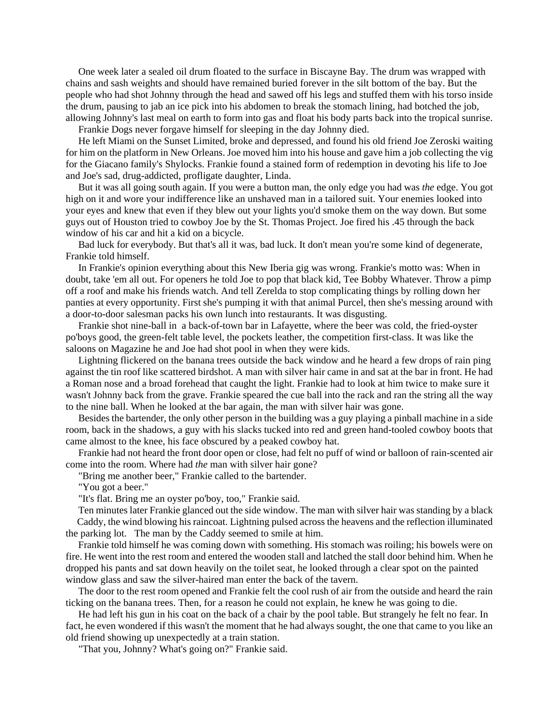One week later a sealed oil drum floated to the surface in Biscayne Bay. The drum was wrapped with chains and sash weights and should have remained buried forever in the silt bottom of the bay. But the people who had shot Johnny through the head and sawed off his legs and stuffed them with his torso inside the drum, pausing to jab an ice pick into his abdomen to break the stomach lining, had botched the job, allowing Johnny's last meal on earth to form into gas and float his body parts back into the tropical sunrise. Frankie Dogs never forgave himself for sleeping in the day Johnny died.

 He left Miami on the Sunset Limited, broke and depressed, and found his old friend Joe Zeroski waiting for him on the platform in New Orleans. Joe moved him into his house and gave him a job collecting the vig for the Giacano family's Shylocks. Frankie found a stained form of redemption in devoting his life to Joe and Joe's sad, drug-addicted, profligate daughter, Linda.

 But it was all going south again. If you were a button man, the only edge you had was *the* edge. You got high on it and wore your indifference like an unshaved man in a tailored suit. Your enemies looked into your eyes and knew that even if they blew out your lights you'd smoke them on the way down. But some guys out of Houston tried to cowboy Joe by the St. Thomas Project. Joe fired his .45 through the back window of his car and hit a kid on a bicycle.

 Bad luck for everybody. But that's all it was, bad luck. It don't mean you're some kind of degenerate, Frankie told himself.

 In Frankie's opinion everything about this New Iberia gig was wrong. Frankie's motto was: When in doubt, take 'em all out. For openers he told Joe to pop that black kid, Tee Bobby Whatever. Throw a pimp off a roof and make his friends watch. And tell Zerelda to stop complicating things by rolling down her panties at every opportunity. First she's pumping it with that animal Purcel, then she's messing around with a door-to-door salesman packs his own lunch into restaurants. It was disgusting.

 Frankie shot nine-ball in a back-of-town bar in Lafayette, where the beer was cold, the fried-oyster po'boys good, the green-felt table level, the pockets leather, the competition first-class. It was like the saloons on Magazine he and Joe had shot pool in when they were kids.

 Lightning flickered on the banana trees outside the back window and he heard a few drops of rain ping against the tin roof like scattered birdshot. A man with silver hair came in and sat at the bar in front. He had a Roman nose and a broad forehead that caught the light. Frankie had to look at him twice to make sure it wasn't Johnny back from the grave. Frankie speared the cue ball into the rack and ran the string all the way to the nine ball. When he looked at the bar again, the man with silver hair was gone.

 Besides the bartender, the only other person in the building was a guy playing a pinball machine in a side room, back in the shadows, a guy with his slacks tucked into red and green hand-tooled cowboy boots that came almost to the knee, his face obscured by a peaked cowboy hat.

 Frankie had not heard the front door open or close, had felt no puff of wind or balloon of rain-scented air come into the room. Where had *the* man with silver hair gone?

"Bring me another beer," Frankie called to the bartender.

"You got a beer."

"It's flat. Bring me an oyster po'boy, too," Frankie said.

 Ten minutes later Frankie glanced out the side window. The man with silver hair was standing by a black Caddy, the wind blowing his raincoat. Lightning pulsed across the heavens and the reflection illuminated the parking lot. The man by the Caddy seemed to smile at him.

 Frankie told himself he was coming down with something. His stomach was roiling; his bowels were on fire. He went into the rest room and entered the wooden stall and latched the stall door behind him. When he dropped his pants and sat down heavily on the toilet seat, he looked through a clear spot on the painted window glass and saw the silver-haired man enter the back of the tavern.

 The door to the rest room opened and Frankie felt the cool rush of air from the outside and heard the rain ticking on the banana trees. Then, for a reason he could not explain, he knew he was going to die.

 He had left his gun in his coat on the back of a chair by the pool table. But strangely he felt no fear. In fact, he even wondered if this wasn't the moment that he had always sought, the one that came to you like an old friend showing up unexpectedly at a train station.

"That you, Johnny? What's going on?" Frankie said.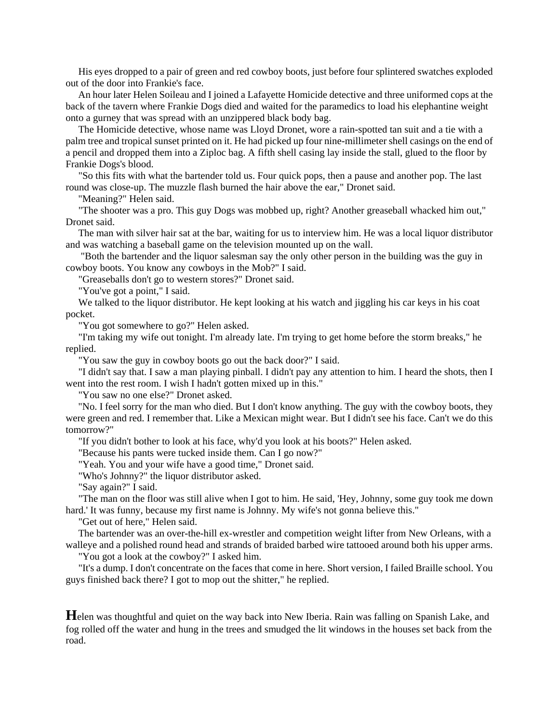His eyes dropped to a pair of green and red cowboy boots, just before four splintered swatches exploded out of the door into Frankie's face.

 An hour later Helen Soileau and I joined a Lafayette Homicide detective and three uniformed cops at the back of the tavern where Frankie Dogs died and waited for the paramedics to load his elephantine weight onto a gurney that was spread with an unzippered black body bag.

 The Homicide detective, whose name was Lloyd Dronet, wore a rain-spotted tan suit and a tie with a palm tree and tropical sunset printed on it. He had picked up four nine-millimeter shell casings on the end of a pencil and dropped them into a Ziploc bag. A fifth shell casing lay inside the stall, glued to the floor by Frankie Dogs's blood.

 "So this fits with what the bartender told us. Four quick pops, then a pause and another pop. The last round was close-up. The muzzle flash burned the hair above the ear," Dronet said.

"Meaning?" Helen said.

 "The shooter was a pro. This guy Dogs was mobbed up, right? Another greaseball whacked him out," Dronet said.

 The man with silver hair sat at the bar, waiting for us to interview him. He was a local liquor distributor and was watching a baseball game on the television mounted up on the wall.

 "Both the bartender and the liquor salesman say the only other person in the building was the guy in cowboy boots. You know any cowboys in the Mob?" I said.

"Greaseballs don't go to western stores?" Dronet said.

"You've got a point," I said.

We talked to the liquor distributor. He kept looking at his watch and jiggling his car keys in his coat pocket.

"You got somewhere to go?" Helen asked.

 "I'm taking my wife out tonight. I'm already late. I'm trying to get home before the storm breaks," he replied.

"You saw the guy in cowboy boots go out the back door?" I said.

 "I didn't say that. I saw a man playing pinball. I didn't pay any attention to him. I heard the shots, then I went into the rest room. I wish I hadn't gotten mixed up in this."

"You saw no one else?" Dronet asked.

 "No. I feel sorry for the man who died. But I don't know anything. The guy with the cowboy boots, they were green and red. I remember that. Like a Mexican might wear. But I didn't see his face. Can't we do this tomorrow?"

"If you didn't bother to look at his face, why'd you look at his boots?" Helen asked.

"Because his pants were tucked inside them. Can I go now?"

"Yeah. You and your wife have a good time," Dronet said.

"Who's Johnny?" the liquor distributor asked.

"Say again?" I said.

 "The man on the floor was still alive when I got to him. He said, 'Hey, Johnny, some guy took me down hard.' It was funny, because my first name is Johnny. My wife's not gonna believe this."

"Get out of here," Helen said.

 The bartender was an over-the-hill ex-wrestler and competition weight lifter from New Orleans, with a walleye and a polished round head and strands of braided barbed wire tattooed around both his upper arms.

"You got a look at the cowboy?" I asked him.

 "It's a dump. I don't concentrate on the faces that come in here. Short version, I failed Braille school. You guys finished back there? I got to mop out the shitter," he replied.

**H**elen was thoughtful and quiet on the way back into New Iberia. Rain was falling on Spanish Lake, and fog rolled off the water and hung in the trees and smudged the lit windows in the houses set back from the road.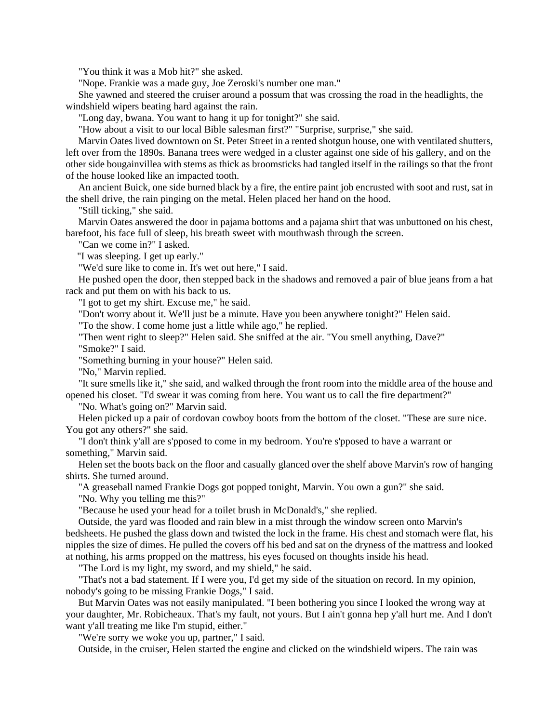"You think it was a Mob hit?" she asked.

"Nope. Frankie was a made guy, Joe Zeroski's number one man."

 She yawned and steered the cruiser around a possum that was crossing the road in the headlights, the windshield wipers beating hard against the rain.

"Long day, bwana. You want to hang it up for tonight?" she said.

"How about a visit to our local Bible salesman first?" "Surprise, surprise," she said.

 Marvin Oates lived downtown on St. Peter Street in a rented shotgun house, one with ventilated shutters, left over from the 1890s. Banana trees were wedged in a cluster against one side of his gallery, and on the other side bougainvillea with stems as thick as broomsticks had tangled itself in the railings so that the front of the house looked like an impacted tooth.

 An ancient Buick, one side burned black by a fire, the entire paint job encrusted with soot and rust, sat in the shell drive, the rain pinging on the metal. Helen placed her hand on the hood.

"Still ticking," she said.

 Marvin Oates answered the door in pajama bottoms and a pajama shirt that was unbuttoned on his chest, barefoot, his face full of sleep, his breath sweet with mouthwash through the screen.

"Can we come in?" I asked.

"I was sleeping. I get up early."

"We'd sure like to come in. It's wet out here," I said.

 He pushed open the door, then stepped back in the shadows and removed a pair of blue jeans from a hat rack and put them on with his back to us.

"I got to get my shirt. Excuse me," he said.

"Don't worry about it. We'll just be a minute. Have you been anywhere tonight?" Helen said.

"To the show. I come home just a little while ago," he replied.

"Then went right to sleep?" Helen said. She sniffed at the air. "You smell anything, Dave?"

"Smoke?" I said.

"Something burning in your house?" Helen said.

"No," Marvin replied.

 "It sure smells like it," she said, and walked through the front room into the middle area of the house and opened his closet. "I'd swear it was coming from here. You want us to call the fire department?"

"No. What's going on?" Marvin said.

 Helen picked up a pair of cordovan cowboy boots from the bottom of the closet. "These are sure nice. You got any others?" she said.

 "I don't think y'all are s'pposed to come in my bedroom. You're s'pposed to have a warrant or something," Marvin said.

 Helen set the boots back on the floor and casually glanced over the shelf above Marvin's row of hanging shirts. She turned around.

"A greaseball named Frankie Dogs got popped tonight, Marvin. You own a gun?" she said.

"No. Why you telling me this?"

"Because he used your head for a toilet brush in McDonald's," she replied.

 Outside, the yard was flooded and rain blew in a mist through the window screen onto Marvin's bedsheets. He pushed the glass down and twisted the lock in the frame. His chest and stomach were flat, his nipples the size of dimes. He pulled the covers off his bed and sat on the dryness of the mattress and looked at nothing, his arms propped on the mattress, his eyes focused on thoughts inside his head.

"The Lord is my light, my sword, and my shield," he said.

 "That's not a bad statement. If I were you, I'd get my side of the situation on record. In my opinion, nobody's going to be missing Frankie Dogs," I said.

 But Marvin Oates was not easily manipulated. "I been bothering you since I looked the wrong way at your daughter, Mr. Robicheaux. That's my fault, not yours. But I ain't gonna hep y'all hurt me. And I don't want y'all treating me like I'm stupid, either."

"We're sorry we woke you up, partner," I said.

Outside, in the cruiser, Helen started the engine and clicked on the windshield wipers. The rain was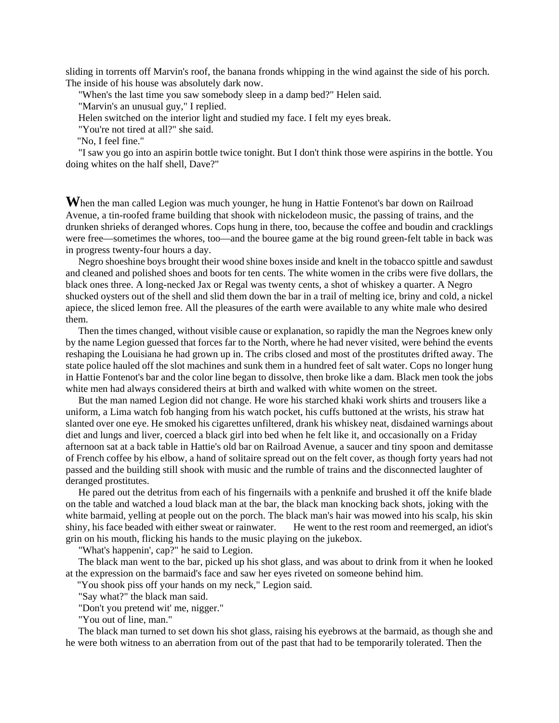sliding in torrents off Marvin's roof, the banana fronds whipping in the wind against the side of his porch. The inside of his house was absolutely dark now.

"When's the last time you saw somebody sleep in a damp bed?" Helen said.

"Marvin's an unusual guy," I replied.

Helen switched on the interior light and studied my face. I felt my eyes break.

"You're not tired at all?" she said.

"No, I feel fine."

 "I saw you go into an aspirin bottle twice tonight. But I don't think those were aspirins in the bottle. You doing whites on the half shell, Dave?"

When the man called Legion was much younger, he hung in Hattie Fontenot's bar down on Railroad Avenue, a tin-roofed frame building that shook with nickelodeon music, the passing of trains, and the drunken shrieks of deranged whores. Cops hung in there, too, because the coffee and boudin and cracklings were free—sometimes the whores, too—and the bouree game at the big round green-felt table in back was in progress twenty-four hours a day.

 Negro shoeshine boys brought their wood shine boxes inside and knelt in the tobacco spittle and sawdust and cleaned and polished shoes and boots for ten cents. The white women in the cribs were five dollars, the black ones three. A long-necked Jax or Regal was twenty cents, a shot of whiskey a quarter. A Negro shucked oysters out of the shell and slid them down the bar in a trail of melting ice, briny and cold, a nickel apiece, the sliced lemon free. All the pleasures of the earth were available to any white male who desired them.

 Then the times changed, without visible cause or explanation, so rapidly the man the Negroes knew only by the name Legion guessed that forces far to the North, where he had never visited, were behind the events reshaping the Louisiana he had grown up in. The cribs closed and most of the prostitutes drifted away. The state police hauled off the slot machines and sunk them in a hundred feet of salt water. Cops no longer hung in Hattie Fontenot's bar and the color line began to dissolve, then broke like a dam. Black men took the jobs white men had always considered theirs at birth and walked with white women on the street.

 But the man named Legion did not change. He wore his starched khaki work shirts and trousers like a uniform, a Lima watch fob hanging from his watch pocket, his cuffs buttoned at the wrists, his straw hat slanted over one eye. He smoked his cigarettes unfiltered, drank his whiskey neat, disdained warnings about diet and lungs and liver, coerced a black girl into bed when he felt like it, and occasionally on a Friday afternoon sat at a back table in Hattie's old bar on Railroad Avenue, a saucer and tiny spoon and demitasse of French coffee by his elbow, a hand of solitaire spread out on the felt cover, as though forty years had not passed and the building still shook with music and the rumble of trains and the disconnected laughter of deranged prostitutes.

 He pared out the detritus from each of his fingernails with a penknife and brushed it off the knife blade on the table and watched a loud black man at the bar, the black man knocking back shots, joking with the white barmaid, yelling at people out on the porch. The black man's hair was mowed into his scalp, his skin shiny, his face beaded with either sweat or rainwater. He went to the rest room and reemerged, an idiot's grin on his mouth, flicking his hands to the music playing on the jukebox.

"What's happenin', cap?" he said to Legion.

 The black man went to the bar, picked up his shot glass, and was about to drink from it when he looked at the expression on the barmaid's face and saw her eyes riveted on someone behind him.

"You shook piss off your hands on my neck," Legion said.

"Say what?" the black man said.

"Don't you pretend wit' me, nigger."

"You out of line, man."

 The black man turned to set down his shot glass, raising his eyebrows at the barmaid, as though she and he were both witness to an aberration from out of the past that had to be temporarily tolerated. Then the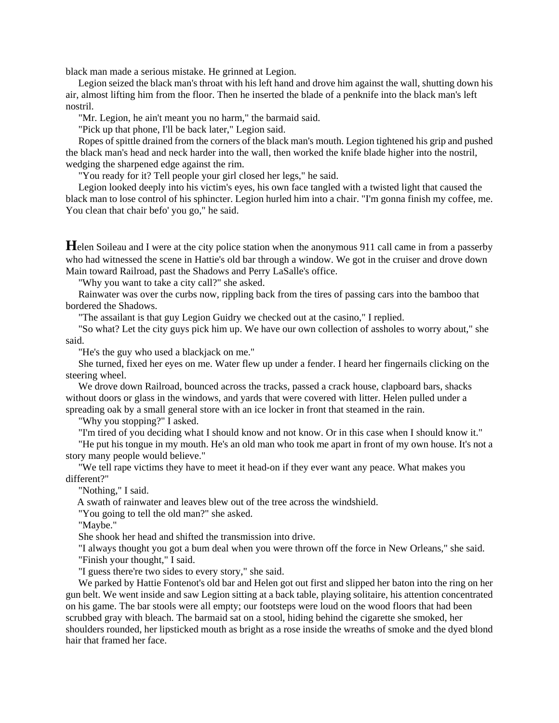black man made a serious mistake. He grinned at Legion.

 Legion seized the black man's throat with his left hand and drove him against the wall, shutting down his air, almost lifting him from the floor. Then he inserted the blade of a penknife into the black man's left nostril.

"Mr. Legion, he ain't meant you no harm," the barmaid said.

"Pick up that phone, I'll be back later," Legion said.

 Ropes of spittle drained from the corners of the black man's mouth. Legion tightened his grip and pushed the black man's head and neck harder into the wall, then worked the knife blade higher into the nostril, wedging the sharpened edge against the rim.

"You ready for it? Tell people your girl closed her legs," he said.

 Legion looked deeply into his victim's eyes, his own face tangled with a twisted light that caused the black man to lose control of his sphincter. Legion hurled him into a chair. "I'm gonna finish my coffee, me. You clean that chair befo' you go," he said.

**H**elen Soileau and I were at the city police station when the anonymous 911 call came in from a passerby who had witnessed the scene in Hattie's old bar through a window. We got in the cruiser and drove down Main toward Railroad, past the Shadows and Perry LaSalle's office.

"Why you want to take a city call?" she asked.

 Rainwater was over the curbs now, rippling back from the tires of passing cars into the bamboo that bordered the Shadows.

"The assailant is that guy Legion Guidry we checked out at the casino," I replied.

 "So what? Let the city guys pick him up. We have our own collection of assholes to worry about," she said.

"He's the guy who used a blackjack on me."

 She turned, fixed her eyes on me. Water flew up under a fender. I heard her fingernails clicking on the steering wheel.

 We drove down Railroad, bounced across the tracks, passed a crack house, clapboard bars, shacks without doors or glass in the windows, and yards that were covered with litter. Helen pulled under a spreading oak by a small general store with an ice locker in front that steamed in the rain.

"Why you stopping?" I asked.

"I'm tired of you deciding what I should know and not know. Or in this case when I should know it."

 "He put his tongue in my mouth. He's an old man who took me apart in front of my own house. It's not a story many people would believe."

 "We tell rape victims they have to meet it head-on if they ever want any peace. What makes you different?"

"Nothing," I said.

A swath of rainwater and leaves blew out of the tree across the windshield.

"You going to tell the old man?" she asked.

"Maybe."

She shook her head and shifted the transmission into drive.

 "I always thought you got a bum deal when you were thrown off the force in New Orleans," she said. "Finish your thought," I said.

"I guess there're two sides to every story," she said.

 We parked by Hattie Fontenot's old bar and Helen got out first and slipped her baton into the ring on her gun belt. We went inside and saw Legion sitting at a back table, playing solitaire, his attention concentrated on his game. The bar stools were all empty; our footsteps were loud on the wood floors that had been scrubbed gray with bleach. The barmaid sat on a stool, hiding behind the cigarette she smoked, her shoulders rounded, her lipsticked mouth as bright as a rose inside the wreaths of smoke and the dyed blond hair that framed her face.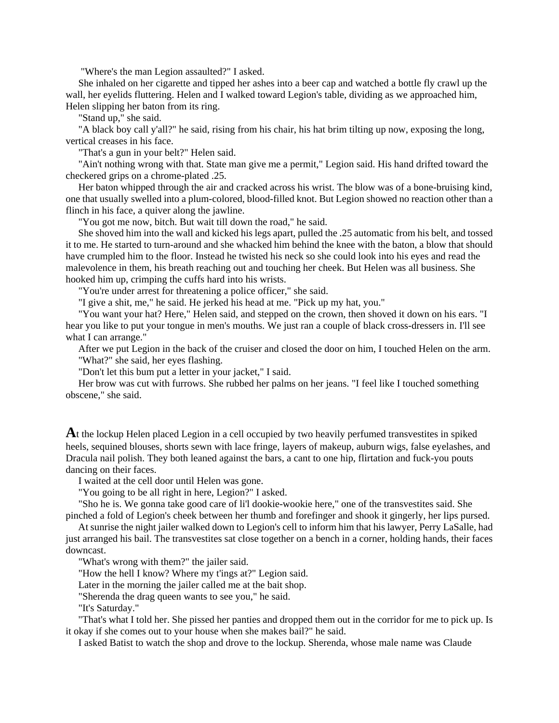"Where's the man Legion assaulted?" I asked.

 She inhaled on her cigarette and tipped her ashes into a beer cap and watched a bottle fly crawl up the wall, her eyelids fluttering. Helen and I walked toward Legion's table, dividing as we approached him, Helen slipping her baton from its ring.

"Stand up," she said.

 "A black boy call y'all?" he said, rising from his chair, his hat brim tilting up now, exposing the long, vertical creases in his face.

"That's a gun in your belt?" Helen said.

 "Ain't nothing wrong with that. State man give me a permit," Legion said. His hand drifted toward the checkered grips on a chrome-plated .25.

 Her baton whipped through the air and cracked across his wrist. The blow was of a bone-bruising kind, one that usually swelled into a plum-colored, blood-filled knot. But Legion showed no reaction other than a flinch in his face, a quiver along the jawline.

"You got me now, bitch. But wait till down the road," he said.

 She shoved him into the wall and kicked his legs apart, pulled the .25 automatic from his belt, and tossed it to me. He started to turn-around and she whacked him behind the knee with the baton, a blow that should have crumpled him to the floor. Instead he twisted his neck so she could look into his eyes and read the malevolence in them, his breath reaching out and touching her cheek. But Helen was all business. She hooked him up, crimping the cuffs hard into his wrists.

"You're under arrest for threatening a police officer," she said.

"I give a shit, me," he said. He jerked his head at me. "Pick up my hat, you."

 "You want your hat? Here," Helen said, and stepped on the crown, then shoved it down on his ears. "I hear you like to put your tongue in men's mouths. We just ran a couple of black cross-dressers in. I'll see what I can arrange."

 After we put Legion in the back of the cruiser and closed the door on him, I touched Helen on the arm. "What?" she said, her eyes flashing.

"Don't let this bum put a letter in your jacket," I said.

 Her brow was cut with furrows. She rubbed her palms on her jeans. "I feel like I touched something obscene," she said.

**A**t the lockup Helen placed Legion in a cell occupied by two heavily perfumed transvestites in spiked heels, sequined blouses, shorts sewn with lace fringe, layers of makeup, auburn wigs, false eyelashes, and Dracula nail polish. They both leaned against the bars, a cant to one hip, flirtation and fuck-you pouts dancing on their faces.

I waited at the cell door until Helen was gone.

"You going to be all right in here, Legion?" I asked.

 "Sho he is. We gonna take good care of li'l dookie-wookie here," one of the transvestites said. She pinched a fold of Legion's cheek between her thumb and forefinger and shook it gingerly, her lips pursed.

 At sunrise the night jailer walked down to Legion's cell to inform him that his lawyer, Perry LaSalle, had just arranged his bail. The transvestites sat close together on a bench in a corner, holding hands, their faces downcast.

"What's wrong with them?" the jailer said.

"How the hell I know? Where my t'ings at?" Legion said.

Later in the morning the jailer called me at the bait shop.

"Sherenda the drag queen wants to see you," he said.

"It's Saturday."

 "That's what I told her. She pissed her panties and dropped them out in the corridor for me to pick up. Is it okay if she comes out to your house when she makes bail?" he said.

I asked Batist to watch the shop and drove to the lockup. Sherenda, whose male name was Claude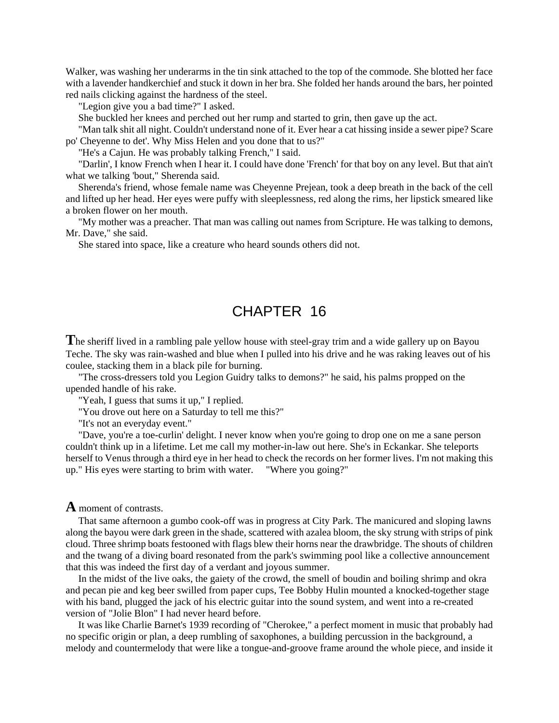Walker, was washing her underarms in the tin sink attached to the top of the commode. She blotted her face with a lavender handkerchief and stuck it down in her bra. She folded her hands around the bars, her pointed red nails clicking against the hardness of the steel.

"Legion give you a bad time?" I asked.

She buckled her knees and perched out her rump and started to grin, then gave up the act.

 "Man talk shit all night. Couldn't understand none of it. Ever hear a cat hissing inside a sewer pipe? Scare po' Cheyenne to det'. Why Miss Helen and you done that to us?"

"He's a Cajun. He was probably talking French," I said.

 "Darlin', I know French when I hear it. I could have done 'French' for that boy on any level. But that ain't what we talking 'bout," Sherenda said.

 Sherenda's friend, whose female name was Cheyenne Prejean, took a deep breath in the back of the cell and lifted up her head. Her eyes were puffy with sleeplessness, red along the rims, her lipstick smeared like a broken flower on her mouth.

 "My mother was a preacher. That man was calling out names from Scripture. He was talking to demons, Mr. Dave," she said.

She stared into space, like a creature who heard sounds others did not.

### CHAPTER 16

**T**he sheriff lived in a rambling pale yellow house with steel-gray trim and a wide gallery up on Bayou Teche. The sky was rain-washed and blue when I pulled into his drive and he was raking leaves out of his coulee, stacking them in a black pile for burning.

 "The cross-dressers told you Legion Guidry talks to demons?" he said, his palms propped on the upended handle of his rake.

"Yeah, I guess that sums it up," I replied.

"You drove out here on a Saturday to tell me this?"

"It's not an everyday event."

 "Dave, you're a toe-curlin' delight. I never know when you're going to drop one on me a sane person couldn't think up in a lifetime. Let me call my mother-in-law out here. She's in Eckankar. She teleports herself to Venus through a third eye in her head to check the records on her former lives. I'm not making this up." His eyes were starting to brim with water. "Where you going?"

#### **A** moment of contrasts.

 That same afternoon a gumbo cook-off was in progress at City Park. The manicured and sloping lawns along the bayou were dark green in the shade, scattered with azalea bloom, the sky strung with strips of pink cloud. Three shrimp boats festooned with flags blew their horns near the drawbridge. The shouts of children and the twang of a diving board resonated from the park's swimming pool like a collective announcement that this was indeed the first day of a verdant and joyous summer.

 In the midst of the live oaks, the gaiety of the crowd, the smell of boudin and boiling shrimp and okra and pecan pie and keg beer swilled from paper cups, Tee Bobby Hulin mounted a knocked-together stage with his band, plugged the jack of his electric guitar into the sound system, and went into a re-created version of "Jolie Blon" I had never heard before.

 It was like Charlie Barnet's 1939 recording of "Cherokee," a perfect moment in music that probably had no specific origin or plan, a deep rumbling of saxophones, a building percussion in the background, a melody and countermelody that were like a tongue-and-groove frame around the whole piece, and inside it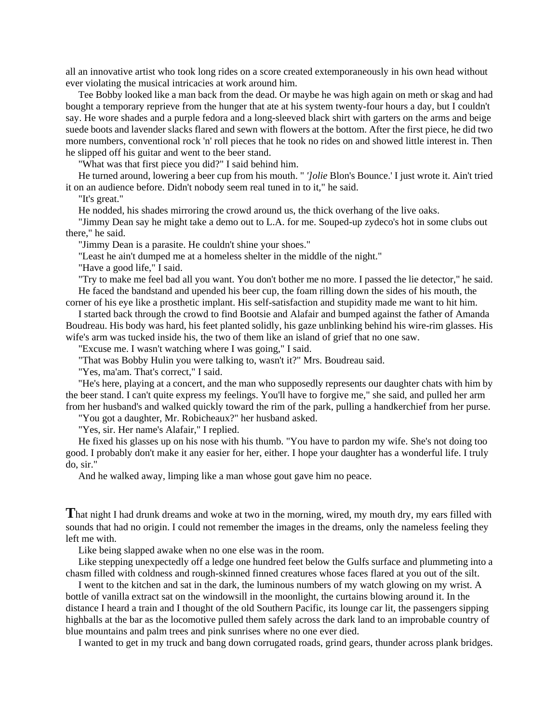all an innovative artist who took long rides on a score created extemporaneously in his own head without ever violating the musical intricacies at work around him.

 Tee Bobby looked like a man back from the dead. Or maybe he was high again on meth or skag and had bought a temporary reprieve from the hunger that ate at his system twenty-four hours a day, but I couldn't say. He wore shades and a purple fedora and a long-sleeved black shirt with garters on the arms and beige suede boots and lavender slacks flared and sewn with flowers at the bottom. After the first piece, he did two more numbers, conventional rock 'n' roll pieces that he took no rides on and showed little interest in. Then he slipped off his guitar and went to the beer stand.

"What was that first piece you did?" I said behind him.

 He turned around, lowering a beer cup from his mouth. " *']olie* Blon's Bounce.' I just wrote it. Ain't tried it on an audience before. Didn't nobody seem real tuned in to it," he said.

"It's great."

He nodded, his shades mirroring the crowd around us, the thick overhang of the live oaks.

 "Jimmy Dean say he might take a demo out to L.A. for me. Souped-up zydeco's hot in some clubs out there," he said.

"Jimmy Dean is a parasite. He couldn't shine your shoes."

"Least he ain't dumped me at a homeless shelter in the middle of the night."

"Have a good life," I said.

 "Try to make me feel bad all you want. You don't bother me no more. I passed the lie detector," he said. He faced the bandstand and upended his beer cup, the foam rilling down the sides of his mouth, the

corner of his eye like a prosthetic implant. His self-satisfaction and stupidity made me want to hit him. I started back through the crowd to find Bootsie and Alafair and bumped against the father of Amanda

Boudreau. His body was hard, his feet planted solidly, his gaze unblinking behind his wire-rim glasses. His wife's arm was tucked inside his, the two of them like an island of grief that no one saw.

"Excuse me. I wasn't watching where I was going," I said.

"That was Bobby Hulin you were talking to, wasn't it?" Mrs. Boudreau said.

"Yes, ma'am. That's correct," I said.

 "He's here, playing at a concert, and the man who supposedly represents our daughter chats with him by the beer stand. I can't quite express my feelings. You'll have to forgive me," she said, and pulled her arm from her husband's and walked quickly toward the rim of the park, pulling a handkerchief from her purse.

"You got a daughter, Mr. Robicheaux?" her husband asked.

"Yes, sir. Her name's Alafair," I replied.

 He fixed his glasses up on his nose with his thumb. "You have to pardon my wife. She's not doing too good. I probably don't make it any easier for her, either. I hope your daughter has a wonderful life. I truly do, sir."

And he walked away, limping like a man whose gout gave him no peace.

That night I had drunk dreams and woke at two in the morning, wired, my mouth dry, my ears filled with sounds that had no origin. I could not remember the images in the dreams, only the nameless feeling they left me with.

Like being slapped awake when no one else was in the room.

 Like stepping unexpectedly off a ledge one hundred feet below the Gulfs surface and plummeting into a chasm filled with coldness and rough-skinned finned creatures whose faces flared at you out of the silt.

 I went to the kitchen and sat in the dark, the luminous numbers of my watch glowing on my wrist. A bottle of vanilla extract sat on the windowsill in the moonlight, the curtains blowing around it. In the distance I heard a train and I thought of the old Southern Pacific, its lounge car lit, the passengers sipping highballs at the bar as the locomotive pulled them safely across the dark land to an improbable country of blue mountains and palm trees and pink sunrises where no one ever died.

I wanted to get in my truck and bang down corrugated roads, grind gears, thunder across plank bridges.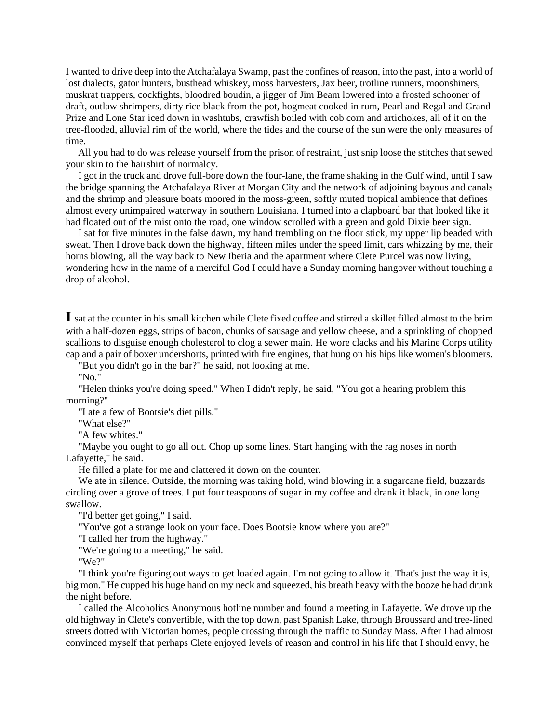I wanted to drive deep into the Atchafalaya Swamp, past the confines of reason, into the past, into a world of lost dialects, gator hunters, busthead whiskey, moss harvesters, Jax beer, trotline runners, moonshiners, muskrat trappers, cockfights, bloodred boudin, a jigger of Jim Beam lowered into a frosted schooner of draft, outlaw shrimpers, dirty rice black from the pot, hogmeat cooked in rum, Pearl and Regal and Grand Prize and Lone Star iced down in washtubs, crawfish boiled with cob corn and artichokes, all of it on the tree-flooded, alluvial rim of the world, where the tides and the course of the sun were the only measures of time.

 All you had to do was release yourself from the prison of restraint, just snip loose the stitches that sewed your skin to the hairshirt of normalcy.

 I got in the truck and drove full-bore down the four-lane, the frame shaking in the Gulf wind, until I saw the bridge spanning the Atchafalaya River at Morgan City and the network of adjoining bayous and canals and the shrimp and pleasure boats moored in the moss-green, softly muted tropical ambience that defines almost every unimpaired waterway in southern Louisiana. I turned into a clapboard bar that looked like it had floated out of the mist onto the road, one window scrolled with a green and gold Dixie beer sign.

 I sat for five minutes in the false dawn, my hand trembling on the floor stick, my upper lip beaded with sweat. Then I drove back down the highway, fifteen miles under the speed limit, cars whizzing by me, their horns blowing, all the way back to New Iberia and the apartment where Clete Purcel was now living, wondering how in the name of a merciful God I could have a Sunday morning hangover without touching a drop of alcohol.

**I** sat at the counter in his small kitchen while Clete fixed coffee and stirred a skillet filled almost to the brim with a half-dozen eggs, strips of bacon, chunks of sausage and yellow cheese, and a sprinkling of chopped scallions to disguise enough cholesterol to clog a sewer main. He wore clacks and his Marine Corps utility cap and a pair of boxer undershorts, printed with fire engines, that hung on his hips like women's bloomers.

"But you didn't go in the bar?" he said, not looking at me.

"No."

 "Helen thinks you're doing speed." When I didn't reply, he said, "You got a hearing problem this morning?"

"I ate a few of Bootsie's diet pills."

"What else?"

"A few whites."

 "Maybe you ought to go all out. Chop up some lines. Start hanging with the rag noses in north Lafayette," he said.

He filled a plate for me and clattered it down on the counter.

 We ate in silence. Outside, the morning was taking hold, wind blowing in a sugarcane field, buzzards circling over a grove of trees. I put four teaspoons of sugar in my coffee and drank it black, in one long swallow.

"I'd better get going," I said.

"You've got a strange look on your face. Does Bootsie know where you are?"

"I called her from the highway."

"We're going to a meeting," he said.

"We?"

 "I think you're figuring out ways to get loaded again. I'm not going to allow it. That's just the way it is, big mon." He cupped his huge hand on my neck and squeezed, his breath heavy with the booze he had drunk the night before.

 I called the Alcoholics Anonymous hotline number and found a meeting in Lafayette. We drove up the old highway in Clete's convertible, with the top down, past Spanish Lake, through Broussard and tree-lined streets dotted with Victorian homes, people crossing through the traffic to Sunday Mass. After I had almost convinced myself that perhaps Clete enjoyed levels of reason and control in his life that I should envy, he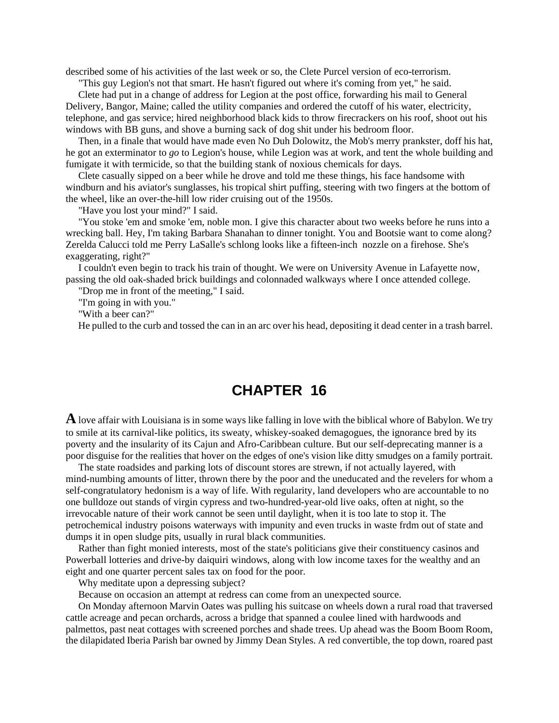described some of his activities of the last week or so, the Clete Purcel version of eco-terrorism.

 "This guy Legion's not that smart. He hasn't figured out where it's coming from yet," he said. Clete had put in a change of address for Legion at the post office, forwarding his mail to General Delivery, Bangor, Maine; called the utility companies and ordered the cutoff of his water, electricity, telephone, and gas service; hired neighborhood black kids to throw firecrackers on his roof, shoot out his windows with BB guns, and shove a burning sack of dog shit under his bedroom floor.

 Then, in a finale that would have made even No Duh Dolowitz, the Mob's merry prankster, doff his hat, he got an exterminator to *go* to Legion's house, while Legion was at work, and tent the whole building and fumigate it with termicide, so that the building stank of noxious chemicals for days.

 Clete casually sipped on a beer while he drove and told me these things, his face handsome with windburn and his aviator's sunglasses, his tropical shirt puffing, steering with two fingers at the bottom of the wheel, like an over-the-hill low rider cruising out of the 1950s.

"Have you lost your mind?" I said.

 "You stoke 'em and smoke 'em, noble mon. I give this character about two weeks before he runs into a wrecking ball. Hey, I'm taking Barbara Shanahan to dinner tonight. You and Bootsie want to come along? Zerelda Calucci told me Perry LaSalle's schlong looks like a fifteen-inch nozzle on a firehose. She's exaggerating, right?"

 I couldn't even begin to track his train of thought. We were on University Avenue in Lafayette now, passing the old oak-shaded brick buildings and colonnaded walkways where I once attended college.

"Drop me in front of the meeting," I said.

"I'm going in with you."

"With a beer can?"

He pulled to the curb and tossed the can in an arc over his head, depositing it dead center in a trash barrel.

### **CHAPTER 16**

**A** love affair with Louisiana is in some ways like falling in love with the biblical whore of Babylon. We try to smile at its carnival-like politics, its sweaty, whiskey-soaked demagogues, the ignorance bred by its poverty and the insularity of its Cajun and Afro-Caribbean culture. But our self-deprecating manner is a poor disguise for the realities that hover on the edges of one's vision like ditty smudges on a family portrait.

 The state roadsides and parking lots of discount stores are strewn, if not actually layered, with mind-numbing amounts of litter, thrown there by the poor and the uneducated and the revelers for whom a self-congratulatory hedonism is a way of life. With regularity, land developers who are accountable to no one bulldoze out stands of virgin cypress and two-hundred-year-old live oaks, often at night, so the irrevocable nature of their work cannot be seen until daylight, when it is too late to stop it. The petrochemical industry poisons waterways with impunity and even trucks in waste frdm out of state and dumps it in open sludge pits, usually in rural black communities.

 Rather than fight monied interests, most of the state's politicians give their constituency casinos and Powerball lotteries and drive-by daiquiri windows, along with low income taxes for the wealthy and an eight and one quarter percent sales tax on food for the poor.

Why meditate upon a depressing subject?

Because on occasion an attempt at redress can come from an unexpected source.

 On Monday afternoon Marvin Oates was pulling his suitcase on wheels down a rural road that traversed cattle acreage and pecan orchards, across a bridge that spanned a coulee lined with hardwoods and palmettos, past neat cottages with screened porches and shade trees. Up ahead was the Boom Boom Room, the dilapidated Iberia Parish bar owned by Jimmy Dean Styles. A red convertible, the top down, roared past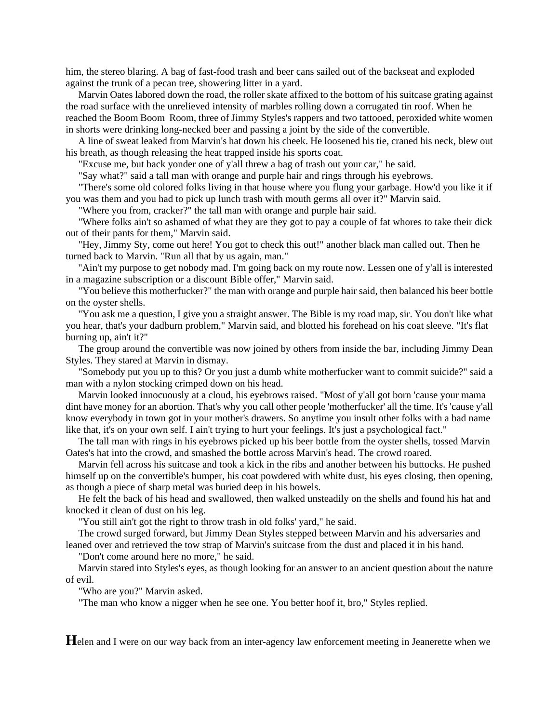him, the stereo blaring. A bag of fast-food trash and beer cans sailed out of the backseat and exploded against the trunk of a pecan tree, showering litter in a yard.

Marvin Oates labored down the road, the roller skate affixed to the bottom of his suitcase grating against the road surface with the unrelieved intensity of marbles rolling down a corrugated tin roof. When he reached the Boom Boom Room, three of Jimmy Styles's rappers and two tattooed, peroxided white women in shorts were drinking long-necked beer and passing a joint by the side of the convertible.

 A line of sweat leaked from Marvin's hat down his cheek. He loosened his tie, craned his neck, blew out his breath, as though releasing the heat trapped inside his sports coat.

"Excuse me, but back yonder one of y'all threw a bag of trash out your car," he said.

"Say what?" said a tall man with orange and purple hair and rings through his eyebrows.

 "There's some old colored folks living in that house where you flung your garbage. How'd you like it if you was them and you had to pick up lunch trash with mouth germs all over it?" Marvin said.

"Where you from, cracker?" the tall man with orange and purple hair said.

 "Where folks ain't so ashamed of what they are they got to pay a couple of fat whores to take their dick out of their pants for them," Marvin said.

 "Hey, Jimmy Sty, come out here! You got to check this out!" another black man called out. Then he turned back to Marvin. "Run all that by us again, man."

 "Ain't my purpose to get nobody mad. I'm going back on my route now. Lessen one of y'all is interested in a magazine subscription or a discount Bible offer," Marvin said.

 "You believe this motherfucker?" the man with orange and purple hair said, then balanced his beer bottle on the oyster shells.

 "You ask me a question, I give you a straight answer. The Bible is my road map, sir. You don't like what you hear, that's your dadburn problem," Marvin said, and blotted his forehead on his coat sleeve. "It's flat burning up, ain't it?"

 The group around the convertible was now joined by others from inside the bar, including Jimmy Dean Styles. They stared at Marvin in dismay.

 "Somebody put you up to this? Or you just a dumb white motherfucker want to commit suicide?" said a man with a nylon stocking crimped down on his head.

 Marvin looked innocuously at a cloud, his eyebrows raised. "Most of y'all got born 'cause your mama dint have money for an abortion. That's why you call other people 'motherfucker' all the time. It's 'cause y'all know everybody in town got in your mother's drawers. So anytime you insult other folks with a bad name like that, it's on your own self. I ain't trying to hurt your feelings. It's just a psychological fact."

 The tall man with rings in his eyebrows picked up his beer bottle from the oyster shells, tossed Marvin Oates's hat into the crowd, and smashed the bottle across Marvin's head. The crowd roared.

 Marvin fell across his suitcase and took a kick in the ribs and another between his buttocks. He pushed himself up on the convertible's bumper, his coat powdered with white dust, his eyes closing, then opening, as though a piece of sharp metal was buried deep in his bowels.

 He felt the back of his head and swallowed, then walked unsteadily on the shells and found his hat and knocked it clean of dust on his leg.

"You still ain't got the right to throw trash in old folks' yard," he said.

 The crowd surged forward, but Jimmy Dean Styles stepped between Marvin and his adversaries and leaned over and retrieved the tow strap of Marvin's suitcase from the dust and placed it in his hand.

"Don't come around here no more," he said.

Marvin stared into Styles's eyes, as though looking for an answer to an ancient question about the nature of evil.

"Who are you?" Marvin asked.

"The man who know a nigger when he see one. You better hoof it, bro," Styles replied.

**H**elen and I were on our way back from an inter-agency law enforcement meeting in Jeanerette when we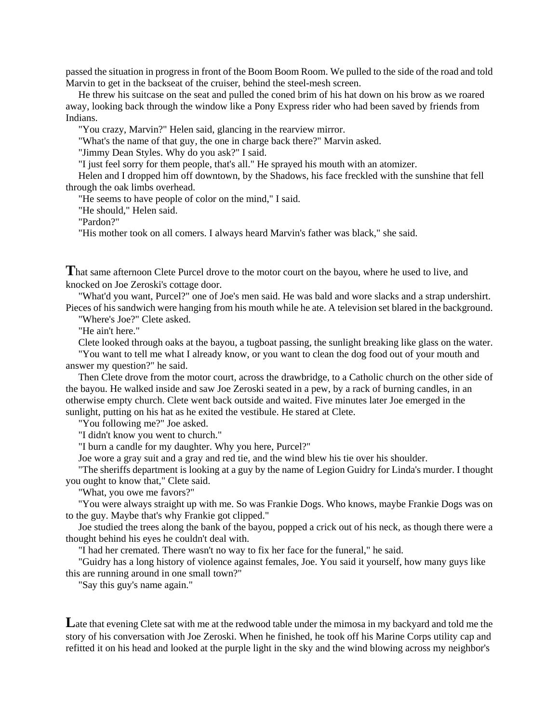passed the situation in progress in front of the Boom Boom Room. We pulled to the side of the road and told Marvin to get in the backseat of the cruiser, behind the steel-mesh screen.

 He threw his suitcase on the seat and pulled the coned brim of his hat down on his brow as we roared away, looking back through the window like a Pony Express rider who had been saved by friends from Indians.

"You crazy, Marvin?" Helen said, glancing in the rearview mirror.

"What's the name of that guy, the one in charge back there?" Marvin asked.

"Jimmy Dean Styles. Why do you ask?" I said.

"I just feel sorry for them people, that's all." He sprayed his mouth with an atomizer.

 Helen and I dropped him off downtown, by the Shadows, his face freckled with the sunshine that fell through the oak limbs overhead.

"He seems to have people of color on the mind," I said.

"He should," Helen said.

"Pardon?"

"His mother took on all comers. I always heard Marvin's father was black," she said.

**T**hat same afternoon Clete Purcel drove to the motor court on the bayou, where he used to live, and knocked on Joe Zeroski's cottage door.

"What'd you want, Purcel?" one of Joe's men said. He was bald and wore slacks and a strap undershirt.

Pieces of his sandwich were hanging from his mouth while he ate. A television set blared in the background. "Where's Joe?" Clete asked.

"He ain't here."

 Clete looked through oaks at the bayou, a tugboat passing, the sunlight breaking like glass on the water. "You want to tell me what I already know, or you want to clean the dog food out of your mouth and answer my question?" he said.

 Then Clete drove from the motor court, across the drawbridge, to a Catholic church on the other side of the bayou. He walked inside and saw Joe Zeroski seated in a pew, by a rack of burning candles, in an otherwise empty church. Clete went back outside and waited. Five minutes later Joe emerged in the sunlight, putting on his hat as he exited the vestibule. He stared at Clete.

"You following me?" Joe asked.

"I didn't know you went to church."

"I burn a candle for my daughter. Why you here, Purcel?"

Joe wore a gray suit and a gray and red tie, and the wind blew his tie over his shoulder.

 "The sheriffs department is looking at a guy by the name of Legion Guidry for Linda's murder. I thought you ought to know that," Clete said.

"What, you owe me favors?"

 "You were always straight up with me. So was Frankie Dogs. Who knows, maybe Frankie Dogs was on to the guy. Maybe that's why Frankie got clipped."

 Joe studied the trees along the bank of the bayou, popped a crick out of his neck, as though there were a thought behind his eyes he couldn't deal with.

"I had her cremated. There wasn't no way to fix her face for the funeral," he said.

 "Guidry has a long history of violence against females, Joe. You said it yourself, how many guys like this are running around in one small town?"

"Say this guy's name again."

Late that evening Clete sat with me at the redwood table under the mimosa in my backyard and told me the story of his conversation with Joe Zeroski. When he finished, he took off his Marine Corps utility cap and refitted it on his head and looked at the purple light in the sky and the wind blowing across my neighbor's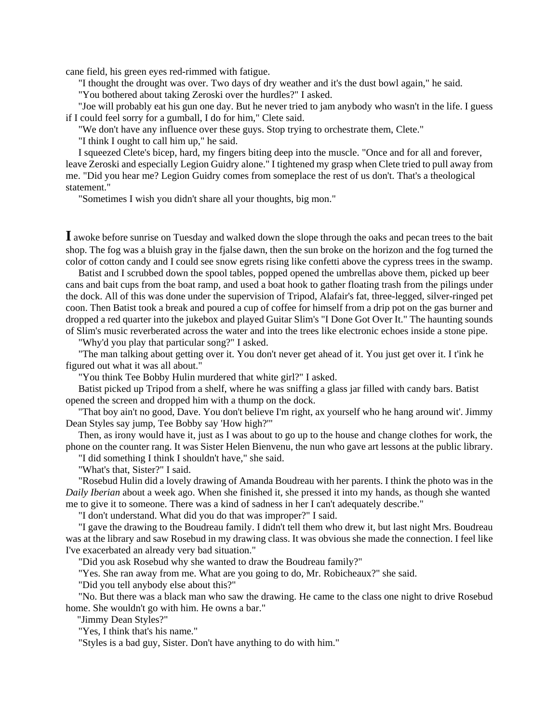cane field, his green eyes red-rimmed with fatigue.

"I thought the drought was over. Two days of dry weather and it's the dust bowl again," he said.

"You bothered about taking Zeroski over the hurdles?" I asked.

 "Joe will probably eat his gun one day. But he never tried to jam anybody who wasn't in the life. I guess if I could feel sorry for a gumball, I do for him," Clete said.

"We don't have any influence over these guys. Stop trying to orchestrate them, Clete."

"I think I ought to call him up," he said.

 I squeezed Clete's bicep, hard, my fingers biting deep into the muscle. "Once and for all and forever, leave Zeroski and especially Legion Guidry alone." I tightened my grasp when Clete tried to pull away from me. "Did you hear me? Legion Guidry comes from someplace the rest of us don't. That's a theological statement."

"Sometimes I wish you didn't share all your thoughts, big mon."

**I** awoke before sunrise on Tuesday and walked down the slope through the oaks and pecan trees to the bait shop. The fog was a bluish gray in the fjalse dawn, then the sun broke on the horizon and the fog turned the color of cotton candy and I could see snow egrets rising like confetti above the cypress trees in the swamp.

 Batist and I scrubbed down the spool tables, popped opened the umbrellas above them, picked up beer cans and bait cups from the boat ramp, and used a boat hook to gather floating trash from the pilings under the dock. All of this was done under the supervision of Tripod, Alafair's fat, three-legged, silver-ringed pet coon. Then Batist took a break and poured a cup of coffee for himself from a drip pot on the gas burner and dropped a red quarter into the jukebox and played Guitar Slim's "I Done Got Over It." The haunting sounds of Slim's music reverberated across the water and into the trees like electronic echoes inside a stone pipe.

"Why'd you play that particular song?" I asked.

 "The man talking about getting over it. You don't never get ahead of it. You just get over it. I t'ink he figured out what it was all about."

"You think Tee Bobby Hulin murdered that white girl?" I asked.

 Batist picked up Tripod from a shelf, where he was sniffing a glass jar filled with candy bars. Batist opened the screen and dropped him with a thump on the dock.

 "That boy ain't no good, Dave. You don't believe I'm right, ax yourself who he hang around wit'. Jimmy Dean Styles say jump, Tee Bobby say 'How high?'"

 Then, as irony would have it, just as I was about to go up to the house and change clothes for work, the phone on the counter rang. It was Sister Helen Bienvenu, the nun who gave art lessons at the public library.

"I did something I think I shouldn't have," she said.

"What's that, Sister?" I said.

 "Rosebud Hulin did a lovely drawing of Amanda Boudreau with her parents. I think the photo was in the *Daily Iberian* about a week ago. When she finished it, she pressed it into my hands, as though she wanted me to give it to someone. There was a kind of sadness in her I can't adequately describe."

"I don't understand. What did you do that was improper?" I said.

 "I gave the drawing to the Boudreau family. I didn't tell them who drew it, but last night Mrs. Boudreau was at the library and saw Rosebud in my drawing class. It was obvious she made the connection. I feel like I've exacerbated an already very bad situation."

"Did you ask Rosebud why she wanted to draw the Boudreau family?"

"Yes. She ran away from me. What are you going to do, Mr. Robicheaux?" she said.

"Did you tell anybody else about this?"

 "No. But there was a black man who saw the drawing. He came to the class one night to drive Rosebud home. She wouldn't go with him. He owns a bar."

"Jimmy Dean Styles?"

"Yes, I think that's his name."

"Styles is a bad guy, Sister. Don't have anything to do with him."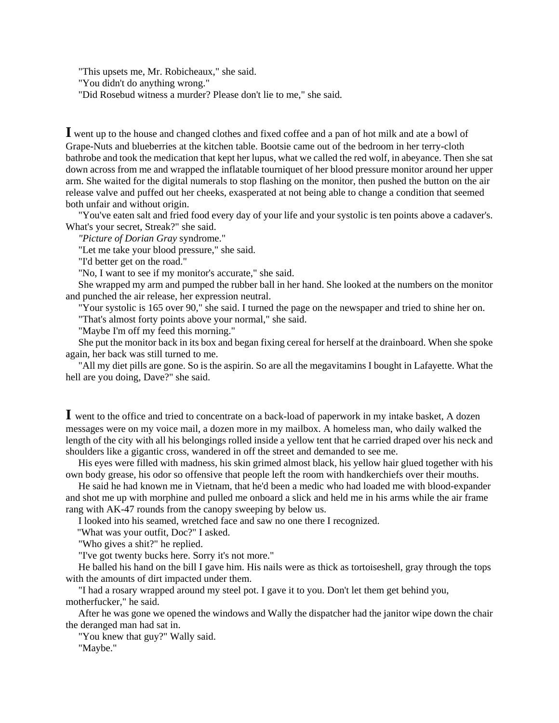"This upsets me, Mr. Robicheaux," she said. "You didn't do anything wrong." "Did Rosebud witness a murder? Please don't lie to me," she said.

**I** went up to the house and changed clothes and fixed coffee and a pan of hot milk and ate a bowl of Grape-Nuts and blueberries at the kitchen table. Bootsie came out of the bedroom in her terry-cloth bathrobe and took the medication that kept her lupus, what we called the red wolf, in abeyance. Then she sat down across from me and wrapped the inflatable tourniquet of her blood pressure monitor around her upper arm. She waited for the digital numerals to stop flashing on the monitor, then pushed the button on the air release valve and puffed out her cheeks, exasperated at not being able to change a condition that seemed both unfair and without origin.

 "You've eaten salt and fried food every day of your life and your systolic is ten points above a cadaver's. What's your secret, Streak?" she said.

 *"Picture of Dorian Gray* syndrome."

"Let me take your blood pressure," she said.

"I'd better get on the road."

"No, I want to see if my monitor's accurate," she said.

 She wrapped my arm and pumped the rubber ball in her hand. She looked at the numbers on the monitor and punched the air release, her expression neutral.

"Your systolic is 165 over 90," she said. I turned the page on the newspaper and tried to shine her on.

"That's almost forty points above your normal," she said.

"Maybe I'm off my feed this morning."

 She put the monitor back in its box and began fixing cereal for herself at the drainboard. When she spoke again, her back was still turned to me.

 "All my diet pills are gone. So is the aspirin. So are all the megavitamins I bought in Lafayette. What the hell are you doing, Dave?" she said.

**I** went to the office and tried to concentrate on a back-load of paperwork in my intake basket, A dozen messages were on my voice mail, a dozen more in my mailbox. A homeless man, who daily walked the length of the city with all his belongings rolled inside a yellow tent that he carried draped over his neck and shoulders like a gigantic cross, wandered in off the street and demanded to see me.

 His eyes were filled with madness, his skin grimed almost black, his yellow hair glued together with his own body grease, his odor so offensive that people left the room with handkerchiefs over their mouths.

 He said he had known me in Vietnam, that he'd been a medic who had loaded me with blood-expander and shot me up with morphine and pulled me onboard a slick and held me in his arms while the air frame rang with AK-47 rounds from the canopy sweeping by below us.

I looked into his seamed, wretched face and saw no one there I recognized.

"What was your outfit, Doc?" I asked.

"Who gives a shit?" he replied.

"I've got twenty bucks here. Sorry it's not more."

 He balled his hand on the bill I gave him. His nails were as thick as tortoiseshell, gray through the tops with the amounts of dirt impacted under them.

 "I had a rosary wrapped around my steel pot. I gave it to you. Don't let them get behind you, motherfucker," he said.

 After he was gone we opened the windows and Wally the dispatcher had the janitor wipe down the chair the deranged man had sat in.

"You knew that guy?" Wally said.

"Maybe."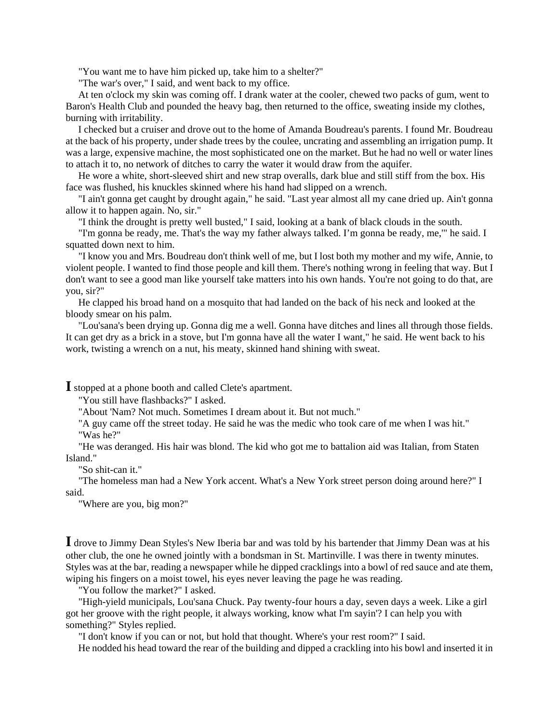"You want me to have him picked up, take him to a shelter?"

"The war's over," I said, and went back to my office.

 At ten o'clock my skin was coming off. I drank water at the cooler, chewed two packs of gum, went to Baron's Health Club and pounded the heavy bag, then returned to the office, sweating inside my clothes, burning with irritability.

 I checked but a cruiser and drove out to the home of Amanda Boudreau's parents. I found Mr. Boudreau at the back of his property, under shade trees by the coulee, uncrating and assembling an irrigation pump. It was a large, expensive machine, the most sophisticated one on the market. But he had no well or water lines to attach it to, no network of ditches to carry the water it would draw from the aquifer.

 He wore a white, short-sleeved shirt and new strap overalls, dark blue and still stiff from the box. His face was flushed, his knuckles skinned where his hand had slipped on a wrench.

 "I ain't gonna get caught by drought again," he said. "Last year almost all my cane dried up. Ain't gonna allow it to happen again. No, sir."

"I think the drought is pretty well busted," I said, looking at a bank of black clouds in the south.

 "I'm gonna be ready, me. That's the way my father always talked. I'm gonna be ready, me,'" he said. I squatted down next to him.

 "I know you and Mrs. Boudreau don't think well of me, but I lost both my mother and my wife, Annie, to violent people. I wanted to find those people and kill them. There's nothing wrong in feeling that way. But I don't want to see a good man like yourself take matters into his own hands. You're not going to do that, are you, sir?"

 He clapped his broad hand on a mosquito that had landed on the back of his neck and looked at the bloody smear on his palm.

 "Lou'sana's been drying up. Gonna dig me a well. Gonna have ditches and lines all through those fields. It can get dry as a brick in a stove, but I'm gonna have all the water I want," he said. He went back to his work, twisting a wrench on a nut, his meaty, skinned hand shining with sweat.

**I** stopped at a phone booth and called Clete's apartment.

"You still have flashbacks?" I asked.

"About 'Nam? Not much. Sometimes I dream about it. But not much."

 "A guy came off the street today. He said he was the medic who took care of me when I was hit." "Was he?"

 "He was deranged. His hair was blond. The kid who got me to battalion aid was Italian, from Staten Island."

"So shit-can it."

 "The homeless man had a New York accent. What's a New York street person doing around here?" I said.

"Where are you, big mon?"

**I** drove to Jimmy Dean Styles's New Iberia bar and was told by his bartender that Jimmy Dean was at his other club, the one he owned jointly with a bondsman in St. Martinville. I was there in twenty minutes. Styles was at the bar, reading a newspaper while he dipped cracklings into a bowl of red sauce and ate them, wiping his fingers on a moist towel, his eyes never leaving the page he was reading.

"You follow the market?" I asked.

 "High-yield municipals, Lou'sana Chuck. Pay twenty-four hours a day, seven days a week. Like a girl got her groove with the right people, it always working, know what I'm sayin'? I can help you with something?" Styles replied.

"I don't know if you can or not, but hold that thought. Where's your rest room?" I said.

He nodded his head toward the rear of the building and dipped a crackling into his bowl and inserted it in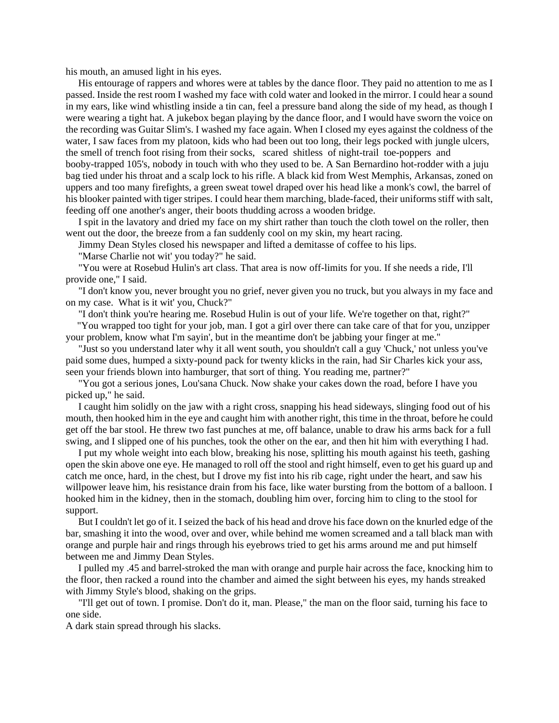his mouth, an amused light in his eyes.

 His entourage of rappers and whores were at tables by the dance floor. They paid no attention to me as I passed. Inside the rest room I washed my face with cold water and looked in the mirror. I could hear a sound in my ears, like wind whistling inside a tin can, feel a pressure band along the side of my head, as though I were wearing a tight hat. A jukebox began playing by the dance floor, and I would have sworn the voice on the recording was Guitar Slim's. I washed my face again. When I closed my eyes against the coldness of the water, I saw faces from my platoon, kids who had been out too long, their legs pocked with jungle ulcers, the smell of trench foot rising from their socks, scared shitless of night-trail toe-poppers and booby-trapped 105's, nobody in touch with who they used to be. A San Bernardino hot-rodder with a juju bag tied under his throat and a scalp lock to his rifle. A black kid from West Memphis, Arkansas, zoned on uppers and too many firefights, a green sweat towel draped over his head like a monk's cowl, the barrel of his blooker painted with tiger stripes. I could hear them marching, blade-faced, their uniforms stiff with salt, feeding off one another's anger, their boots thudding across a wooden bridge.

 I spit in the lavatory and dried my face on my shirt rather than touch the cloth towel on the roller, then went out the door, the breeze from a fan suddenly cool on my skin, my heart racing.

Jimmy Dean Styles closed his newspaper and lifted a demitasse of coffee to his lips.

"Marse Charlie not wit' you today?" he said.

 "You were at Rosebud Hulin's art class. That area is now off-limits for you. If she needs a ride, I'll provide one," I said.

 "I don't know you, never brought you no grief, never given you no truck, but you always in my face and on my case. What is it wit' you, Chuck?"

"I don't think you're hearing me. Rosebud Hulin is out of your life. We're together on that, right?"

 "You wrapped too tight for your job, man. I got a girl over there can take care of that for you, unzipper your problem, know what I'm sayin', but in the meantime don't be jabbing your finger at me."

 "Just so you understand later why it all went south, you shouldn't call a guy 'Chuck,' not unless you've paid some dues, humped a sixty-pound pack for twenty klicks in the rain, had Sir Charles kick your ass, seen your friends blown into hamburger, that sort of thing. You reading me, partner?"

 "You got a serious jones, Lou'sana Chuck. Now shake your cakes down the road, before I have you picked up," he said.

 I caught him solidly on the jaw with a right cross, snapping his head sideways, slinging food out of his mouth, then hooked him in the eye and caught him with another right, this time in the throat, before he could get off the bar stool. He threw two fast punches at me, off balance, unable to draw his arms back for a full swing, and I slipped one of his punches, took the other on the ear, and then hit him with everything I had.

 I put my whole weight into each blow, breaking his nose, splitting his mouth against his teeth, gashing open the skin above one eye. He managed to roll off the stool and right himself, even to get his guard up and catch me once, hard, in the chest, but I drove my fist into his rib cage, right under the heart, and saw his willpower leave him, his resistance drain from his face, like water bursting from the bottom of a balloon. I hooked him in the kidney, then in the stomach, doubling him over, forcing him to cling to the stool for support.

 But I couldn't let go of it. I seized the back of his head and drove his face down on the knurled edge of the bar, smashing it into the wood, over and over, while behind me women screamed and a tall black man with orange and purple hair and rings through his eyebrows tried to get his arms around me and put himself between me and Jimmy Dean Styles.

 I pulled my .45 and barrel-stroked the man with orange and purple hair across the face, knocking him to the floor, then racked a round into the chamber and aimed the sight between his eyes, my hands streaked with Jimmy Style's blood, shaking on the grips.

 "I'll get out of town. I promise. Don't do it, man. Please," the man on the floor said, turning his face to one side.

A dark stain spread through his slacks.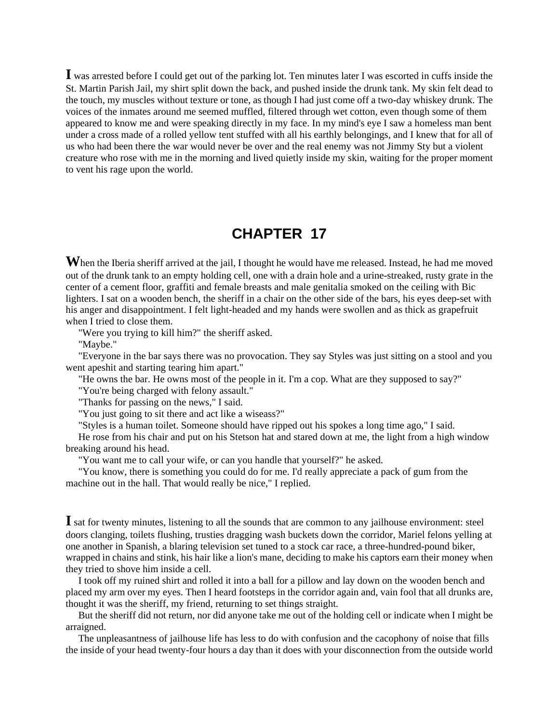**I** was arrested before I could get out of the parking lot. Ten minutes later I was escorted in cuffs inside the St. Martin Parish Jail, my shirt split down the back, and pushed inside the drunk tank. My skin felt dead to the touch, my muscles without texture or tone, as though I had just come off a two-day whiskey drunk. The voices of the inmates around me seemed muffled, filtered through wet cotton, even though some of them appeared to know me and were speaking directly in my face. In my mind's eye I saw a homeless man bent under a cross made of a rolled yellow tent stuffed with all his earthly belongings, and I knew that for all of us who had been there the war would never be over and the real enemy was not Jimmy Sty but a violent creature who rose with me in the morning and lived quietly inside my skin, waiting for the proper moment to vent his rage upon the world.

# **CHAPTER 17**

**W**hen the Iberia sheriff arrived at the jail, I thought he would have me released. Instead, he had me moved out of the drunk tank to an empty holding cell, one with a drain hole and a urine-streaked, rusty grate in the center of a cement floor, graffiti and female breasts and male genitalia smoked on the ceiling with Bic lighters. I sat on a wooden bench, the sheriff in a chair on the other side of the bars, his eyes deep-set with his anger and disappointment. I felt light-headed and my hands were swollen and as thick as grapefruit when I tried to close them.

"Were you trying to kill him?" the sheriff asked.

"Maybe."

 "Everyone in the bar says there was no provocation. They say Styles was just sitting on a stool and you went apeshit and starting tearing him apart."

"He owns the bar. He owns most of the people in it. I'm a cop. What are they supposed to say?"

"You're being charged with felony assault."

"Thanks for passing on the news," I said.

"You just going to sit there and act like a wiseass?"

"Styles is a human toilet. Someone should have ripped out his spokes a long time ago," I said.

 He rose from his chair and put on his Stetson hat and stared down at me, the light from a high window breaking around his head.

"You want me to call your wife, or can you handle that yourself?" he asked.

 "You know, there is something you could do for me. I'd really appreciate a pack of gum from the machine out in the hall. That would really be nice," I replied.

**I** sat for twenty minutes, listening to all the sounds that are common to any jailhouse environment: steel doors clanging, toilets flushing, trusties dragging wash buckets down the corridor, Mariel felons yelling at one another in Spanish, a blaring television set tuned to a stock car race, a three-hundred-pound biker, wrapped in chains and stink, his hair like a lion's mane, deciding to make his captors earn their money when they tried to shove him inside a cell.

 I took off my ruined shirt and rolled it into a ball for a pillow and lay down on the wooden bench and placed my arm over my eyes. Then I heard footsteps in the corridor again and, vain fool that all drunks are, thought it was the sheriff, my friend, returning to set things straight.

 But the sheriff did not return, nor did anyone take me out of the holding cell or indicate when I might be arraigned.

 The unpleasantness of jailhouse life has less to do with confusion and the cacophony of noise that fills the inside of your head twenty-four hours a day than it does with your disconnection from the outside world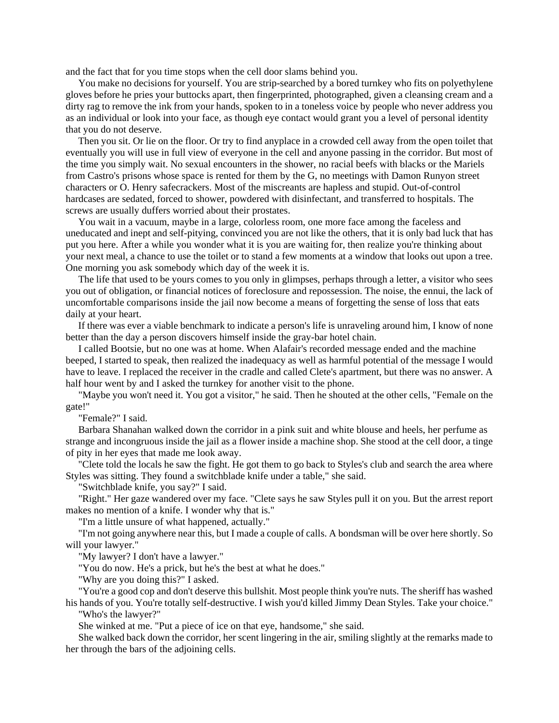and the fact that for you time stops when the cell door slams behind you.

 You make no decisions for yourself. You are strip-searched by a bored turnkey who fits on polyethylene gloves before he pries your buttocks apart, then fingerprinted, photographed, given a cleansing cream and a dirty rag to remove the ink from your hands, spoken to in a toneless voice by people who never address you as an individual or look into your face, as though eye contact would grant you a level of personal identity that you do not deserve.

 Then you sit. Or lie on the floor. Or try to find anyplace in a crowded cell away from the open toilet that eventually you will use in full view of everyone in the cell and anyone passing in the corridor. But most of the time you simply wait. No sexual encounters in the shower, no racial beefs with blacks or the Mariels from Castro's prisons whose space is rented for them by the G, no meetings with Damon Runyon street characters or O. Henry safecrackers. Most of the miscreants are hapless and stupid. Out-of-control hardcases are sedated, forced to shower, powdered with disinfectant, and transferred to hospitals. The screws are usually duffers worried about their prostates.

 You wait in a vacuum, maybe in a large, colorless room, one more face among the faceless and uneducated and inept and self-pitying, convinced you are not like the others, that it is only bad luck that has put you here. After a while you wonder what it is you are waiting for, then realize you're thinking about your next meal, a chance to use the toilet or to stand a few moments at a window that looks out upon a tree. One morning you ask somebody which day of the week it is.

 The life that used to be yours comes to you only in glimpses, perhaps through a letter, a visitor who sees you out of obligation, or financial notices of foreclosure and repossession. The noise, the ennui, the lack of uncomfortable comparisons inside the jail now become a means of forgetting the sense of loss that eats daily at your heart.

 If there was ever a viable benchmark to indicate a person's life is unraveling around him, I know of none better than the day a person discovers himself inside the gray-bar hotel chain.

 I called Bootsie, but no one was at home. When Alafair's recorded message ended and the machine beeped, I started to speak, then realized the inadequacy as well as harmful potential of the message I would have to leave. I replaced the receiver in the cradle and called Clete's apartment, but there was no answer. A half hour went by and I asked the turnkey for another visit to the phone.

 "Maybe you won't need it. You got a visitor," he said. Then he shouted at the other cells, "Female on the gate!"

"Female?" I said.

 Barbara Shanahan walked down the corridor in a pink suit and white blouse and heels, her perfume as strange and incongruous inside the jail as a flower inside a machine shop. She stood at the cell door, a tinge of pity in her eyes that made me look away.

 "Clete told the locals he saw the fight. He got them to go back to Styles's club and search the area where Styles was sitting. They found a switchblade knife under a table," she said.

"Switchblade knife, you say?" I said.

 "Right." Her gaze wandered over my face. "Clete says he saw Styles pull it on you. But the arrest report makes no mention of a knife. I wonder why that is."

"I'm a little unsure of what happened, actually."

 "I'm not going anywhere near this, but I made a couple of calls. A bondsman will be over here shortly. So will your lawyer."

"My lawyer? I don't have a lawyer."

"You do now. He's a prick, but he's the best at what he does."

"Why are you doing this?" I asked.

 "You're a good cop and don't deserve this bullshit. Most people think you're nuts. The sheriff has washed his hands of you. You're totally self-destructive. I wish you'd killed Jimmy Dean Styles. Take your choice."

"Who's the lawyer?"

She winked at me. "Put a piece of ice on that eye, handsome," she said.

 She walked back down the corridor, her scent lingering in the air, smiling slightly at the remarks made to her through the bars of the adjoining cells.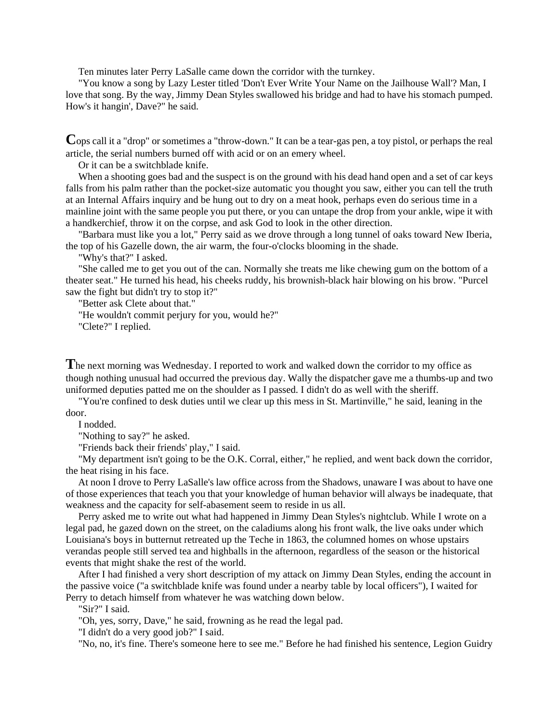Ten minutes later Perry LaSalle came down the corridor with the turnkey.

 "You know a song by Lazy Lester titled 'Don't Ever Write Your Name on the Jailhouse Wall'? Man, I love that song. By the way, Jimmy Dean Styles swallowed his bridge and had to have his stomach pumped. How's it hangin', Dave?" he said.

**C**ops call it a "drop" or sometimes a "throw-down." It can be a tear-gas pen, a toy pistol, or perhaps the real article, the serial numbers burned off with acid or on an emery wheel.

Or it can be a switchblade knife.

When a shooting goes bad and the suspect is on the ground with his dead hand open and a set of car keys falls from his palm rather than the pocket-size automatic you thought you saw, either you can tell the truth at an Internal Affairs inquiry and be hung out to dry on a meat hook, perhaps even do serious time in a mainline joint with the same people you put there, or you can untape the drop from your ankle, wipe it with a handkerchief, throw it on the corpse, and ask God to look in the other direction.

 "Barbara must like you a lot," Perry said as we drove through a long tunnel of oaks toward New Iberia, the top of his Gazelle down, the air warm, the four-o'clocks blooming in the shade.

"Why's that?" I asked.

 "She called me to get you out of the can. Normally she treats me like chewing gum on the bottom of a theater seat." He turned his head, his cheeks ruddy, his brownish-black hair blowing on his brow. "Purcel saw the fight but didn't try to stop it?"

"Better ask Clete about that."

"He wouldn't commit perjury for you, would he?"

"Clete?" I replied.

**T**he next morning was Wednesday. I reported to work and walked down the corridor to my office as though nothing unusual had occurred the previous day. Wally the dispatcher gave me a thumbs-up and two uniformed deputies patted me on the shoulder as I passed. I didn't do as well with the sheriff.

 "You're confined to desk duties until we clear up this mess in St. Martinville," he said, leaning in the door.

I nodded.

"Nothing to say?" he asked.

"Friends back their friends' play," I said.

 "My department isn't going to be the O.K. Corral, either," he replied, and went back down the corridor, the heat rising in his face.

 At noon I drove to Perry LaSalle's law office across from the Shadows, unaware I was about to have one of those experiences that teach you that your knowledge of human behavior will always be inadequate, that weakness and the capacity for self-abasement seem to reside in us all.

 Perry asked me to write out what had happened in Jimmy Dean Styles's nightclub. While I wrote on a legal pad, he gazed down on the street, on the caladiums along his front walk, the live oaks under which Louisiana's boys in butternut retreated up the Teche in 1863, the columned homes on whose upstairs verandas people still served tea and highballs in the afternoon, regardless of the season or the historical events that might shake the rest of the world.

 After I had finished a very short description of my attack on Jimmy Dean Styles, ending the account in the passive voice ("a switchblade knife was found under a nearby table by local officers"), I waited for Perry to detach himself from whatever he was watching down below.

"Sir?" I said.

"Oh, yes, sorry, Dave," he said, frowning as he read the legal pad.

"I didn't do a very good job?" I said.

"No, no, it's fine. There's someone here to see me." Before he had finished his sentence, Legion Guidry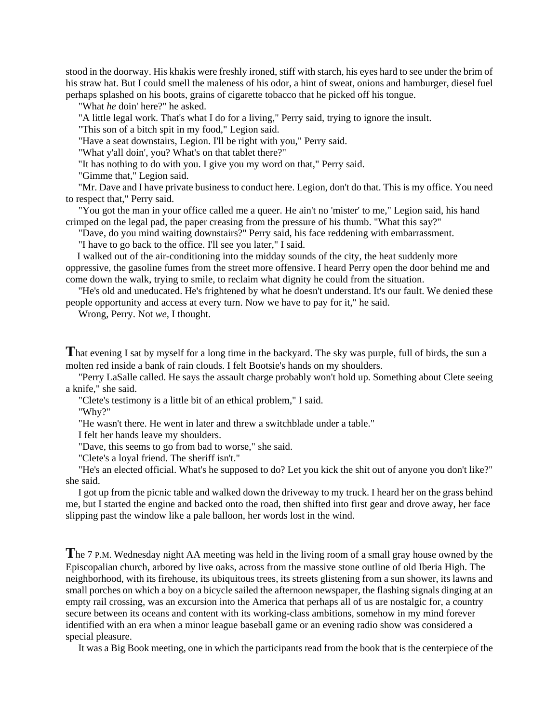stood in the doorway. His khakis were freshly ironed, stiff with starch, his eyes hard to see under the brim of his straw hat. But I could smell the maleness of his odor, a hint of sweat, onions and hamburger, diesel fuel perhaps splashed on his boots, grains of cigarette tobacco that he picked off his tongue.

"What *he* doin' here?" he asked.

"A little legal work. That's what I do for a living," Perry said, trying to ignore the insult.

"This son of a bitch spit in my food," Legion said.

"Have a seat downstairs, Legion. I'll be right with you," Perry said.

"What y'all doin', you? What's on that tablet there?"

"It has nothing to do with you. I give you my word on that," Perry said.

"Gimme that," Legion said.

 "Mr. Dave and I have private business to conduct here. Legion, don't do that. This is my office. You need to respect that," Perry said.

 "You got the man in your office called me a queer. He ain't no 'mister' to me," Legion said, his hand crimped on the legal pad, the paper creasing from the pressure of his thumb. "What this say?"

 "Dave, do you mind waiting downstairs?" Perry said, his face reddening with embarrassment. "I have to go back to the office. I'll see you later," I said.

 I walked out of the air-conditioning into the midday sounds of the city, the heat suddenly more oppressive, the gasoline fumes from the street more offensive. I heard Perry open the door behind me and come down the walk, trying to smile, to reclaim what dignity he could from the situation.

 "He's old and uneducated. He's frightened by what he doesn't understand. It's our fault. We denied these people opportunity and access at every turn. Now we have to pay for it," he said.

Wrong, Perry. Not *we,* I thought.

That evening I sat by myself for a long time in the backyard. The sky was purple, full of birds, the sun a molten red inside a bank of rain clouds. I felt Bootsie's hands on my shoulders.

 "Perry LaSalle called. He says the assault charge probably won't hold up. Something about Clete seeing a knife," she said.

"Clete's testimony is a little bit of an ethical problem," I said.

"Why?"

"He wasn't there. He went in later and threw a switchblade under a table."

I felt her hands leave my shoulders.

"Dave, this seems to go from bad to worse," she said.

"Clete's a loyal friend. The sheriff isn't."

 "He's an elected official. What's he supposed to do? Let you kick the shit out of anyone you don't like?" she said.

 I got up from the picnic table and walked down the driveway to my truck. I heard her on the grass behind me, but I started the engine and backed onto the road, then shifted into first gear and drove away, her face slipping past the window like a pale balloon, her words lost in the wind.

**T**he 7 P.M. Wednesday night AA meeting was held in the living room of a small gray house owned by the Episcopalian church, arbored by live oaks, across from the massive stone outline of old Iberia High. The neighborhood, with its firehouse, its ubiquitous trees, its streets glistening from a sun shower, its lawns and small porches on which a boy on a bicycle sailed the afternoon newspaper, the flashing signals dinging at an empty rail crossing, was an excursion into the America that perhaps all of us are nostalgic for, a country secure between its oceans and content with its working-class ambitions, somehow in my mind forever identified with an era when a minor league baseball game or an evening radio show was considered a special pleasure.

It was a Big Book meeting, one in which the participants read from the book that is the centerpiece of the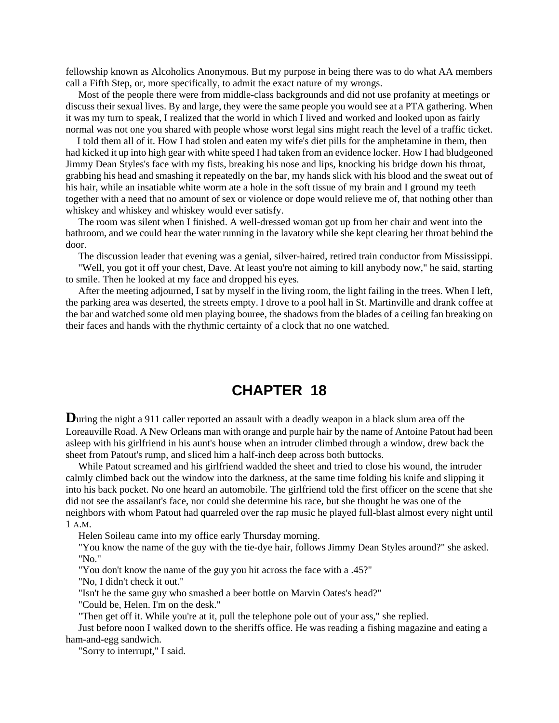fellowship known as Alcoholics Anonymous. But my purpose in being there was to do what AA members call a Fifth Step, or, more specifically, to admit the exact nature of my wrongs.

 Most of the people there were from middle-class backgrounds and did not use profanity at meetings or discuss their sexual lives. By and large, they were the same people you would see at a PTA gathering. When it was my turn to speak, I realized that the world in which I lived and worked and looked upon as fairly normal was not one you shared with people whose worst legal sins might reach the level of a traffic ticket.

 I told them all of it. How I had stolen and eaten my wife's diet pills for the amphetamine in them, then had kicked it up into high gear with white speed I had taken from an evidence locker. How I had bludgeoned Jimmy Dean Styles's face with my fists, breaking his nose and lips, knocking his bridge down his throat, grabbing his head and smashing it repeatedly on the bar, my hands slick with his blood and the sweat out of his hair, while an insatiable white worm ate a hole in the soft tissue of my brain and I ground my teeth together with a need that no amount of sex or violence or dope would relieve me of, that nothing other than whiskey and whiskey and whiskey would ever satisfy.

 The room was silent when I finished. A well-dressed woman got up from her chair and went into the bathroom, and we could hear the water running in the lavatory while she kept clearing her throat behind the door.

 The discussion leader that evening was a genial, silver-haired, retired train conductor from Mississippi. "Well, you got it off your chest, Dave. At least you're not aiming to kill anybody now," he said, starting

to smile. Then he looked at my face and dropped his eyes.

 After the meeting adjourned, I sat by myself in the living room, the light failing in the trees. When I left, the parking area was deserted, the streets empty. I drove to a pool hall in St. Martinville and drank coffee at the bar and watched some old men playing bouree, the shadows from the blades of a ceiling fan breaking on their faces and hands with the rhythmic certainty of a clock that no one watched.

### **CHAPTER 18**

**D**uring the night a 911 caller reported an assault with a deadly weapon in a black slum area off the Loreauville Road. A New Orleans man with orange and purple hair by the name of Antoine Patout had been asleep with his girlfriend in his aunt's house when an intruder climbed through a window, drew back the sheet from Patout's rump, and sliced him a half-inch deep across both buttocks.

 While Patout screamed and his girlfriend wadded the sheet and tried to close his wound, the intruder calmly climbed back out the window into the darkness, at the same time folding his knife and slipping it into his back pocket. No one heard an automobile. The girlfriend told the first officer on the scene that she did not see the assailant's face, nor could she determine his race, but she thought he was one of the neighbors with whom Patout had quarreled over the rap music he played full-blast almost every night until 1 A.M.

Helen Soileau came into my office early Thursday morning.

 "You know the name of the guy with the tie-dye hair, follows Jimmy Dean Styles around?" she asked. "No."

"You don't know the name of the guy you hit across the face with a .45?"

"No, I didn't check it out."

"Isn't he the same guy who smashed a beer bottle on Marvin Oates's head?"

"Could be, Helen. I'm on the desk."

"Then get off it. While you're at it, pull the telephone pole out of your ass," she replied.

 Just before noon I walked down to the sheriffs office. He was reading a fishing magazine and eating a ham-and-egg sandwich.

"Sorry to interrupt," I said.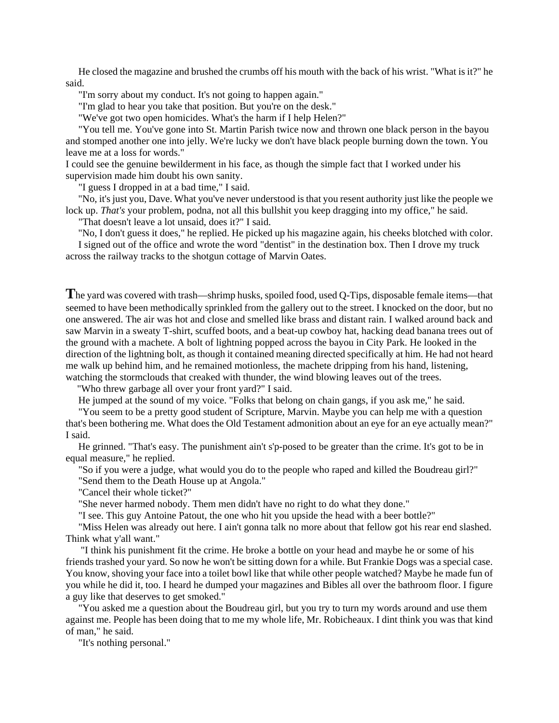He closed the magazine and brushed the crumbs off his mouth with the back of his wrist. "What is it?" he said.

"I'm sorry about my conduct. It's not going to happen again."

"I'm glad to hear you take that position. But you're on the desk."

"We've got two open homicides. What's the harm if I help Helen?"

 "You tell me. You've gone into St. Martin Parish twice now and thrown one black person in the bayou and stomped another one into jelly. We're lucky we don't have black people burning down the town. You leave me at a loss for words."

I could see the genuine bewilderment in his face, as though the simple fact that I worked under his supervision made him doubt his own sanity.

"I guess I dropped in at a bad time," I said.

 "No, it's just you, Dave. What you've never understood is that you resent authority just like the people we lock up. *That's* your problem, podna, not all this bullshit you keep dragging into my office," he said.

"That doesn't leave a lot unsaid, does it?" I said.

"No, I don't guess it does," he replied. He picked up his magazine again, his cheeks blotched with color.

 I signed out of the office and wrote the word "dentist" in the destination box. Then I drove my truck across the railway tracks to the shotgun cottage of Marvin Oates.

**T**he yard was covered with trash—shrimp husks, spoiled food, used Q-Tips, disposable female items—that seemed to have been methodically sprinkled from the gallery out to the street. I knocked on the door, but no one answered. The air was hot and close and smelled like brass and distant rain. I walked around back and saw Marvin in a sweaty T-shirt, scuffed boots, and a beat-up cowboy hat, hacking dead banana trees out of the ground with a machete. A bolt of lightning popped across the bayou in City Park. He looked in the direction of the lightning bolt, as though it contained meaning directed specifically at him. He had not heard me walk up behind him, and he remained motionless, the machete dripping from his hand, listening, watching the stormclouds that creaked with thunder, the wind blowing leaves out of the trees.

"Who threw garbage all over your front yard?" I said.

He jumped at the sound of my voice. "Folks that belong on chain gangs, if you ask me," he said.

 "You seem to be a pretty good student of Scripture, Marvin. Maybe you can help me with a question that's been bothering me. What does the Old Testament admonition about an eye for an eye actually mean?" I said.

 He grinned. "That's easy. The punishment ain't s'p-posed to be greater than the crime. It's got to be in equal measure," he replied.

 "So if you were a judge, what would you do to the people who raped and killed the Boudreau girl?" "Send them to the Death House up at Angola."

"Cancel their whole ticket?"

"She never harmed nobody. Them men didn't have no right to do what they done."

"I see. This guy Antoine Patout, the one who hit you upside the head with a beer bottle?"

 "Miss Helen was already out here. I ain't gonna talk no more about that fellow got his rear end slashed. Think what y'all want."

 "I think his punishment fit the crime. He broke a bottle on your head and maybe he or some of his friends trashed your yard. So now he won't be sitting down for a while. But Frankie Dogs was a special case. You know, shoving your face into a toilet bowl like that while other people watched? Maybe he made fun of you while he did it, too. I heard he dumped your magazines and Bibles all over the bathroom floor. I figure a guy like that deserves to get smoked."

 "You asked me a question about the Boudreau girl, but you try to turn my words around and use them against me. People has been doing that to me my whole life, Mr. Robicheaux. I dint think you was that kind of man," he said.

"It's nothing personal."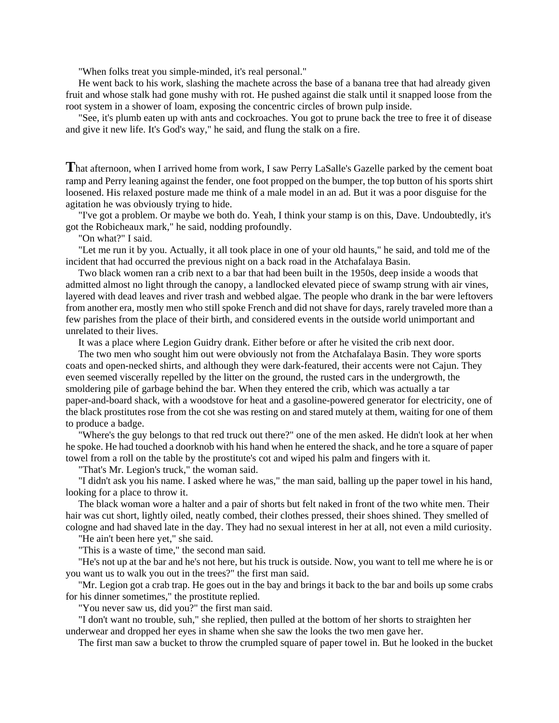"When folks treat you simple-minded, it's real personal."

 He went back to his work, slashing the machete across the base of a banana tree that had already given fruit and whose stalk had gone mushy with rot. He pushed against die stalk until it snapped loose from the root system in a shower of loam, exposing the concentric circles of brown pulp inside.

 "See, it's plumb eaten up with ants and cockroaches. You got to prune back the tree to free it of disease and give it new life. It's God's way," he said, and flung the stalk on a fire.

That afternoon, when I arrived home from work, I saw Perry LaSalle's Gazelle parked by the cement boat ramp and Perry leaning against the fender, one foot propped on the bumper, the top button of his sports shirt loosened. His relaxed posture made me think of a male model in an ad. But it was a poor disguise for the agitation he was obviously trying to hide.

 "I've got a problem. Or maybe we both do. Yeah, I think your stamp is on this, Dave. Undoubtedly, it's got the Robicheaux mark," he said, nodding profoundly.

"On what?" I said.

 "Let me run it by you. Actually, it all took place in one of your old haunts," he said, and told me of the incident that had occurred the previous night on a back road in the Atchafalaya Basin.

 Two black women ran a crib next to a bar that had been built in the 1950s, deep inside a woods that admitted almost no light through the canopy, a landlocked elevated piece of swamp strung with air vines, layered with dead leaves and river trash and webbed algae. The people who drank in the bar were leftovers from another era, mostly men who still spoke French and did not shave for days, rarely traveled more than a few parishes from the place of their birth, and considered events in the outside world unimportant and unrelated to their lives.

It was a place where Legion Guidry drank. Either before or after he visited the crib next door.

 The two men who sought him out were obviously not from the Atchafalaya Basin. They wore sports coats and open-necked shirts, and although they were dark-featured, their accents were not Cajun. They even seemed viscerally repelled by the litter on the ground, the rusted cars in the undergrowth, the smoldering pile of garbage behind the bar. When they entered the crib, which was actually a tar paper-and-board shack, with a woodstove for heat and a gasoline-powered generator for electricity, one of the black prostitutes rose from the cot she was resting on and stared mutely at them, waiting for one of them to produce a badge.

 "Where's the guy belongs to that red truck out there?" one of the men asked. He didn't look at her when he spoke. He had touched a doorknob with his hand when he entered the shack, and he tore a square of paper towel from a roll on the table by the prostitute's cot and wiped his palm and fingers with it.

"That's Mr. Legion's truck," the woman said.

 "I didn't ask you his name. I asked where he was," the man said, balling up the paper towel in his hand, looking for a place to throw it.

 The black woman wore a halter and a pair of shorts but felt naked in front of the two white men. Their hair was cut short, lightly oiled, neatly combed, their clothes pressed, their shoes shined. They smelled of cologne and had shaved late in the day. They had no sexual interest in her at all, not even a mild curiosity.

"He ain't been here yet," she said.

"This is a waste of time," the second man said.

 "He's not up at the bar and he's not here, but his truck is outside. Now, you want to tell me where he is or you want us to walk you out in the trees?" the first man said.

 "Mr. Legion got a crab trap. He goes out in the bay and brings it back to the bar and boils up some crabs for his dinner sometimes," the prostitute replied.

"You never saw us, did you?" the first man said.

 "I don't want no trouble, suh," she replied, then pulled at the bottom of her shorts to straighten her underwear and dropped her eyes in shame when she saw the looks the two men gave her.

The first man saw a bucket to throw the crumpled square of paper towel in. But he looked in the bucket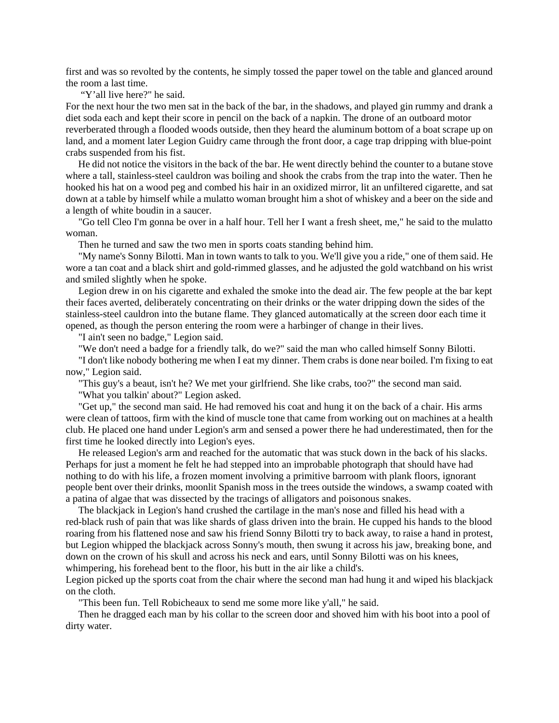first and was so revolted by the contents, he simply tossed the paper towel on the table and glanced around the room a last time.

"Y'all live here?" he said.

For the next hour the two men sat in the back of the bar, in the shadows, and played gin rummy and drank a diet soda each and kept their score in pencil on the back of a napkin. The drone of an outboard motor reverberated through a flooded woods outside, then they heard the aluminum bottom of a boat scrape up on land, and a moment later Legion Guidry came through the front door, a cage trap dripping with blue-point crabs suspended from his fist.

 He did not notice the visitors in the back of the bar. He went directly behind the counter to a butane stove where a tall, stainless-steel cauldron was boiling and shook the crabs from the trap into the water. Then he hooked his hat on a wood peg and combed his hair in an oxidized mirror, lit an unfiltered cigarette, and sat down at a table by himself while a mulatto woman brought him a shot of whiskey and a beer on the side and a length of white boudin in a saucer.

 "Go tell Cleo I'm gonna be over in a half hour. Tell her I want a fresh sheet, me," he said to the mulatto woman.

Then he turned and saw the two men in sports coats standing behind him.

 "My name's Sonny Bilotti. Man in town wants to talk to you. We'll give you a ride," one of them said. He wore a tan coat and a black shirt and gold-rimmed glasses, and he adjusted the gold watchband on his wrist and smiled slightly when he spoke.

 Legion drew in on his cigarette and exhaled the smoke into the dead air. The few people at the bar kept their faces averted, deliberately concentrating on their drinks or the water dripping down the sides of the stainless-steel cauldron into the butane flame. They glanced automatically at the screen door each time it opened, as though the person entering the room were a harbinger of change in their lives.

"I ain't seen no badge," Legion said.

"We don't need a badge for a friendly talk, do we?" said the man who called himself Sonny Bilotti.

 "I don't like nobody bothering me when I eat my dinner. Them crabs is done near boiled. I'm fixing to eat now," Legion said.

 "This guy's a beaut, isn't he? We met your girlfriend. She like crabs, too?" the second man said. "What you talkin' about?" Legion asked.

 "Get up," the second man said. He had removed his coat and hung it on the back of a chair. His arms were clean of tattoos, firm with the kind of muscle tone that came from working out on machines at a health club. He placed one hand under Legion's arm and sensed a power there he had underestimated, then for the first time he looked directly into Legion's eyes.

 He released Legion's arm and reached for the automatic that was stuck down in the back of his slacks. Perhaps for just a moment he felt he had stepped into an improbable photograph that should have had nothing to do with his life, a frozen moment involving a primitive barroom with plank floors, ignorant people bent over their drinks, moonlit Spanish moss in the trees outside the windows, a swamp coated with a patina of algae that was dissected by the tracings of alligators and poisonous snakes.

 The blackjack in Legion's hand crushed the cartilage in the man's nose and filled his head with a red-black rush of pain that was like shards of glass driven into the brain. He cupped his hands to the blood roaring from his flattened nose and saw his friend Sonny Bilotti try to back away, to raise a hand in protest, but Legion whipped the blackjack across Sonny's mouth, then swung it across his jaw, breaking bone, and down on the crown of his skull and across his neck and ears, until Sonny Bilotti was on his knees, whimpering, his forehead bent to the floor, his butt in the air like a child's.

Legion picked up the sports coat from the chair where the second man had hung it and wiped his blackjack on the cloth.

"This been fun. Tell Robicheaux to send me some more like y'all," he said.

 Then he dragged each man by his collar to the screen door and shoved him with his boot into a pool of dirty water.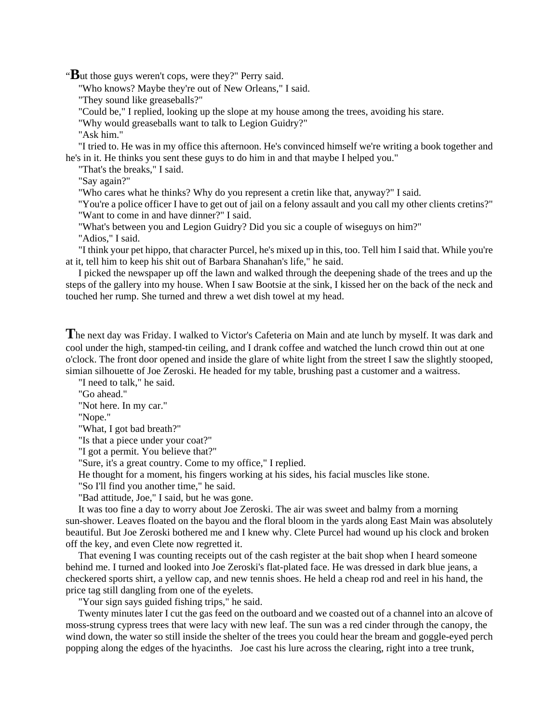**E**ut those guys weren't cops, were they?" Perry said.

"Who knows? Maybe they're out of New Orleans," I said.

"They sound like greaseballs?"

"Could be," I replied, looking up the slope at my house among the trees, avoiding his stare.

"Why would greaseballs want to talk to Legion Guidry?"

"Ask him."

 "I tried to. He was in my office this afternoon. He's convinced himself we're writing a book together and he's in it. He thinks you sent these guys to do him in and that maybe I helped you."

"That's the breaks," I said.

"Say again?"

"Who cares what he thinks? Why do you represent a cretin like that, anyway?" I said.

 "You're a police officer I have to get out of jail on a felony assault and you call my other clients cretins?" "Want to come in and have dinner?" I said.

"What's between you and Legion Guidry? Did you sic a couple of wiseguys on him?"

"Adios," I said.

 "I think your pet hippo, that character Purcel, he's mixed up in this, too. Tell him I said that. While you're at it, tell him to keep his shit out of Barbara Shanahan's life," he said.

 I picked the newspaper up off the lawn and walked through the deepening shade of the trees and up the steps of the gallery into my house. When I saw Bootsie at the sink, I kissed her on the back of the neck and touched her rump. She turned and threw a wet dish towel at my head.

**T**he next day was Friday. I walked to Victor's Cafeteria on Main and ate lunch by myself. It was dark and cool under the high, stamped-tin ceiling, and I drank coffee and watched the lunch crowd thin out at one o'clock. The front door opened and inside the glare of white light from the street I saw the slightly stooped, simian silhouette of Joe Zeroski. He headed for my table, brushing past a customer and a waitress.

"I need to talk," he said.

"Go ahead."

"Not here. In my car."

"Nope."

"What, I got bad breath?"

"Is that a piece under your coat?"

"I got a permit. You believe that?"

"Sure, it's a great country. Come to my office," I replied.

He thought for a moment, his fingers working at his sides, his facial muscles like stone.

"So I'll find you another time," he said.

"Bad attitude, Joe," I said, but he was gone.

 It was too fine a day to worry about Joe Zeroski. The air was sweet and balmy from a morning sun-shower. Leaves floated on the bayou and the floral bloom in the yards along East Main was absolutely beautiful. But Joe Zeroski bothered me and I knew why. Clete Purcel had wound up his clock and broken off the key, and even Clete now regretted it.

 That evening I was counting receipts out of the cash register at the bait shop when I heard someone behind me. I turned and looked into Joe Zeroski's flat-plated face. He was dressed in dark blue jeans, a checkered sports shirt, a yellow cap, and new tennis shoes. He held a cheap rod and reel in his hand, the price tag still dangling from one of the eyelets.

"Your sign says guided fishing trips," he said.

 Twenty minutes later I cut the gas feed on the outboard and we coasted out of a channel into an alcove of moss-strung cypress trees that were lacy with new leaf. The sun was a red cinder through the canopy, the wind down, the water so still inside the shelter of the trees you could hear the bream and goggle-eyed perch popping along the edges of the hyacinths. Joe cast his lure across the clearing, right into a tree trunk,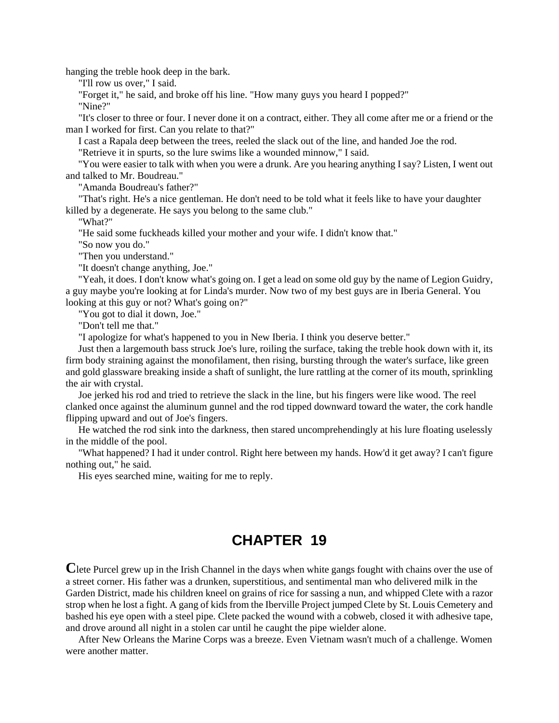hanging the treble hook deep in the bark.

"I'll row us over," I said.

"Forget it," he said, and broke off his line. "How many guys you heard I popped?"

"Nine?"

"It's closer to three or four. I never done it on a contract, either. They all come after me or a friend or the man I worked for first. Can you relate to that?"

I cast a Rapala deep between the trees, reeled the slack out of the line, and handed Joe the rod.

"Retrieve it in spurts, so the lure swims like a wounded minnow," I said.

 "You were easier to talk with when you were a drunk. Are you hearing anything I say? Listen, I went out and talked to Mr. Boudreau."

"Amanda Boudreau's father?"

 "That's right. He's a nice gentleman. He don't need to be told what it feels like to have your daughter killed by a degenerate. He says you belong to the same club."

"What?"

"He said some fuckheads killed your mother and your wife. I didn't know that."

"So now you do."

"Then you understand."

"It doesn't change anything, Joe."

 "Yeah, it does. I don't know what's going on. I get a lead on some old guy by the name of Legion Guidry, a guy maybe you're looking at for Linda's murder. Now two of my best guys are in Iberia General. You looking at this guy or not? What's going on?"

"You got to dial it down, Joe."

"Don't tell me that."

"I apologize for what's happened to you in New Iberia. I think you deserve better."

 Just then a largemouth bass struck Joe's lure, roiling the surface, taking the treble hook down with it, its firm body straining against the monofilament, then rising, bursting through the water's surface, like green and gold glassware breaking inside a shaft of sunlight, the lure rattling at the corner of its mouth, sprinkling the air with crystal.

 Joe jerked his rod and tried to retrieve the slack in the line, but his fingers were like wood. The reel clanked once against the aluminum gunnel and the rod tipped downward toward the water, the cork handle flipping upward and out of Joe's fingers.

 He watched the rod sink into the darkness, then stared uncomprehendingly at his lure floating uselessly in the middle of the pool.

 "What happened? I had it under control. Right here between my hands. How'd it get away? I can't figure nothing out," he said.

His eyes searched mine, waiting for me to reply.

### **CHAPTER 19**

Clete Purcel grew up in the Irish Channel in the days when white gangs fought with chains over the use of a street corner. His father was a drunken, superstitious, and sentimental man who delivered milk in the Garden District, made his children kneel on grains of rice for sassing a nun, and whipped Clete with a razor strop when he lost a fight. A gang of kids from the Iberville Project jumped Clete by St. Louis Cemetery and bashed his eye open with a steel pipe. Clete packed the wound with a cobweb, closed it with adhesive tape, and drove around all night in a stolen car until he caught the pipe wielder alone.

 After New Orleans the Marine Corps was a breeze. Even Vietnam wasn't much of a challenge. Women were another matter.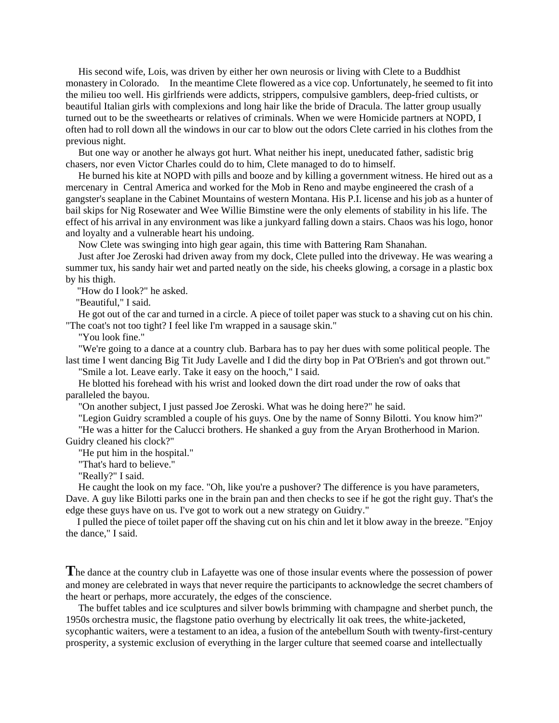His second wife, Lois, was driven by either her own neurosis or living with Clete to a Buddhist monastery in Colorado. In the meantime Clete flowered as a vice cop. Unfortunately, he seemed to fit into the milieu too well. His girlfriends were addicts, strippers, compulsive gamblers, deep-fried cultists, or beautiful Italian girls with complexions and long hair like the bride of Dracula. The latter group usually turned out to be the sweethearts or relatives of criminals. When we were Homicide partners at NOPD, I often had to roll down all the windows in our car to blow out the odors Clete carried in his clothes from the previous night.

 But one way or another he always got hurt. What neither his inept, uneducated father, sadistic brig chasers, nor even Victor Charles could do to him, Clete managed to do to himself.

 He burned his kite at NOPD with pills and booze and by killing a government witness. He hired out as a mercenary in Central America and worked for the Mob in Reno and maybe engineered the crash of a gangster's seaplane in the Cabinet Mountains of western Montana. His P.I. license and his job as a hunter of bail skips for Nig Rosewater and Wee Willie Bimstine were the only elements of stability in his life. The effect of his arrival in any environment was like a junkyard falling down a stairs. Chaos was his logo, honor and loyalty and a vulnerable heart his undoing.

Now Clete was swinging into high gear again, this time with Battering Ram Shanahan.

 Just after Joe Zeroski had driven away from my dock, Clete pulled into the driveway. He was wearing a summer tux, his sandy hair wet and parted neatly on the side, his cheeks glowing, a corsage in a plastic box by his thigh.

"How do I look?" he asked.

"Beautiful," I said.

 He got out of the car and turned in a circle. A piece of toilet paper was stuck to a shaving cut on his chin. "The coat's not too tight? I feel like I'm wrapped in a sausage skin."

"You look fine."

 "We're going to a dance at a country club. Barbara has to pay her dues with some political people. The last time I went dancing Big Tit Judy Lavelle and I did the dirty bop in Pat O'Brien's and got thrown out."

"Smile a lot. Leave early. Take it easy on the hooch," I said.

 He blotted his forehead with his wrist and looked down the dirt road under the row of oaks that paralleled the bayou.

"On another subject, I just passed Joe Zeroski. What was he doing here?" he said.

"Legion Guidry scrambled a couple of his guys. One by the name of Sonny Bilotti. You know him?"

 "He was a hitter for the Calucci brothers. He shanked a guy from the Aryan Brotherhood in Marion. Guidry cleaned his clock?"

"He put him in the hospital."

"That's hard to believe."

"Really?" I said.

He caught the look on my face. "Oh, like you're a pushover? The difference is you have parameters, Dave. A guy like Bilotti parks one in the brain pan and then checks to see if he got the right guy. That's the edge these guys have on us. I've got to work out a new strategy on Guidry."

 I pulled the piece of toilet paper off the shaving cut on his chin and let it blow away in the breeze. "Enjoy the dance," I said.

The dance at the country club in Lafayette was one of those insular events where the possession of power and money are celebrated in ways that never require the participants to acknowledge the secret chambers of the heart or perhaps, more accurately, the edges of the conscience.

 The buffet tables and ice sculptures and silver bowls brimming with champagne and sherbet punch, the 1950s orchestra music, the flagstone patio overhung by electrically lit oak trees, the white-jacketed, sycophantic waiters, were a testament to an idea, a fusion of the antebellum South with twenty-first-century prosperity, a systemic exclusion of everything in the larger culture that seemed coarse and intellectually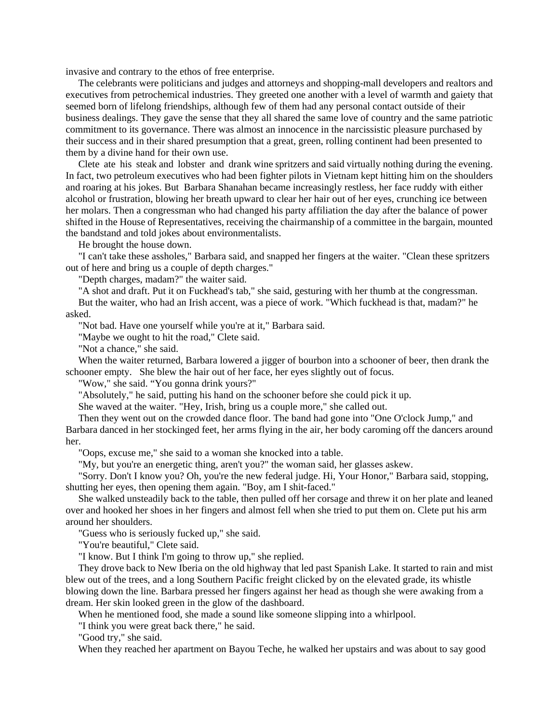invasive and contrary to the ethos of free enterprise.

 The celebrants were politicians and judges and attorneys and shopping-mall developers and realtors and executives from petrochemical industries. They greeted one another with a level of warmth and gaiety that seemed born of lifelong friendships, although few of them had any personal contact outside of their business dealings. They gave the sense that they all shared the same love of country and the same patriotic commitment to its governance. There was almost an innocence in the narcissistic pleasure purchased by their success and in their shared presumption that a great, green, rolling continent had been presented to them by a divine hand for their own use.

 Clete ate his steak and lobster and drank wine spritzers and said virtually nothing during the evening. In fact, two petroleum executives who had been fighter pilots in Vietnam kept hitting him on the shoulders and roaring at his jokes. But Barbara Shanahan became increasingly restless, her face ruddy with either alcohol or frustration, blowing her breath upward to clear her hair out of her eyes, crunching ice between her molars. Then a congressman who had changed his party affiliation the day after the balance of power shifted in the House of Representatives, receiving the chairmanship of a committee in the bargain, mounted the bandstand and told jokes about environmentalists.

He brought the house down.

 "I can't take these assholes," Barbara said, and snapped her fingers at the waiter. "Clean these spritzers out of here and bring us a couple of depth charges."

"Depth charges, madam?" the waiter said.

"A shot and draft. Put it on Fuckhead's tab," she said, gesturing with her thumb at the congressman.

 But the waiter, who had an Irish accent, was a piece of work. "Which fuckhead is that, madam?" he asked.

"Not bad. Have one yourself while you're at it," Barbara said.

"Maybe we ought to hit the road," Clete said.

"Not a chance," she said.

 When the waiter returned, Barbara lowered a jigger of bourbon into a schooner of beer, then drank the schooner empty. She blew the hair out of her face, her eyes slightly out of focus.

"Wow," she said. "You gonna drink yours?"

"Absolutely," he said, putting his hand on the schooner before she could pick it up.

She waved at the waiter. "Hey, Irish, bring us a couple more," she called out.

 Then they went out on the crowded dance floor. The band had gone into "One O'clock Jump," and Barbara danced in her stockinged feet, her arms flying in the air, her body caroming off the dancers around her.

"Oops, excuse me," she said to a woman she knocked into a table.

"My, but you're an energetic thing, aren't you?" the woman said, her glasses askew.

 "Sorry. Don't I know you? Oh, you're the new federal judge. Hi, Your Honor," Barbara said, stopping, shutting her eyes, then opening them again. "Boy, am I shit-faced."

 She walked unsteadily back to the table, then pulled off her corsage and threw it on her plate and leaned over and hooked her shoes in her fingers and almost fell when she tried to put them on. Clete put his arm around her shoulders.

"Guess who is seriously fucked up," she said.

"You're beautiful," Clete said.

"I know. But I think I'm going to throw up," she replied.

 They drove back to New Iberia on the old highway that led past Spanish Lake. It started to rain and mist blew out of the trees, and a long Southern Pacific freight clicked by on the elevated grade, its whistle blowing down the line. Barbara pressed her fingers against her head as though she were awaking from a dream. Her skin looked green in the glow of the dashboard.

When he mentioned food, she made a sound like someone slipping into a whirlpool.

"I think you were great back there," he said.

"Good try," she said.

When they reached her apartment on Bayou Teche, he walked her upstairs and was about to say good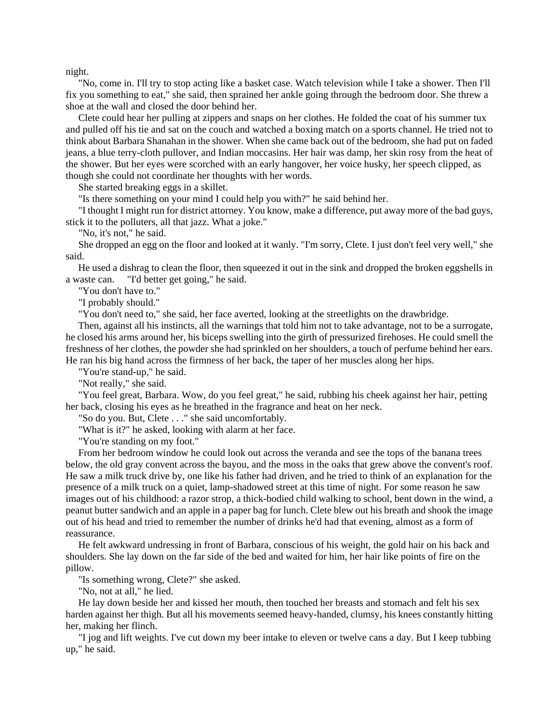night.

 "No, come in. I'll try to stop acting like a basket case. Watch television while I take a shower. Then I'll fix you something to eat," she said, then sprained her ankle going through the bedroom door. She threw a shoe at the wall and closed the door behind her.

 Clete could hear her pulling at zippers and snaps on her clothes. He folded the coat of his summer tux and pulled off his tie and sat on the couch and watched a boxing match on a sports channel. He tried not to think about Barbara Shanahan in the shower. When she came back out of the bedroom, she had put on faded jeans, a blue terry-cloth pullover, and Indian moccasins. Her hair was damp, her skin rosy from the heat of the shower. But her eyes were scorched with an early hangover, her voice husky, her speech clipped, as though she could not coordinate her thoughts with her words.

She started breaking eggs in a skillet.

"Is there something on your mind I could help you with?" he said behind her.

 "I thought I might run for district attorney. You know, make a difference, put away more of the bad guys, stick it to the polluters, all that jazz. What a joke."

"No, it's not," he said.

 She dropped an egg on the floor and looked at it wanly. "I'm sorry, Clete. I just don't feel very well," she said.

 He used a dishrag to clean the floor, then squeezed it out in the sink and dropped the broken eggshells in a waste can. "I'd better get going," he said.

"You don't have to."

"I probably should."

"You don't need to," she said, her face averted, looking at the streetlights on the drawbridge.

 Then, against all his instincts, all the warnings that told him not to take advantage, not to be a surrogate, he closed his arms around her, his biceps swelling into the girth of pressurized firehoses. He could smell the freshness of her clothes, the powder she had sprinkled on her shoulders, a touch of perfume behind her ears. He ran his big hand across the firmness of her back, the taper of her muscles along her hips.

"You're stand-up," he said.

"Not really," she said.

 "You feel great, Barbara. Wow, do you feel great," he said, rubbing his cheek against her hair, petting her back, closing his eyes as he breathed in the fragrance and heat on her neck.

"So do you. But, Clete . . ." she said uncomfortably.

"What is it?" he asked, looking with alarm at her face.

"You're standing on my foot."

 From her bedroom window he could look out across the veranda and see the tops of the banana trees below, the old gray convent across the bayou, and the moss in the oaks that grew above the convent's roof. He saw a milk truck drive by, one like his father had driven, and he tried to think of an explanation for the presence of a milk truck on a quiet, lamp-shadowed street at this time of night. For some reason he saw images out of his childhood: a razor strop, a thick-bodied child walking to school, bent down in the wind, a peanut butter sandwich and an apple in a paper bag for lunch. Clete blew out his breath and shook the image out of his head and tried to remember the number of drinks he'd had that evening, almost as a form of reassurance.

 He felt awkward undressing in front of Barbara, conscious of his weight, the gold hair on his back and shoulders. She lay down on the far side of the bed and waited for him, her hair like points of fire on the pillow.

"Is something wrong, Clete?" she asked.

"No, not at all," he lied.

 He lay down beside her and kissed her mouth, then touched her breasts and stomach and felt his sex harden against her thigh. But all his movements seemed heavy-handed, clumsy, his knees constantly hitting her, making her flinch.

 "I jog and lift weights. I've cut down my beer intake to eleven or twelve cans a day. But I keep tubbing up," he said.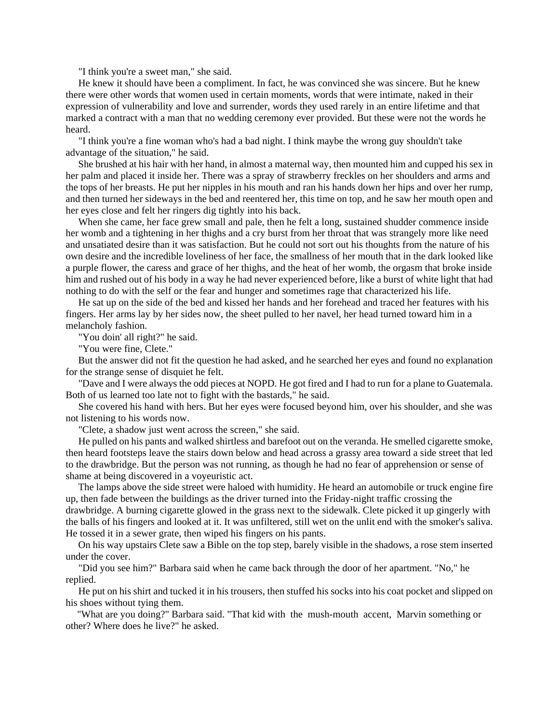"I think you're a sweet man," she said.

 He knew it should have been a compliment. In fact, he was convinced she was sincere. But he knew there were other words that women used in certain moments, words that were intimate, naked in their expression of vulnerability and love and surrender, words they used rarely in an entire lifetime and that marked a contract with a man that no wedding ceremony ever provided. But these were not the words he heard.

 "I think you're a fine woman who's had a bad night. I think maybe the wrong guy shouldn't take advantage of the situation," he said.

 She brushed at his hair with her hand, in almost a maternal way, then mounted him and cupped his sex in her palm and placed it inside her. There was a spray of strawberry freckles on her shoulders and arms and the tops of her breasts. He put her nipples in his mouth and ran his hands down her hips and over her rump, and then turned her sideways in the bed and reentered her, this time on top, and he saw her mouth open and her eyes close and felt her ringers dig tightly into his back.

 When she came, her face grew small and pale, then he felt a long, sustained shudder commence inside her womb and a tightening in her thighs and a cry burst from her throat that was strangely more like need and unsatiated desire than it was satisfaction. But he could not sort out his thoughts from the nature of his own desire and the incredible loveliness of her face, the smallness of her mouth that in the dark looked like a purple flower, the caress and grace of her thighs, and the heat of her womb, the orgasm that broke inside him and rushed out of his body in a way he had never experienced before, like a burst of white light that had nothing to do with the self or the fear and hunger and sometimes rage that characterized his life.

 He sat up on the side of the bed and kissed her hands and her forehead and traced her features with his fingers. Her arms lay by her sides now, the sheet pulled to her navel, her head turned toward him in a melancholy fashion.

"You doin' all right?" he said.

"You were fine, Clete."

 But the answer did not fit the question he had asked, and he searched her eyes and found no explanation for the strange sense of disquiet he felt.

 "Dave and I were always the odd pieces at NOPD. He got fired and I had to run for a plane to Guatemala. Both of us learned too late not to fight with the bastards," he said.

 She covered his hand with hers. But her eyes were focused beyond him, over his shoulder, and she was not listening to his words now.

"Clete, a shadow just went across the screen," she said.

 He pulled on his pants and walked shirtless and barefoot out on the veranda. He smelled cigarette smoke, then heard footsteps leave the stairs down below and head across a grassy area toward a side street that led to the drawbridge. But the person was not running, as though he had no fear of apprehension or sense of shame at being discovered in a voyeuristic act.

 The lamps above the side street were haloed with humidity. He heard an automobile or truck engine fire up, then fade between the buildings as the driver turned into the Friday-night traffic crossing the drawbridge. A burning cigarette glowed in the grass next to the sidewalk. Clete picked it up gingerly with the balls of his fingers and looked at it. It was unfiltered, still wet on the unlit end with the smoker's saliva. He tossed it in a sewer grate, then wiped his fingers on his pants.

 On his way upstairs Clete saw a Bible on the top step, barely visible in the shadows, a rose stem inserted under the cover.

 "Did you see him?" Barbara said when he came back through the door of her apartment. "No," he replied.

 He put on his shirt and tucked it in his trousers, then stuffed his socks into his coat pocket and slipped on his shoes without tying them.

 "What are you doing?" Barbara said. "That kid with the mush-mouth accent, Marvin something or other? Where does he live?" he asked.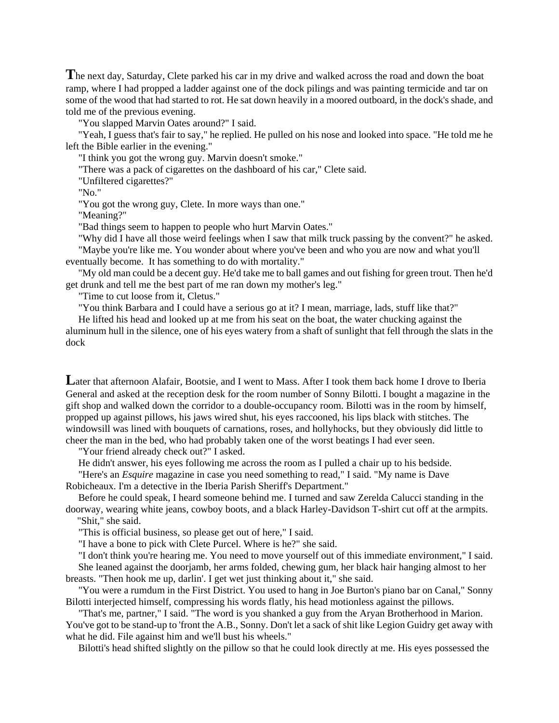The next day, Saturday, Clete parked his car in my drive and walked across the road and down the boat ramp, where I had propped a ladder against one of the dock pilings and was painting termicide and tar on some of the wood that had started to rot. He sat down heavily in a moored outboard, in the dock's shade, and told me of the previous evening.

"You slapped Marvin Oates around?" I said.

 "Yeah, I guess that's fair to say," he replied. He pulled on his nose and looked into space. "He told me he left the Bible earlier in the evening."

"I think you got the wrong guy. Marvin doesn't smoke."

"There was a pack of cigarettes on the dashboard of his car," Clete said.

"Unfiltered cigarettes?"

"No."

"You got the wrong guy, Clete. In more ways than one."

"Meaning?"

"Bad things seem to happen to people who hurt Marvin Oates."

 "Why did I have all those weird feelings when I saw that milk truck passing by the convent?" he asked. "Maybe you're like me. You wonder about where you've been and who you are now and what you'll

eventually become. It has something to do with mortality."

 "My old man could be a decent guy. He'd take me to ball games and out fishing for green trout. Then he'd get drunk and tell me the best part of me ran down my mother's leg."

"Time to cut loose from it, Cletus."

"You think Barbara and I could have a serious go at it? I mean, marriage, lads, stuff like that?"

 He lifted his head and looked up at me from his seat on the boat, the water chucking against the aluminum hull in the silence, one of his eyes watery from a shaft of sunlight that fell through the slats in the dock

Later that afternoon Alafair, Bootsie, and I went to Mass. After I took them back home I drove to Iberia General and asked at the reception desk for the room number of Sonny Bilotti. I bought a magazine in the gift shop and walked down the corridor to a double-occupancy room. Bilotti was in the room by himself, propped up against pillows, his jaws wired shut, his eyes raccooned, his lips black with stitches. The windowsill was lined with bouquets of carnations, roses, and hollyhocks, but they obviously did little to cheer the man in the bed, who had probably taken one of the worst beatings I had ever seen.

"Your friend already check out?" I asked.

He didn't answer, his eyes following me across the room as I pulled a chair up to his bedside.

 "Here's an *Esquire* magazine in case you need something to read," I said. "My name is Dave Robicheaux. I'm a detective in the Iberia Parish Sheriff's Department."

Before he could speak, I heard someone behind me. I turned and saw Zerelda Calucci standing in the

doorway, wearing white jeans, cowboy boots, and a black Harley-Davidson T-shirt cut off at the armpits. "Shit," she said.

"This is official business, so please get out of here," I said.

"I have a bone to pick with Clete Purcel. Where is he?" she said.

 "I don't think you're hearing me. You need to move yourself out of this immediate environment," I said. She leaned against the doorjamb, her arms folded, chewing gum, her black hair hanging almost to her breasts. "Then hook me up, darlin'. I get wet just thinking about it," she said.

 "You were a rumdum in the First District. You used to hang in Joe Burton's piano bar on Canal," Sonny Bilotti interjected himself, compressing his words flatly, his head motionless against the pillows.

 "That's me, partner," I said. "The word is you shanked a guy from the Aryan Brotherhood in Marion. You've got to be stand-up to 'front the A.B., Sonny. Don't let a sack of shit like Legion Guidry get away with what he did. File against him and we'll bust his wheels."

Bilotti's head shifted slightly on the pillow so that he could look directly at me. His eyes possessed the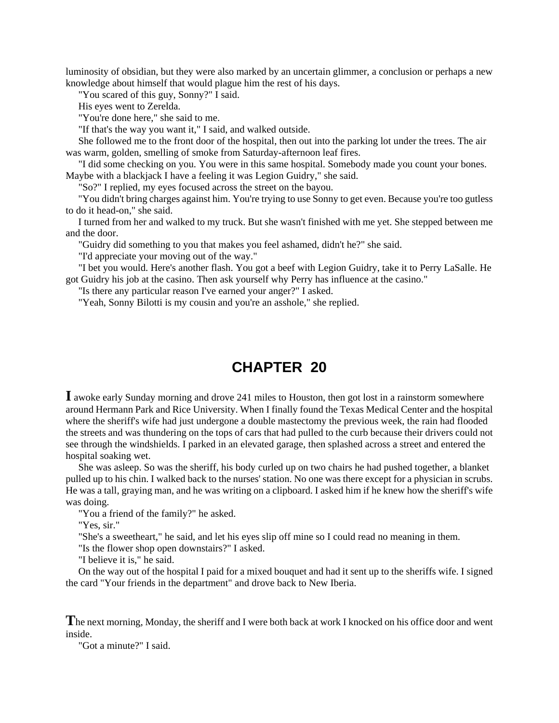luminosity of obsidian, but they were also marked by an uncertain glimmer, a conclusion or perhaps a new knowledge about himself that would plague him the rest of his days.

"You scared of this guy, Sonny?" I said.

His eyes went to Zerelda.

"You're done here," she said to me.

"If that's the way you want it," I said, and walked outside.

 She followed me to the front door of the hospital, then out into the parking lot under the trees. The air was warm, golden, smelling of smoke from Saturday-afternoon leaf fires.

 "I did some checking on you. You were in this same hospital. Somebody made you count your bones. Maybe with a blackjack I have a feeling it was Legion Guidry," she said.

"So?" I replied, my eyes focused across the street on the bayou.

 "You didn't bring charges against him. You're trying to use Sonny to get even. Because you're too gutless to do it head-on," she said.

 I turned from her and walked to my truck. But she wasn't finished with me yet. She stepped between me and the door.

"Guidry did something to you that makes you feel ashamed, didn't he?" she said.

"I'd appreciate your moving out of the way."

 "I bet you would. Here's another flash. You got a beef with Legion Guidry, take it to Perry LaSalle. He got Guidry his job at the casino. Then ask yourself why Perry has influence at the casino."

"Is there any particular reason I've earned your anger?" I asked.

"Yeah, Sonny Bilotti is my cousin and you're an asshole," she replied.

### **CHAPTER 20**

**I** awoke early Sunday morning and drove 241 miles to Houston, then got lost in a rainstorm somewhere around Hermann Park and Rice University. When I finally found the Texas Medical Center and the hospital where the sheriff's wife had just undergone a double mastectomy the previous week, the rain had flooded the streets and was thundering on the tops of cars that had pulled to the curb because their drivers could not see through the windshields. I parked in an elevated garage, then splashed across a street and entered the hospital soaking wet.

 She was asleep. So was the sheriff, his body curled up on two chairs he had pushed together, a blanket pulled up to his chin. I walked back to the nurses' station. No one was there except for a physician in scrubs. He was a tall, graying man, and he was writing on a clipboard. I asked him if he knew how the sheriff's wife was doing.

"You a friend of the family?" he asked.

"Yes, sir."

"She's a sweetheart," he said, and let his eyes slip off mine so I could read no meaning in them.

"Is the flower shop open downstairs?" I asked.

"I believe it is," he said.

 On the way out of the hospital I paid for a mixed bouquet and had it sent up to the sheriffs wife. I signed the card "Your friends in the department" and drove back to New Iberia.

The next morning, Monday, the sheriff and I were both back at work I knocked on his office door and went inside.

"Got a minute?" I said.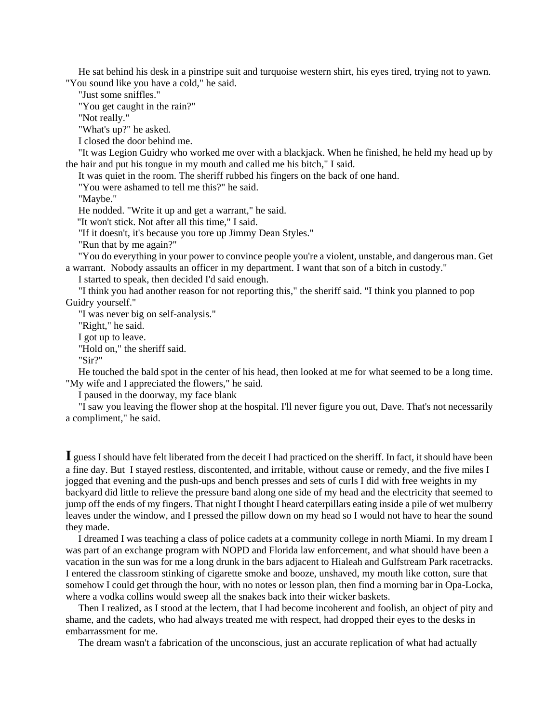He sat behind his desk in a pinstripe suit and turquoise western shirt, his eyes tired, trying not to yawn. "You sound like you have a cold," he said.

"Just some sniffles."

"You get caught in the rain?"

"Not really."

"What's up?" he asked.

I closed the door behind me.

 "It was Legion Guidry who worked me over with a blackjack. When he finished, he held my head up by the hair and put his tongue in my mouth and called me his bitch," I said.

It was quiet in the room. The sheriff rubbed his fingers on the back of one hand.

"You were ashamed to tell me this?" he said.

"Maybe."

He nodded. "Write it up and get a warrant," he said.

"It won't stick. Not after all this time," I said.

"If it doesn't, it's because you tore up Jimmy Dean Styles."

"Run that by me again?"

 "You do everything in your power to convince people you're a violent, unstable, and dangerous man. Get a warrant. Nobody assaults an officer in my department. I want that son of a bitch in custody."

I started to speak, then decided I'd said enough.

 "I think you had another reason for not reporting this," the sheriff said. "I think you planned to pop Guidry yourself."

"I was never big on self-analysis."

"Right," he said.

I got up to leave.

"Hold on," the sheriff said.

"Sir?"

 He touched the bald spot in the center of his head, then looked at me for what seemed to be a long time. "My wife and I appreciated the flowers," he said.

I paused in the doorway, my face blank

 "I saw you leaving the flower shop at the hospital. I'll never figure you out, Dave. That's not necessarily a compliment," he said.

**I** guess I should have felt liberated from the deceit I had practiced on the sheriff. In fact, it should have been a fine day. But I stayed restless, discontented, and irritable, without cause or remedy, and the five miles I jogged that evening and the push-ups and bench presses and sets of curls I did with free weights in my backyard did little to relieve the pressure band along one side of my head and the electricity that seemed to jump off the ends of my fingers. That night I thought I heard caterpillars eating inside a pile of wet mulberry leaves under the window, and I pressed the pillow down on my head so I would not have to hear the sound they made.

 I dreamed I was teaching a class of police cadets at a community college in north Miami. In my dream I was part of an exchange program with NOPD and Florida law enforcement, and what should have been a vacation in the sun was for me a long drunk in the bars adjacent to Hialeah and Gulfstream Park racetracks. I entered the classroom stinking of cigarette smoke and booze, unshaved, my mouth like cotton, sure that somehow I could get through the hour, with no notes or lesson plan, then find a morning bar in Opa-Locka, where a vodka collins would sweep all the snakes back into their wicker baskets.

 Then I realized, as I stood at the lectern, that I had become incoherent and foolish, an object of pity and shame, and the cadets, who had always treated me with respect, had dropped their eyes to the desks in embarrassment for me.

The dream wasn't a fabrication of the unconscious, just an accurate replication of what had actually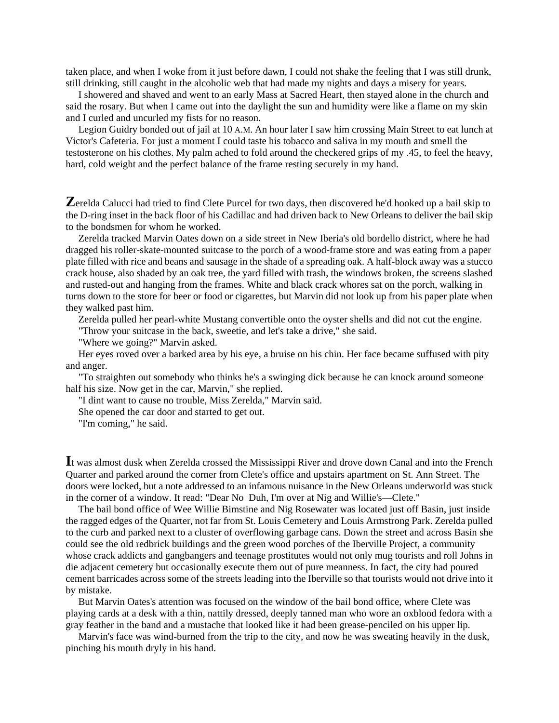taken place, and when I woke from it just before dawn, I could not shake the feeling that I was still drunk, still drinking, still caught in the alcoholic web that had made my nights and days a misery for years.

 I showered and shaved and went to an early Mass at Sacred Heart, then stayed alone in the church and said the rosary. But when I came out into the daylight the sun and humidity were like a flame on my skin and I curled and uncurled my fists for no reason.

 Legion Guidry bonded out of jail at 10 A.M. An hour later I saw him crossing Main Street to eat lunch at Victor's Cafeteria. For just a moment I could taste his tobacco and saliva in my mouth and smell the testosterone on his clothes. My palm ached to fold around the checkered grips of my .45, to feel the heavy, hard, cold weight and the perfect balance of the frame resting securely in my hand.

**Z**erelda Calucci had tried to find Clete Purcel for two days, then discovered he'd hooked up a bail skip to the D-ring inset in the back floor of his Cadillac and had driven back to New Orleans to deliver the bail skip to the bondsmen for whom he worked.

 Zerelda tracked Marvin Oates down on a side street in New Iberia's old bordello district, where he had dragged his roller-skate-mounted suitcase to the porch of a wood-frame store and was eating from a paper plate filled with rice and beans and sausage in the shade of a spreading oak. A half-block away was a stucco crack house, also shaded by an oak tree, the yard filled with trash, the windows broken, the screens slashed and rusted-out and hanging from the frames. White and black crack whores sat on the porch, walking in turns down to the store for beer or food or cigarettes, but Marvin did not look up from his paper plate when they walked past him.

Zerelda pulled her pearl-white Mustang convertible onto the oyster shells and did not cut the engine.

"Throw your suitcase in the back, sweetie, and let's take a drive," she said.

"Where we going?" Marvin asked.

 Her eyes roved over a barked area by his eye, a bruise on his chin. Her face became suffused with pity and anger.

 "To straighten out somebody who thinks he's a swinging dick because he can knock around someone half his size. Now get in the car, Marvin," she replied.

"I dint want to cause no trouble, Miss Zerelda," Marvin said.

She opened the car door and started to get out.

"I'm coming," he said.

**I**t was almost dusk when Zerelda crossed the Mississippi River and drove down Canal and into the French Quarter and parked around the corner from Clete's office and upstairs apartment on St. Ann Street. The doors were locked, but a note addressed to an infamous nuisance in the New Orleans underworld was stuck in the corner of a window. It read: "Dear No Duh, I'm over at Nig and Willie's—Clete."

 The bail bond office of Wee Willie Bimstine and Nig Rosewater was located just off Basin, just inside the ragged edges of the Quarter, not far from St. Louis Cemetery and Louis Armstrong Park. Zerelda pulled to the curb and parked next to a cluster of overflowing garbage cans. Down the street and across Basin she could see the old redbrick buildings and the green wood porches of the Iberville Project, a community whose crack addicts and gangbangers and teenage prostitutes would not only mug tourists and roll Johns in die adjacent cemetery but occasionally execute them out of pure meanness. In fact, the city had poured cement barricades across some of the streets leading into the Iberville so that tourists would not drive into it by mistake.

 But Marvin Oates's attention was focused on the window of the bail bond office, where Clete was playing cards at a desk with a thin, nattily dressed, deeply tanned man who wore an oxblood fedora with a gray feather in the band and a mustache that looked like it had been grease-penciled on his upper lip.

 Marvin's face was wind-burned from the trip to the city, and now he was sweating heavily in the dusk, pinching his mouth dryly in his hand.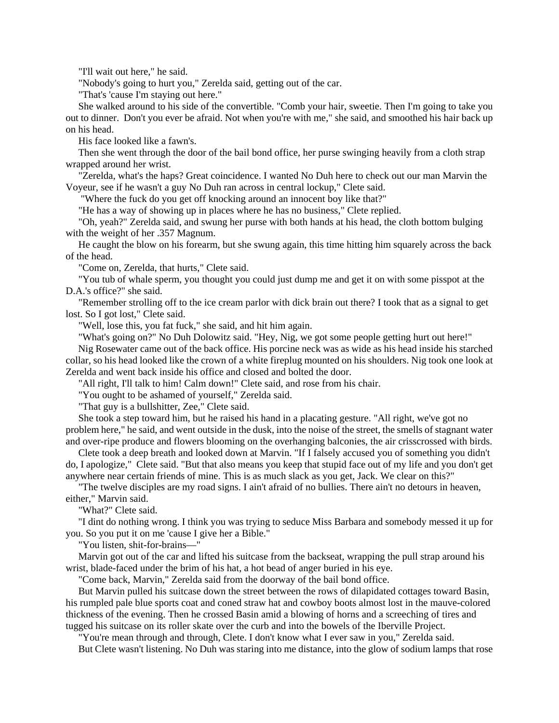"I'll wait out here," he said.

"Nobody's going to hurt you," Zerelda said, getting out of the car.

"That's 'cause I'm staying out here."

 She walked around to his side of the convertible. "Comb your hair, sweetie. Then I'm going to take you out to dinner. Don't you ever be afraid. Not when you're with me," she said, and smoothed his hair back up on his head.

His face looked like a fawn's.

 Then she went through the door of the bail bond office, her purse swinging heavily from a cloth strap wrapped around her wrist.

 "Zerelda, what's the haps? Great coincidence. I wanted No Duh here to check out our man Marvin the Voyeur, see if he wasn't a guy No Duh ran across in central lockup," Clete said.

"Where the fuck do you get off knocking around an innocent boy like that?"

"He has a way of showing up in places where he has no business," Clete replied.

"Oh, yeah?" Zerelda said, and swung her purse with both hands at his head, the cloth bottom bulging with the weight of her .357 Magnum.

 He caught the blow on his forearm, but she swung again, this time hitting him squarely across the back of the head.

"Come on, Zerelda, that hurts," Clete said.

 "You tub of whale sperm, you thought you could just dump me and get it on with some pisspot at the D.A.'s office?" she said.

 "Remember strolling off to the ice cream parlor with dick brain out there? I took that as a signal to get lost. So I got lost," Clete said.

"Well, lose this, you fat fuck," she said, and hit him again.

"What's going on?" No Duh Dolowitz said. "Hey, Nig, we got some people getting hurt out here!"

 Nig Rosewater came out of the back office. His porcine neck was as wide as his head inside his starched collar, so his head looked like the crown of a white fireplug mounted on his shoulders. Nig took one look at Zerelda and went back inside his office and closed and bolted the door.

"All right, I'll talk to him! Calm down!" Clete said, and rose from his chair.

"You ought to be ashamed of yourself," Zerelda said.

"That guy is a bullshitter, Zee," Clete said.

 She took a step toward him, but he raised his hand in a placating gesture. "All right, we've got no problem here," he said, and went outside in the dusk, into the noise of the street, the smells of stagnant water and over-ripe produce and flowers blooming on the overhanging balconies, the air crisscrossed with birds.

 Clete took a deep breath and looked down at Marvin. "If I falsely accused you of something you didn't do, I apologize," Clete said. "But that also means you keep that stupid face out of my life and you don't get anywhere near certain friends of mine. This is as much slack as you get, Jack. We clear on this?"

 "The twelve disciples are my road signs. I ain't afraid of no bullies. There ain't no detours in heaven, either," Marvin said.

"What?" Clete said.

 "I dint do nothing wrong. I think you was trying to seduce Miss Barbara and somebody messed it up for you. So you put it on me 'cause I give her a Bible."

"You listen, shit-for-brains—"

 Marvin got out of the car and lifted his suitcase from the backseat, wrapping the pull strap around his wrist, blade-faced under the brim of his hat, a hot bead of anger buried in his eye.

"Come back, Marvin," Zerelda said from the doorway of the bail bond office.

 But Marvin pulled his suitcase down the street between the rows of dilapidated cottages toward Basin, his rumpled pale blue sports coat and coned straw hat and cowboy boots almost lost in the mauve-colored thickness of the evening. Then he crossed Basin amid a blowing of horns and a screeching of tires and tugged his suitcase on its roller skate over the curb and into the bowels of the Iberville Project.

"You're mean through and through, Clete. I don't know what I ever saw in you," Zerelda said.

But Clete wasn't listening. No Duh was staring into me distance, into the glow of sodium lamps that rose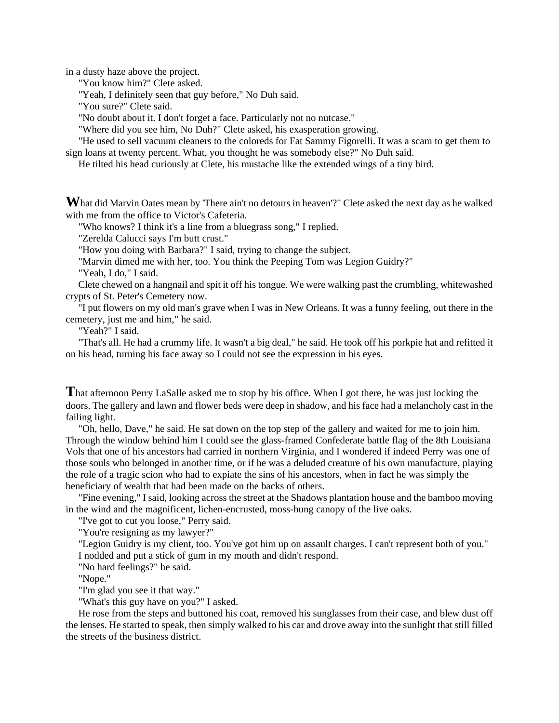in a dusty haze above the project.

"You know him?" Clete asked.

"Yeah, I definitely seen that guy before," No Duh said.

"You sure?" Clete said.

"No doubt about it. I don't forget a face. Particularly not no nutcase."

"Where did you see him, No Duh?" Clete asked, his exasperation growing.

 "He used to sell vacuum cleaners to the coloreds for Fat Sammy Figorelli. It was a scam to get them to sign loans at twenty percent. What, you thought he was somebody else?" No Duh said.

He tilted his head curiously at Clete, his mustache like the extended wings of a tiny bird.

**W**hat did Marvin Oates mean by 'There ain't no detours in heaven'?" Clete asked the next day as he walked with me from the office to Victor's Cafeteria.

"Who knows? I think it's a line from a bluegrass song," I replied.

"Zerelda Calucci says I'm butt crust."

"How you doing with Barbara?" I said, trying to change the subject.

"Marvin dimed me with her, too. You think the Peeping Tom was Legion Guidry?"

"Yeah, I do," I said.

 Clete chewed on a hangnail and spit it off his tongue. We were walking past the crumbling, whitewashed crypts of St. Peter's Cemetery now.

 "I put flowers on my old man's grave when I was in New Orleans. It was a funny feeling, out there in the cemetery, just me and him," he said.

"Yeah?" I said.

 "That's all. He had a crummy life. It wasn't a big deal," he said. He took off his porkpie hat and refitted it on his head, turning his face away so I could not see the expression in his eyes.

**T**hat afternoon Perry LaSalle asked me to stop by his office. When I got there, he was just locking the doors. The gallery and lawn and flower beds were deep in shadow, and his face had a melancholy cast in the failing light.

 "Oh, hello, Dave," he said. He sat down on the top step of the gallery and waited for me to join him. Through the window behind him I could see the glass-framed Confederate battle flag of the 8th Louisiana Vols that one of his ancestors had carried in northern Virginia, and I wondered if indeed Perry was one of those souls who belonged in another time, or if he was a deluded creature of his own manufacture, playing the role of a tragic scion who had to expiate the sins of his ancestors, when in fact he was simply the beneficiary of wealth that had been made on the backs of others.

 "Fine evening," I said, looking across the street at the Shadows plantation house and the bamboo moving in the wind and the magnificent, lichen-encrusted, moss-hung canopy of the live oaks.

"I've got to cut you loose," Perry said.

"You're resigning as my lawyer?"

 "Legion Guidry is my client, too. You've got him up on assault charges. I can't represent both of you." I nodded and put a stick of gum in my mouth and didn't respond.

"No hard feelings?" he said.

"Nope."

"I'm glad you see it that way."

"What's this guy have on you?" I asked.

 He rose from the steps and buttoned his coat, removed his sunglasses from their case, and blew dust off the lenses. He started to speak, then simply walked to his car and drove away into the sunlight that still filled the streets of the business district.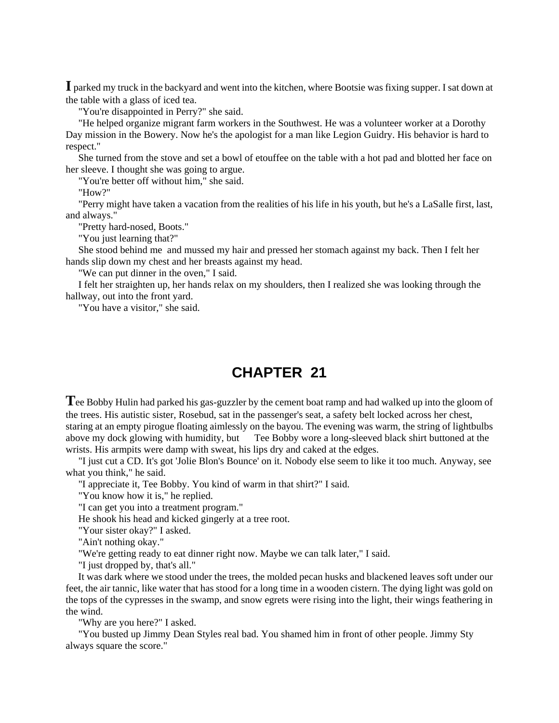**I** parked my truck in the backyard and went into the kitchen, where Bootsie was fixing supper. I sat down at the table with a glass of iced tea.

"You're disappointed in Perry?" she said.

 "He helped organize migrant farm workers in the Southwest. He was a volunteer worker at a Dorothy Day mission in the Bowery. Now he's the apologist for a man like Legion Guidry. His behavior is hard to respect."

 She turned from the stove and set a bowl of etouffee on the table with a hot pad and blotted her face on her sleeve. I thought she was going to argue.

"You're better off without him," she said.

"How?"

 "Perry might have taken a vacation from the realities of his life in his youth, but he's a LaSalle first, last, and always."

"Pretty hard-nosed, Boots."

"You just learning that?"

 She stood behind me and mussed my hair and pressed her stomach against my back. Then I felt her hands slip down my chest and her breasts against my head.

"We can put dinner in the oven," I said.

 I felt her straighten up, her hands relax on my shoulders, then I realized she was looking through the hallway, out into the front yard.

"You have a visitor," she said.

# **CHAPTER 21**

**T**ee Bobby Hulin had parked his gas-guzzler by the cement boat ramp and had walked up into the gloom of the trees. His autistic sister, Rosebud, sat in the passenger's seat, a safety belt locked across her chest, staring at an empty pirogue floating aimlessly on the bayou. The evening was warm, the string of lightbulbs above my dock glowing with humidity, but Tee Bobby wore a long-sleeved black shirt buttoned at the wrists. His armpits were damp with sweat, his lips dry and caked at the edges.

 "I just cut a CD. It's got 'Jolie Blon's Bounce' on it. Nobody else seem to like it too much. Anyway, see what you think," he said.

"I appreciate it, Tee Bobby. You kind of warm in that shirt?" I said.

"You know how it is," he replied.

"I can get you into a treatment program."

He shook his head and kicked gingerly at a tree root.

"Your sister okay?" I asked.

"Ain't nothing okay."

"We're getting ready to eat dinner right now. Maybe we can talk later," I said.

"I just dropped by, that's all."

 It was dark where we stood under the trees, the molded pecan husks and blackened leaves soft under our feet, the air tannic, like water that has stood for a long time in a wooden cistern. The dying light was gold on the tops of the cypresses in the swamp, and snow egrets were rising into the light, their wings feathering in the wind.

"Why are you here?" I asked.

 "You busted up Jimmy Dean Styles real bad. You shamed him in front of other people. Jimmy Sty always square the score."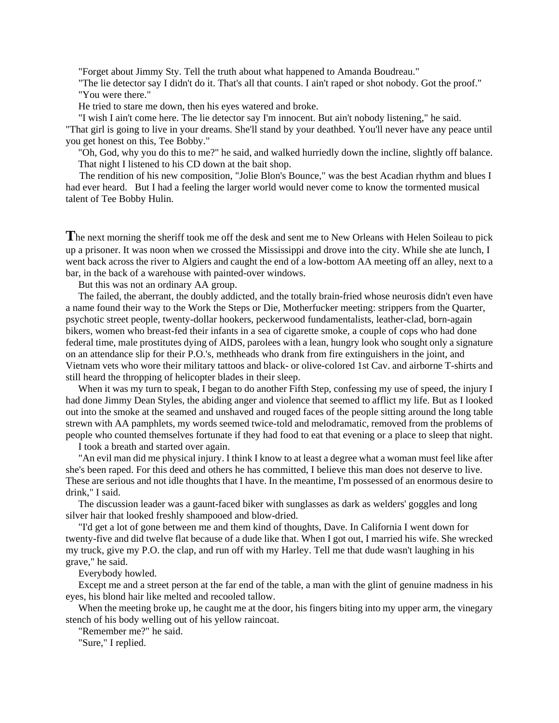"Forget about Jimmy Sty. Tell the truth about what happened to Amanda Boudreau."

 "The lie detector say I didn't do it. That's all that counts. I ain't raped or shot nobody. Got the proof." "You were there."

He tried to stare me down, then his eyes watered and broke.

 "I wish I ain't come here. The lie detector say I'm innocent. But ain't nobody listening," he said. "That girl is going to live in your dreams. She'll stand by your deathbed. You'll never have any peace until you get honest on this, Tee Bobby."

 "Oh, God, why you do this to me?" he said, and walked hurriedly down the incline, slightly off balance. That night I listened to his CD down at the bait shop.

The rendition of his new composition, "Jolie Blon's Bounce," was the best Acadian rhythm and blues I had ever heard. But I had a feeling the larger world would never come to know the tormented musical talent of Tee Bobby Hulin.

The next morning the sheriff took me off the desk and sent me to New Orleans with Helen Soileau to pick up a prisoner. It was noon when we crossed the Mississippi and drove into the city. While she ate lunch, I went back across the river to Algiers and caught the end of a low-bottom AA meeting off an alley, next to a bar, in the back of a warehouse with painted-over windows.

But this was not an ordinary AA group.

 The failed, the aberrant, the doubly addicted, and the totally brain-fried whose neurosis didn't even have a name found their way to the Work the Steps or Die, Motherfucker meeting: strippers from the Quarter, psychotic street people, twenty-dollar hookers, peckerwood fundamentalists, leather-clad, born-again bikers, women who breast-fed their infants in a sea of cigarette smoke, a couple of cops who had done federal time, male prostitutes dying of AIDS, parolees with a lean, hungry look who sought only a signature on an attendance slip for their P.O.'s, methheads who drank from fire extinguishers in the joint, and Vietnam vets who wore their military tattoos and black- or olive-colored 1st Cav. and airborne T-shirts and still heard the thropping of helicopter blades in their sleep.

 When it was my turn to speak, I began to do another Fifth Step, confessing my use of speed, the injury I had done Jimmy Dean Styles, the abiding anger and violence that seemed to afflict my life. But as I looked out into the smoke at the seamed and unshaved and rouged faces of the people sitting around the long table strewn with AA pamphlets, my words seemed twice-told and melodramatic, removed from the problems of people who counted themselves fortunate if they had food to eat that evening or a place to sleep that night.

I took a breath and started over again.

 "An evil man did me physical injury. I think I know to at least a degree what a woman must feel like after she's been raped. For this deed and others he has committed, I believe this man does not deserve to live. These are serious and not idle thoughts that I have. In the meantime, I'm possessed of an enormous desire to drink," I said.

 The discussion leader was a gaunt-faced biker with sunglasses as dark as welders' goggles and long silver hair that looked freshly shampooed and blow-dried.

 "I'd get a lot of gone between me and them kind of thoughts, Dave. In California I went down for twenty-five and did twelve flat because of a dude like that. When I got out, I married his wife. She wrecked my truck, give my P.O. the clap, and run off with my Harley. Tell me that dude wasn't laughing in his grave," he said.

Everybody howled.

 Except me and a street person at the far end of the table, a man with the glint of genuine madness in his eyes, his blond hair like melted and recooled tallow.

When the meeting broke up, he caught me at the door, his fingers biting into my upper arm, the vinegary stench of his body welling out of his yellow raincoat.

"Remember me?" he said.

"Sure," I replied.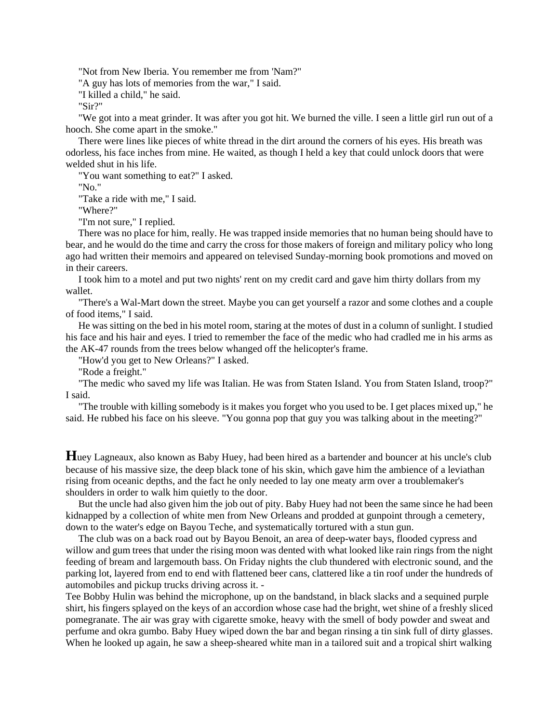"Not from New Iberia. You remember me from 'Nam?"

"A guy has lots of memories from the war," I said.

"I killed a child," he said.

"Sir?"

 "We got into a meat grinder. It was after you got hit. We burned the ville. I seen a little girl run out of a hooch. She come apart in the smoke."

 There were lines like pieces of white thread in the dirt around the corners of his eyes. His breath was odorless, his face inches from mine. He waited, as though I held a key that could unlock doors that were welded shut in his life.

"You want something to eat?" I asked.

"No."

"Take a ride with me," I said.

"Where?"

"I'm not sure," I replied.

 There was no place for him, really. He was trapped inside memories that no human being should have to bear, and he would do the time and carry the cross for those makers of foreign and military policy who long ago had written their memoirs and appeared on televised Sunday-morning book promotions and moved on in their careers.

 I took him to a motel and put two nights' rent on my credit card and gave him thirty dollars from my wallet.

 "There's a Wal-Mart down the street. Maybe you can get yourself a razor and some clothes and a couple of food items," I said.

 He was sitting on the bed in his motel room, staring at the motes of dust in a column of sunlight. I studied his face and his hair and eyes. I tried to remember the face of the medic who had cradled me in his arms as the AK-47 rounds from the trees below whanged off the helicopter's frame.

"How'd you get to New Orleans?" I asked.

"Rode a freight."

 "The medic who saved my life was Italian. He was from Staten Island. You from Staten Island, troop?" I said.

 "The trouble with killing somebody is it makes you forget who you used to be. I get places mixed up," he said. He rubbed his face on his sleeve. "You gonna pop that guy you was talking about in the meeting?"

Huey Lagneaux, also known as Baby Huey, had been hired as a bartender and bouncer at his uncle's club because of his massive size, the deep black tone of his skin, which gave him the ambience of a leviathan rising from oceanic depths, and the fact he only needed to lay one meaty arm over a troublemaker's shoulders in order to walk him quietly to the door.

 But the uncle had also given him the job out of pity. Baby Huey had not been the same since he had been kidnapped by a collection of white men from New Orleans and prodded at gunpoint through a cemetery, down to the water's edge on Bayou Teche, and systematically tortured with a stun gun.

 The club was on a back road out by Bayou Benoit, an area of deep-water bays, flooded cypress and willow and gum trees that under the rising moon was dented with what looked like rain rings from the night feeding of bream and largemouth bass. On Friday nights the club thundered with electronic sound, and the parking lot, layered from end to end with flattened beer cans, clattered like a tin roof under the hundreds of automobiles and pickup trucks driving across it. -

Tee Bobby Hulin was behind the microphone, up on the bandstand, in black slacks and a sequined purple shirt, his fingers splayed on the keys of an accordion whose case had the bright, wet shine of a freshly sliced pomegranate. The air was gray with cigarette smoke, heavy with the smell of body powder and sweat and perfume and okra gumbo. Baby Huey wiped down the bar and began rinsing a tin sink full of dirty glasses. When he looked up again, he saw a sheep-sheared white man in a tailored suit and a tropical shirt walking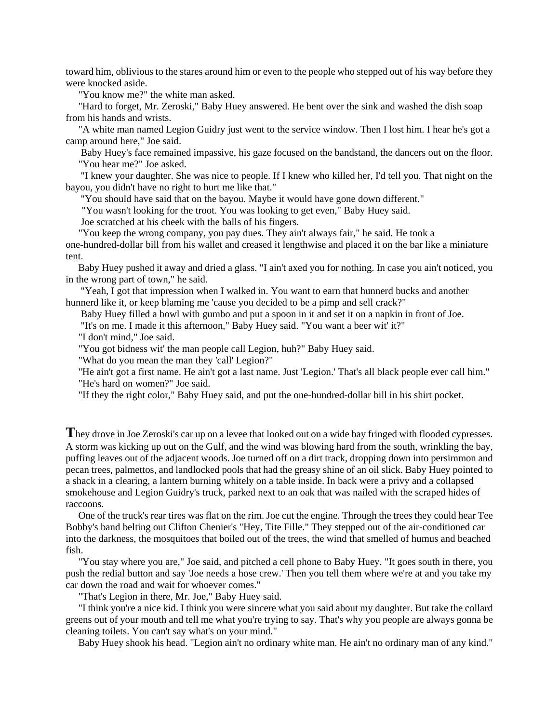toward him, oblivious to the stares around him or even to the people who stepped out of his way before they were knocked aside.

"You know me?" the white man asked.

 "Hard to forget, Mr. Zeroski," Baby Huey answered. He bent over the sink and washed the dish soap from his hands and wrists.

 "A white man named Legion Guidry just went to the service window. Then I lost him. I hear he's got a camp around here," Joe said.

 Baby Huey's face remained impassive, his gaze focused on the bandstand, the dancers out on the floor. "You hear me?" Joe asked.

 "I knew your daughter. She was nice to people. If I knew who killed her, I'd tell you. That night on the bayou, you didn't have no right to hurt me like that."

"You should have said that on the bayou. Maybe it would have gone down different."

"You wasn't looking for the troot. You was looking to get even," Baby Huey said.

Joe scratched at his cheek with the balls of his fingers.

 "You keep the wrong company, you pay dues. They ain't always fair," he said. He took a one-hundred-dollar bill from his wallet and creased it lengthwise and placed it on the bar like a miniature tent.

 Baby Huey pushed it away and dried a glass. "I ain't axed you for nothing. In case you ain't noticed, you in the wrong part of town," he said.

 "Yeah, I got that impression when I walked in. You want to earn that hunnerd bucks and another hunnerd like it, or keep blaming me 'cause you decided to be a pimp and sell crack?"

Baby Huey filled a bowl with gumbo and put a spoon in it and set it on a napkin in front of Joe.

"It's on me. I made it this afternoon," Baby Huey said. "You want a beer wit' it?"

"I don't mind," Joe said.

"You got bidness wit' the man people call Legion, huh?" Baby Huey said.

"What do you mean the man they 'call' Legion?"

 "He ain't got a first name. He ain't got a last name. Just 'Legion.' That's all black people ever call him." "He's hard on women?" Joe said.

"If they the right color," Baby Huey said, and put the one-hundred-dollar bill in his shirt pocket.

**T**hey drove in Joe Zeroski's car up on a levee that looked out on a wide bay fringed with flooded cypresses. A storm was kicking up out on the Gulf, and the wind was blowing hard from the south, wrinkling the bay, puffing leaves out of the adjacent woods. Joe turned off on a dirt track, dropping down into persimmon and pecan trees, palmettos, and landlocked pools that had the greasy shine of an oil slick. Baby Huey pointed to a shack in a clearing, a lantern burning whitely on a table inside. In back were a privy and a collapsed smokehouse and Legion Guidry's truck, parked next to an oak that was nailed with the scraped hides of raccoons.

 One of the truck's rear tires was flat on the rim. Joe cut the engine. Through the trees they could hear Tee Bobby's band belting out Clifton Chenier's "Hey, Tite Fille." They stepped out of the air-conditioned car into the darkness, the mosquitoes that boiled out of the trees, the wind that smelled of humus and beached fish.

 "You stay where you are," Joe said, and pitched a cell phone to Baby Huey. "It goes south in there, you push the redial button and say 'Joe needs a hose crew.' Then you tell them where we're at and you take my car down the road and wait for whoever comes."

"That's Legion in there, Mr. Joe," Baby Huey said.

 "I think you're a nice kid. I think you were sincere what you said about my daughter. But take the collard greens out of your mouth and tell me what you're trying to say. That's why you people are always gonna be cleaning toilets. You can't say what's on your mind."

Baby Huey shook his head. "Legion ain't no ordinary white man. He ain't no ordinary man of any kind."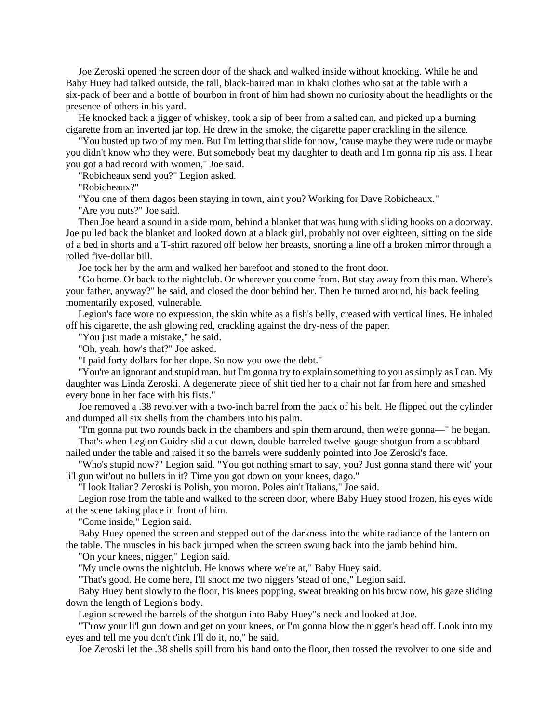Joe Zeroski opened the screen door of the shack and walked inside without knocking. While he and Baby Huey had talked outside, the tall, black-haired man in khaki clothes who sat at the table with a six-pack of beer and a bottle of bourbon in front of him had shown no curiosity about the headlights or the presence of others in his yard.

 He knocked back a jigger of whiskey, took a sip of beer from a salted can, and picked up a burning cigarette from an inverted jar top. He drew in the smoke, the cigarette paper crackling in the silence.

 "You busted up two of my men. But I'm letting that slide for now, 'cause maybe they were rude or maybe you didn't know who they were. But somebody beat my daughter to death and I'm gonna rip his ass. I hear you got a bad record with women," Joe said.

"Robicheaux send you?" Legion asked.

"Robicheaux?"

"You one of them dagos been staying in town, ain't you? Working for Dave Robicheaux."

"Are you nuts?" Joe said.

 Then Joe heard a sound in a side room, behind a blanket that was hung with sliding hooks on a doorway. Joe pulled back the blanket and looked down at a black girl, probably not over eighteen, sitting on the side of a bed in shorts and a T-shirt razored off below her breasts, snorting a line off a broken mirror through a rolled five-dollar bill.

Joe took her by the arm and walked her barefoot and stoned to the front door.

 "Go home. Or back to the nightclub. Or wherever you come from. But stay away from this man. Where's your father, anyway?" he said, and closed the door behind her. Then he turned around, his back feeling momentarily exposed, vulnerable.

 Legion's face wore no expression, the skin white as a fish's belly, creased with vertical lines. He inhaled off his cigarette, the ash glowing red, crackling against the dry-ness of the paper.

"You just made a mistake," he said.

"Oh, yeah, how's that?" Joe asked.

"I paid forty dollars for her dope. So now you owe the debt."

 "You're an ignorant and stupid man, but I'm gonna try to explain something to you as simply as I can. My daughter was Linda Zeroski. A degenerate piece of shit tied her to a chair not far from here and smashed every bone in her face with his fists."

 Joe removed a .38 revolver with a two-inch barrel from the back of his belt. He flipped out the cylinder and dumped all six shells from the chambers into his palm.

"I'm gonna put two rounds back in the chambers and spin them around, then we're gonna—" he began.

 That's when Legion Guidry slid a cut-down, double-barreled twelve-gauge shotgun from a scabbard nailed under the table and raised it so the barrels were suddenly pointed into Joe Zeroski's face.

 "Who's stupid now?" Legion said. "You got nothing smart to say, you? Just gonna stand there wit' your li'l gun wit'out no bullets in it? Time you got down on your knees, dago."

"I look Italian? Zeroski is Polish, you moron. Poles ain't Italians," Joe said.

 Legion rose from the table and walked to the screen door, where Baby Huey stood frozen, his eyes wide at the scene taking place in front of him.

"Come inside," Legion said.

 Baby Huey opened the screen and stepped out of the darkness into the white radiance of the lantern on the table. The muscles in his back jumped when the screen swung back into the jamb behind him.

"On your knees, nigger," Legion said.

"My uncle owns the nightclub. He knows where we're at," Baby Huey said.

"That's good. He come here, I'll shoot me two niggers 'stead of one," Legion said.

 Baby Huey bent slowly to the floor, his knees popping, sweat breaking on his brow now, his gaze sliding down the length of Legion's body.

Legion screwed the barrels of the shotgun into Baby Huey"s neck and looked at Joe.

 "T'row your li'l gun down and get on your knees, or I'm gonna blow the nigger's head off. Look into my eyes and tell me you don't t'ink I'll do it, no," he said.

Joe Zeroski let the .38 shells spill from his hand onto the floor, then tossed the revolver to one side and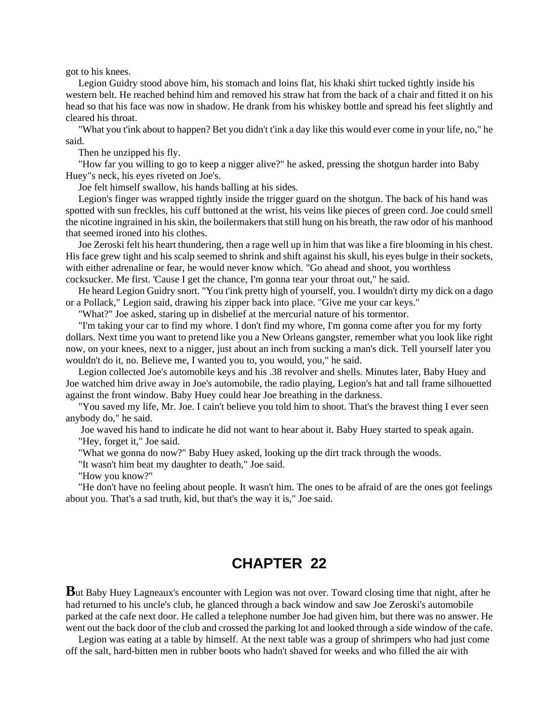got to his knees.

 Legion Guidry stood above him, his stomach and loins flat, his khaki shirt tucked tightly inside his western belt. He reached behind him and removed his straw hat from the back of a chair and fitted it on his head so that his face was now in shadow. He drank from his whiskey bottle and spread his feet slightly and cleared his throat.

 "What you t'ink about to happen? Bet you didn't t'ink a day like this would ever come in your life, no," he said.

Then he unzipped his fly.

 "How far you willing to go to keep a nigger alive?" he asked, pressing the shotgun harder into Baby Huey"s neck, his eyes riveted on Joe's.

Joe felt himself swallow, his hands balling at his sides.

 Legion's finger was wrapped tightly inside the trigger guard on the shotgun. The back of his hand was spotted with sun freckles, his cuff buttoned at the wrist, his veins like pieces of green cord. Joe could smell the nicotine ingrained in his skin, the boilermakers that still hung on his breath, the raw odor of his manhood that seemed ironed into his clothes.

 Joe Zeroski felt his heart thundering, then a rage well up in him that was like a fire blooming in his chest. His face grew tight and his scalp seemed to shrink and shift against his skull, his eyes bulge in their sockets, with either adrenaline or fear, he would never know which. "Go ahead and shoot, you worthless cocksucker. Me first. 'Cause I get the chance, I'm gonna tear your throat out," he said.

 He heard Legion Guidry snort. "You t'ink pretty high of yourself, you. I wouldn't dirty my dick on a dago or a Pollack," Legion said, drawing his zipper back into place. "Give me your car keys."

"What?" Joe asked, staring up in disbelief at the mercurial nature of his tormentor.

 "I'm taking your car to find my whore. I don't find my whore, I'm gonna come after you for my forty dollars. Next time you want to pretend like you a New Orleans gangster, remember what you look like right now, on your knees, next to a nigger, just about an inch from sucking a man's dick. Tell yourself later you wouldn't do it, no. Believe me, I wanted you to, you would, you," he said.

 Legion collected Joe's automobile keys and his .38 revolver and shells. Minutes later, Baby Huey and Joe watched him drive away in Joe's automobile, the radio playing, Legion's hat and tall frame silhouetted against the front window. Baby Huey could hear Joe breathing in the darkness.

 "You saved my life, Mr. Joe. I cain't believe you told him to shoot. That's the bravest thing I ever seen anybody do," he said.

 Joe waved his hand to indicate he did not want to hear about it. Baby Huey started to speak again. "Hey, forget it," Joe said.

"What we gonna do now?" Baby Huey asked, looking up the dirt track through the woods.

"It wasn't him beat my daughter to death," Joe said.

"How you know?"

 "He don't have no feeling about people. It wasn't him. The ones to be afraid of are the ones got feelings about you. That's a sad truth, kid, but that's the way it is," Joe said.

#### **CHAPTER 22**

But Baby Huey Lagneaux's encounter with Legion was not over. Toward closing time that night, after he had returned to his uncle's club, he glanced through a back window and saw Joe Zeroski's automobile parked at the cafe next door. He called a telephone number Joe had given him, but there was no answer. He went out the back door of the club and crossed the parking lot and looked through a side window of the cafe.

 Legion was eating at a table by himself. At the next table was a group of shrimpers who had just come off the salt, hard-bitten men in rubber boots who hadn't shaved for weeks and who filled the air with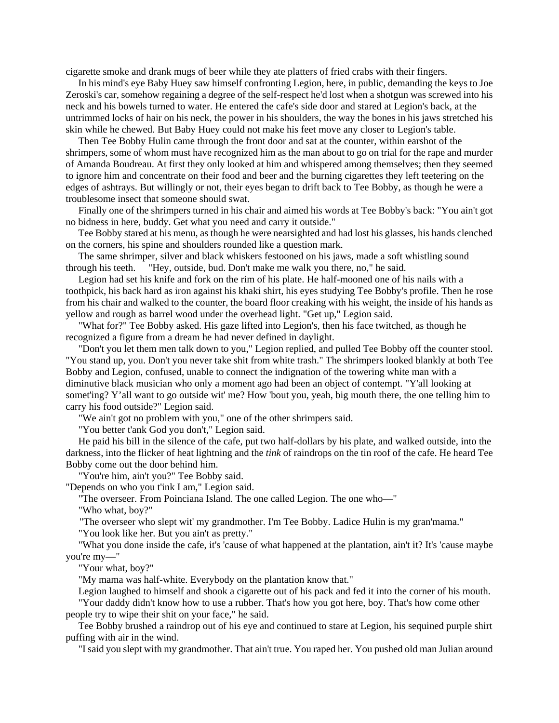cigarette smoke and drank mugs of beer while they ate platters of fried crabs with their fingers.

 In his mind's eye Baby Huey saw himself confronting Legion, here, in public, demanding the keys to Joe Zeroski's car, somehow regaining a degree of the self-respect he'd lost when a shotgun was screwed into his neck and his bowels turned to water. He entered the cafe's side door and stared at Legion's back, at the untrimmed locks of hair on his neck, the power in his shoulders, the way the bones in his jaws stretched his skin while he chewed. But Baby Huey could not make his feet move any closer to Legion's table.

 Then Tee Bobby Hulin came through the front door and sat at the counter, within earshot of the shrimpers, some of whom must have recognized him as the man about to go on trial for the rape and murder of Amanda Boudreau. At first they only looked at him and whispered among themselves; then they seemed to ignore him and concentrate on their food and beer and the burning cigarettes they left teetering on the edges of ashtrays. But willingly or not, their eyes began to drift back to Tee Bobby, as though he were a troublesome insect that someone should swat.

 Finally one of the shrimpers turned in his chair and aimed his words at Tee Bobby's back: "You ain't got no bidness in here, buddy. Get what you need and carry it outside."

 Tee Bobby stared at his menu, as though he were nearsighted and had lost his glasses, his hands clenched on the corners, his spine and shoulders rounded like a question mark.

 The same shrimper, silver and black whiskers festooned on his jaws, made a soft whistling sound through his teeth. "Hey, outside, bud. Don't make me walk you there, no," he said.

 Legion had set his knife and fork on the rim of his plate. He half-mooned one of his nails with a toothpick, his back hard as iron against his khaki shirt, his eyes studying Tee Bobby's profile. Then he rose from his chair and walked to the counter, the board floor creaking with his weight, the inside of his hands as yellow and rough as barrel wood under the overhead light. "Get up," Legion said.

 "What for?" Tee Bobby asked. His gaze lifted into Legion's, then his face twitched, as though he recognized a figure from a dream he had never defined in daylight.

 "Don't you let them men talk down to you," Legion replied, and pulled Tee Bobby off the counter stool. "You stand up, you. Don't you never take shit from white trash." The shrimpers looked blankly at both Tee Bobby and Legion, confused, unable to connect the indignation of the towering white man with a diminutive black musician who only a moment ago had been an object of contempt. "Y'all looking at somet'ing? Y'all want to go outside wit' me? How 'bout you, yeah, big mouth there, the one telling him to carry his food outside?" Legion said.

"We ain't got no problem with you," one of the other shrimpers said.

"You better t'ank God you don't," Legion said.

 He paid his bill in the silence of the cafe, put two half-dollars by his plate, and walked outside, into the darkness, into the flicker of heat lightning and the *tink* of raindrops on the tin roof of the cafe. He heard Tee Bobby come out the door behind him.

"You're him, ain't you?" Tee Bobby said.

"Depends on who you t'ink I am," Legion said.

"The overseer. From Poinciana Island. The one called Legion. The one who—"

"Who what, boy?"

"The overseer who slept wit' my grandmother. I'm Tee Bobby. Ladice Hulin is my gran'mama."

"You look like her. But you ain't as pretty."

 "What you done inside the cafe, it's 'cause of what happened at the plantation, ain't it? It's 'cause maybe you're my—"

"Your what, boy?"

"My mama was half-white. Everybody on the plantation know that."

Legion laughed to himself and shook a cigarette out of his pack and fed it into the corner of his mouth.

 "Your daddy didn't know how to use a rubber. That's how you got here, boy. That's how come other people try to wipe their shit on your face," he said.

 Tee Bobby brushed a raindrop out of his eye and continued to stare at Legion, his sequined purple shirt puffing with air in the wind.

"I said you slept with my grandmother. That ain't true. You raped her. You pushed old man Julian around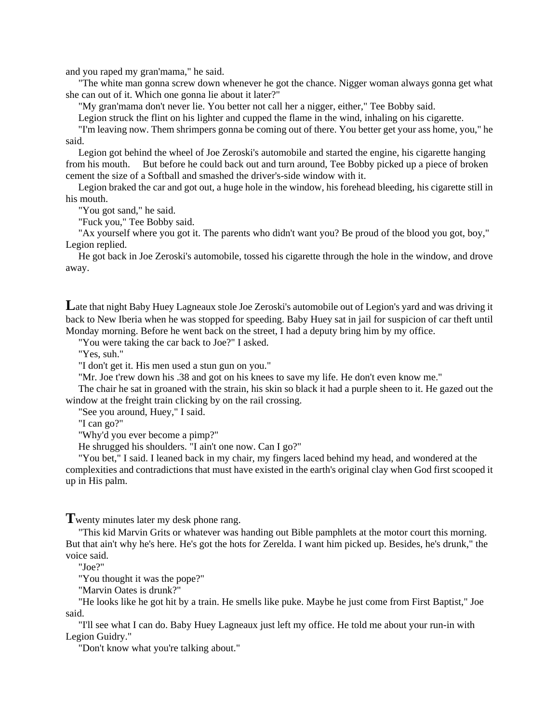and you raped my gran'mama," he said.

 "The white man gonna screw down whenever he got the chance. Nigger woman always gonna get what she can out of it. Which one gonna lie about it later?"

"My gran'mama don't never lie. You better not call her a nigger, either," Tee Bobby said.

Legion struck the flint on his lighter and cupped the flame in the wind, inhaling on his cigarette.

 "I'm leaving now. Them shrimpers gonna be coming out of there. You better get your ass home, you," he said.

 Legion got behind the wheel of Joe Zeroski's automobile and started the engine, his cigarette hanging from his mouth. But before he could back out and turn around, Tee Bobby picked up a piece of broken cement the size of a Softball and smashed the driver's-side window with it.

 Legion braked the car and got out, a huge hole in the window, his forehead bleeding, his cigarette still in his mouth.

"You got sand," he said.

"Fuck you," Tee Bobby said.

 "Ax yourself where you got it. The parents who didn't want you? Be proud of the blood you got, boy," Legion replied.

 He got back in Joe Zeroski's automobile, tossed his cigarette through the hole in the window, and drove away.

**L**ate that night Baby Huey Lagneaux stole Joe Zeroski's automobile out of Legion's yard and was driving it back to New Iberia when he was stopped for speeding. Baby Huey sat in jail for suspicion of car theft until Monday morning. Before he went back on the street, I had a deputy bring him by my office.

"You were taking the car back to Joe?" I asked.

"Yes, suh."

"I don't get it. His men used a stun gun on you."

"Mr. Joe t'rew down his .38 and got on his knees to save my life. He don't even know me."

 The chair he sat in groaned with the strain, his skin so black it had a purple sheen to it. He gazed out the window at the freight train clicking by on the rail crossing.

"See you around, Huey," I said.

"I can go?"

"Why'd you ever become a pimp?"

He shrugged his shoulders. "I ain't one now. Can I go?"

 "You bet," I said. I leaned back in my chair, my fingers laced behind my head, and wondered at the complexities and contradictions that must have existed in the earth's original clay when God first scooped it up in His palm.

**T**wenty minutes later my desk phone rang.

 "This kid Marvin Grits or whatever was handing out Bible pamphlets at the motor court this morning. But that ain't why he's here. He's got the hots for Zerelda. I want him picked up. Besides, he's drunk," the voice said.

"Joe?"

"You thought it was the pope?"

"Marvin Oates is drunk?"

 "He looks like he got hit by a train. He smells like puke. Maybe he just come from First Baptist," Joe said.

 "I'll see what I can do. Baby Huey Lagneaux just left my office. He told me about your run-in with Legion Guidry."

"Don't know what you're talking about."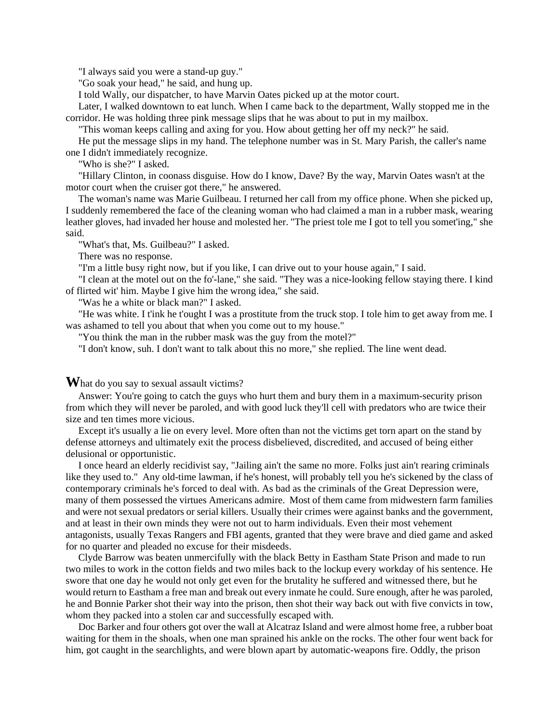"I always said you were a stand-up guy."

"Go soak your head," he said, and hung up.

I told Wally, our dispatcher, to have Marvin Oates picked up at the motor court.

 Later, I walked downtown to eat lunch. When I came back to the department, Wally stopped me in the corridor. He was holding three pink message slips that he was about to put in my mailbox.

"This woman keeps calling and axing for you. How about getting her off my neck?" he said.

 He put the message slips in my hand. The telephone number was in St. Mary Parish, the caller's name one I didn't immediately recognize.

"Who is she?" I asked.

 "Hillary Clinton, in coonass disguise. How do I know, Dave? By the way, Marvin Oates wasn't at the motor court when the cruiser got there," he answered.

 The woman's name was Marie Guilbeau. I returned her call from my office phone. When she picked up, I suddenly remembered the face of the cleaning woman who had claimed a man in a rubber mask, wearing leather gloves, had invaded her house and molested her. "The priest tole me I got to tell you somet'ing," she said.

"What's that, Ms. Guilbeau?" I asked.

There was no response.

"I'm a little busy right now, but if you like, I can drive out to your house again," I said.

 "I clean at the motel out on the fo'-lane," she said. "They was a nice-looking fellow staying there. I kind of flirted wit' him. Maybe I give him the wrong idea," she said.

"Was he a white or black man?" I asked.

 "He was white. I t'ink he t'ought I was a prostitute from the truck stop. I tole him to get away from me. I was ashamed to tell you about that when you come out to my house."

"You think the man in the rubber mask was the guy from the motel?"

"I don't know, suh. I don't want to talk about this no more," she replied. The line went dead.

**W** hat do you say to sexual assault victims?

 Answer: You're going to catch the guys who hurt them and bury them in a maximum-security prison from which they will never be paroled, and with good luck they'll cell with predators who are twice their size and ten times more vicious.

 Except it's usually a lie on every level. More often than not the victims get torn apart on the stand by defense attorneys and ultimately exit the process disbelieved, discredited, and accused of being either delusional or opportunistic.

 I once heard an elderly recidivist say, "Jailing ain't the same no more. Folks just ain't rearing criminals like they used to." Any old-time lawman, if he's honest, will probably tell you he's sickened by the class of contemporary criminals he's forced to deal with. As bad as the criminals of the Great Depression were, many of them possessed the virtues Americans admire. Most of them came from midwestern farm families and were not sexual predators or serial killers. Usually their crimes were against banks and the government, and at least in their own minds they were not out to harm individuals. Even their most vehement antagonists, usually Texas Rangers and FBI agents, granted that they were brave and died game and asked for no quarter and pleaded no excuse for their misdeeds.

 Clyde Barrow was beaten unmercifully with the black Betty in Eastham State Prison and made to run two miles to work in the cotton fields and two miles back to the lockup every workday of his sentence. He swore that one day he would not only get even for the brutality he suffered and witnessed there, but he would return to Eastham a free man and break out every inmate he could. Sure enough, after he was paroled, he and Bonnie Parker shot their way into the prison, then shot their way back out with five convicts in tow, whom they packed into a stolen car and successfully escaped with.

 Doc Barker and four others got over the wall at Alcatraz Island and were almost home free, a rubber boat waiting for them in the shoals, when one man sprained his ankle on the rocks. The other four went back for him, got caught in the searchlights, and were blown apart by automatic-weapons fire. Oddly, the prison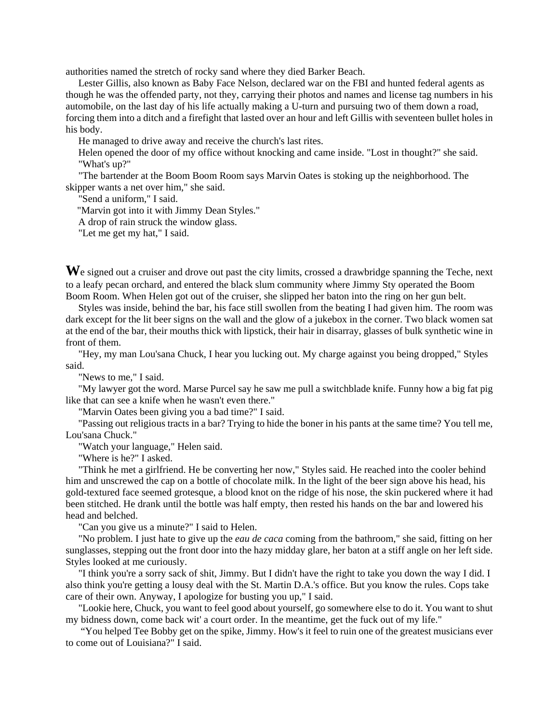authorities named the stretch of rocky sand where they died Barker Beach.

 Lester Gillis, also known as Baby Face Nelson, declared war on the FBI and hunted federal agents as though he was the offended party, not they, carrying their photos and names and license tag numbers in his automobile, on the last day of his life actually making a U-turn and pursuing two of them down a road, forcing them into a ditch and a firefight that lasted over an hour and left Gillis with seventeen bullet holes in his body.

He managed to drive away and receive the church's last rites.

 Helen opened the door of my office without knocking and came inside. "Lost in thought?" she said. "What's up?"

 "The bartender at the Boom Boom Room says Marvin Oates is stoking up the neighborhood. The skipper wants a net over him," she said.

"Send a uniform," I said.

"Marvin got into it with Jimmy Dean Styles."

A drop of rain struck the window glass.

"Let me get my hat," I said.

We signed out a cruiser and drove out past the city limits, crossed a drawbridge spanning the Teche, next to a leafy pecan orchard, and entered the black slum community where Jimmy Sty operated the Boom Boom Room. When Helen got out of the cruiser, she slipped her baton into the ring on her gun belt.

 Styles was inside, behind the bar, his face still swollen from the beating I had given him. The room was dark except for the lit beer signs on the wall and the glow of a jukebox in the corner. Two black women sat at the end of the bar, their mouths thick with lipstick, their hair in disarray, glasses of bulk synthetic wine in front of them.

 "Hey, my man Lou'sana Chuck, I hear you lucking out. My charge against you being dropped," Styles said.

"News to me," I said.

 "My lawyer got the word. Marse Purcel say he saw me pull a switchblade knife. Funny how a big fat pig like that can see a knife when he wasn't even there."

"Marvin Oates been giving you a bad time?" I said.

 "Passing out religious tracts in a bar? Trying to hide the boner in his pants at the same time? You tell me, Lou'sana Chuck."

"Watch your language," Helen said.

"Where is he?" I asked.

 "Think he met a girlfriend. He be converting her now," Styles said. He reached into the cooler behind him and unscrewed the cap on a bottle of chocolate milk. In the light of the beer sign above his head, his gold-textured face seemed grotesque, a blood knot on the ridge of his nose, the skin puckered where it had been stitched. He drank until the bottle was half empty, then rested his hands on the bar and lowered his head and belched.

"Can you give us a minute?" I said to Helen.

 "No problem. I just hate to give up the *eau de caca* coming from the bathroom," she said, fitting on her sunglasses, stepping out the front door into the hazy midday glare, her baton at a stiff angle on her left side. Styles looked at me curiously.

 "I think you're a sorry sack of shit, Jimmy. But I didn't have the right to take you down the way I did. I also think you're getting a lousy deal with the St. Martin D.A.'s office. But you know the rules. Cops take care of their own. Anyway, I apologize for busting you up," I said.

 "Lookie here, Chuck, you want to feel good about yourself, go somewhere else to do it. You want to shut my bidness down, come back wit' a court order. In the meantime, get the fuck out of my life."

 "You helped Tee Bobby get on the spike, Jimmy. How's it feel to ruin one of the greatest musicians ever to come out of Louisiana?" I said.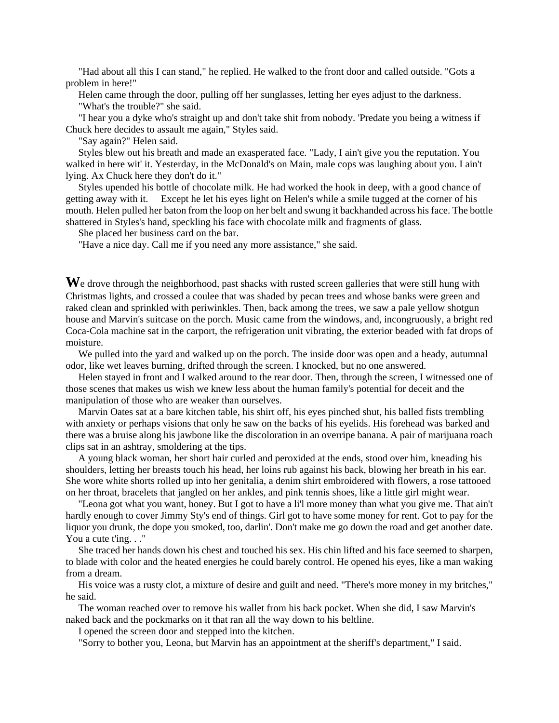"Had about all this I can stand," he replied. He walked to the front door and called outside. "Gots a problem in here!"

 Helen came through the door, pulling off her sunglasses, letting her eyes adjust to the darkness. "What's the trouble?" she said.

 "I hear you a dyke who's straight up and don't take shit from nobody. 'Predate you being a witness if Chuck here decides to assault me again," Styles said.

"Say again?" Helen said.

 Styles blew out his breath and made an exasperated face. "Lady, I ain't give you the reputation. You walked in here wit' it. Yesterday, in the McDonald's on Main, male cops was laughing about you. I ain't lying. Ax Chuck here they don't do it."

 Styles upended his bottle of chocolate milk. He had worked the hook in deep, with a good chance of getting away with it. Except he let his eyes light on Helen's while a smile tugged at the corner of his mouth. Helen pulled her baton from the loop on her belt and swung it backhanded across his face. The bottle shattered in Styles's hand, speckling his face with chocolate milk and fragments of glass.

She placed her business card on the bar.

"Have a nice day. Call me if you need any more assistance," she said.

We drove through the neighborhood, past shacks with rusted screen galleries that were still hung with Christmas lights, and crossed a coulee that was shaded by pecan trees and whose banks were green and raked clean and sprinkled with periwinkles. Then, back among the trees, we saw a pale yellow shotgun house and Marvin's suitcase on the porch. Music came from the windows, and, incongruously, a bright red Coca-Cola machine sat in the carport, the refrigeration unit vibrating, the exterior beaded with fat drops of moisture.

 We pulled into the yard and walked up on the porch. The inside door was open and a heady, autumnal odor, like wet leaves burning, drifted through the screen. I knocked, but no one answered.

 Helen stayed in front and I walked around to the rear door. Then, through the screen, I witnessed one of those scenes that makes us wish we knew less about the human family's potential for deceit and the manipulation of those who are weaker than ourselves.

 Marvin Oates sat at a bare kitchen table, his shirt off, his eyes pinched shut, his balled fists trembling with anxiety or perhaps visions that only he saw on the backs of his eyelids. His forehead was barked and there was a bruise along his jawbone like the discoloration in an overripe banana. A pair of marijuana roach clips sat in an ashtray, smoldering at the tips.

 A young black woman, her short hair curled and peroxided at the ends, stood over him, kneading his shoulders, letting her breasts touch his head, her loins rub against his back, blowing her breath in his ear. She wore white shorts rolled up into her genitalia, a denim shirt embroidered with flowers, a rose tattooed on her throat, bracelets that jangled on her ankles, and pink tennis shoes, like a little girl might wear.

 "Leona got what you want, honey. But I got to have a li'l more money than what you give me. That ain't hardly enough to cover Jimmy Sty's end of things. Girl got to have some money for rent. Got to pay for the liquor you drunk, the dope you smoked, too, darlin'. Don't make me go down the road and get another date. You a cute t'ing. . ."

 She traced her hands down his chest and touched his sex. His chin lifted and his face seemed to sharpen, to blade with color and the heated energies he could barely control. He opened his eyes, like a man waking from a dream.

 His voice was a rusty clot, a mixture of desire and guilt and need. "There's more money in my britches," he said.

 The woman reached over to remove his wallet from his back pocket. When she did, I saw Marvin's naked back and the pockmarks on it that ran all the way down to his beltline.

I opened the screen door and stepped into the kitchen.

"Sorry to bother you, Leona, but Marvin has an appointment at the sheriff's department," I said.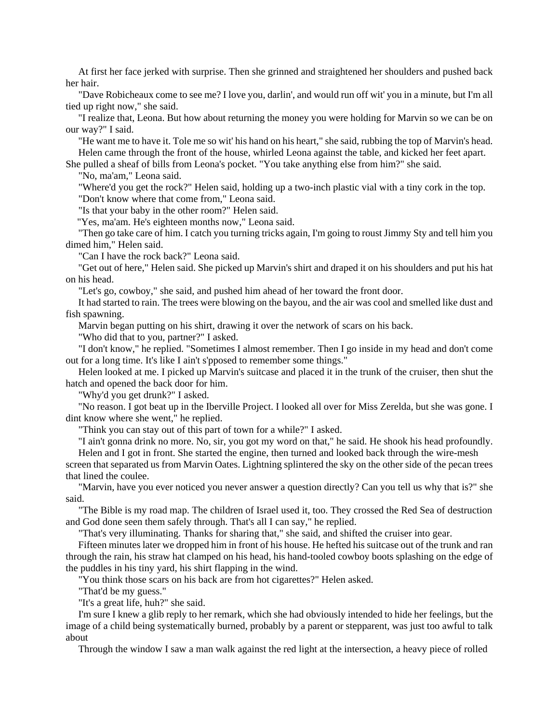At first her face jerked with surprise. Then she grinned and straightened her shoulders and pushed back her hair.

 "Dave Robicheaux come to see me? I love you, darlin', and would run off wit' you in a minute, but I'm all tied up right now," she said.

 "I realize that, Leona. But how about returning the money you were holding for Marvin so we can be on our way?" I said.

 "He want me to have it. Tole me so wit' his hand on his heart," she said, rubbing the top of Marvin's head. Helen came through the front of the house, whirled Leona against the table, and kicked her feet apart.

She pulled a sheaf of bills from Leona's pocket. "You take anything else from him?" she said.

"No, ma'am," Leona said.

"Where'd you get the rock?" Helen said, holding up a two-inch plastic vial with a tiny cork in the top.

"Don't know where that come from," Leona said.

"Is that your baby in the other room?" Helen said.

"Yes, ma'am. He's eighteen months now," Leona said.

 "Then go take care of him. I catch you turning tricks again, I'm going to roust Jimmy Sty and tell him you dimed him," Helen said.

"Can I have the rock back?" Leona said.

 "Get out of here," Helen said. She picked up Marvin's shirt and draped it on his shoulders and put his hat on his head.

"Let's go, cowboy," she said, and pushed him ahead of her toward the front door.

 It had started to rain. The trees were blowing on the bayou, and the air was cool and smelled like dust and fish spawning.

Marvin began putting on his shirt, drawing it over the network of scars on his back.

"Who did that to you, partner?" I asked.

 "I don't know," he replied. "Sometimes I almost remember. Then I go inside in my head and don't come out for a long time. It's like I ain't s'pposed to remember some things."

 Helen looked at me. I picked up Marvin's suitcase and placed it in the trunk of the cruiser, then shut the hatch and opened the back door for him.

"Why'd you get drunk?" I asked.

 "No reason. I got beat up in the Iberville Project. I looked all over for Miss Zerelda, but she was gone. I dint know where she went," he replied.

"Think you can stay out of this part of town for a while?" I asked.

 "I ain't gonna drink no more. No, sir, you got my word on that," he said. He shook his head profoundly. Helen and I got in front. She started the engine, then turned and looked back through the wire-mesh

screen that separated us from Marvin Oates. Lightning splintered the sky on the other side of the pecan trees that lined the coulee.

 "Marvin, have you ever noticed you never answer a question directly? Can you tell us why that is?" she said.

 "The Bible is my road map. The children of Israel used it, too. They crossed the Red Sea of destruction and God done seen them safely through. That's all I can say," he replied.

"That's very illuminating. Thanks for sharing that," she said, and shifted the cruiser into gear.

 Fifteen minutes later we dropped him in front of his house. He hefted his suitcase out of the trunk and ran through the rain, his straw hat clamped on his head, his hand-tooled cowboy boots splashing on the edge of the puddles in his tiny yard, his shirt flapping in the wind.

"You think those scars on his back are from hot cigarettes?" Helen asked.

"That'd be my guess."

"It's a great life, huh?" she said.

 I'm sure I knew a glib reply to her remark, which she had obviously intended to hide her feelings, but the image of a child being systematically burned, probably by a parent or stepparent, was just too awful to talk about

Through the window I saw a man walk against the red light at the intersection, a heavy piece of rolled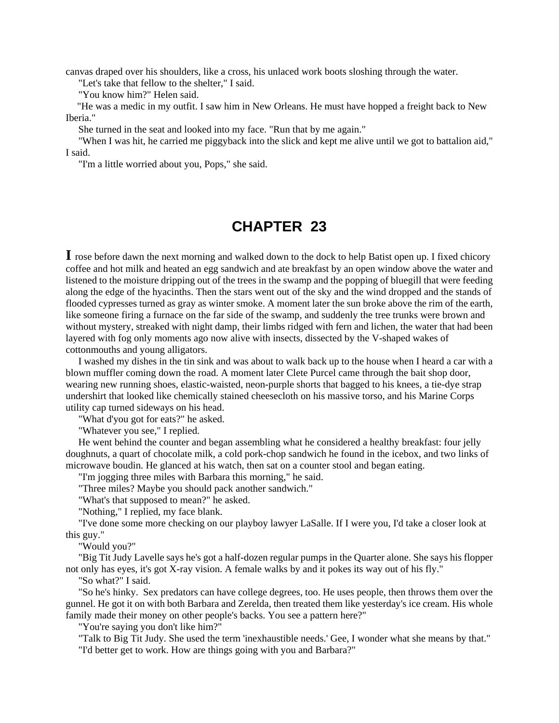canvas draped over his shoulders, like a cross, his unlaced work boots sloshing through the water.

"Let's take that fellow to the shelter," I said.

"You know him?" Helen said.

"He was a medic in my outfit. I saw him in New Orleans. He must have hopped a freight back to New Iberia."

She turned in the seat and looked into my face. "Run that by me again."

 "When I was hit, he carried me piggyback into the slick and kept me alive until we got to battalion aid," I said.

"I'm a little worried about you, Pops," she said.

### **CHAPTER 23**

**I** rose before dawn the next morning and walked down to the dock to help Batist open up. I fixed chicory coffee and hot milk and heated an egg sandwich and ate breakfast by an open window above the water and listened to the moisture dripping out of the trees in the swamp and the popping of bluegill that were feeding along the edge of the hyacinths. Then the stars went out of the sky and the wind dropped and the stands of flooded cypresses turned as gray as winter smoke. A moment later the sun broke above the rim of the earth, like someone firing a furnace on the far side of the swamp, and suddenly the tree trunks were brown and without mystery, streaked with night damp, their limbs ridged with fern and lichen, the water that had been layered with fog only moments ago now alive with insects, dissected by the V-shaped wakes of cottonmouths and young alligators.

 I washed my dishes in the tin sink and was about to walk back up to the house when I heard a car with a blown muffler coming down the road. A moment later Clete Purcel came through the bait shop door, wearing new running shoes, elastic-waisted, neon-purple shorts that bagged to his knees, a tie-dye strap undershirt that looked like chemically stained cheesecloth on his massive torso, and his Marine Corps utility cap turned sideways on his head.

"What d'you got for eats?" he asked.

"Whatever you see," I replied.

 He went behind the counter and began assembling what he considered a healthy breakfast: four jelly doughnuts, a quart of chocolate milk, a cold pork-chop sandwich he found in the icebox, and two links of microwave boudin. He glanced at his watch, then sat on a counter stool and began eating.

"I'm jogging three miles with Barbara this morning," he said.

"Three miles? Maybe you should pack another sandwich."

"What's that supposed to mean?" he asked.

"Nothing," I replied, my face blank.

 "I've done some more checking on our playboy lawyer LaSalle. If I were you, I'd take a closer look at this guy."

"Would you?"

 "Big Tit Judy Lavelle says he's got a half-dozen regular pumps in the Quarter alone. She says his flopper not only has eyes, it's got X-ray vision. A female walks by and it pokes its way out of his fly."

"So what?" I said.

 "So he's hinky. Sex predators can have college degrees, too. He uses people, then throws them over the gunnel. He got it on with both Barbara and Zerelda, then treated them like yesterday's ice cream. His whole family made their money on other people's backs. You see a pattern here?"

"You're saying you don't like him?"

 "Talk to Big Tit Judy. She used the term 'inexhaustible needs.' Gee, I wonder what she means by that." "I'd better get to work. How are things going with you and Barbara?"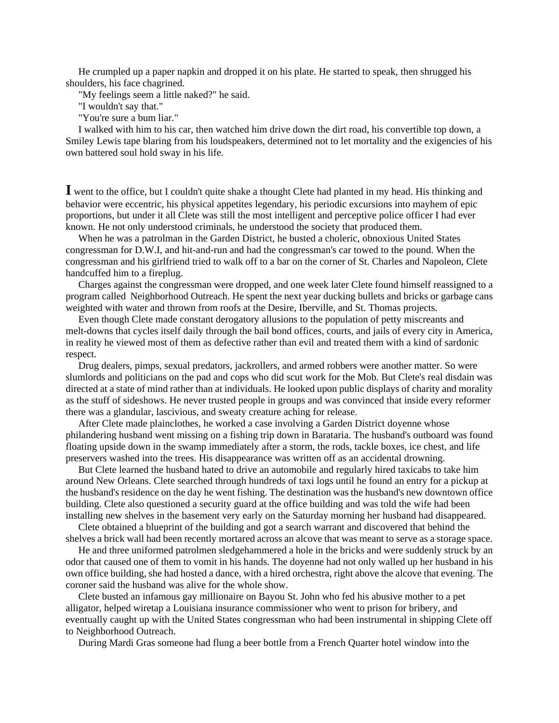He crumpled up a paper napkin and dropped it on his plate. He started to speak, then shrugged his shoulders, his face chagrined.

"My feelings seem a little naked?" he said.

"I wouldn't say that."

"You're sure a bum liar."

 I walked with him to his car, then watched him drive down the dirt road, his convertible top down, a Smiley Lewis tape blaring from his loudspeakers, determined not to let mortality and the exigencies of his own battered soul hold sway in his life.

I went to the office, but I couldn't quite shake a thought Clete had planted in my head. His thinking and behavior were eccentric, his physical appetites legendary, his periodic excursions into mayhem of epic proportions, but under it all Clete was still the most intelligent and perceptive police officer I had ever known. He not only understood criminals, he understood the society that produced them.

 When he was a patrolman in the Garden District, he busted a choleric, obnoxious United States congressman for D.W.I, and hit-and-run and had the congressman's car towed to the pound. When the congressman and his girlfriend tried to walk off to a bar on the corner of St. Charles and Napoleon, Clete handcuffed him to a fireplug.

 Charges against the congressman were dropped, and one week later Clete found himself reassigned to a program called Neighborhood Outreach. He spent the next year ducking bullets and bricks or garbage cans weighted with water and thrown from roofs at the Desire, Iberville, and St. Thomas projects.

 Even though Clete made constant derogatory allusions to the population of petty miscreants and melt-downs that cycles itself daily through the bail bond offices, courts, and jails of every city in America, in reality he viewed most of them as defective rather than evil and treated them with a kind of sardonic respect.

 Drug dealers, pimps, sexual predators, jackrollers, and armed robbers were another matter. So were slumlords and politicians on the pad and cops who did scut work for the Mob. But Clete's real disdain was directed at a state of mind rather than at individuals. He looked upon public displays of charity and morality as the stuff of sideshows. He never trusted people in groups and was convinced that inside every reformer there was a glandular, lascivious, and sweaty creature aching for release.

 After Clete made plainclothes, he worked a case involving a Garden District doyenne whose philandering husband went missing on a fishing trip down in Barataria. The husband's outboard was found floating upside down in the swamp immediately after a storm, the rods, tackle boxes, ice chest, and life preservers washed into the trees. His disappearance was written off as an accidental drowning.

 But Clete learned the husband hated to drive an automobile and regularly hired taxicabs to take him around New Orleans. Clete searched through hundreds of taxi logs until he found an entry for a pickup at the husband's residence on the day he went fishing. The destination was the husband's new downtown office building. Clete also questioned a security guard at the office building and was told the wife had been installing new shelves in the basement very early on the Saturday morning her husband had disappeared.

 Clete obtained a blueprint of the building and got a search warrant and discovered that behind the shelves a brick wall had been recently mortared across an alcove that was meant to serve as a storage space.

 He and three uniformed patrolmen sledgehammered a hole in the bricks and were suddenly struck by an odor that caused one of them to vomit in his hands. The doyenne had not only walled up her husband in his own office building, she had hosted a dance, with a hired orchestra, right above the alcove that evening. The coroner said the husband was alive for the whole show.

 Clete busted an infamous gay millionaire on Bayou St. John who fed his abusive mother to a pet alligator, helped wiretap a Louisiana insurance commissioner who went to prison for bribery, and eventually caught up with the United States congressman who had been instrumental in shipping Clete off to Neighborhood Outreach.

During Mardi Gras someone had flung a beer bottle from a French Quarter hotel window into the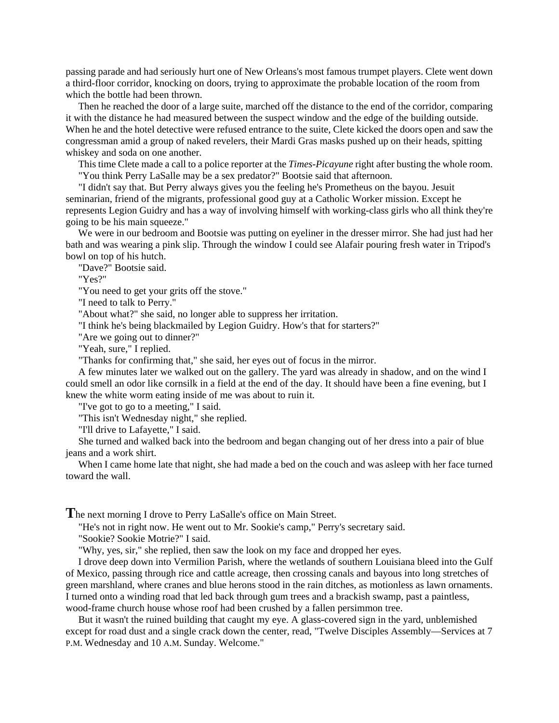passing parade and had seriously hurt one of New Orleans's most famous trumpet players. Clete went down a third-floor corridor, knocking on doors, trying to approximate the probable location of the room from which the bottle had been thrown.

 Then he reached the door of a large suite, marched off the distance to the end of the corridor, comparing it with the distance he had measured between the suspect window and the edge of the building outside. When he and the hotel detective were refused entrance to the suite, Clete kicked the doors open and saw the congressman amid a group of naked revelers, their Mardi Gras masks pushed up on their heads, spitting whiskey and soda on one another.

 This time Clete made a call to a police reporter at the *Times-Picayune* right after busting the whole room. "You think Perry LaSalle may be a sex predator?" Bootsie said that afternoon.

 "I didn't say that. But Perry always gives you the feeling he's Prometheus on the bayou. Jesuit seminarian, friend of the migrants, professional good guy at a Catholic Worker mission. Except he represents Legion Guidry and has a way of involving himself with working-class girls who all think they're going to be his main squeeze."

 We were in our bedroom and Bootsie was putting on eyeliner in the dresser mirror. She had just had her bath and was wearing a pink slip. Through the window I could see Alafair pouring fresh water in Tripod's bowl on top of his hutch.

"Dave?" Bootsie said.

"Yes?"

"You need to get your grits off the stove."

"I need to talk to Perry."

"About what?" she said, no longer able to suppress her irritation.

"I think he's being blackmailed by Legion Guidry. How's that for starters?"

"Are we going out to dinner?"

"Yeah, sure," I replied.

"Thanks for confirming that," she said, her eyes out of focus in the mirror.

 A few minutes later we walked out on the gallery. The yard was already in shadow, and on the wind I could smell an odor like cornsilk in a field at the end of the day. It should have been a fine evening, but I knew the white worm eating inside of me was about to ruin it.

"I've got to go to a meeting," I said.

"This isn't Wednesday night," she replied.

"I'll drive to Lafayette," I said.

 She turned and walked back into the bedroom and began changing out of her dress into a pair of blue jeans and a work shirt.

When I came home late that night, she had made a bed on the couch and was asleep with her face turned toward the wall.

**T**he next morning I drove to Perry LaSalle's office on Main Street.

"He's not in right now. He went out to Mr. Sookie's camp," Perry's secretary said.

"Sookie? Sookie Motrie?" I said.

"Why, yes, sir," she replied, then saw the look on my face and dropped her eyes.

 I drove deep down into Vermilion Parish, where the wetlands of southern Louisiana bleed into the Gulf of Mexico, passing through rice and cattle acreage, then crossing canals and bayous into long stretches of green marshland, where cranes and blue herons stood in the rain ditches, as motionless as lawn ornaments. I turned onto a winding road that led back through gum trees and a brackish swamp, past a paintless, wood-frame church house whose roof had been crushed by a fallen persimmon tree.

 But it wasn't the ruined building that caught my eye. A glass-covered sign in the yard, unblemished except for road dust and a single crack down the center, read, "Twelve Disciples Assembly—Services at 7 P.M. Wednesday and 10 A.M. Sunday. Welcome."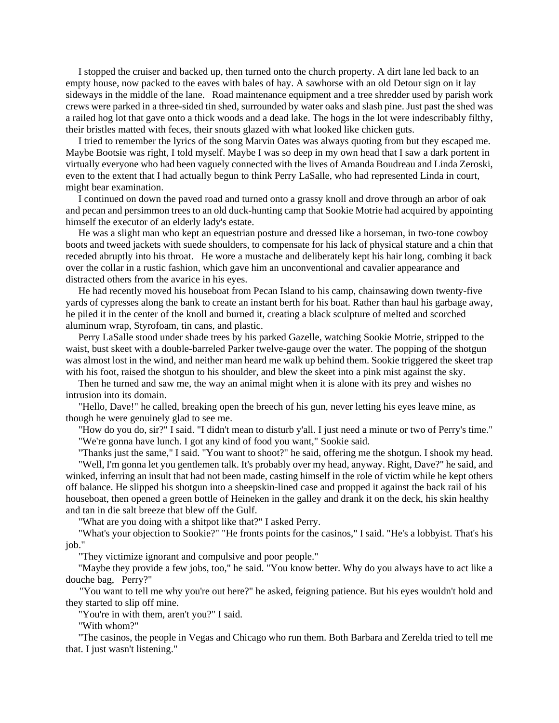I stopped the cruiser and backed up, then turned onto the church property. A dirt lane led back to an empty house, now packed to the eaves with bales of hay. A sawhorse with an old Detour sign on it lay sideways in the middle of the lane. Road maintenance equipment and a tree shredder used by parish work crews were parked in a three-sided tin shed, surrounded by water oaks and slash pine. Just past the shed was a railed hog lot that gave onto a thick woods and a dead lake. The hogs in the lot were indescribably filthy, their bristles matted with feces, their snouts glazed with what looked like chicken guts.

 I tried to remember the lyrics of the song Marvin Oates was always quoting from but they escaped me. Maybe Bootsie was right, I told myself. Maybe I was so deep in my own head that I saw a dark portent in virtually everyone who had been vaguely connected with the lives of Amanda Boudreau and Linda Zeroski, even to the extent that I had actually begun to think Perry LaSalle, who had represented Linda in court, might bear examination.

 I continued on down the paved road and turned onto a grassy knoll and drove through an arbor of oak and pecan and persimmon trees to an old duck-hunting camp that Sookie Motrie had acquired by appointing himself the executor of an elderly lady's estate.

 He was a slight man who kept an equestrian posture and dressed like a horseman, in two-tone cowboy boots and tweed jackets with suede shoulders, to compensate for his lack of physical stature and a chin that receded abruptly into his throat. He wore a mustache and deliberately kept his hair long, combing it back over the collar in a rustic fashion, which gave him an unconventional and cavalier appearance and distracted others from the avarice in his eyes.

 He had recently moved his houseboat from Pecan Island to his camp, chainsawing down twenty-five yards of cypresses along the bank to create an instant berth for his boat. Rather than haul his garbage away, he piled it in the center of the knoll and burned it, creating a black sculpture of melted and scorched aluminum wrap, Styrofoam, tin cans, and plastic.

 Perry LaSalle stood under shade trees by his parked Gazelle, watching Sookie Motrie, stripped to the waist, bust skeet with a double-barreled Parker twelve-gauge over the water. The popping of the shotgun was almost lost in the wind, and neither man heard me walk up behind them. Sookie triggered the skeet trap with his foot, raised the shotgun to his shoulder, and blew the skeet into a pink mist against the sky.

 Then he turned and saw me, the way an animal might when it is alone with its prey and wishes no intrusion into its domain.

 "Hello, Dave!" he called, breaking open the breech of his gun, never letting his eyes leave mine, as though he were genuinely glad to see me.

 "How do you do, sir?" I said. "I didn't mean to disturb y'all. I just need a minute or two of Perry's time." "We're gonna have lunch. I got any kind of food you want," Sookie said.

 "Thanks just the same," I said. "You want to shoot?" he said, offering me the shotgun. I shook my head. "Well, I'm gonna let you gentlemen talk. It's probably over my head, anyway. Right, Dave?" he said, and winked, inferring an insult that had not been made, casting himself in the role of victim while he kept others off balance. He slipped his shotgun into a sheepskin-lined case and propped it against the back rail of his houseboat, then opened a green bottle of Heineken in the galley and drank it on the deck, his skin healthy and tan in die salt breeze that blew off the Gulf.

"What are you doing with a shitpot like that?" I asked Perry.

 "What's your objection to Sookie?" "He fronts points for the casinos," I said. "He's a lobbyist. That's his job."

"They victimize ignorant and compulsive and poor people."

 "Maybe they provide a few jobs, too," he said. "You know better. Why do you always have to act like a douche bag, Perry?"

 "You want to tell me why you're out here?" he asked, feigning patience. But his eyes wouldn't hold and they started to slip off mine.

"You're in with them, aren't you?" I said.

"With whom?"

 "The casinos, the people in Vegas and Chicago who run them. Both Barbara and Zerelda tried to tell me that. I just wasn't listening."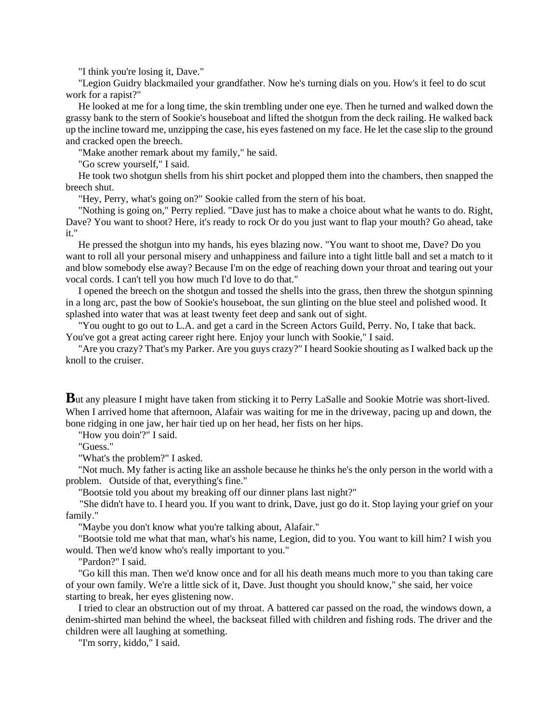"I think you're losing it, Dave."

 "Legion Guidry blackmailed your grandfather. Now he's turning dials on you. How's it feel to do scut work for a rapist?"

 He looked at me for a long time, the skin trembling under one eye. Then he turned and walked down the grassy bank to the stern of Sookie's houseboat and lifted the shotgun from the deck railing. He walked back up the incline toward me, unzipping the case, his eyes fastened on my face. He let the case slip to the ground and cracked open the breech.

"Make another remark about my family," he said.

"Go screw yourself," I said.

 He took two shotgun shells from his shirt pocket and plopped them into the chambers, then snapped the breech shut.

"Hey, Perry, what's going on?" Sookie called from the stern of his boat.

 "Nothing is going on," Perry replied. "Dave just has to make a choice about what he wants to do. Right, Dave? You want to shoot? Here, it's ready to rock Or do you just want to flap your mouth? Go ahead, take it."

 He pressed the shotgun into my hands, his eyes blazing now. "You want to shoot me, Dave? Do you want to roll all your personal misery and unhappiness and failure into a tight little ball and set a match to it and blow somebody else away? Because I'm on the edge of reaching down your throat and tearing out your vocal cords. I can't tell you how much I'd love to do that."

 I opened the breech on the shotgun and tossed the shells into the grass, then threw the shotgun spinning in a long arc, past the bow of Sookie's houseboat, the sun glinting on the blue steel and polished wood. It splashed into water that was at least twenty feet deep and sank out of sight.

 "You ought to go out to L.A. and get a card in the Screen Actors Guild, Perry. No, I take that back. You've got a great acting career right here. Enjoy your lunch with Sookie," I said.

 "Are you crazy? That's my Parker. Are you guys crazy?" I heard Sookie shouting as I walked back up the knoll to the cruiser.

But any pleasure I might have taken from sticking it to Perry LaSalle and Sookie Motrie was short-lived. When I arrived home that afternoon, Alafair was waiting for me in the driveway, pacing up and down, the bone ridging in one jaw, her hair tied up on her head, her fists on her hips.

"How you doin'?" I said.

"Guess."

"What's the problem?" I asked.

 "Not much. My father is acting like an asshole because he thinks he's the only person in the world with a problem. Outside of that, everything's fine."

"Bootsie told you about my breaking off our dinner plans last night?"

 "She didn't have to. I heard you. If you want to drink, Dave, just go do it. Stop laying your grief on your family."

"Maybe you don't know what you're talking about, Alafair."

 "Bootsie told me what that man, what's his name, Legion, did to you. You want to kill him? I wish you would. Then we'd know who's really important to you."

"Pardon?" I said.

 "Go kill this man. Then we'd know once and for all his death means much more to you than taking care of your own family. We're a little sick of it, Dave. Just thought you should know," she said, her voice starting to break, her eyes glistening now.

 I tried to clear an obstruction out of my throat. A battered car passed on the road, the windows down, a denim-shirted man behind the wheel, the backseat filled with children and fishing rods. The driver and the children were all laughing at something.

"I'm sorry, kiddo," I said.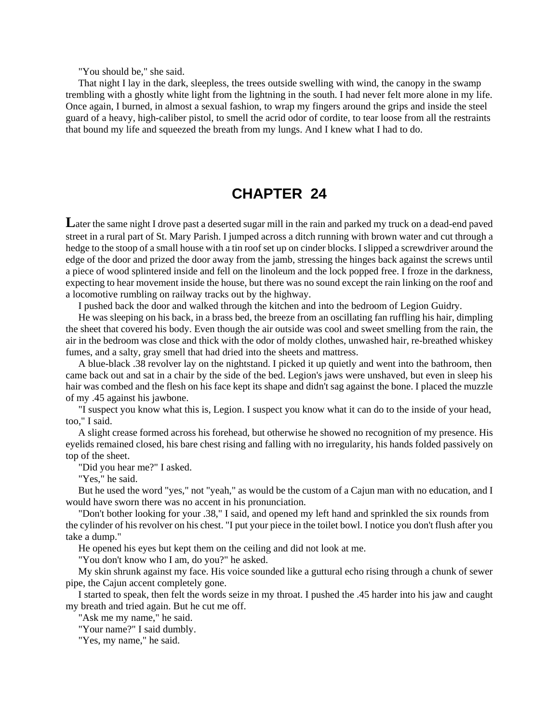"You should be," she said.

 That night I lay in the dark, sleepless, the trees outside swelling with wind, the canopy in the swamp trembling with a ghostly white light from the lightning in the south. I had never felt more alone in my life. Once again, I burned, in almost a sexual fashion, to wrap my fingers around the grips and inside the steel guard of a heavy, high-caliber pistol, to smell the acrid odor of cordite, to tear loose from all the restraints that bound my life and squeezed the breath from my lungs. And I knew what I had to do.

### **CHAPTER 24**

Later the same night I drove past a deserted sugar mill in the rain and parked my truck on a dead-end paved street in a rural part of St. Mary Parish. I jumped across a ditch running with brown water and cut through a hedge to the stoop of a small house with a tin roof set up on cinder blocks. I slipped a screwdriver around the edge of the door and prized the door away from the jamb, stressing the hinges back against the screws until a piece of wood splintered inside and fell on the linoleum and the lock popped free. I froze in the darkness, expecting to hear movement inside the house, but there was no sound except the rain linking on the roof and a locomotive rumbling on railway tracks out by the highway.

I pushed back the door and walked through the kitchen and into the bedroom of Legion Guidry.

 He was sleeping on his back, in a brass bed, the breeze from an oscillating fan ruffling his hair, dimpling the sheet that covered his body. Even though the air outside was cool and sweet smelling from the rain, the air in the bedroom was close and thick with the odor of moldy clothes, unwashed hair, re-breathed whiskey fumes, and a salty, gray smell that had dried into the sheets and mattress.

 A blue-black .38 revolver lay on the nightstand. I picked it up quietly and went into the bathroom, then came back out and sat in a chair by the side of the bed. Legion's jaws were unshaved, but even in sleep his hair was combed and the flesh on his face kept its shape and didn't sag against the bone. I placed the muzzle of my .45 against his jawbone.

 "I suspect you know what this is, Legion. I suspect you know what it can do to the inside of your head, too," I said.

 A slight crease formed across his forehead, but otherwise he showed no recognition of my presence. His eyelids remained closed, his bare chest rising and falling with no irregularity, his hands folded passively on top of the sheet.

"Did you hear me?" I asked.

"Yes," he said.

 But he used the word "yes," not "yeah," as would be the custom of a Cajun man with no education, and I would have sworn there was no accent in his pronunciation.

 "Don't bother looking for your .38," I said, and opened my left hand and sprinkled the six rounds from the cylinder of his revolver on his chest. "I put your piece in the toilet bowl. I notice you don't flush after you take a dump."

He opened his eyes but kept them on the ceiling and did not look at me.

"You don't know who I am, do you?" he asked.

 My skin shrunk against my face. His voice sounded like a guttural echo rising through a chunk of sewer pipe, the Cajun accent completely gone.

 I started to speak, then felt the words seize in my throat. I pushed the .45 harder into his jaw and caught my breath and tried again. But he cut me off.

"Ask me my name," he said.

"Your name?" I said dumbly.

"Yes, my name," he said.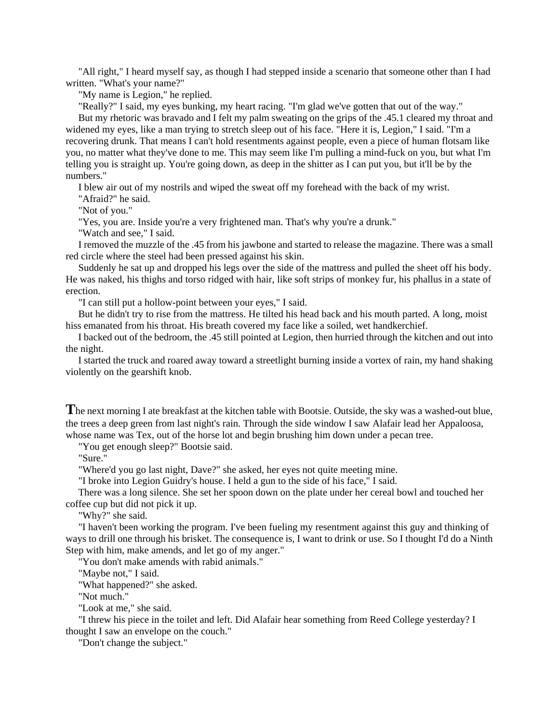"All right," I heard myself say, as though I had stepped inside a scenario that someone other than I had written. "What's your name?"

"My name is Legion," he replied.

"Really?" I said, my eyes bunking, my heart racing. "I'm glad we've gotten that out of the way."

 But my rhetoric was bravado and I felt my palm sweating on the grips of the .45.1 cleared my throat and widened my eyes, like a man trying to stretch sleep out of his face. "Here it is, Legion," I said. "I'm a recovering drunk. That means I can't hold resentments against people, even a piece of human flotsam like you, no matter what they've done to me. This may seem like I'm pulling a mind-fuck on you, but what I'm telling you is straight up. You're going down, as deep in the shitter as I can put you, but it'll be by the numbers."

I blew air out of my nostrils and wiped the sweat off my forehead with the back of my wrist.

"Afraid?" he said.

"Not of you."

"Yes, you are. Inside you're a very frightened man. That's why you're a drunk."

"Watch and see," I said.

 I removed the muzzle of the .45 from his jawbone and started to release the magazine. There was a small red circle where the steel had been pressed against his skin.

 Suddenly he sat up and dropped his legs over the side of the mattress and pulled the sheet off his body. He was naked, his thighs and torso ridged with hair, like soft strips of monkey fur, his phallus in a state of erection.

"I can still put a hollow-point between your eyes," I said.

 But he didn't try to rise from the mattress. He tilted his head back and his mouth parted. A long, moist hiss emanated from his throat. His breath covered my face like a soiled, wet handkerchief.

 I backed out of the bedroom, the .45 still pointed at Legion, then hurried through the kitchen and out into the night.

 I started the truck and roared away toward a streetlight burning inside a vortex of rain, my hand shaking violently on the gearshift knob.

The next morning I ate breakfast at the kitchen table with Bootsie. Outside, the sky was a washed-out blue, the trees a deep green from last night's rain. Through the side window I saw Alafair lead her Appaloosa, whose name was Tex, out of the horse lot and begin brushing him down under a pecan tree.

"You get enough sleep?" Bootsie said.

"Sure."

"Where'd you go last night, Dave?" she asked, her eyes not quite meeting mine.

"I broke into Legion Guidry's house. I held a gun to the side of his face," I said.

 There was a long silence. She set her spoon down on the plate under her cereal bowl and touched her coffee cup but did not pick it up.

"Why?" she said.

 "I haven't been working the program. I've been fueling my resentment against this guy and thinking of ways to drill one through his brisket. The consequence is, I want to drink or use. So I thought I'd do a Ninth Step with him, make amends, and let go of my anger."

"You don't make amends with rabid animals."

"Maybe not," I said.

"What happened?" she asked.

"Not much."

"Look at me," she said.

 "I threw his piece in the toilet and left. Did Alafair hear something from Reed College yesterday? I thought I saw an envelope on the couch."

"Don't change the subject."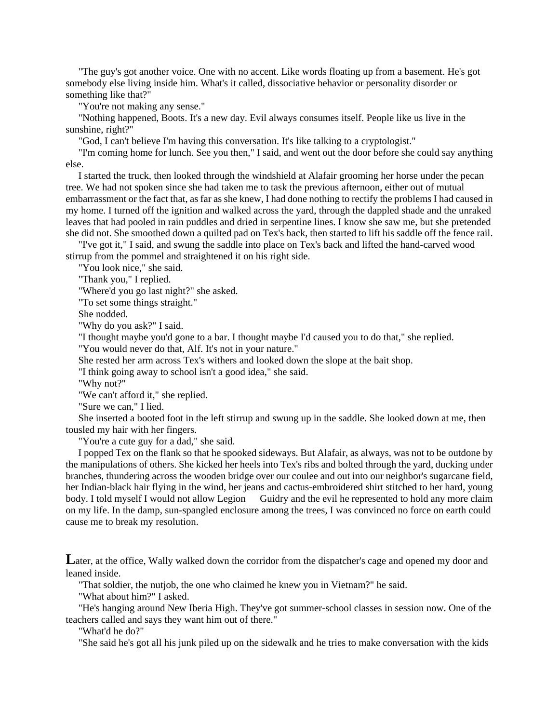"The guy's got another voice. One with no accent. Like words floating up from a basement. He's got somebody else living inside him. What's it called, dissociative behavior or personality disorder or something like that?"

"You're not making any sense."

 "Nothing happened, Boots. It's a new day. Evil always consumes itself. People like us live in the sunshine, right?"

"God, I can't believe I'm having this conversation. It's like talking to a cryptologist."

 "I'm coming home for lunch. See you then," I said, and went out the door before she could say anything else.

 I started the truck, then looked through the windshield at Alafair grooming her horse under the pecan tree. We had not spoken since she had taken me to task the previous afternoon, either out of mutual embarrassment or the fact that, as far as she knew, I had done nothing to rectify the problems I had caused in my home. I turned off the ignition and walked across the yard, through the dappled shade and the unraked leaves that had pooled in rain puddles and dried in serpentine lines. I know she saw me, but she pretended she did not. She smoothed down a quilted pad on Tex's back, then started to lift his saddle off the fence rail.

 "I've got it," I said, and swung the saddle into place on Tex's back and lifted the hand-carved wood stirrup from the pommel and straightened it on his right side.

"You look nice," she said.

"Thank you," I replied.

"Where'd you go last night?" she asked.

"To set some things straight."

She nodded.

"Why do you ask?" I said.

"I thought maybe you'd gone to a bar. I thought maybe I'd caused you to do that," she replied.

"You would never do that, Alf. It's not in your nature."

She rested her arm across Tex's withers and looked down the slope at the bait shop.

"I think going away to school isn't a good idea," she said.

"Why not?"

"We can't afford it," she replied.

"Sure we can," I lied.

 She inserted a booted foot in the left stirrup and swung up in the saddle. She looked down at me, then tousled my hair with her fingers.

"You're a cute guy for a dad," she said.

 I popped Tex on the flank so that he spooked sideways. But Alafair, as always, was not to be outdone by the manipulations of others. She kicked her heels into Tex's ribs and bolted through the yard, ducking under branches, thundering across the wooden bridge over our coulee and out into our neighbor's sugarcane field, her Indian-black hair flying in the wind, her jeans and cactus-embroidered shirt stitched to her hard, young body. I told myself I would not allow Legion Guidry and the evil he represented to hold any more claim on my life. In the damp, sun-spangled enclosure among the trees, I was convinced no force on earth could cause me to break my resolution.

Later, at the office, Wally walked down the corridor from the dispatcher's cage and opened my door and leaned inside.

"That soldier, the nutjob, the one who claimed he knew you in Vietnam?" he said.

"What about him?" I asked.

 "He's hanging around New Iberia High. They've got summer-school classes in session now. One of the teachers called and says they want him out of there."

"What'd he do?"

"She said he's got all his junk piled up on the sidewalk and he tries to make conversation with the kids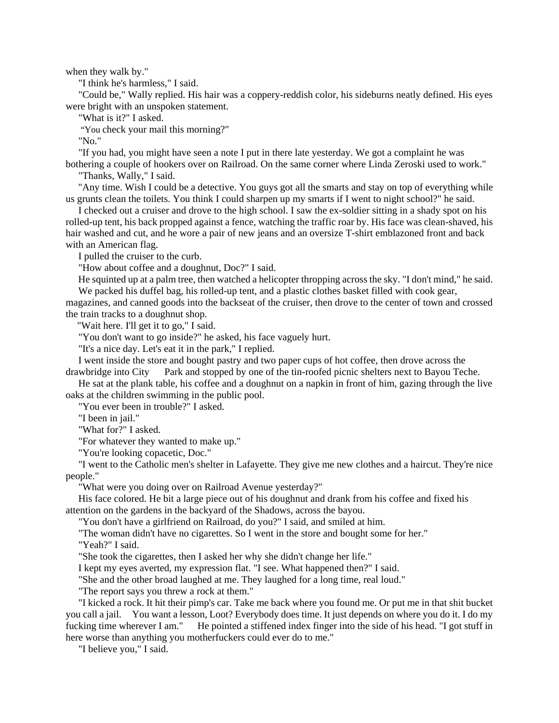when they walk by."

"I think he's harmless," I said.

 "Could be," Wally replied. His hair was a coppery-reddish color, his sideburns neatly defined. His eyes were bright with an unspoken statement.

"What is it?" I asked.

"You check your mail this morning?"

"No."

 "If you had, you might have seen a note I put in there late yesterday. We got a complaint he was bothering a couple of hookers over on Railroad. On the same corner where Linda Zeroski used to work."

"Thanks, Wally," I said.

 "Any time. Wish I could be a detective. You guys got all the smarts and stay on top of everything while us grunts clean the toilets. You think I could sharpen up my smarts if I went to night school?" he said.

 I checked out a cruiser and drove to the high school. I saw the ex-soldier sitting in a shady spot on his rolled-up tent, his back propped against a fence, watching the traffic roar by. His face was clean-shaved, his hair washed and cut, and he wore a pair of new jeans and an oversize T-shirt emblazoned front and back with an American flag.

I pulled the cruiser to the curb.

"How about coffee and a doughnut, Doc?" I said.

 He squinted up at a palm tree, then watched a helicopter thropping across the sky. "I don't mind," he said. We packed his duffel bag, his rolled-up tent, and a plastic clothes basket filled with cook gear,

magazines, and canned goods into the backseat of the cruiser, then drove to the center of town and crossed the train tracks to a doughnut shop.

"Wait here. I'll get it to go," I said.

"You don't want to go inside?" he asked, his face vaguely hurt.

"It's a nice day. Let's eat it in the park," I replied.

 I went inside the store and bought pastry and two paper cups of hot coffee, then drove across the drawbridge into City Park and stopped by one of the tin-roofed picnic shelters next to Bayou Teche.

 He sat at the plank table, his coffee and a doughnut on a napkin in front of him, gazing through the live oaks at the children swimming in the public pool.

"You ever been in trouble?" I asked.

"I been in jail."

"What for?" I asked.

"For whatever they wanted to make up."

"You're looking copacetic, Doc."

 "I went to the Catholic men's shelter in Lafayette. They give me new clothes and a haircut. They're nice people."

"What were you doing over on Railroad Avenue yesterday?"

 His face colored. He bit a large piece out of his doughnut and drank from his coffee and fixed his attention on the gardens in the backyard of the Shadows, across the bayou.

"You don't have a girlfriend on Railroad, do you?" I said, and smiled at him.

"The woman didn't have no cigarettes. So I went in the store and bought some for her."

"Yeah?" I said.

"She took the cigarettes, then I asked her why she didn't change her life."

I kept my eyes averted, my expression flat. "I see. What happened then?" I said.

"She and the other broad laughed at me. They laughed for a long time, real loud."

"The report says you threw a rock at them."

 "I kicked a rock. It hit their pimp's car. Take me back where you found me. Or put me in that shit bucket you call a jail. You want a lesson, Loot? Everybody does time. It just depends on where you do it. I do my fucking time wherever I am." He pointed a stiffened index finger into the side of his head. "I got stuff in He pointed a stiffened index finger into the side of his head. "I got stuff in here worse than anything you motherfuckers could ever do to me."

"I believe you," I said.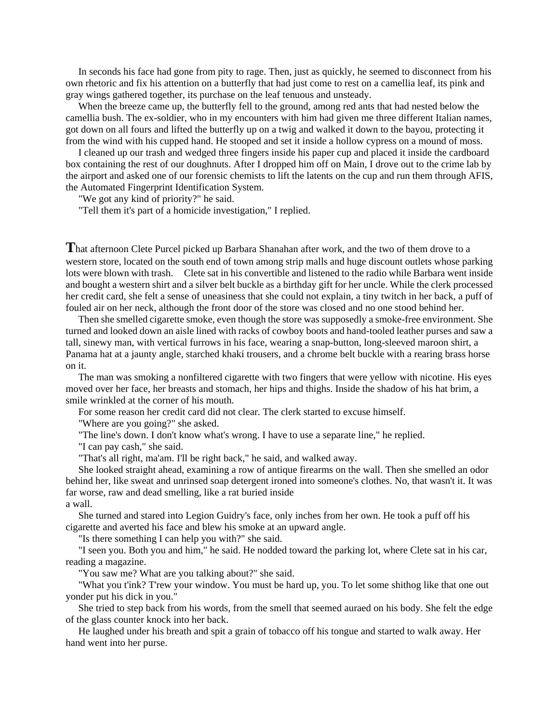In seconds his face had gone from pity to rage. Then, just as quickly, he seemed to disconnect from his own rhetoric and fix his attention on a butterfly that had just come to rest on a camellia leaf, its pink and gray wings gathered together, its purchase on the leaf tenuous and unsteady.

 When the breeze came up, the butterfly fell to the ground, among red ants that had nested below the camellia bush. The ex-soldier, who in my encounters with him had given me three different Italian names, got down on all fours and lifted the butterfly up on a twig and walked it down to the bayou, protecting it from the wind with his cupped hand. He stooped and set it inside a hollow cypress on a mound of moss.

 I cleaned up our trash and wedged three fingers inside his paper cup and placed it inside the cardboard box containing the rest of our doughnuts. After I dropped him off on Main, I drove out to the crime lab by the airport and asked one of our forensic chemists to lift the latents on the cup and run them through AFIS, the Automated Fingerprint Identification System.

"We got any kind of priority?" he said.

"Tell them it's part of a homicide investigation," I replied.

**T**hat afternoon Clete Purcel picked up Barbara Shanahan after work, and the two of them drove to a western store, located on the south end of town among strip malls and huge discount outlets whose parking lots were blown with trash. Clete sat in his convertible and listened to the radio while Barbara went inside and bought a western shirt and a silver belt buckle as a birthday gift for her uncle. While the clerk processed her credit card, she felt a sense of uneasiness that she could not explain, a tiny twitch in her back, a puff of fouled air on her neck, although the front door of the store was closed and no one stood behind her.

 Then she smelled cigarette smoke, even though the store was supposedly a smoke-free environment. She turned and looked down an aisle lined with racks of cowboy boots and hand-tooled leather purses and saw a tall, sinewy man, with vertical furrows in his face, wearing a snap-button, long-sleeved maroon shirt, a Panama hat at a jaunty angle, starched khaki trousers, and a chrome belt buckle with a rearing brass horse on it.

 The man was smoking a nonfiltered cigarette with two fingers that were yellow with nicotine. His eyes moved over her face, her breasts and stomach, her hips and thighs. Inside the shadow of his hat brim, a smile wrinkled at the corner of his mouth.

For some reason her credit card did not clear. The clerk started to excuse himself.

"Where are you going?" she asked.

"The line's down. I don't know what's wrong. I have to use a separate line," he replied.

"I can pay cash," she said.

"That's all right, ma'am. I'll be right back," he said, and walked away.

 She looked straight ahead, examining a row of antique firearms on the wall. Then she smelled an odor behind her, like sweat and unrinsed soap detergent ironed into someone's clothes. No, that wasn't it. It was far worse, raw and dead smelling, like a rat buried inside a wall.

 She turned and stared into Legion Guidry's face, only inches from her own. He took a puff off his cigarette and averted his face and blew his smoke at an upward angle.

"Is there something I can help you with?" she said.

 "I seen you. Both you and him," he said. He nodded toward the parking lot, where Clete sat in his car, reading a magazine.

"You saw me? What are you talking about?" she said.

 "What you t'ink? T'rew your window. You must be hard up, you. To let some shithog like that one out yonder put his dick in you."

 She tried to step back from his words, from the smell that seemed auraed on his body. She felt the edge of the glass counter knock into her back.

 He laughed under his breath and spit a grain of tobacco off his tongue and started to walk away. Her hand went into her purse.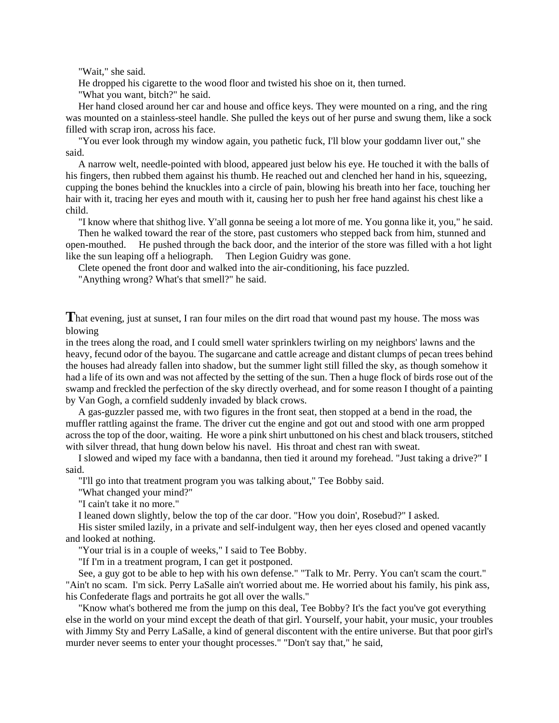"Wait," she said.

He dropped his cigarette to the wood floor and twisted his shoe on it, then turned.

"What you want, bitch?" he said.

 Her hand closed around her car and house and office keys. They were mounted on a ring, and the ring was mounted on a stainless-steel handle. She pulled the keys out of her purse and swung them, like a sock filled with scrap iron, across his face.

 "You ever look through my window again, you pathetic fuck, I'll blow your goddamn liver out," she said.

 A narrow welt, needle-pointed with blood, appeared just below his eye. He touched it with the balls of his fingers, then rubbed them against his thumb. He reached out and clenched her hand in his, squeezing, cupping the bones behind the knuckles into a circle of pain, blowing his breath into her face, touching her hair with it, tracing her eyes and mouth with it, causing her to push her free hand against his chest like a child.

 "I know where that shithog live. Y'all gonna be seeing a lot more of me. You gonna like it, you," he said. Then he walked toward the rear of the store, past customers who stepped back from him, stunned and

open-mouthed. He pushed through the back door, and the interior of the store was filled with a hot light like the sun leaping off a heliograph. Then Legion Guidry was gone.

Clete opened the front door and walked into the air-conditioning, his face puzzled.

"Anything wrong? What's that smell?" he said.

That evening, just at sunset, I ran four miles on the dirt road that wound past my house. The moss was blowing

in the trees along the road, and I could smell water sprinklers twirling on my neighbors' lawns and the heavy, fecund odor of the bayou. The sugarcane and cattle acreage and distant clumps of pecan trees behind the houses had already fallen into shadow, but the summer light still filled the sky, as though somehow it had a life of its own and was not affected by the setting of the sun. Then a huge flock of birds rose out of the swamp and freckled the perfection of the sky directly overhead, and for some reason I thought of a painting by Van Gogh, a cornfield suddenly invaded by black crows.

 A gas-guzzler passed me, with two figures in the front seat, then stopped at a bend in the road, the muffler rattling against the frame. The driver cut the engine and got out and stood with one arm propped across the top of the door, waiting. He wore a pink shirt unbuttoned on his chest and black trousers, stitched with silver thread, that hung down below his navel. His throat and chest ran with sweat.

 I slowed and wiped my face with a bandanna, then tied it around my forehead. "Just taking a drive?" I said.

"I'll go into that treatment program you was talking about," Tee Bobby said.

"What changed your mind?"

"I cain't take it no more."

I leaned down slightly, below the top of the car door. "How you doin', Rosebud?" I asked.

 His sister smiled lazily, in a private and self-indulgent way, then her eyes closed and opened vacantly and looked at nothing.

"Your trial is in a couple of weeks," I said to Tee Bobby.

"If I'm in a treatment program, I can get it postponed.

 See, a guy got to be able to hep with his own defense." "Talk to Mr. Perry. You can't scam the court." "Ain't no scam. I'm sick. Perry LaSalle ain't worried about me. He worried about his family, his pink ass, his Confederate flags and portraits he got all over the walls."

 "Know what's bothered me from the jump on this deal, Tee Bobby? It's the fact you've got everything else in the world on your mind except the death of that girl. Yourself, your habit, your music, your troubles with Jimmy Sty and Perry LaSalle, a kind of general discontent with the entire universe. But that poor girl's murder never seems to enter your thought processes." "Don't say that," he said,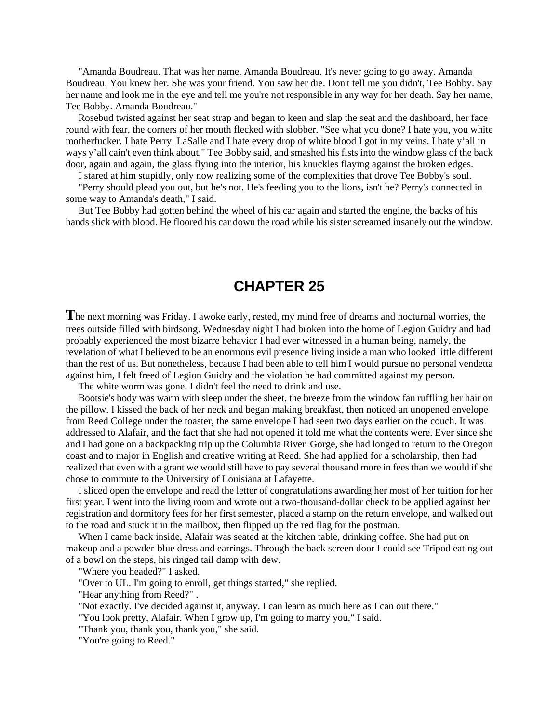"Amanda Boudreau. That was her name. Amanda Boudreau. It's never going to go away. Amanda Boudreau. You knew her. She was your friend. You saw her die. Don't tell me you didn't, Tee Bobby. Say her name and look me in the eye and tell me you're not responsible in any way for her death. Say her name, Tee Bobby. Amanda Boudreau."

 Rosebud twisted against her seat strap and began to keen and slap the seat and the dashboard, her face round with fear, the corners of her mouth flecked with slobber. "See what you done? I hate you, you white motherfucker. I hate Perry LaSalle and I hate every drop of white blood I got in my veins. I hate y'all in ways y'all cain't even think about," Tee Bobby said, and smashed his fists into the window glass of the back door, again and again, the glass flying into the interior, his knuckles flaying against the broken edges.

I stared at him stupidly, only now realizing some of the complexities that drove Tee Bobby's soul.

 "Perry should plead you out, but he's not. He's feeding you to the lions, isn't he? Perry's connected in some way to Amanda's death," I said.

 But Tee Bobby had gotten behind the wheel of his car again and started the engine, the backs of his hands slick with blood. He floored his car down the road while his sister screamed insanely out the window.

### **CHAPTER 25**

**T**he next morning was Friday. I awoke early, rested, my mind free of dreams and nocturnal worries, the trees outside filled with birdsong. Wednesday night I had broken into the home of Legion Guidry and had probably experienced the most bizarre behavior I had ever witnessed in a human being, namely, the revelation of what I believed to be an enormous evil presence living inside a man who looked little different than the rest of us. But nonetheless, because I had been able to tell him I would pursue no personal vendetta against him, I felt freed of Legion Guidry and the violation he had committed against my person.

The white worm was gone. I didn't feel the need to drink and use.

 Bootsie's body was warm with sleep under the sheet, the breeze from the window fan ruffling her hair on the pillow. I kissed the back of her neck and began making breakfast, then noticed an unopened envelope from Reed College under the toaster, the same envelope I had seen two days earlier on the couch. It was addressed to Alafair, and the fact that she had not opened it told me what the contents were. Ever since she and I had gone on a backpacking trip up the Columbia River Gorge, she had longed to return to the Oregon coast and to major in English and creative writing at Reed. She had applied for a scholarship, then had realized that even with a grant we would still have to pay several thousand more in fees than we would if she chose to commute to the University of Louisiana at Lafayette.

 I sliced open the envelope and read the letter of congratulations awarding her most of her tuition for her first year. I went into the living room and wrote out a two-thousand-dollar check to be applied against her registration and dormitory fees for her first semester, placed a stamp on the return envelope, and walked out to the road and stuck it in the mailbox, then flipped up the red flag for the postman.

 When I came back inside, Alafair was seated at the kitchen table, drinking coffee. She had put on makeup and a powder-blue dress and earrings. Through the back screen door I could see Tripod eating out of a bowl on the steps, his ringed tail damp with dew.

"Where you headed?" I asked.

"Over to UL. I'm going to enroll, get things started," she replied.

"Hear anything from Reed?" .

"Not exactly. I've decided against it, anyway. I can learn as much here as I can out there."

"You look pretty, Alafair. When I grow up, I'm going to marry you," I said.

"Thank you, thank you, thank you," she said.

"You're going to Reed."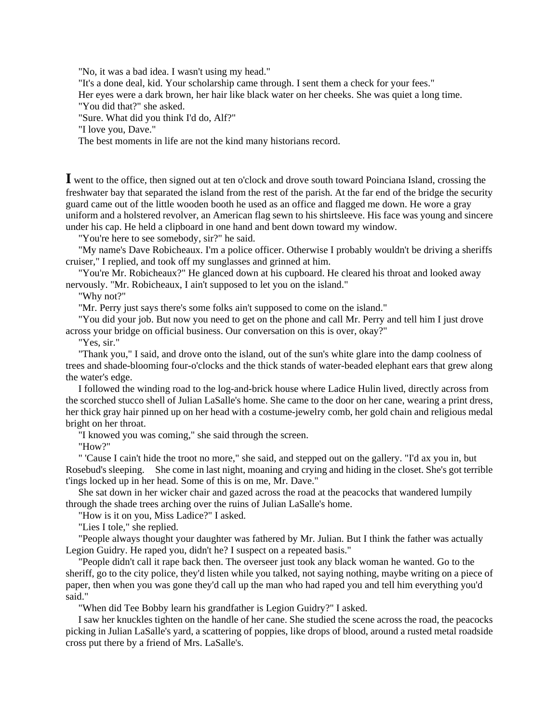"No, it was a bad idea. I wasn't using my head."

"It's a done deal, kid. Your scholarship came through. I sent them a check for your fees."

Her eyes were a dark brown, her hair like black water on her cheeks. She was quiet a long time.

"You did that?" she asked.

"Sure. What did you think I'd do, Alf?"

"I love you, Dave."

The best moments in life are not the kind many historians record.

**I** went to the office, then signed out at ten o'clock and drove south toward Poinciana Island, crossing the freshwater bay that separated the island from the rest of the parish. At the far end of the bridge the security guard came out of the little wooden booth he used as an office and flagged me down. He wore a gray uniform and a holstered revolver, an American flag sewn to his shirtsleeve. His face was young and sincere under his cap. He held a clipboard in one hand and bent down toward my window.

"You're here to see somebody, sir?" he said.

 "My name's Dave Robicheaux. I'm a police officer. Otherwise I probably wouldn't be driving a sheriffs cruiser," I replied, and took off my sunglasses and grinned at him.

 "You're Mr. Robicheaux?" He glanced down at his cupboard. He cleared his throat and looked away nervously. "Mr. Robicheaux, I ain't supposed to let you on the island."

"Why not?"

"Mr. Perry just says there's some folks ain't supposed to come on the island."

 "You did your job. But now you need to get on the phone and call Mr. Perry and tell him I just drove across your bridge on official business. Our conversation on this is over, okay?"

"Yes, sir."

 "Thank you," I said, and drove onto the island, out of the sun's white glare into the damp coolness of trees and shade-blooming four-o'clocks and the thick stands of water-beaded elephant ears that grew along the water's edge.

 I followed the winding road to the log-and-brick house where Ladice Hulin lived, directly across from the scorched stucco shell of Julian LaSalle's home. She came to the door on her cane, wearing a print dress, her thick gray hair pinned up on her head with a costume-jewelry comb, her gold chain and religious medal bright on her throat.

"I knowed you was coming," she said through the screen.

"How?"

 " 'Cause I cain't hide the troot no more," she said, and stepped out on the gallery. "I'd ax you in, but Rosebud's sleeping. She come in last night, moaning and crying and hiding in the closet. She's got terrible t'ings locked up in her head. Some of this is on me, Mr. Dave."

 She sat down in her wicker chair and gazed across the road at the peacocks that wandered lumpily through the shade trees arching over the ruins of Julian LaSalle's home.

"How is it on you, Miss Ladice?" I asked.

"Lies I tole," she replied.

 "People always thought your daughter was fathered by Mr. Julian. But I think the father was actually Legion Guidry. He raped you, didn't he? I suspect on a repeated basis."

 "People didn't call it rape back then. The overseer just took any black woman he wanted. Go to the sheriff, go to the city police, they'd listen while you talked, not saying nothing, maybe writing on a piece of paper, then when you was gone they'd call up the man who had raped you and tell him everything you'd said."

"When did Tee Bobby learn his grandfather is Legion Guidry?" I asked.

 I saw her knuckles tighten on the handle of her cane. She studied the scene across the road, the peacocks picking in Julian LaSalle's yard, a scattering of poppies, like drops of blood, around a rusted metal roadside cross put there by a friend of Mrs. LaSalle's.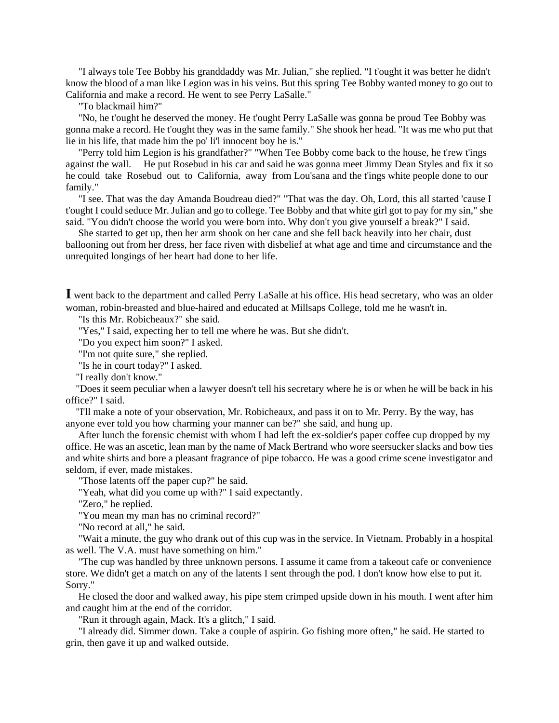"I always tole Tee Bobby his granddaddy was Mr. Julian," she replied. "I t'ought it was better he didn't know the blood of a man like Legion was in his veins. But this spring Tee Bobby wanted money to go out to California and make a record. He went to see Perry LaSalle."

"To blackmail him?"

 "No, he t'ought he deserved the money. He t'ought Perry LaSalle was gonna be proud Tee Bobby was gonna make a record. He t'ought they was in the same family." She shook her head. "It was me who put that lie in his life, that made him the po' li'l innocent boy he is."

 "Perry told him Legion is his grandfather?" "When Tee Bobby come back to the house, he t'rew t'ings against the wall. He put Rosebud in his car and said he was gonna meet Jimmy Dean Styles and fix it so he could take Rosebud out to California, away from Lou'sana and the t'ings white people done to our family."

 "I see. That was the day Amanda Boudreau died?" "That was the day. Oh, Lord, this all started 'cause I t'ought I could seduce Mr. Julian and go to college. Tee Bobby and that white girl got to pay for my sin," she said. "You didn't choose the world you were born into. Why don't you give yourself a break?" I said.

 She started to get up, then her arm shook on her cane and she fell back heavily into her chair, dust ballooning out from her dress, her face riven with disbelief at what age and time and circumstance and the unrequited longings of her heart had done to her life.

**I** went back to the department and called Perry LaSalle at his office. His head secretary, who was an older woman, robin-breasted and blue-haired and educated at Millsaps College, told me he wasn't in.

"Is this Mr. Robicheaux?" she said.

"Yes," I said, expecting her to tell me where he was. But she didn't.

"Do you expect him soon?" I asked.

"I'm not quite sure," she replied.

"Is he in court today?" I asked.

"I really don't know."

 "Does it seem peculiar when a lawyer doesn't tell his secretary where he is or when he will be back in his office?" I said.

 "I'll make a note of your observation, Mr. Robicheaux, and pass it on to Mr. Perry. By the way, has anyone ever told you how charming your manner can be?" she said, and hung up.

 After lunch the forensic chemist with whom I had left the ex-soldier's paper coffee cup dropped by my office. He was an ascetic, lean man by the name of Mack Bertrand who wore seersucker slacks and bow ties and white shirts and bore a pleasant fragrance of pipe tobacco. He was a good crime scene investigator and seldom, if ever, made mistakes.

"Those latents off the paper cup?" he said.

"Yeah, what did you come up with?" I said expectantly.

"Zero," he replied.

"You mean my man has no criminal record?"

"No record at all," he said.

 "Wait a minute, the guy who drank out of this cup was in the service. In Vietnam. Probably in a hospital as well. The V.A. must have something on him."

 "The cup was handled by three unknown persons. I assume it came from a takeout cafe or convenience store. We didn't get a match on any of the latents I sent through the pod. I don't know how else to put it. Sorry."

 He closed the door and walked away, his pipe stem crimped upside down in his mouth. I went after him and caught him at the end of the corridor.

"Run it through again, Mack. It's a glitch," I said.

 "I already did. Simmer down. Take a couple of aspirin. Go fishing more often," he said. He started to grin, then gave it up and walked outside.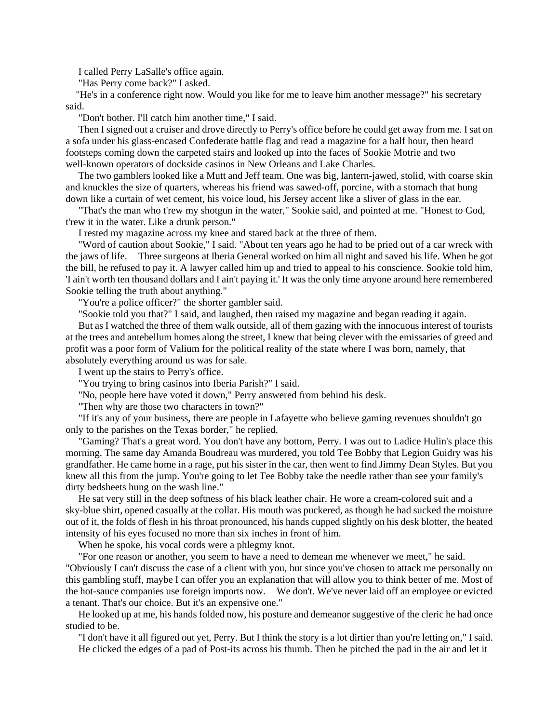I called Perry LaSalle's office again.

"Has Perry come back?" I asked.

 "He's in a conference right now. Would you like for me to leave him another message?" his secretary said.

"Don't bother. I'll catch him another time," I said.

 Then I signed out a cruiser and drove directly to Perry's office before he could get away from me. I sat on a sofa under his glass-encased Confederate battle flag and read a magazine for a half hour, then heard footsteps coming down the carpeted stairs and looked up into the faces of Sookie Motrie and two well-known operators of dockside casinos in New Orleans and Lake Charles.

 The two gamblers looked like a Mutt and Jeff team. One was big, lantern-jawed, stolid, with coarse skin and knuckles the size of quarters, whereas his friend was sawed-off, porcine, with a stomach that hung down like a curtain of wet cement, his voice loud, his Jersey accent like a sliver of glass in the ear.

 "That's the man who t'rew my shotgun in the water," Sookie said, and pointed at me. "Honest to God, t'rew it in the water. Like a drunk person."

I rested my magazine across my knee and stared back at the three of them.

 "Word of caution about Sookie," I said. "About ten years ago he had to be pried out of a car wreck with the jaws of life. Three surgeons at Iberia General worked on him all night and saved his life. When he got the bill, he refused to pay it. A lawyer called him up and tried to appeal to his conscience. Sookie told him, 'I ain't worth ten thousand dollars and I ain't paying it.' It was the only time anyone around here remembered Sookie telling the truth about anything."

"You're a police officer?" the shorter gambler said.

"Sookie told you that?" I said, and laughed, then raised my magazine and began reading it again.

 But as I watched the three of them walk outside, all of them gazing with the innocuous interest of tourists at the trees and antebellum homes along the street, I knew that being clever with the emissaries of greed and profit was a poor form of Valium for the political reality of the state where I was born, namely, that absolutely everything around us was for sale.

I went up the stairs to Perry's office.

"You trying to bring casinos into Iberia Parish?" I said.

"No, people here have voted it down," Perry answered from behind his desk.

"Then why are those two characters in town?"

 "If it's any of your business, there are people in Lafayette who believe gaming revenues shouldn't go only to the parishes on the Texas border," he replied.

 "Gaming? That's a great word. You don't have any bottom, Perry. I was out to Ladice Hulin's place this morning. The same day Amanda Boudreau was murdered, you told Tee Bobby that Legion Guidry was his grandfather. He came home in a rage, put his sister in the car, then went to find Jimmy Dean Styles. But you knew all this from the jump. You're going to let Tee Bobby take the needle rather than see your family's dirty bedsheets hung on the wash line."

 He sat very still in the deep softness of his black leather chair. He wore a cream-colored suit and a sky-blue shirt, opened casually at the collar. His mouth was puckered, as though he had sucked the moisture out of it, the folds of flesh in his throat pronounced, his hands cupped slightly on his desk blotter, the heated intensity of his eyes focused no more than six inches in front of him.

When he spoke, his vocal cords were a phlegmy knot.

 "For one reason or another, you seem to have a need to demean me whenever we meet," he said. "Obviously I can't discuss the case of a client with you, but since you've chosen to attack me personally on this gambling stuff, maybe I can offer you an explanation that will allow you to think better of me. Most of the hot-sauce companies use foreign imports now. We don't. We've never laid off an employee or evicted a tenant. That's our choice. But it's an expensive one."

 He looked up at me, his hands folded now, his posture and demeanor suggestive of the cleric he had once studied to be.

 "I don't have it all figured out yet, Perry. But I think the story is a lot dirtier than you're letting on," I said. He clicked the edges of a pad of Post-its across his thumb. Then he pitched the pad in the air and let it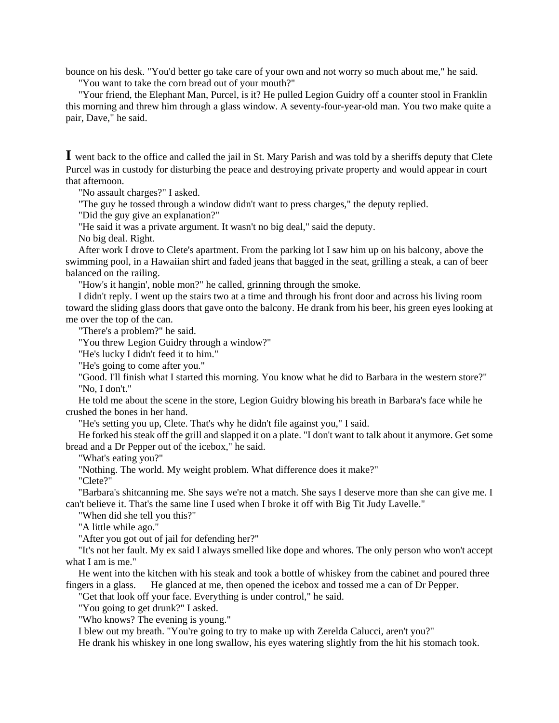bounce on his desk. "You'd better go take care of your own and not worry so much about me," he said. "You want to take the corn bread out of your mouth?"

 "Your friend, the Elephant Man, Purcel, is it? He pulled Legion Guidry off a counter stool in Franklin this morning and threw him through a glass window. A seventy-four-year-old man. You two make quite a pair, Dave," he said.

**I** went back to the office and called the jail in St. Mary Parish and was told by a sheriffs deputy that Clete Purcel was in custody for disturbing the peace and destroying private property and would appear in court that afternoon.

"No assault charges?" I asked.

"The guy he tossed through a window didn't want to press charges," the deputy replied.

"Did the guy give an explanation?"

"He said it was a private argument. It wasn't no big deal," said the deputy.

No big deal. Right.

 After work I drove to Clete's apartment. From the parking lot I saw him up on his balcony, above the swimming pool, in a Hawaiian shirt and faded jeans that bagged in the seat, grilling a steak, a can of beer balanced on the railing.

"How's it hangin', noble mon?" he called, grinning through the smoke.

 I didn't reply. I went up the stairs two at a time and through his front door and across his living room toward the sliding glass doors that gave onto the balcony. He drank from his beer, his green eyes looking at me over the top of the can.

"There's a problem?" he said.

"You threw Legion Guidry through a window?"

"He's lucky I didn't feed it to him."

"He's going to come after you."

 "Good. I'll finish what I started this morning. You know what he did to Barbara in the western store?" "No, I don't."

 He told me about the scene in the store, Legion Guidry blowing his breath in Barbara's face while he crushed the bones in her hand.

"He's setting you up, Clete. That's why he didn't file against you," I said.

 He forked his steak off the grill and slapped it on a plate. "I don't want to talk about it anymore. Get some bread and a Dr Pepper out of the icebox," he said.

"What's eating you?"

"Nothing. The world. My weight problem. What difference does it make?"

"Clete?"

 "Barbara's shitcanning me. She says we're not a match. She says I deserve more than she can give me. I can't believe it. That's the same line I used when I broke it off with Big Tit Judy Lavelle."

"When did she tell you this?"

"A little while ago."

"After you got out of jail for defending her?"

 "It's not her fault. My ex said I always smelled like dope and whores. The only person who won't accept what I am is me."

 He went into the kitchen with his steak and took a bottle of whiskey from the cabinet and poured three fingers in a glass. He glanced at me, then opened the icebox and tossed me a can of Dr Pepper.

"Get that look off your face. Everything is under control," he said.

"You going to get drunk?" I asked.

"Who knows? The evening is young."

I blew out my breath. "You're going to try to make up with Zerelda Calucci, aren't you?"

He drank his whiskey in one long swallow, his eyes watering slightly from the hit his stomach took.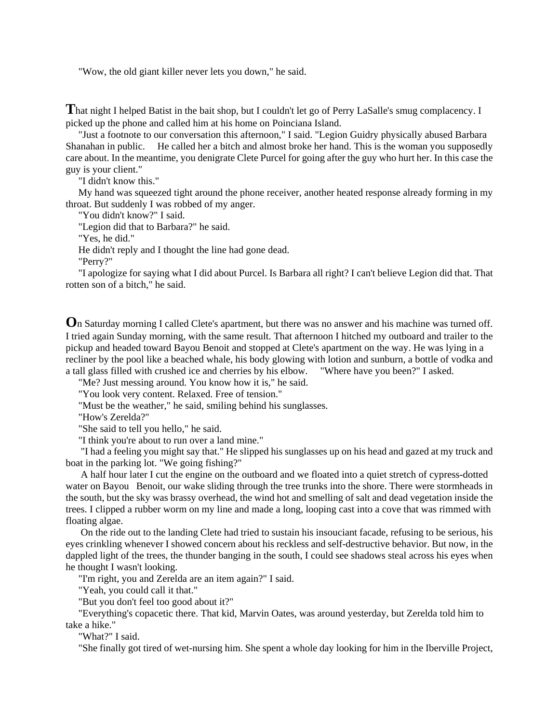"Wow, the old giant killer never lets you down," he said.

**T**hat night I helped Batist in the bait shop, but I couldn't let go of Perry LaSalle's smug complacency. I picked up the phone and called him at his home on Poinciana Island.

 "Just a footnote to our conversation this afternoon," I said. "Legion Guidry physically abused Barbara Shanahan in public. He called her a bitch and almost broke her hand. This is the woman you supposedly care about. In the meantime, you denigrate Clete Purcel for going after the guy who hurt her. In this case the guy is your client."

"I didn't know this."

 My hand was squeezed tight around the phone receiver, another heated response already forming in my throat. But suddenly I was robbed of my anger.

"You didn't know?" I said.

"Legion did that to Barbara?" he said.

"Yes, he did."

He didn't reply and I thought the line had gone dead.

"Perry?"

 "I apologize for saying what I did about Purcel. Is Barbara all right? I can't believe Legion did that. That rotten son of a bitch," he said.

**O**n Saturday morning I called Clete's apartment, but there was no answer and his machine was turned off. I tried again Sunday morning, with the same result. That afternoon I hitched my outboard and trailer to the pickup and headed toward Bayou Benoit and stopped at Clete's apartment on the way. He was lying in a recliner by the pool like a beached whale, his body glowing with lotion and sunburn, a bottle of vodka and a tall glass filled with crushed ice and cherries by his elbow. "Where have you been?" I asked.

"Me? Just messing around. You know how it is," he said.

"You look very content. Relaxed. Free of tension."

"Must be the weather," he said, smiling behind his sunglasses.

"How's Zerelda?"

"She said to tell you hello," he said.

"I think you're about to run over a land mine."

 "I had a feeling you might say that." He slipped his sunglasses up on his head and gazed at my truck and boat in the parking lot. "We going fishing?"

 A half hour later I cut the engine on the outboard and we floated into a quiet stretch of cypress-dotted water on Bayou Benoit, our wake sliding through the tree trunks into the shore. There were stormheads in the south, but the sky was brassy overhead, the wind hot and smelling of salt and dead vegetation inside the trees. I clipped a rubber worm on my line and made a long, looping cast into a cove that was rimmed with floating algae.

 On the ride out to the landing Clete had tried to sustain his insouciant facade, refusing to be serious, his eyes crinkling whenever I showed concern about his reckless and self-destructive behavior. But now, in the dappled light of the trees, the thunder banging in the south, I could see shadows steal across his eyes when he thought I wasn't looking.

"I'm right, you and Zerelda are an item again?" I said.

"Yeah, you could call it that."

"But you don't feel too good about it?"

 "Everything's copacetic there. That kid, Marvin Oates, was around yesterday, but Zerelda told him to take a hike."

"What?" I said.

"She finally got tired of wet-nursing him. She spent a whole day looking for him in the Iberville Project,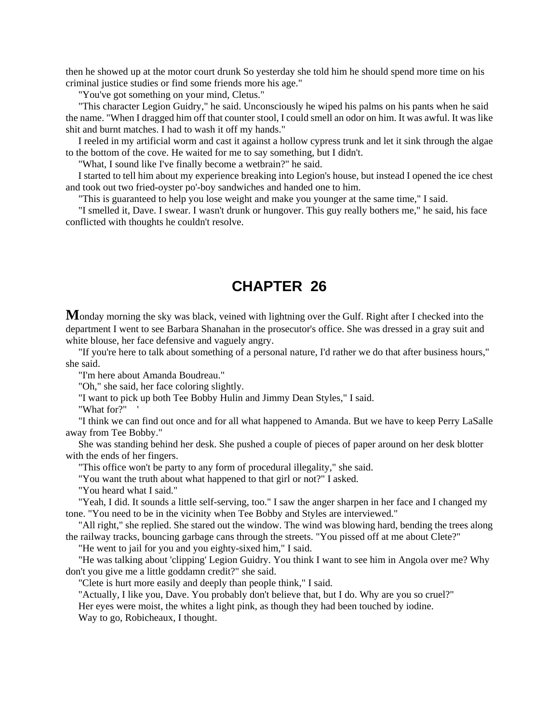then he showed up at the motor court drunk So yesterday she told him he should spend more time on his criminal justice studies or find some friends more his age."

"You've got something on your mind, Cletus."

 "This character Legion Guidry," he said. Unconsciously he wiped his palms on his pants when he said the name. "When I dragged him off that counter stool, I could smell an odor on him. It was awful. It was like shit and burnt matches. I had to wash it off my hands."

 I reeled in my artificial worm and cast it against a hollow cypress trunk and let it sink through the algae to the bottom of the cove. He waited for me to say something, but I didn't.

"What, I sound like I've finally become a wetbrain?" he said.

 I started to tell him about my experience breaking into Legion's house, but instead I opened the ice chest and took out two fried-oyster po'-boy sandwiches and handed one to him.

"This is guaranteed to help you lose weight and make you younger at the same time," I said.

 "I smelled it, Dave. I swear. I wasn't drunk or hungover. This guy really bothers me," he said, his face conflicted with thoughts he couldn't resolve.

## **CHAPTER 26**

**M**onday morning the sky was black, veined with lightning over the Gulf. Right after I checked into the department I went to see Barbara Shanahan in the prosecutor's office. She was dressed in a gray suit and white blouse, her face defensive and vaguely angry.

 "If you're here to talk about something of a personal nature, I'd rather we do that after business hours," she said.

"I'm here about Amanda Boudreau."

"Oh," she said, her face coloring slightly.

"I want to pick up both Tee Bobby Hulin and Jimmy Dean Styles," I said.

"What for?" '

 "I think we can find out once and for all what happened to Amanda. But we have to keep Perry LaSalle away from Tee Bobby."

She was standing behind her desk. She pushed a couple of pieces of paper around on her desk blotter with the ends of her fingers.

"This office won't be party to any form of procedural illegality," she said.

"You want the truth about what happened to that girl or not?" I asked.

"You heard what I said."

 "Yeah, I did. It sounds a little self-serving, too." I saw the anger sharpen in her face and I changed my tone. "You need to be in the vicinity when Tee Bobby and Styles are interviewed."

 "All right," she replied. She stared out the window. The wind was blowing hard, bending the trees along the railway tracks, bouncing garbage cans through the streets. "You pissed off at me about Clete?"

"He went to jail for you and you eighty-sixed him," I said.

 "He was talking about 'clipping' Legion Guidry. You think I want to see him in Angola over me? Why don't you give me a little goddamn credit?" she said.

"Clete is hurt more easily and deeply than people think," I said.

"Actually, I like you, Dave. You probably don't believe that, but I do. Why are you so cruel?"

Her eyes were moist, the whites a light pink, as though they had been touched by iodine.

Way to go, Robicheaux, I thought.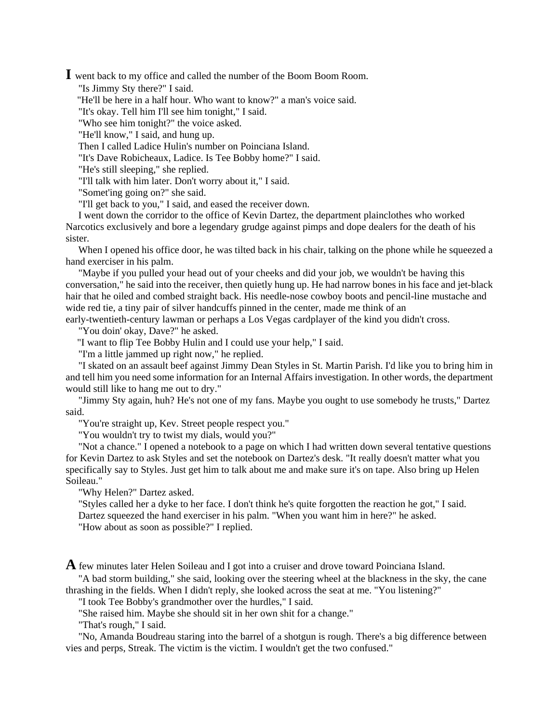I went back to my office and called the number of the Boom Boom Room.

"Is Jimmy Sty there?" I said.

"He'll be here in a half hour. Who want to know?" a man's voice said.

"It's okay. Tell him I'll see him tonight," I said.

"Who see him tonight?" the voice asked.

"He'll know," I said, and hung up.

Then I called Ladice Hulin's number on Poinciana Island.

"It's Dave Robicheaux, Ladice. Is Tee Bobby home?" I said.

"He's still sleeping," she replied.

"I'll talk with him later. Don't worry about it," I said.

"Somet'ing going on?" she said.

"I'll get back to you," I said, and eased the receiver down.

 I went down the corridor to the office of Kevin Dartez, the department plainclothes who worked Narcotics exclusively and bore a legendary grudge against pimps and dope dealers for the death of his sister.

When I opened his office door, he was tilted back in his chair, talking on the phone while he squeezed a hand exerciser in his palm.

 "Maybe if you pulled your head out of your cheeks and did your job, we wouldn't be having this conversation," he said into the receiver, then quietly hung up. He had narrow bones in his face and jet-black hair that he oiled and combed straight back. His needle-nose cowboy boots and pencil-line mustache and wide red tie, a tiny pair of silver handcuffs pinned in the center, made me think of an

early-twentieth-century lawman or perhaps a Los Vegas cardplayer of the kind you didn't cross.

"You doin' okay, Dave?" he asked.

"I want to flip Tee Bobby Hulin and I could use your help," I said.

"I'm a little jammed up right now," he replied.

 "I skated on an assault beef against Jimmy Dean Styles in St. Martin Parish. I'd like you to bring him in and tell him you need some information for an Internal Affairs investigation. In other words, the department would still like to hang me out to dry."

 "Jimmy Sty again, huh? He's not one of my fans. Maybe you ought to use somebody he trusts," Dartez said.

"You're straight up, Kev. Street people respect you."

"You wouldn't try to twist my dials, would you?"

 "Not a chance." I opened a notebook to a page on which I had written down several tentative questions for Kevin Dartez to ask Styles and set the notebook on Dartez's desk. "It really doesn't matter what you specifically say to Styles. Just get him to talk about me and make sure it's on tape. Also bring up Helen Soileau."

"Why Helen?" Dartez asked.

 "Styles called her a dyke to her face. I don't think he's quite forgotten the reaction he got," I said. Dartez squeezed the hand exerciser in his palm. "When you want him in here?" he asked. "How about as soon as possible?" I replied.

**A** few minutes later Helen Soileau and I got into a cruiser and drove toward Poinciana Island.

 "A bad storm building," she said, looking over the steering wheel at the blackness in the sky, the cane thrashing in the fields. When I didn't reply, she looked across the seat at me. "You listening?"

"I took Tee Bobby's grandmother over the hurdles," I said.

"She raised him. Maybe she should sit in her own shit for a change."

"That's rough," I said.

 "No, Amanda Boudreau staring into the barrel of a shotgun is rough. There's a big difference between vies and perps, Streak. The victim is the victim. I wouldn't get the two confused."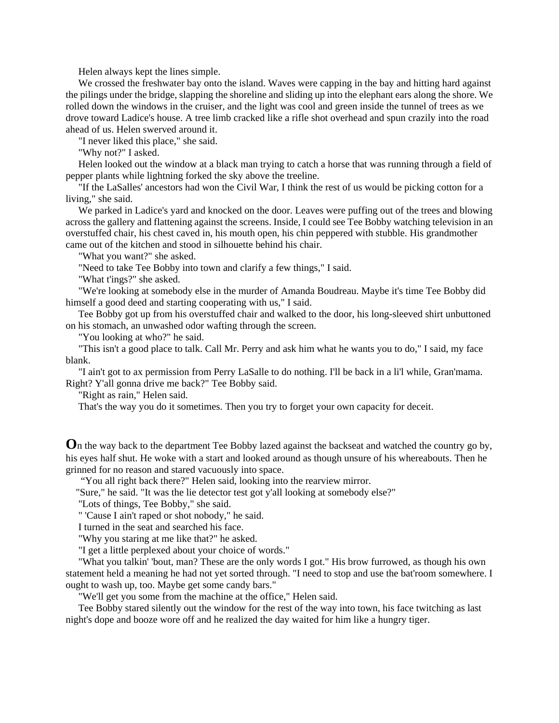Helen always kept the lines simple.

We crossed the freshwater bay onto the island. Waves were capping in the bay and hitting hard against the pilings under the bridge, slapping the shoreline and sliding up into the elephant ears along the shore. We rolled down the windows in the cruiser, and the light was cool and green inside the tunnel of trees as we drove toward Ladice's house. A tree limb cracked like a rifle shot overhead and spun crazily into the road ahead of us. Helen swerved around it.

"I never liked this place," she said.

"Why not?" I asked.

 Helen looked out the window at a black man trying to catch a horse that was running through a field of pepper plants while lightning forked the sky above the treeline.

 "If the LaSalles' ancestors had won the Civil War, I think the rest of us would be picking cotton for a living," she said.

 We parked in Ladice's yard and knocked on the door. Leaves were puffing out of the trees and blowing across the gallery and flattening against the screens. Inside, I could see Tee Bobby watching television in an overstuffed chair, his chest caved in, his mouth open, his chin peppered with stubble. His grandmother came out of the kitchen and stood in silhouette behind his chair.

"What you want?" she asked.

"Need to take Tee Bobby into town and clarify a few things," I said.

"What t'ings?" she asked.

 "We're looking at somebody else in the murder of Amanda Boudreau. Maybe it's time Tee Bobby did himself a good deed and starting cooperating with us," I said.

 Tee Bobby got up from his overstuffed chair and walked to the door, his long-sleeved shirt unbuttoned on his stomach, an unwashed odor wafting through the screen.

"You looking at who?" he said.

 "This isn't a good place to talk. Call Mr. Perry and ask him what he wants you to do," I said, my face blank.

 "I ain't got to ax permission from Perry LaSalle to do nothing. I'll be back in a li'l while, Gran'mama. Right? Y'all gonna drive me back?" Tee Bobby said.

"Right as rain," Helen said.

That's the way you do it sometimes. Then you try to forget your own capacity for deceit.

**O**n the way back to the department Tee Bobby lazed against the backseat and watched the country go by, his eyes half shut. He woke with a start and looked around as though unsure of his whereabouts. Then he grinned for no reason and stared vacuously into space.

"You all right back there?" Helen said, looking into the rearview mirror.

"Sure," he said. "It was the lie detector test got y'all looking at somebody else?"

"Lots of things, Tee Bobby," she said.

" 'Cause I ain't raped or shot nobody," he said.

I turned in the seat and searched his face.

"Why you staring at me like that?" he asked.

"I get a little perplexed about your choice of words."

 "What you talkin' 'bout, man? These are the only words I got." His brow furrowed, as though his own statement held a meaning he had not yet sorted through. "I need to stop and use the bat'room somewhere. I ought to wash up, too. Maybe get some candy bars."

"We'll get you some from the machine at the office," Helen said.

 Tee Bobby stared silently out the window for the rest of the way into town, his face twitching as last night's dope and booze wore off and he realized the day waited for him like a hungry tiger.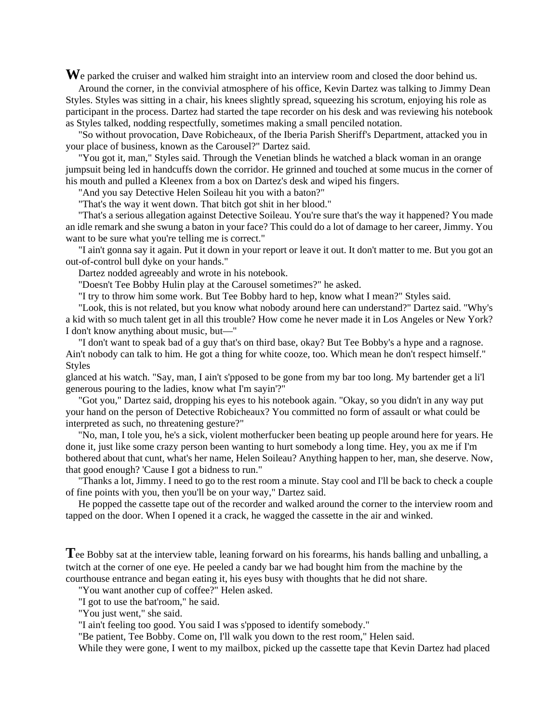We parked the cruiser and walked him straight into an interview room and closed the door behind us.

 Around the corner, in the convivial atmosphere of his office, Kevin Dartez was talking to Jimmy Dean Styles. Styles was sitting in a chair, his knees slightly spread, squeezing his scrotum, enjoying his role as participant in the process. Dartez had started the tape recorder on his desk and was reviewing his notebook as Styles talked, nodding respectfully, sometimes making a small penciled notation.

 "So without provocation, Dave Robicheaux, of the Iberia Parish Sheriff's Department, attacked you in your place of business, known as the Carousel?" Dartez said.

 "You got it, man," Styles said. Through the Venetian blinds he watched a black woman in an orange jumpsuit being led in handcuffs down the corridor. He grinned and touched at some mucus in the corner of his mouth and pulled a Kleenex from a box on Dartez's desk and wiped his fingers.

"And you say Detective Helen Soileau hit you with a baton?"

"That's the way it went down. That bitch got shit in her blood."

 "That's a serious allegation against Detective Soileau. You're sure that's the way it happened? You made an idle remark and she swung a baton in your face? This could do a lot of damage to her career, Jimmy. You want to be sure what you're telling me is correct."

 "I ain't gonna say it again. Put it down in your report or leave it out. It don't matter to me. But you got an out-of-control bull dyke on your hands."

Dartez nodded agreeably and wrote in his notebook.

"Doesn't Tee Bobby Hulin play at the Carousel sometimes?" he asked.

"I try to throw him some work. But Tee Bobby hard to hep, know what I mean?" Styles said.

 "Look, this is not related, but you know what nobody around here can understand?" Dartez said. "Why's a kid with so much talent get in all this trouble? How come he never made it in Los Angeles or New York? I don't know anything about music, but—"

 "I don't want to speak bad of a guy that's on third base, okay? But Tee Bobby's a hype and a ragnose. Ain't nobody can talk to him. He got a thing for white cooze, too. Which mean he don't respect himself." Styles

glanced at his watch. "Say, man, I ain't s'pposed to be gone from my bar too long. My bartender get a li'l generous pouring to the ladies, know what I'm sayin'?"

 "Got you," Dartez said, dropping his eyes to his notebook again. "Okay, so you didn't in any way put your hand on the person of Detective Robicheaux? You committed no form of assault or what could be interpreted as such, no threatening gesture?"

 "No, man, I tole you, he's a sick, violent motherfucker been beating up people around here for years. He done it, just like some crazy person been wanting to hurt somebody a long time. Hey, you ax me if I'm bothered about that cunt, what's her name, Helen Soileau? Anything happen to her, man, she deserve. Now, that good enough? 'Cause I got a bidness to run."

 "Thanks a lot, Jimmy. I need to go to the rest room a minute. Stay cool and I'll be back to check a couple of fine points with you, then you'll be on your way," Dartez said.

 He popped the cassette tape out of the recorder and walked around the corner to the interview room and tapped on the door. When I opened it a crack, he wagged the cassette in the air and winked.

**T**ee Bobby sat at the interview table, leaning forward on his forearms, his hands balling and unballing, a twitch at the corner of one eye. He peeled a candy bar we had bought him from the machine by the courthouse entrance and began eating it, his eyes busy with thoughts that he did not share.

"You want another cup of coffee?" Helen asked.

"I got to use the bat'room," he said.

"You just went," she said.

"I ain't feeling too good. You said I was s'pposed to identify somebody."

"Be patient, Tee Bobby. Come on, I'll walk you down to the rest room," Helen said.

While they were gone, I went to my mailbox, picked up the cassette tape that Kevin Dartez had placed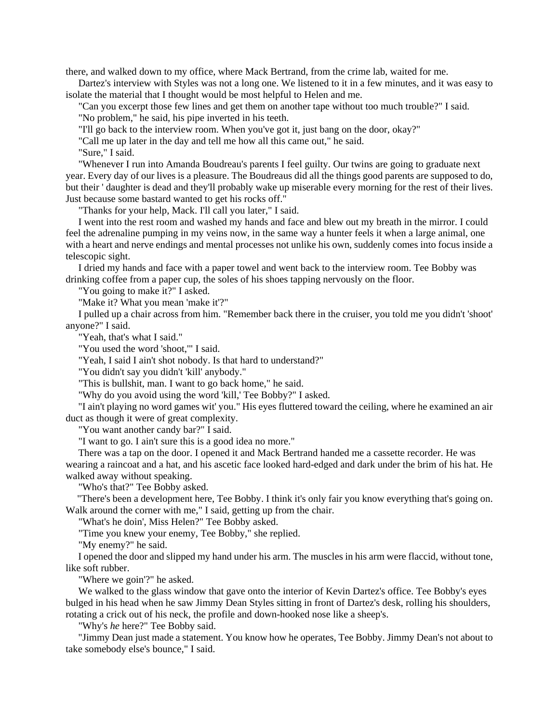there, and walked down to my office, where Mack Bertrand, from the crime lab, waited for me.

 Dartez's interview with Styles was not a long one. We listened to it in a few minutes, and it was easy to isolate the material that I thought would be most helpful to Helen and me.

"Can you excerpt those few lines and get them on another tape without too much trouble?" I said.

"No problem," he said, his pipe inverted in his teeth.

"I'll go back to the interview room. When you've got it, just bang on the door, okay?"

"Call me up later in the day and tell me how all this came out," he said.

"Sure," I said.

 "Whenever I run into Amanda Boudreau's parents I feel guilty. Our twins are going to graduate next year. Every day of our lives is a pleasure. The Boudreaus did all the things good parents are supposed to do, but their ' daughter is dead and they'll probably wake up miserable every morning for the rest of their lives. Just because some bastard wanted to get his rocks off."

"Thanks for your help, Mack. I'll call you later," I said.

 I went into the rest room and washed my hands and face and blew out my breath in the mirror. I could feel the adrenaline pumping in my veins now, in the same way a hunter feels it when a large animal, one with a heart and nerve endings and mental processes not unlike his own, suddenly comes into focus inside a telescopic sight.

 I dried my hands and face with a paper towel and went back to the interview room. Tee Bobby was drinking coffee from a paper cup, the soles of his shoes tapping nervously on the floor.

"You going to make it?" I asked.

"Make it? What you mean 'make it'?"

 I pulled up a chair across from him. "Remember back there in the cruiser, you told me you didn't 'shoot' anyone?" I said.

"Yeah, that's what I said."

"You used the word 'shoot,'" I said.

"Yeah, I said I ain't shot nobody. Is that hard to understand?"

"You didn't say you didn't 'kill' anybody."

"This is bullshit, man. I want to go back home," he said.

"Why do you avoid using the word 'kill,' Tee Bobby?" I asked.

 "I ain't playing no word games wit' you." His eyes fluttered toward the ceiling, where he examined an air duct as though it were of great complexity.

"You want another candy bar?" I said.

"I want to go. I ain't sure this is a good idea no more."

 There was a tap on the door. I opened it and Mack Bertrand handed me a cassette recorder. He was wearing a raincoat and a hat, and his ascetic face looked hard-edged and dark under the brim of his hat. He walked away without speaking.

"Who's that?" Tee Bobby asked.

"There's been a development here, Tee Bobby. I think it's only fair you know everything that's going on. Walk around the corner with me," I said, getting up from the chair.

"What's he doin', Miss Helen?" Tee Bobby asked.

"Time you knew your enemy, Tee Bobby," she replied.

"My enemy?" he said.

 I opened the door and slipped my hand under his arm. The muscles in his arm were flaccid, without tone, like soft rubber.

"Where we goin'?" he asked.

 We walked to the glass window that gave onto the interior of Kevin Dartez's office. Tee Bobby's eyes bulged in his head when he saw Jimmy Dean Styles sitting in front of Dartez's desk, rolling his shoulders, rotating a crick out of his neck, the profile and down-hooked nose like a sheep's.

"Why's *he* here?" Tee Bobby said.

 "Jimmy Dean just made a statement. You know how he operates, Tee Bobby. Jimmy Dean's not about to take somebody else's bounce," I said.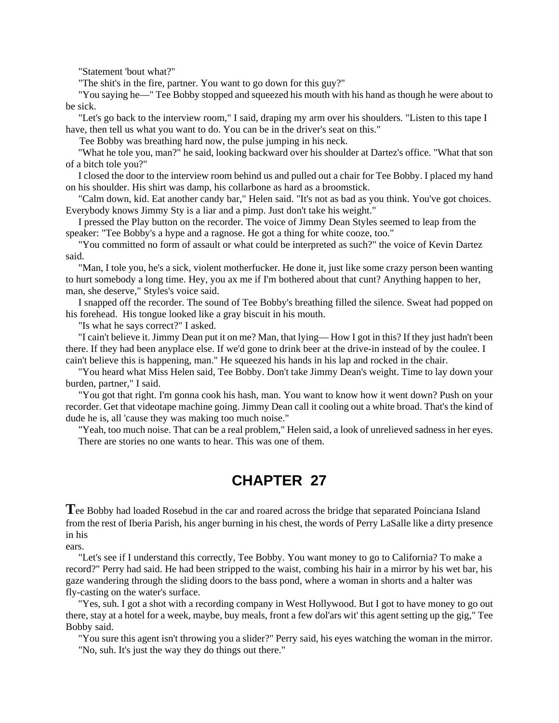"Statement 'bout what?"

"The shit's in the fire, partner. You want to go down for this guy?"

 "You saying he—" Tee Bobby stopped and squeezed his mouth with his hand as though he were about to be sick.

 "Let's go back to the interview room," I said, draping my arm over his shoulders. "Listen to this tape I have, then tell us what you want to do. You can be in the driver's seat on this."

Tee Bobby was breathing hard now, the pulse jumping in his neck.

 "What he tole you, man?" he said, looking backward over his shoulder at Dartez's office. "What that son of a bitch tole you?"

 I closed the door to the interview room behind us and pulled out a chair for Tee Bobby. I placed my hand on his shoulder. His shirt was damp, his collarbone as hard as a broomstick.

 "Calm down, kid. Eat another candy bar," Helen said. "It's not as bad as you think. You've got choices. Everybody knows Jimmy Sty is a liar and a pimp. Just don't take his weight."

 I pressed the Play button on the recorder. The voice of Jimmy Dean Styles seemed to leap from the speaker: "Tee Bobby's a hype and a ragnose. He got a thing for white cooze, too."

 "You committed no form of assault or what could be interpreted as such?" the voice of Kevin Dartez said.

 "Man, I tole you, he's a sick, violent motherfucker. He done it, just like some crazy person been wanting to hurt somebody a long time. Hey, you ax me if I'm bothered about that cunt? Anything happen to her, man, she deserve," Styles's voice said.

 I snapped off the recorder. The sound of Tee Bobby's breathing filled the silence. Sweat had popped on his forehead. His tongue looked like a gray biscuit in his mouth.

"Is what he says correct?" I asked.

 "I cain't believe it. Jimmy Dean put it on me? Man, that lying— How I got in this? If they just hadn't been there. If they had been anyplace else. If we'd gone to drink beer at the drive-in instead of by the coulee. I cain't believe this is happening, man." He squeezed his hands in his lap and rocked in the chair.

 "You heard what Miss Helen said, Tee Bobby. Don't take Jimmy Dean's weight. Time to lay down your burden, partner," I said.

 "You got that right. I'm gonna cook his hash, man. You want to know how it went down? Push on your recorder. Get that videotape machine going. Jimmy Dean call it cooling out a white broad. That's the kind of dude he is, all 'cause they was making too much noise."

 "Yeah, too much noise. That can be a real problem," Helen said, a look of unrelieved sadness in her eyes. There are stories no one wants to hear. This was one of them.

### **CHAPTER 27**

Tee Bobby had loaded Rosebud in the car and roared across the bridge that separated Poinciana Island from the rest of Iberia Parish, his anger burning in his chest, the words of Perry LaSalle like a dirty presence in his

ears.

 "Let's see if I understand this correctly, Tee Bobby. You want money to go to California? To make a record?" Perry had said. He had been stripped to the waist, combing his hair in a mirror by his wet bar, his gaze wandering through the sliding doors to the bass pond, where a woman in shorts and a halter was fly-casting on the water's surface.

 "Yes, suh. I got a shot with a recording company in West Hollywood. But I got to have money to go out there, stay at a hotel for a week, maybe, buy meals, front a few dol'ars wit' this agent setting up the gig," Tee Bobby said.

 "You sure this agent isn't throwing you a slider?" Perry said, his eyes watching the woman in the mirror. "No, suh. It's just the way they do things out there."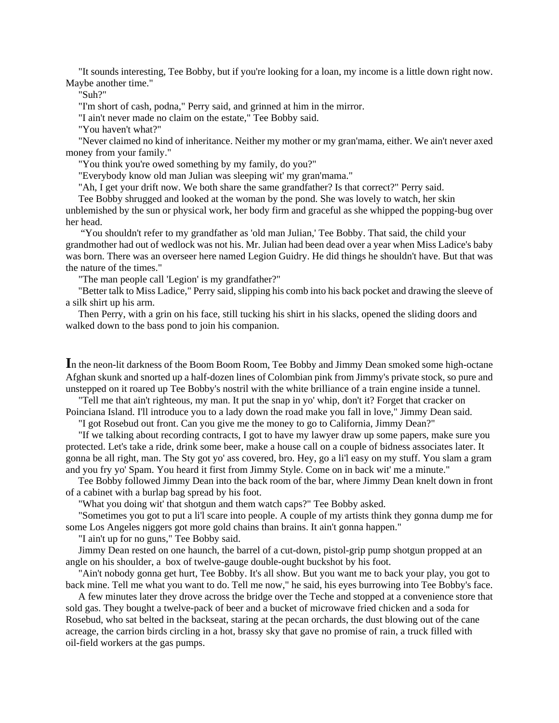"It sounds interesting, Tee Bobby, but if you're looking for a loan, my income is a little down right now. Maybe another time."

"Suh?"

"I'm short of cash, podna," Perry said, and grinned at him in the mirror.

"I ain't never made no claim on the estate," Tee Bobby said.

"You haven't what?"

 "Never claimed no kind of inheritance. Neither my mother or my gran'mama, either. We ain't never axed money from your family."

"You think you're owed something by my family, do you?"

"Everybody know old man Julian was sleeping wit' my gran'mama."

"Ah, I get your drift now. We both share the same grandfather? Is that correct?" Perry said.

 Tee Bobby shrugged and looked at the woman by the pond. She was lovely to watch, her skin unblemished by the sun or physical work, her body firm and graceful as she whipped the popping-bug over her head.

 "You shouldn't refer to my grandfather as 'old man Julian,' Tee Bobby. That said, the child your grandmother had out of wedlock was not his. Mr. Julian had been dead over a year when Miss Ladice's baby was born. There was an overseer here named Legion Guidry. He did things he shouldn't have. But that was the nature of the times."

"The man people call 'Legion' is my grandfather?"

 "Better talk to Miss Ladice," Perry said, slipping his comb into his back pocket and drawing the sleeve of a silk shirt up his arm.

 Then Perry, with a grin on his face, still tucking his shirt in his slacks, opened the sliding doors and walked down to the bass pond to join his companion.

In the neon-lit darkness of the Boom Boom Room, Tee Bobby and Jimmy Dean smoked some high-octane Afghan skunk and snorted up a half-dozen lines of Colombian pink from Jimmy's private stock, so pure and unstepped on it roared up Tee Bobby's nostril with the white brilliance of a train engine inside a tunnel.

 "Tell me that ain't righteous, my man. It put the snap in yo' whip, don't it? Forget that cracker on Poinciana Island. I'll introduce you to a lady down the road make you fall in love," Jimmy Dean said.

"I got Rosebud out front. Can you give me the money to go to California, Jimmy Dean?"

 "If we talking about recording contracts, I got to have my lawyer draw up some papers, make sure you protected. Let's take a ride, drink some beer, make a house call on a couple of bidness associates later. It gonna be all right, man. The Sty got yo' ass covered, bro. Hey, go a li'l easy on my stuff. You slam a gram and you fry yo' Spam. You heard it first from Jimmy Style. Come on in back wit' me a minute."

 Tee Bobby followed Jimmy Dean into the back room of the bar, where Jimmy Dean knelt down in front of a cabinet with a burlap bag spread by his foot.

"What you doing wit' that shotgun and them watch caps?" Tee Bobby asked.

 "Sometimes you got to put a li'l scare into people. A couple of my artists think they gonna dump me for some Los Angeles niggers got more gold chains than brains. It ain't gonna happen."

"I ain't up for no guns," Tee Bobby said.

 Jimmy Dean rested on one haunch, the barrel of a cut-down, pistol-grip pump shotgun propped at an angle on his shoulder, a box of twelve-gauge double-ought buckshot by his foot.

 "Ain't nobody gonna get hurt, Tee Bobby. It's all show. But you want me to back your play, you got to back mine. Tell me what you want to do. Tell me now," he said, his eyes burrowing into Tee Bobby's face.

 A few minutes later they drove across the bridge over the Teche and stopped at a convenience store that sold gas. They bought a twelve-pack of beer and a bucket of microwave fried chicken and a soda for Rosebud, who sat belted in the backseat, staring at the pecan orchards, the dust blowing out of the cane acreage, the carrion birds circling in a hot, brassy sky that gave no promise of rain, a truck filled with oil-field workers at the gas pumps.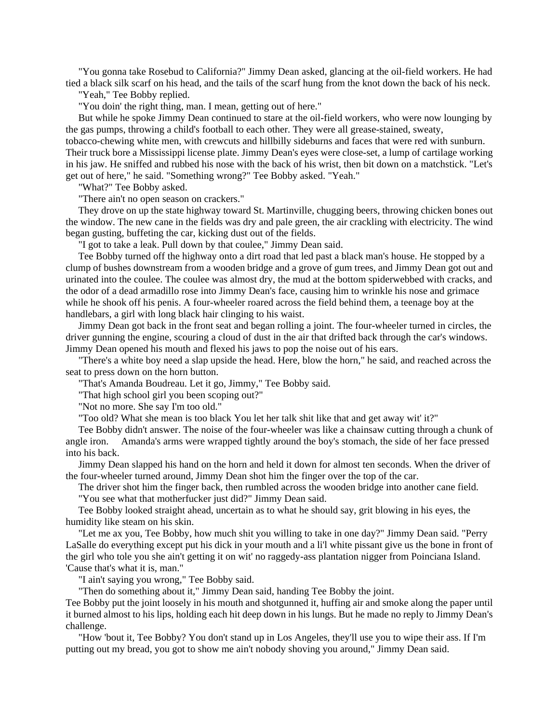"You gonna take Rosebud to California?" Jimmy Dean asked, glancing at the oil-field workers. He had tied a black silk scarf on his head, and the tails of the scarf hung from the knot down the back of his neck.

"Yeah," Tee Bobby replied.

"You doin' the right thing, man. I mean, getting out of here."

 But while he spoke Jimmy Dean continued to stare at the oil-field workers, who were now lounging by the gas pumps, throwing a child's football to each other. They were all grease-stained, sweaty,

tobacco-chewing white men, with crewcuts and hillbilly sideburns and faces that were red with sunburn. Their truck bore a Mississippi license plate. Jimmy Dean's eyes were close-set, a lump of cartilage working in his jaw. He sniffed and rubbed his nose with the back of his wrist, then bit down on a matchstick. "Let's get out of here," he said. "Something wrong?" Tee Bobby asked. "Yeah."

"What?" Tee Bobby asked.

"There ain't no open season on crackers."

 They drove on up the state highway toward St. Martinville, chugging beers, throwing chicken bones out the window. The new cane in the fields was dry and pale green, the air crackling with electricity. The wind began gusting, buffeting the car, kicking dust out of the fields.

"I got to take a leak. Pull down by that coulee," Jimmy Dean said.

 Tee Bobby turned off the highway onto a dirt road that led past a black man's house. He stopped by a clump of bushes downstream from a wooden bridge and a grove of gum trees, and Jimmy Dean got out and urinated into the coulee. The coulee was almost dry, the mud at the bottom spiderwebbed with cracks, and the odor of a dead armadillo rose into Jimmy Dean's face, causing him to wrinkle his nose and grimace while he shook off his penis. A four-wheeler roared across the field behind them, a teenage boy at the handlebars, a girl with long black hair clinging to his waist.

 Jimmy Dean got back in the front seat and began rolling a joint. The four-wheeler turned in circles, the driver gunning the engine, scouring a cloud of dust in the air that drifted back through the car's windows. Jimmy Dean opened his mouth and flexed his jaws to pop the noise out of his ears.

 "There's a white boy need a slap upside the head. Here, blow the horn," he said, and reached across the seat to press down on the horn button.

"That's Amanda Boudreau. Let it go, Jimmy," Tee Bobby said.

"That high school girl you been scoping out?"

"Not no more. She say I'm too old."

"Too old? What she mean is too black You let her talk shit like that and get away wit' it?"

 Tee Bobby didn't answer. The noise of the four-wheeler was like a chainsaw cutting through a chunk of angle iron. Amanda's arms were wrapped tightly around the boy's stomach, the side of her face pressed into his back.

 Jimmy Dean slapped his hand on the horn and held it down for almost ten seconds. When the driver of the four-wheeler turned around, Jimmy Dean shot him the finger over the top of the car.

The driver shot him the finger back, then rumbled across the wooden bridge into another cane field.

"You see what that motherfucker just did?" Jimmy Dean said.

 Tee Bobby looked straight ahead, uncertain as to what he should say, grit blowing in his eyes, the humidity like steam on his skin.

 "Let me ax you, Tee Bobby, how much shit you willing to take in one day?" Jimmy Dean said. "Perry LaSalle do everything except put his dick in your mouth and a li'l white pissant give us the bone in front of the girl who tole you she ain't getting it on wit' no raggedy-ass plantation nigger from Poinciana Island. 'Cause that's what it is, man."

"I ain't saying you wrong," Tee Bobby said.

"Then do something about it," Jimmy Dean said, handing Tee Bobby the joint.

Tee Bobby put the joint loosely in his mouth and shotgunned it, huffing air and smoke along the paper until it burned almost to his lips, holding each hit deep down in his lungs. But he made no reply to Jimmy Dean's challenge.

 "How 'bout it, Tee Bobby? You don't stand up in Los Angeles, they'll use you to wipe their ass. If I'm putting out my bread, you got to show me ain't nobody shoving you around," Jimmy Dean said.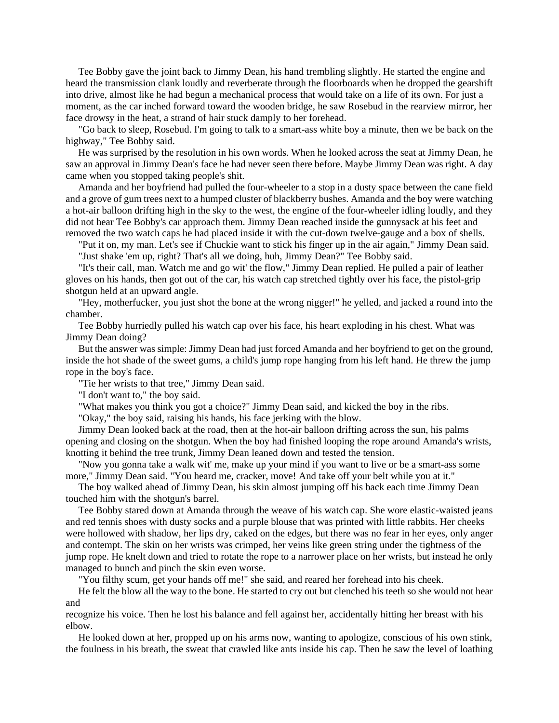Tee Bobby gave the joint back to Jimmy Dean, his hand trembling slightly. He started the engine and heard the transmission clank loudly and reverberate through the floorboards when he dropped the gearshift into drive, almost like he had begun a mechanical process that would take on a life of its own. For just a moment, as the car inched forward toward the wooden bridge, he saw Rosebud in the rearview mirror, her face drowsy in the heat, a strand of hair stuck damply to her forehead.

 "Go back to sleep, Rosebud. I'm going to talk to a smart-ass white boy a minute, then we be back on the highway," Tee Bobby said.

 He was surprised by the resolution in his own words. When he looked across the seat at Jimmy Dean, he saw an approval in Jimmy Dean's face he had never seen there before. Maybe Jimmy Dean was right. A day came when you stopped taking people's shit.

 Amanda and her boyfriend had pulled the four-wheeler to a stop in a dusty space between the cane field and a grove of gum trees next to a humped cluster of blackberry bushes. Amanda and the boy were watching a hot-air balloon drifting high in the sky to the west, the engine of the four-wheeler idling loudly, and they did not hear Tee Bobby's car approach them. Jimmy Dean reached inside the gunnysack at his feet and removed the two watch caps he had placed inside it with the cut-down twelve-gauge and a box of shells.

 "Put it on, my man. Let's see if Chuckie want to stick his finger up in the air again," Jimmy Dean said. "Just shake 'em up, right? That's all we doing, huh, Jimmy Dean?" Tee Bobby said.

 "It's their call, man. Watch me and go wit' the flow," Jimmy Dean replied. He pulled a pair of leather gloves on his hands, then got out of the car, his watch cap stretched tightly over his face, the pistol-grip shotgun held at an upward angle.

 "Hey, motherfucker, you just shot the bone at the wrong nigger!" he yelled, and jacked a round into the chamber.

 Tee Bobby hurriedly pulled his watch cap over his face, his heart exploding in his chest. What was Jimmy Dean doing?

 But the answer was simple: Jimmy Dean had just forced Amanda and her boyfriend to get on the ground, inside the hot shade of the sweet gums, a child's jump rope hanging from his left hand. He threw the jump rope in the boy's face.

"Tie her wrists to that tree," Jimmy Dean said.

"I don't want to," the boy said.

"What makes you think you got a choice?" Jimmy Dean said, and kicked the boy in the ribs.

"Okay," the boy said, raising his hands, his face jerking with the blow.

 Jimmy Dean looked back at the road, then at the hot-air balloon drifting across the sun, his palms opening and closing on the shotgun. When the boy had finished looping the rope around Amanda's wrists, knotting it behind the tree trunk, Jimmy Dean leaned down and tested the tension.

 "Now you gonna take a walk wit' me, make up your mind if you want to live or be a smart-ass some more," Jimmy Dean said. "You heard me, cracker, move! And take off your belt while you at it."

 The boy walked ahead of Jimmy Dean, his skin almost jumping off his back each time Jimmy Dean touched him with the shotgun's barrel.

 Tee Bobby stared down at Amanda through the weave of his watch cap. She wore elastic-waisted jeans and red tennis shoes with dusty socks and a purple blouse that was printed with little rabbits. Her cheeks were hollowed with shadow, her lips dry, caked on the edges, but there was no fear in her eyes, only anger and contempt. The skin on her wrists was crimped, her veins like green string under the tightness of the jump rope. He knelt down and tried to rotate the rope to a narrower place on her wrists, but instead he only managed to bunch and pinch the skin even worse.

"You filthy scum, get your hands off me!" she said, and reared her forehead into his cheek.

 He felt the blow all the way to the bone. He started to cry out but clenched his teeth so she would not hear and

recognize his voice. Then he lost his balance and fell against her, accidentally hitting her breast with his elbow.

 He looked down at her, propped up on his arms now, wanting to apologize, conscious of his own stink, the foulness in his breath, the sweat that crawled like ants inside his cap. Then he saw the level of loathing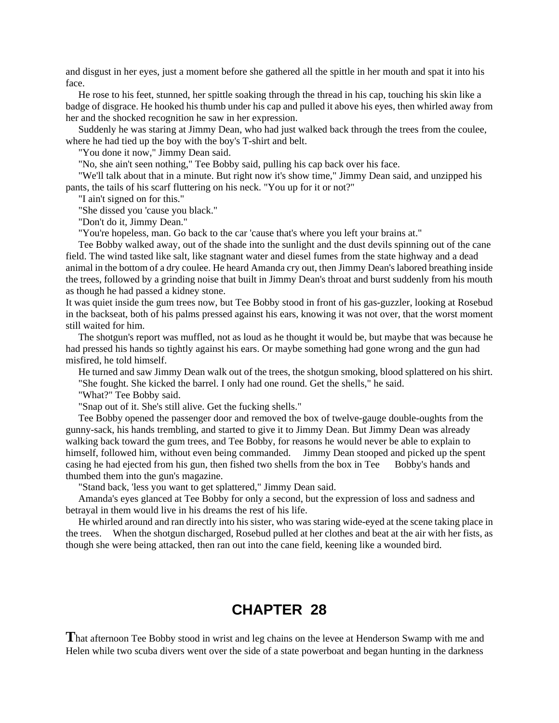and disgust in her eyes, just a moment before she gathered all the spittle in her mouth and spat it into his face.

 He rose to his feet, stunned, her spittle soaking through the thread in his cap, touching his skin like a badge of disgrace. He hooked his thumb under his cap and pulled it above his eyes, then whirled away from her and the shocked recognition he saw in her expression.

 Suddenly he was staring at Jimmy Dean, who had just walked back through the trees from the coulee, where he had tied up the boy with the boy's T-shirt and belt.

"You done it now," Jimmy Dean said.

"No, she ain't seen nothing," Tee Bobby said, pulling his cap back over his face.

 "We'll talk about that in a minute. But right now it's show time," Jimmy Dean said, and unzipped his pants, the tails of his scarf fluttering on his neck. "You up for it or not?"

"I ain't signed on for this."

"She dissed you 'cause you black."

"Don't do it, Jimmy Dean."

"You're hopeless, man. Go back to the car 'cause that's where you left your brains at."

 Tee Bobby walked away, out of the shade into the sunlight and the dust devils spinning out of the cane field. The wind tasted like salt, like stagnant water and diesel fumes from the state highway and a dead animal in the bottom of a dry coulee. He heard Amanda cry out, then Jimmy Dean's labored breathing inside the trees, followed by a grinding noise that built in Jimmy Dean's throat and burst suddenly from his mouth as though he had passed a kidney stone.

It was quiet inside the gum trees now, but Tee Bobby stood in front of his gas-guzzler, looking at Rosebud in the backseat, both of his palms pressed against his ears, knowing it was not over, that the worst moment still waited for him.

 The shotgun's report was muffled, not as loud as he thought it would be, but maybe that was because he had pressed his hands so tightly against his ears. Or maybe something had gone wrong and the gun had misfired, he told himself.

 He turned and saw Jimmy Dean walk out of the trees, the shotgun smoking, blood splattered on his shirt. "She fought. She kicked the barrel. I only had one round. Get the shells," he said.

"What?" Tee Bobby said.

"Snap out of it. She's still alive. Get the fucking shells."

 Tee Bobby opened the passenger door and removed the box of twelve-gauge double-oughts from the gunny-sack, his hands trembling, and started to give it to Jimmy Dean. But Jimmy Dean was already walking back toward the gum trees, and Tee Bobby, for reasons he would never be able to explain to himself, followed him, without even being commanded. Jimmy Dean stooped and picked up the spent casing he had ejected from his gun, then fished two shells from the box in Tee Bobby's hands and thumbed them into the gun's magazine.

"Stand back, 'less you want to get splattered," Jimmy Dean said.

 Amanda's eyes glanced at Tee Bobby for only a second, but the expression of loss and sadness and betrayal in them would live in his dreams the rest of his life.

 He whirled around and ran directly into his sister, who was staring wide-eyed at the scene taking place in the trees. When the shotgun discharged, Rosebud pulled at her clothes and beat at the air with her fists, as though she were being attacked, then ran out into the cane field, keening like a wounded bird.

#### **CHAPTER 28**

**T**hat afternoon Tee Bobby stood in wrist and leg chains on the levee at Henderson Swamp with me and Helen while two scuba divers went over the side of a state powerboat and began hunting in the darkness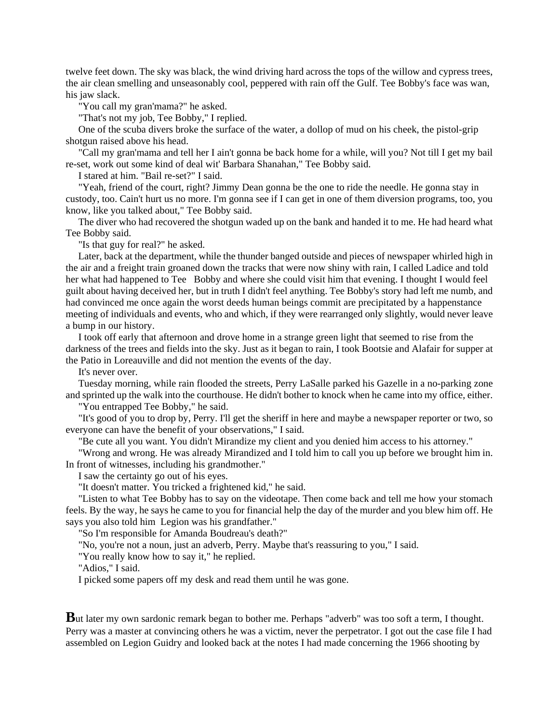twelve feet down. The sky was black, the wind driving hard across the tops of the willow and cypress trees, the air clean smelling and unseasonably cool, peppered with rain off the Gulf. Tee Bobby's face was wan, his jaw slack.

"You call my gran'mama?" he asked.

"That's not my job, Tee Bobby," I replied.

 One of the scuba divers broke the surface of the water, a dollop of mud on his cheek, the pistol-grip shotgun raised above his head.

 "Call my gran'mama and tell her I ain't gonna be back home for a while, will you? Not till I get my bail re-set, work out some kind of deal wit' Barbara Shanahan," Tee Bobby said.

I stared at him. "Bail re-set?" I said.

 "Yeah, friend of the court, right? Jimmy Dean gonna be the one to ride the needle. He gonna stay in custody, too. Cain't hurt us no more. I'm gonna see if I can get in one of them diversion programs, too, you know, like you talked about," Tee Bobby said.

 The diver who had recovered the shotgun waded up on the bank and handed it to me. He had heard what Tee Bobby said.

"Is that guy for real?" he asked.

 Later, back at the department, while the thunder banged outside and pieces of newspaper whirled high in the air and a freight train groaned down the tracks that were now shiny with rain, I called Ladice and told her what had happened to Tee Bobby and where she could visit him that evening. I thought I would feel guilt about having deceived her, but in truth I didn't feel anything. Tee Bobby's story had left me numb, and had convinced me once again the worst deeds human beings commit are precipitated by a happenstance meeting of individuals and events, who and which, if they were rearranged only slightly, would never leave a bump in our history.

 I took off early that afternoon and drove home in a strange green light that seemed to rise from the darkness of the trees and fields into the sky. Just as it began to rain, I took Bootsie and Alafair for supper at the Patio in Loreauville and did not mention the events of the day.

It's never over.

 Tuesday morning, while rain flooded the streets, Perry LaSalle parked his Gazelle in a no-parking zone and sprinted up the walk into the courthouse. He didn't bother to knock when he came into my office, either.

"You entrapped Tee Bobby," he said.

 "It's good of you to drop by, Perry. I'll get the sheriff in here and maybe a newspaper reporter or two, so everyone can have the benefit of your observations," I said.

"Be cute all you want. You didn't Mirandize my client and you denied him access to his attorney."

 "Wrong and wrong. He was already Mirandized and I told him to call you up before we brought him in. In front of witnesses, including his grandmother."

I saw the certainty go out of his eyes.

"It doesn't matter. You tricked a frightened kid," he said.

 "Listen to what Tee Bobby has to say on the videotape. Then come back and tell me how your stomach feels. By the way, he says he came to you for financial help the day of the murder and you blew him off. He says you also told him Legion was his grandfather."

"So I'm responsible for Amanda Boudreau's death?"

"No, you're not a noun, just an adverb, Perry. Maybe that's reassuring to you," I said.

"You really know how to say it," he replied.

"Adios," I said.

I picked some papers off my desk and read them until he was gone.

**B**ut later my own sardonic remark began to bother me. Perhaps "adverb" was too soft a term, I thought. Perry was a master at convincing others he was a victim, never the perpetrator. I got out the case file I had assembled on Legion Guidry and looked back at the notes I had made concerning the 1966 shooting by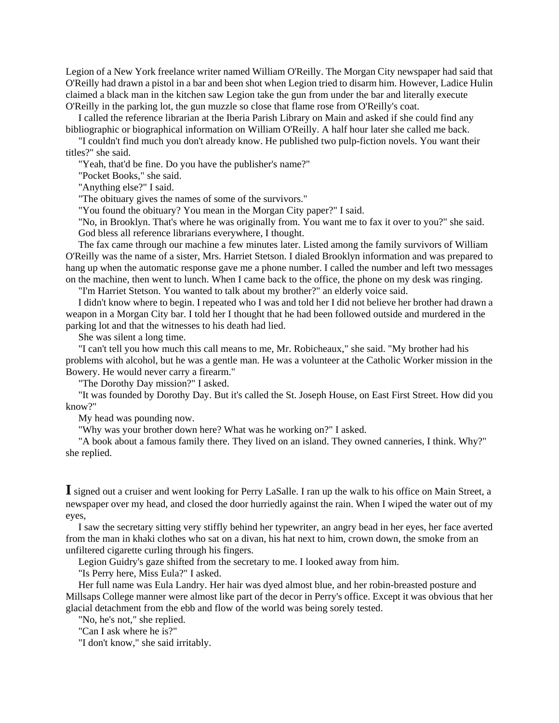Legion of a New York freelance writer named William O'Reilly. The Morgan City newspaper had said that O'Reilly had drawn a pistol in a bar and been shot when Legion tried to disarm him. However, Ladice Hulin claimed a black man in the kitchen saw Legion take the gun from under the bar and literally execute O'Reilly in the parking lot, the gun muzzle so close that flame rose from O'Reilly's coat.

 I called the reference librarian at the Iberia Parish Library on Main and asked if she could find any bibliographic or biographical information on William O'Reilly. A half hour later she called me back.

 "I couldn't find much you don't already know. He published two pulp-fiction novels. You want their titles?" she said.

"Yeah, that'd be fine. Do you have the publisher's name?"

"Pocket Books," she said.

"Anything else?" I said.

"The obituary gives the names of some of the survivors."

"You found the obituary? You mean in the Morgan City paper?" I said.

 "No, in Brooklyn. That's where he was originally from. You want me to fax it over to you?" she said. God bless all reference librarians everywhere, I thought.

 The fax came through our machine a few minutes later. Listed among the family survivors of William O'Reilly was the name of a sister, Mrs. Harriet Stetson. I dialed Brooklyn information and was prepared to hang up when the automatic response gave me a phone number. I called the number and left two messages on the machine, then went to lunch. When I came back to the office, the phone on my desk was ringing.

"I'm Harriet Stetson. You wanted to talk about my brother?" an elderly voice said.

 I didn't know where to begin. I repeated who I was and told her I did not believe her brother had drawn a weapon in a Morgan City bar. I told her I thought that he had been followed outside and murdered in the parking lot and that the witnesses to his death had lied.

She was silent a long time.

 "I can't tell you how much this call means to me, Mr. Robicheaux," she said. "My brother had his problems with alcohol, but he was a gentle man. He was a volunteer at the Catholic Worker mission in the Bowery. He would never carry a firearm."

"The Dorothy Day mission?" I asked.

 "It was founded by Dorothy Day. But it's called the St. Joseph House, on East First Street. How did you know?"

My head was pounding now.

"Why was your brother down here? What was he working on?" I asked.

 "A book about a famous family there. They lived on an island. They owned canneries, I think. Why?" she replied.

**I** signed out a cruiser and went looking for Perry LaSalle. I ran up the walk to his office on Main Street, a newspaper over my head, and closed the door hurriedly against the rain. When I wiped the water out of my eyes,

I saw the secretary sitting very stiffly behind her typewriter, an angry bead in her eyes, her face averted from the man in khaki clothes who sat on a divan, his hat next to him, crown down, the smoke from an unfiltered cigarette curling through his fingers.

Legion Guidry's gaze shifted from the secretary to me. I looked away from him.

"Is Perry here, Miss Eula?" I asked.

 Her full name was Eula Landry. Her hair was dyed almost blue, and her robin-breasted posture and Millsaps College manner were almost like part of the decor in Perry's office. Except it was obvious that her glacial detachment from the ebb and flow of the world was being sorely tested.

"No, he's not," she replied.

"Can I ask where he is?"

"I don't know," she said irritably.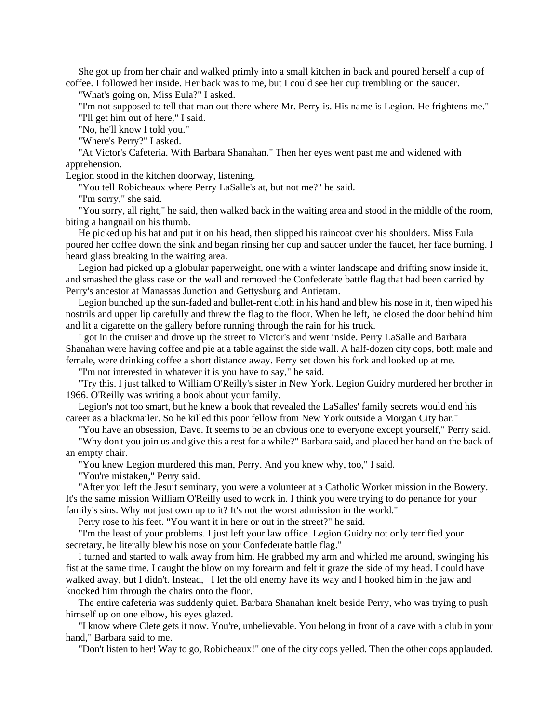She got up from her chair and walked primly into a small kitchen in back and poured herself a cup of coffee. I followed her inside. Her back was to me, but I could see her cup trembling on the saucer.

"What's going on, Miss Eula?" I asked.

"I'm not supposed to tell that man out there where Mr. Perry is. His name is Legion. He frightens me."

"I'll get him out of here," I said.

"No, he'll know I told you."

"Where's Perry?" I asked.

 "At Victor's Cafeteria. With Barbara Shanahan." Then her eyes went past me and widened with apprehension.

Legion stood in the kitchen doorway, listening.

"You tell Robicheaux where Perry LaSalle's at, but not me?" he said.

"I'm sorry," she said.

 "You sorry, all right," he said, then walked back in the waiting area and stood in the middle of the room, biting a hangnail on his thumb.

 He picked up his hat and put it on his head, then slipped his raincoat over his shoulders. Miss Eula poured her coffee down the sink and began rinsing her cup and saucer under the faucet, her face burning. I heard glass breaking in the waiting area.

 Legion had picked up a globular paperweight, one with a winter landscape and drifting snow inside it, and smashed the glass case on the wall and removed the Confederate battle flag that had been carried by Perry's ancestor at Manassas Junction and Gettysburg and Antietam.

 Legion bunched up the sun-faded and bullet-rent cloth in his hand and blew his nose in it, then wiped his nostrils and upper lip carefully and threw the flag to the floor. When he left, he closed the door behind him and lit a cigarette on the gallery before running through the rain for his truck.

 I got in the cruiser and drove up the street to Victor's and went inside. Perry LaSalle and Barbara Shanahan were having coffee and pie at a table against the side wall. A half-dozen city cops, both male and female, were drinking coffee a short distance away. Perry set down his fork and looked up at me.

"I'm not interested in whatever it is you have to say," he said.

 "Try this. I just talked to William O'Reilly's sister in New York. Legion Guidry murdered her brother in 1966. O'Reilly was writing a book about your family.

 Legion's not too smart, but he knew a book that revealed the LaSalles' family secrets would end his career as a blackmailer. So he killed this poor fellow from New York outside a Morgan City bar."

 "You have an obsession, Dave. It seems to be an obvious one to everyone except yourself," Perry said. "Why don't you join us and give this a rest for a while?" Barbara said, and placed her hand on the back of

an empty chair.

"You knew Legion murdered this man, Perry. And you knew why, too," I said.

"You're mistaken," Perry said.

 "After you left the Jesuit seminary, you were a volunteer at a Catholic Worker mission in the Bowery. It's the same mission William O'Reilly used to work in. I think you were trying to do penance for your family's sins. Why not just own up to it? It's not the worst admission in the world."

Perry rose to his feet. "You want it in here or out in the street?" he said.

 "I'm the least of your problems. I just left your law office. Legion Guidry not only terrified your secretary, he literally blew his nose on your Confederate battle flag."

 I turned and started to walk away from him. He grabbed my arm and whirled me around, swinging his fist at the same time. I caught the blow on my forearm and felt it graze the side of my head. I could have walked away, but I didn't. Instead, I let the old enemy have its way and I hooked him in the jaw and knocked him through the chairs onto the floor.

 The entire cafeteria was suddenly quiet. Barbara Shanahan knelt beside Perry, who was trying to push himself up on one elbow, his eyes glazed.

 "I know where Clete gets it now. You're, unbelievable. You belong in front of a cave with a club in your hand," Barbara said to me.

"Don't listen to her! Way to go, Robicheaux!" one of the city cops yelled. Then the other cops applauded.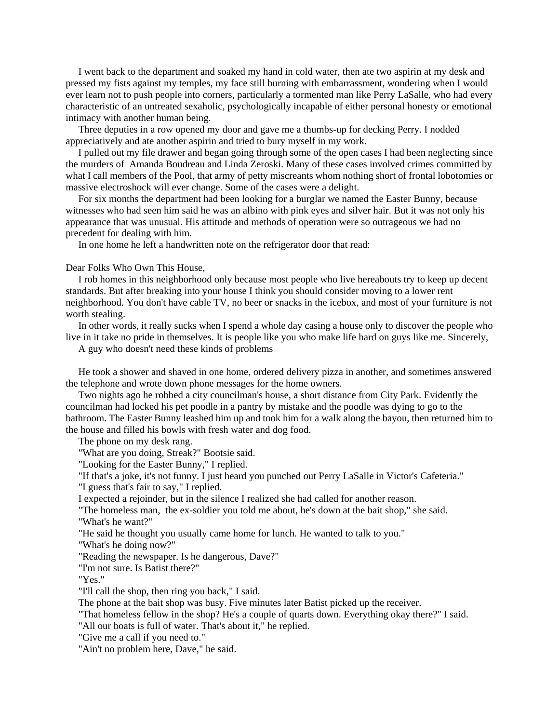I went back to the department and soaked my hand in cold water, then ate two aspirin at my desk and pressed my fists against my temples, my face still burning with embarrassment, wondering when I would ever learn not to push people into corners, particularly a tormented man like Perry LaSalle, who had every characteristic of an untreated sexaholic, psychologically incapable of either personal honesty or emotional intimacy with another human being.

 Three deputies in a row opened my door and gave me a thumbs-up for decking Perry. I nodded appreciatively and ate another aspirin and tried to bury myself in my work.

 I pulled out my file drawer and began going through some of the open cases I had been neglecting since the murders of Amanda Boudreau and Linda Zeroski. Many of these cases involved crimes committed by what I call members of the Pool, that army of petty miscreants whom nothing short of frontal lobotomies or massive electroshock will ever change. Some of the cases were a delight.

 For six months the department had been looking for a burglar we named the Easter Bunny, because witnesses who had seen him said he was an albino with pink eyes and silver hair. But it was not only his appearance that was unusual. His attitude and methods of operation were so outrageous we had no precedent for dealing with him.

In one home he left a handwritten note on the refrigerator door that read:

Dear Folks Who Own This House,

 I rob homes in this neighborhood only because most people who live hereabouts try to keep up decent standards. But after breaking into your house I think you should consider moving to a lower rent neighborhood. You don't have cable TV, no beer or snacks in the icebox, and most of your furniture is not worth stealing.

 In other words, it really sucks when I spend a whole day casing a house only to discover the people who live in it take no pride in themselves. It is people like you who make life hard on guys like me. Sincerely,

A guy who doesn't need these kinds of problems

 He took a shower and shaved in one home, ordered delivery pizza in another, and sometimes answered the telephone and wrote down phone messages for the home owners.

 Two nights ago he robbed a city councilman's house, a short distance from City Park. Evidently the councilman had locked his pet poodle in a pantry by mistake and the poodle was dying to go to the bathroom. The Easter Bunny leashed him up and took him for a walk along the bayou, then returned him to the house and filled his bowls with fresh water and dog food.

The phone on my desk rang.

"What are you doing, Streak?" Bootsie said.

"Looking for the Easter Bunny," I replied.

"If that's a joke, it's not funny. I just heard you punched out Perry LaSalle in Victor's Cafeteria."

"I guess that's fair to say," I replied.

I expected a rejoinder, but in the silence I realized she had called for another reason.

 "The homeless man, the ex-soldier you told me about, he's down at the bait shop," she said. "What's he want?"

"He said he thought you usually came home for lunch. He wanted to talk to you."

"What's he doing now?"

"Reading the newspaper. Is he dangerous, Dave?"

"I'm not sure. Is Batist there?"

"Yes."

"I'll call the shop, then ring you back," I said.

The phone at the bait shop was busy. Five minutes later Batist picked up the receiver.

"That homeless fellow in the shop? He's a couple of quarts down. Everything okay there?" I said.

"All our boats is full of water. That's about it," he replied.

"Give me a call if you need to."

"Ain't no problem here, Dave," he said.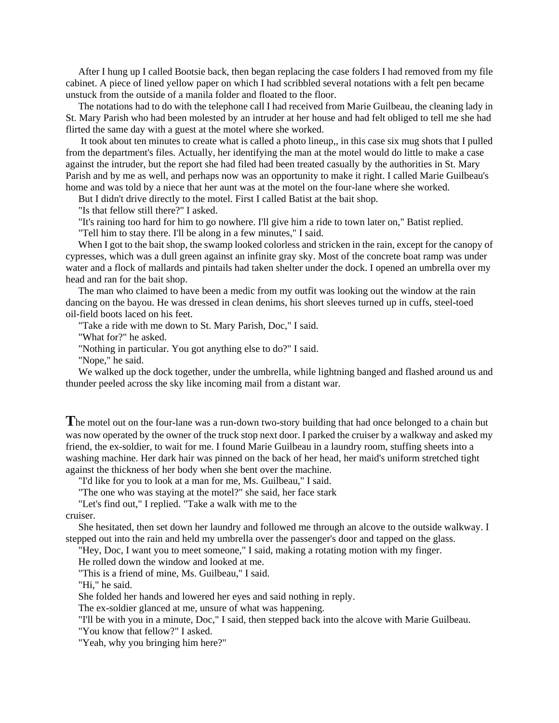After I hung up I called Bootsie back, then began replacing the case folders I had removed from my file cabinet. A piece of lined yellow paper on which I had scribbled several notations with a felt pen became unstuck from the outside of a manila folder and floated to the floor.

 The notations had to do with the telephone call I had received from Marie Guilbeau, the cleaning lady in St. Mary Parish who had been molested by an intruder at her house and had felt obliged to tell me she had flirted the same day with a guest at the motel where she worked.

 It took about ten minutes to create what is called a photo lineup,, in this case six mug shots that I pulled from the department's files. Actually, her identifying the man at the motel would do little to make a case against the intruder, but the report she had filed had been treated casually by the authorities in St. Mary Parish and by me as well, and perhaps now was an opportunity to make it right. I called Marie Guilbeau's home and was told by a niece that her aunt was at the motel on the four-lane where she worked.

But I didn't drive directly to the motel. First I called Batist at the bait shop.

"Is that fellow still there?" I asked.

"It's raining too hard for him to go nowhere. I'll give him a ride to town later on," Batist replied.

"Tell him to stay there. I'll be along in a few minutes," I said.

When I got to the bait shop, the swamp looked colorless and stricken in the rain, except for the canopy of cypresses, which was a dull green against an infinite gray sky. Most of the concrete boat ramp was under water and a flock of mallards and pintails had taken shelter under the dock. I opened an umbrella over my head and ran for the bait shop.

 The man who claimed to have been a medic from my outfit was looking out the window at the rain dancing on the bayou. He was dressed in clean denims, his short sleeves turned up in cuffs, steel-toed oil-field boots laced on his feet.

"Take a ride with me down to St. Mary Parish, Doc," I said.

"What for?" he asked.

"Nothing in particular. You got anything else to do?" I said.

"Nope," he said.

 We walked up the dock together, under the umbrella, while lightning banged and flashed around us and thunder peeled across the sky like incoming mail from a distant war.

**T**he motel out on the four-lane was a run-down two-story building that had once belonged to a chain but was now operated by the owner of the truck stop next door. I parked the cruiser by a walkway and asked my friend, the ex-soldier, to wait for me. I found Marie Guilbeau in a laundry room, stuffing sheets into a washing machine. Her dark hair was pinned on the back of her head, her maid's uniform stretched tight against the thickness of her body when she bent over the machine.

"I'd like for you to look at a man for me, Ms. Guilbeau," I said.

"The one who was staying at the motel?" she said, her face stark

"Let's find out," I replied. "Take a walk with me to the

cruiser.

 She hesitated, then set down her laundry and followed me through an alcove to the outside walkway. I stepped out into the rain and held my umbrella over the passenger's door and tapped on the glass.

"Hey, Doc, I want you to meet someone," I said, making a rotating motion with my finger.

He rolled down the window and looked at me.

"This is a friend of mine, Ms. Guilbeau," I said.

"Hi," he said.

She folded her hands and lowered her eyes and said nothing in reply.

The ex-soldier glanced at me, unsure of what was happening.

"I'll be with you in a minute, Doc," I said, then stepped back into the alcove with Marie Guilbeau.

"You know that fellow?" I asked.

"Yeah, why you bringing him here?"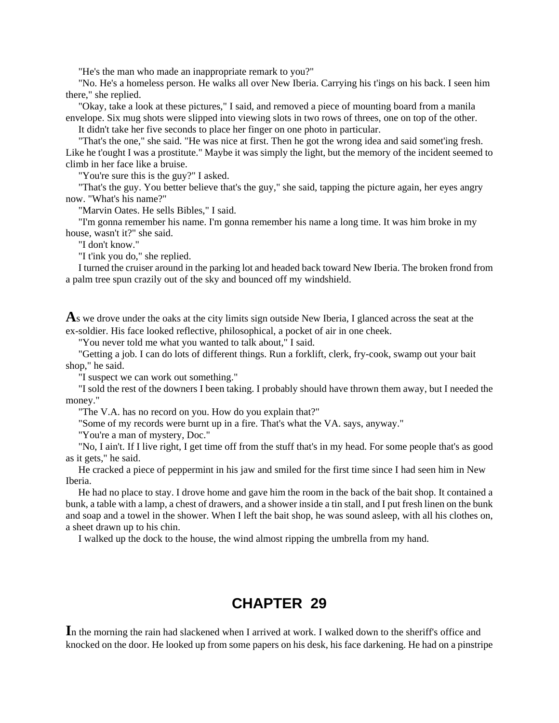"He's the man who made an inappropriate remark to you?"

 "No. He's a homeless person. He walks all over New Iberia. Carrying his t'ings on his back. I seen him there," she replied.

 "Okay, take a look at these pictures," I said, and removed a piece of mounting board from a manila envelope. Six mug shots were slipped into viewing slots in two rows of threes, one on top of the other.

It didn't take her five seconds to place her finger on one photo in particular.

 "That's the one," she said. "He was nice at first. Then he got the wrong idea and said somet'ing fresh. Like he t'ought I was a prostitute." Maybe it was simply the light, but the memory of the incident seemed to climb in her face like a bruise.

"You're sure this is the guy?" I asked.

 "That's the guy. You better believe that's the guy," she said, tapping the picture again, her eyes angry now. "What's his name?"

"Marvin Oates. He sells Bibles," I said.

 "I'm gonna remember his name. I'm gonna remember his name a long time. It was him broke in my house, wasn't it?" she said.

"I don't know."

"I t'ink you do," she replied.

 I turned the cruiser around in the parking lot and headed back toward New Iberia. The broken frond from a palm tree spun crazily out of the sky and bounced off my windshield.

**A**s we drove under the oaks at the city limits sign outside New Iberia, I glanced across the seat at the ex-soldier. His face looked reflective, philosophical, a pocket of air in one cheek.

"You never told me what you wanted to talk about," I said.

 "Getting a job. I can do lots of different things. Run a forklift, clerk, fry-cook, swamp out your bait shop," he said.

"I suspect we can work out something."

 "I sold the rest of the downers I been taking. I probably should have thrown them away, but I needed the money."

"The V.A. has no record on you. How do you explain that?"

"Some of my records were burnt up in a fire. That's what the VA. says, anyway."

"You're a man of mystery, Doc."

 "No, I ain't. If I live right, I get time off from the stuff that's in my head. For some people that's as good as it gets," he said.

 He cracked a piece of peppermint in his jaw and smiled for the first time since I had seen him in New Iberia.

 He had no place to stay. I drove home and gave him the room in the back of the bait shop. It contained a bunk, a table with a lamp, a chest of drawers, and a shower inside a tin stall, and I put fresh linen on the bunk and soap and a towel in the shower. When I left the bait shop, he was sound asleep, with all his clothes on, a sheet drawn up to his chin.

I walked up the dock to the house, the wind almost ripping the umbrella from my hand.

# **CHAPTER 29**

In the morning the rain had slackened when I arrived at work. I walked down to the sheriff's office and knocked on the door. He looked up from some papers on his desk, his face darkening. He had on a pinstripe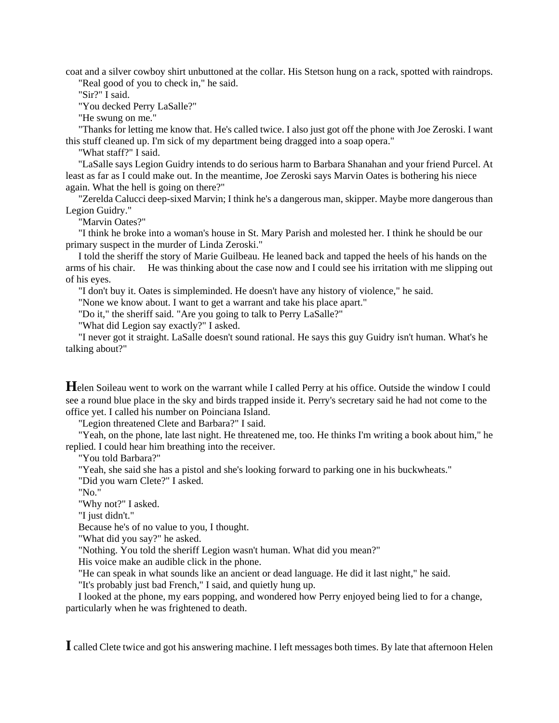coat and a silver cowboy shirt unbuttoned at the collar. His Stetson hung on a rack, spotted with raindrops. "Real good of you to check in," he said.

"Sir?" I said.

"You decked Perry LaSalle?"

"He swung on me."

 "Thanks for letting me know that. He's called twice. I also just got off the phone with Joe Zeroski. I want this stuff cleaned up. I'm sick of my department being dragged into a soap opera."

"What staff?" I said.

 "LaSalle says Legion Guidry intends to do serious harm to Barbara Shanahan and your friend Purcel. At least as far as I could make out. In the meantime, Joe Zeroski says Marvin Oates is bothering his niece again. What the hell is going on there?"

 "Zerelda Calucci deep-sixed Marvin; I think he's a dangerous man, skipper. Maybe more dangerous than Legion Guidry."

"Marvin Oates?"

 "I think he broke into a woman's house in St. Mary Parish and molested her. I think he should be our primary suspect in the murder of Linda Zeroski."

 I told the sheriff the story of Marie Guilbeau. He leaned back and tapped the heels of his hands on the arms of his chair. He was thinking about the case now and I could see his irritation with me slipping out of his eyes.

"I don't buy it. Oates is simpleminded. He doesn't have any history of violence," he said.

"None we know about. I want to get a warrant and take his place apart."

"Do it," the sheriff said. "Are you going to talk to Perry LaSalle?"

"What did Legion say exactly?" I asked.

 "I never got it straight. LaSalle doesn't sound rational. He says this guy Guidry isn't human. What's he talking about?"

Helen Soileau went to work on the warrant while I called Perry at his office. Outside the window I could see a round blue place in the sky and birds trapped inside it. Perry's secretary said he had not come to the office yet. I called his number on Poinciana Island.

"Legion threatened Clete and Barbara?" I said.

 "Yeah, on the phone, late last night. He threatened me, too. He thinks I'm writing a book about him," he replied. I could hear him breathing into the receiver.

"You told Barbara?"

"Yeah, she said she has a pistol and she's looking forward to parking one in his buckwheats."

"Did you warn Clete?" I asked.

"No."

"Why not?" I asked.

"I just didn't."

Because he's of no value to you, I thought.

"What did you say?" he asked.

"Nothing. You told the sheriff Legion wasn't human. What did you mean?"

His voice make an audible click in the phone.

"He can speak in what sounds like an ancient or dead language. He did it last night," he said.

"It's probably just bad French," I said, and quietly hung up.

 I looked at the phone, my ears popping, and wondered how Perry enjoyed being lied to for a change, particularly when he was frightened to death.

**I** called Clete twice and got his answering machine. I left messages both times. By late that afternoon Helen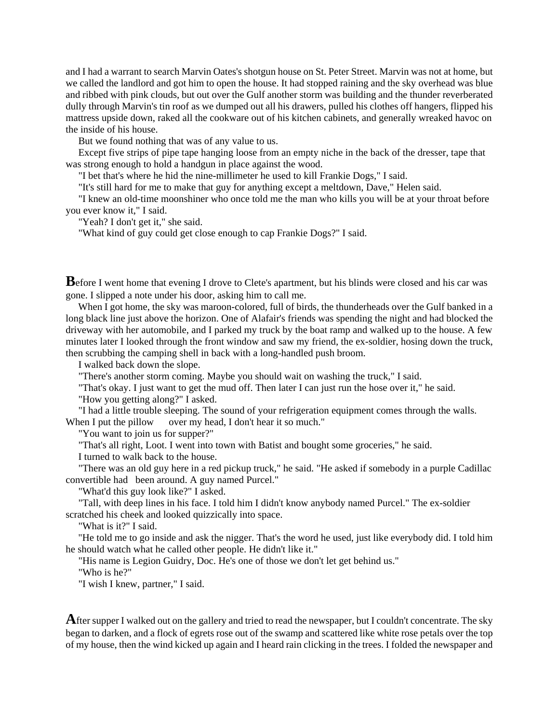and I had a warrant to search Marvin Oates's shotgun house on St. Peter Street. Marvin was not at home, but we called the landlord and got him to open the house. It had stopped raining and the sky overhead was blue and ribbed with pink clouds, but out over the Gulf another storm was building and the thunder reverberated dully through Marvin's tin roof as we dumped out all his drawers, pulled his clothes off hangers, flipped his mattress upside down, raked all the cookware out of his kitchen cabinets, and generally wreaked havoc on the inside of his house.

But we found nothing that was of any value to us.

 Except five strips of pipe tape hanging loose from an empty niche in the back of the dresser, tape that was strong enough to hold a handgun in place against the wood.

"I bet that's where he hid the nine-millimeter he used to kill Frankie Dogs," I said.

"It's still hard for me to make that guy for anything except a meltdown, Dave," Helen said.

 "I knew an old-time moonshiner who once told me the man who kills you will be at your throat before you ever know it," I said.

"Yeah? I don't get it," she said.

"What kind of guy could get close enough to cap Frankie Dogs?" I said.

**B**efore I went home that evening I drove to Clete's apartment, but his blinds were closed and his car was gone. I slipped a note under his door, asking him to call me.

 When I got home, the sky was maroon-colored, full of birds, the thunderheads over the Gulf banked in a long black line just above the horizon. One of Alafair's friends was spending the night and had blocked the driveway with her automobile, and I parked my truck by the boat ramp and walked up to the house. A few minutes later I looked through the front window and saw my friend, the ex-soldier, hosing down the truck, then scrubbing the camping shell in back with a long-handled push broom.

I walked back down the slope.

"There's another storm coming. Maybe you should wait on washing the truck," I said.

 "That's okay. I just want to get the mud off. Then later I can just run the hose over it," he said. "How you getting along?" I asked.

 "I had a little trouble sleeping. The sound of your refrigeration equipment comes through the walls. When I put the pillow over my head, I don't hear it so much."

"You want to join us for supper?"

"That's all right, Loot. I went into town with Batist and bought some groceries," he said.

I turned to walk back to the house.

 "There was an old guy here in a red pickup truck," he said. "He asked if somebody in a purple Cadillac convertible had been around. A guy named Purcel."

"What'd this guy look like?" I asked.

 "Tall, with deep lines in his face. I told him I didn't know anybody named Purcel." The ex-soldier scratched his cheek and looked quizzically into space.

"What is it?" I said.

 "He told me to go inside and ask the nigger. That's the word he used, just like everybody did. I told him he should watch what he called other people. He didn't like it."

"His name is Legion Guidry, Doc. He's one of those we don't let get behind us."

"Who is he?"

"I wish I knew, partner," I said.

**A**fter supper I walked out on the gallery and tried to read the newspaper, but I couldn't concentrate. The sky began to darken, and a flock of egrets rose out of the swamp and scattered like white rose petals over the top of my house, then the wind kicked up again and I heard rain clicking in the trees. I folded the newspaper and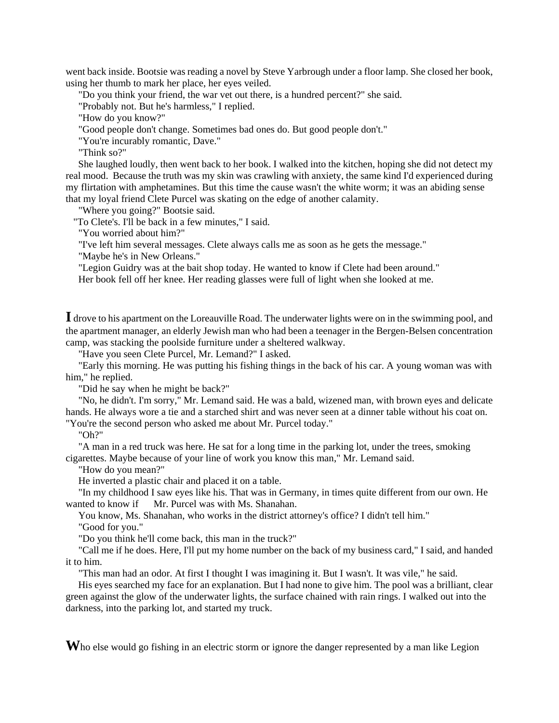went back inside. Bootsie was reading a novel by Steve Yarbrough under a floor lamp. She closed her book, using her thumb to mark her place, her eyes veiled.

"Do you think your friend, the war vet out there, is a hundred percent?" she said.

"Probably not. But he's harmless," I replied.

"How do you know?"

"Good people don't change. Sometimes bad ones do. But good people don't."

"You're incurably romantic, Dave."

"Think so?"

 She laughed loudly, then went back to her book. I walked into the kitchen, hoping she did not detect my real mood. Because the truth was my skin was crawling with anxiety, the same kind I'd experienced during my flirtation with amphetamines. But this time the cause wasn't the white worm; it was an abiding sense that my loyal friend Clete Purcel was skating on the edge of another calamity.

"Where you going?" Bootsie said.

"To Clete's. I'll be back in a few minutes," I said.

"You worried about him?"

"I've left him several messages. Clete always calls me as soon as he gets the message."

"Maybe he's in New Orleans."

"Legion Guidry was at the bait shop today. He wanted to know if Clete had been around."

Her book fell off her knee. Her reading glasses were full of light when she looked at me.

**I** drove to his apartment on the Loreauville Road. The underwater lights were on in the swimming pool, and the apartment manager, an elderly Jewish man who had been a teenager in the Bergen-Belsen concentration camp, was stacking the poolside furniture under a sheltered walkway.

"Have you seen Clete Purcel, Mr. Lemand?" I asked.

 "Early this morning. He was putting his fishing things in the back of his car. A young woman was with him," he replied.

"Did he say when he might be back?"

 "No, he didn't. I'm sorry," Mr. Lemand said. He was a bald, wizened man, with brown eyes and delicate hands. He always wore a tie and a starched shirt and was never seen at a dinner table without his coat on. "You're the second person who asked me about Mr. Purcel today."

"Oh?"

 "A man in a red truck was here. He sat for a long time in the parking lot, under the trees, smoking cigarettes. Maybe because of your line of work you know this man," Mr. Lemand said.

"How do you mean?"

He inverted a plastic chair and placed it on a table.

 "In my childhood I saw eyes like his. That was in Germany, in times quite different from our own. He wanted to know if Mr. Purcel was with Ms. Shanahan.

 You know, Ms. Shanahan, who works in the district attorney's office? I didn't tell him." "Good for you."

"Do you think he'll come back, this man in the truck?"

 "Call me if he does. Here, I'll put my home number on the back of my business card," I said, and handed it to him.

"This man had an odor. At first I thought I was imagining it. But I wasn't. It was vile," he said.

 His eyes searched my face for an explanation. But I had none to give him. The pool was a brilliant, clear green against the glow of the underwater lights, the surface chained with rain rings. I walked out into the darkness, into the parking lot, and started my truck.

**W**ho else would go fishing in an electric storm or ignore the danger represented by a man like Legion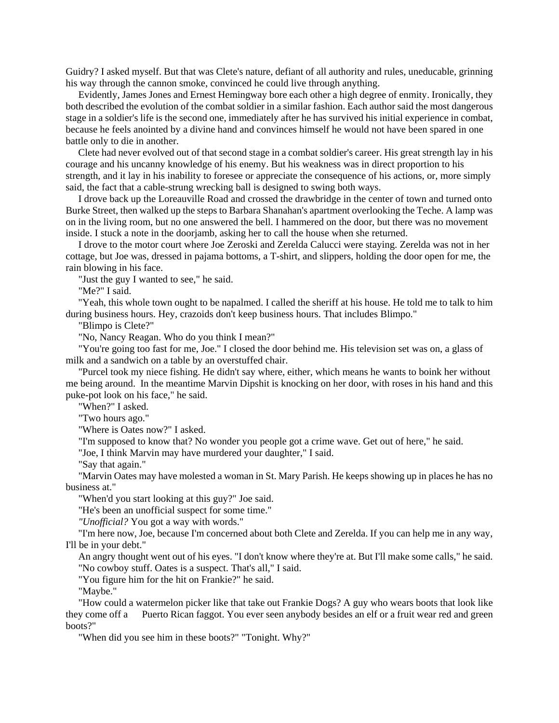Guidry? I asked myself. But that was Clete's nature, defiant of all authority and rules, uneducable, grinning his way through the cannon smoke, convinced he could live through anything.

 Evidently, James Jones and Ernest Hemingway bore each other a high degree of enmity. Ironically, they both described the evolution of the combat soldier in a similar fashion. Each author said the most dangerous stage in a soldier's life is the second one, immediately after he has survived his initial experience in combat, because he feels anointed by a divine hand and convinces himself he would not have been spared in one battle only to die in another.

 Clete had never evolved out of that second stage in a combat soldier's career. His great strength lay in his courage and his uncanny knowledge of his enemy. But his weakness was in direct proportion to his strength, and it lay in his inability to foresee or appreciate the consequence of his actions, or, more simply said, the fact that a cable-strung wrecking ball is designed to swing both ways.

 I drove back up the Loreauville Road and crossed the drawbridge in the center of town and turned onto Burke Street, then walked up the steps to Barbara Shanahan's apartment overlooking the Teche. A lamp was on in the living room, but no one answered the bell. I hammered on the door, but there was no movement inside. I stuck a note in the doorjamb, asking her to call the house when she returned.

 I drove to the motor court where Joe Zeroski and Zerelda Calucci were staying. Zerelda was not in her cottage, but Joe was, dressed in pajama bottoms, a T-shirt, and slippers, holding the door open for me, the rain blowing in his face.

"Just the guy I wanted to see," he said.

"Me?" I said.

 "Yeah, this whole town ought to be napalmed. I called the sheriff at his house. He told me to talk to him during business hours. Hey, crazoids don't keep business hours. That includes Blimpo."

"Blimpo is Clete?"

"No, Nancy Reagan. Who do you think I mean?"

 "You're going too fast for me, Joe." I closed the door behind me. His television set was on, a glass of milk and a sandwich on a table by an overstuffed chair.

 "Purcel took my niece fishing. He didn't say where, either, which means he wants to boink her without me being around. In the meantime Marvin Dipshit is knocking on her door, with roses in his hand and this puke-pot look on his face," he said.

"When?" I asked.

"Two hours ago."

"Where is Oates now?" I asked.

"I'm supposed to know that? No wonder you people got a crime wave. Get out of here," he said.

"Joe, I think Marvin may have murdered your daughter," I said.

"Say that again."

 "Marvin Oates may have molested a woman in St. Mary Parish. He keeps showing up in places he has no business at."

"When'd you start looking at this guy?" Joe said.

"He's been an unofficial suspect for some time."

*"Unofficial?* You got a way with words."

 "I'm here now, Joe, because I'm concerned about both Clete and Zerelda. If you can help me in any way, I'll be in your debt."

 An angry thought went out of his eyes. "I don't know where they're at. But I'll make some calls," he said. "No cowboy stuff. Oates is a suspect. That's all," I said.

"You figure him for the hit on Frankie?" he said.

"Maybe."

 "How could a watermelon picker like that take out Frankie Dogs? A guy who wears boots that look like they come off a Puerto Rican faggot. You ever seen anybody besides an elf or a fruit wear red and green boots?"

"When did you see him in these boots?" "Tonight. Why?"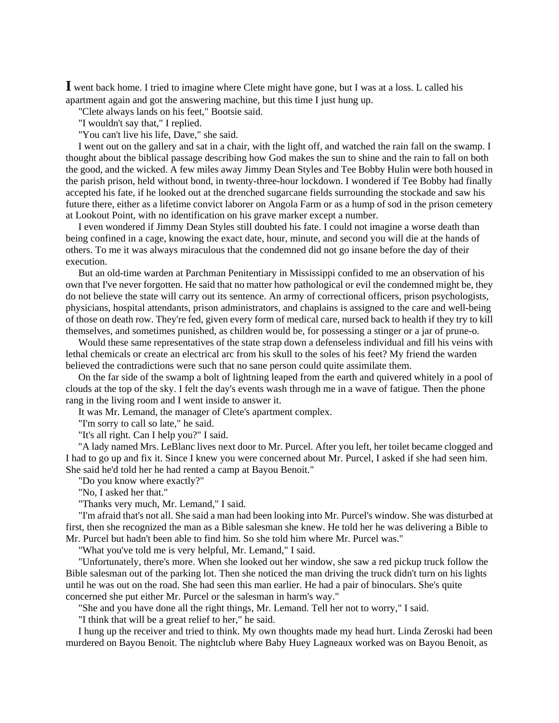**I** went back home. I tried to imagine where Clete might have gone, but I was at a loss. L called his apartment again and got the answering machine, but this time I just hung up.

"Clete always lands on his feet," Bootsie said.

"I wouldn't say that," I replied.

"You can't live his life, Dave," she said.

 I went out on the gallery and sat in a chair, with the light off, and watched the rain fall on the swamp. I thought about the biblical passage describing how God makes the sun to shine and the rain to fall on both the good, and the wicked. A few miles away Jimmy Dean Styles and Tee Bobby Hulin were both housed in the parish prison, held without bond, in twenty-three-hour lockdown. I wondered if Tee Bobby had finally accepted his fate, if he looked out at the drenched sugarcane fields surrounding the stockade and saw his future there, either as a lifetime convict laborer on Angola Farm or as a hump of sod in the prison cemetery at Lookout Point, with no identification on his grave marker except a number.

 I even wondered if Jimmy Dean Styles still doubted his fate. I could not imagine a worse death than being confined in a cage, knowing the exact date, hour, minute, and second you will die at the hands of others. To me it was always miraculous that the condemned did not go insane before the day of their execution.

 But an old-time warden at Parchman Penitentiary in Mississippi confided to me an observation of his own that I've never forgotten. He said that no matter how pathological or evil the condemned might be, they do not believe the state will carry out its sentence. An army of correctional officers, prison psychologists, physicians, hospital attendants, prison administrators, and chaplains is assigned to the care and well-being of those on death row. They're fed, given every form of medical care, nursed back to health if they try to kill themselves, and sometimes punished, as children would be, for possessing a stinger or a jar of prune-o.

 Would these same representatives of the state strap down a defenseless individual and fill his veins with lethal chemicals or create an electrical arc from his skull to the soles of his feet? My friend the warden believed the contradictions were such that no sane person could quite assimilate them.

 On the far side of the swamp a bolt of lightning leaped from the earth and quivered whitely in a pool of clouds at the top of the sky. I felt the day's events wash through me in a wave of fatigue. Then the phone rang in the living room and I went inside to answer it.

It was Mr. Lemand, the manager of Clete's apartment complex.

"I'm sorry to call so late," he said.

"It's all right. Can I help you?" I said.

 "A lady named Mrs. LeBlanc lives next door to Mr. Purcel. After you left, her toilet became clogged and I had to go up and fix it. Since I knew you were concerned about Mr. Purcel, I asked if she had seen him. She said he'd told her he had rented a camp at Bayou Benoit."

"Do you know where exactly?"

"No, I asked her that."

"Thanks very much, Mr. Lemand," I said.

 "I'm afraid that's not all. She said a man had been looking into Mr. Purcel's window. She was disturbed at first, then she recognized the man as a Bible salesman she knew. He told her he was delivering a Bible to Mr. Purcel but hadn't been able to find him. So she told him where Mr. Purcel was."

"What you've told me is very helpful, Mr. Lemand," I said.

 "Unfortunately, there's more. When she looked out her window, she saw a red pickup truck follow the Bible salesman out of the parking lot. Then she noticed the man driving the truck didn't turn on his lights until he was out on the road. She had seen this man earlier. He had a pair of binoculars. She's quite concerned she put either Mr. Purcel or the salesman in harm's way."

"She and you have done all the right things, Mr. Lemand. Tell her not to worry," I said.

"I think that will be a great relief to her," he said.

 I hung up the receiver and tried to think. My own thoughts made my head hurt. Linda Zeroski had been murdered on Bayou Benoit. The nightclub where Baby Huey Lagneaux worked was on Bayou Benoit, as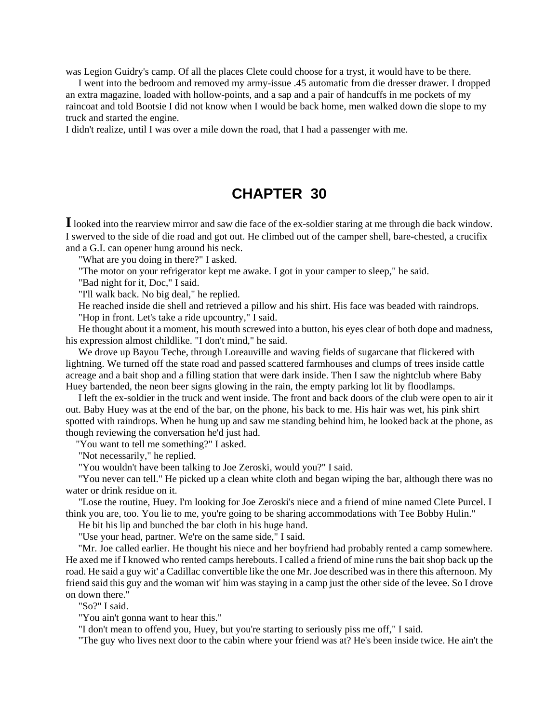was Legion Guidry's camp. Of all the places Clete could choose for a tryst, it would have to be there.

 I went into the bedroom and removed my army-issue .45 automatic from die dresser drawer. I dropped an extra magazine, loaded with hollow-points, and a sap and a pair of handcuffs in me pockets of my raincoat and told Bootsie I did not know when I would be back home, men walked down die slope to my truck and started the engine.

I didn't realize, until I was over a mile down the road, that I had a passenger with me.

### **CHAPTER 30**

**I** looked into the rearview mirror and saw die face of the ex-soldier staring at me through die back window. I swerved to the side of die road and got out. He climbed out of the camper shell, bare-chested, a crucifix and a G.I. can opener hung around his neck.

"What are you doing in there?" I asked.

"The motor on your refrigerator kept me awake. I got in your camper to sleep," he said.

"Bad night for it, Doc," I said.

"I'll walk back. No big deal," he replied.

 He reached inside die shell and retrieved a pillow and his shirt. His face was beaded with raindrops. "Hop in front. Let's take a ride upcountry," I said.

 He thought about it a moment, his mouth screwed into a button, his eyes clear of both dope and madness, his expression almost childlike. "I don't mind," he said.

 We drove up Bayou Teche, through Loreauville and waving fields of sugarcane that flickered with lightning. We turned off the state road and passed scattered farmhouses and clumps of trees inside cattle acreage and a bait shop and a filling station that were dark inside. Then I saw the nightclub where Baby Huey bartended, the neon beer signs glowing in the rain, the empty parking lot lit by floodlamps.

 I left the ex-soldier in the truck and went inside. The front and back doors of the club were open to air it out. Baby Huey was at the end of the bar, on the phone, his back to me. His hair was wet, his pink shirt spotted with raindrops. When he hung up and saw me standing behind him, he looked back at the phone, as though reviewing the conversation he'd just had.

"You want to tell me something?" I asked.

"Not necessarily," he replied.

"You wouldn't have been talking to Joe Zeroski, would you?" I said.

 "You never can tell." He picked up a clean white cloth and began wiping the bar, although there was no water or drink residue on it.

 "Lose the routine, Huey. I'm looking for Joe Zeroski's niece and a friend of mine named Clete Purcel. I think you are, too. You lie to me, you're going to be sharing accommodations with Tee Bobby Hulin."

He bit his lip and bunched the bar cloth in his huge hand.

"Use your head, partner. We're on the same side," I said.

 "Mr. Joe called earlier. He thought his niece and her boyfriend had probably rented a camp somewhere. He axed me if I knowed who rented camps herebouts. I called a friend of mine runs the bait shop back up the road. He said a guy wit' a Cadillac convertible like the one Mr. Joe described was in there this afternoon. My friend said this guy and the woman wit' him was staying in a camp just the other side of the levee. So I drove on down there."

"So?" I said.

"You ain't gonna want to hear this."

"I don't mean to offend you, Huey, but you're starting to seriously piss me off," I said.

"The guy who lives next door to the cabin where your friend was at? He's been inside twice. He ain't the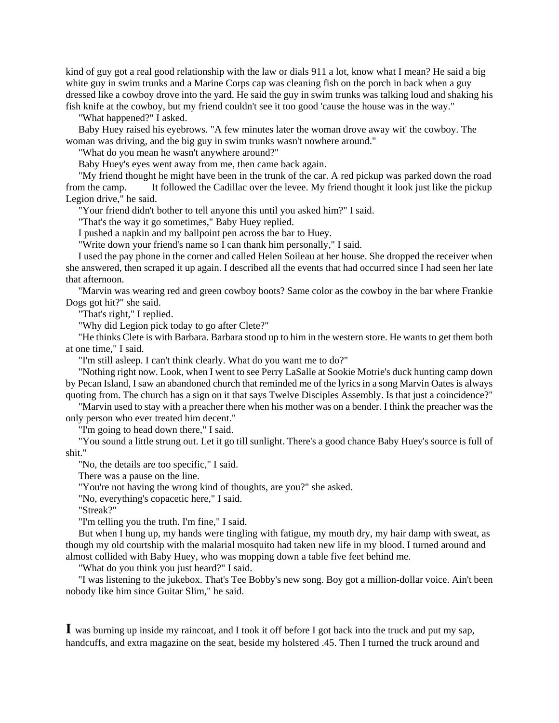kind of guy got a real good relationship with the law or dials 911 a lot, know what I mean? He said a big white guy in swim trunks and a Marine Corps cap was cleaning fish on the porch in back when a guy dressed like a cowboy drove into the yard. He said the guy in swim trunks was talking loud and shaking his fish knife at the cowboy, but my friend couldn't see it too good 'cause the house was in the way."

"What happened?" I asked.

 Baby Huey raised his eyebrows. "A few minutes later the woman drove away wit' the cowboy. The woman was driving, and the big guy in swim trunks wasn't nowhere around."

"What do you mean he wasn't anywhere around?"

Baby Huey's eyes went away from me, then came back again.

 "My friend thought he might have been in the trunk of the car. A red pickup was parked down the road from the camp. It followed the Cadillac over the levee. My friend thought it look just like the pickup Legion drive," he said.

"Your friend didn't bother to tell anyone this until you asked him?" I said.

"That's the way it go sometimes," Baby Huey replied.

I pushed a napkin and my ballpoint pen across the bar to Huey.

"Write down your friend's name so I can thank him personally," I said.

 I used the pay phone in the corner and called Helen Soileau at her house. She dropped the receiver when she answered, then scraped it up again. I described all the events that had occurred since I had seen her late that afternoon.

 "Marvin was wearing red and green cowboy boots? Same color as the cowboy in the bar where Frankie Dogs got hit?" she said.

"That's right," I replied.

"Why did Legion pick today to go after Clete?"

 "He thinks Clete is with Barbara. Barbara stood up to him in the western store. He wants to get them both at one time," I said.

"I'm still asleep. I can't think clearly. What do you want me to do?"

 "Nothing right now. Look, when I went to see Perry LaSalle at Sookie Motrie's duck hunting camp down by Pecan Island, I saw an abandoned church that reminded me of the lyrics in a song Marvin Oates is always quoting from. The church has a sign on it that says Twelve Disciples Assembly. Is that just a coincidence?"

 "Marvin used to stay with a preacher there when his mother was on a bender. I think the preacher was the only person who ever treated him decent."

"I'm going to head down there," I said.

"You sound a little strung out. Let it go till sunlight. There's a good chance Baby Huey's source is full of shit."

"No, the details are too specific," I said.

There was a pause on the line.

"You're not having the wrong kind of thoughts, are you?" she asked.

"No, everything's copacetic here," I said.

"Streak?"

"I'm telling you the truth. I'm fine," I said.

 But when I hung up, my hands were tingling with fatigue, my mouth dry, my hair damp with sweat, as though my old courtship with the malarial mosquito had taken new life in my blood. I turned around and almost collided with Baby Huey, who was mopping down a table five feet behind me.

"What do you think you just heard?" I said.

 "I was listening to the jukebox. That's Tee Bobby's new song. Boy got a million-dollar voice. Ain't been nobody like him since Guitar Slim," he said.

**I** was burning up inside my raincoat, and I took it off before I got back into the truck and put my sap, handcuffs, and extra magazine on the seat, beside my holstered .45. Then I turned the truck around and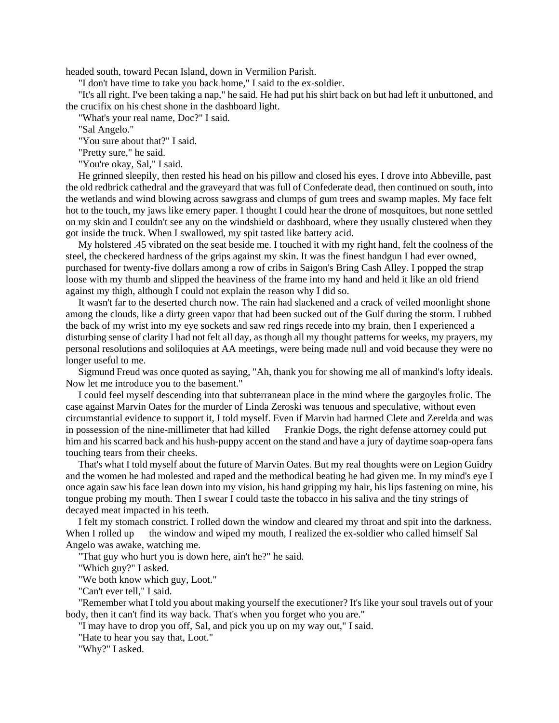headed south, toward Pecan Island, down in Vermilion Parish.

"I don't have time to take you back home," I said to the ex-soldier.

 "It's all right. I've been taking a nap," he said. He had put his shirt back on but had left it unbuttoned, and the crucifix on his chest shone in the dashboard light.

"What's your real name, Doc?" I said.

"Sal Angelo."

"You sure about that?" I said.

"Pretty sure," he said.

"You're okay, Sal," I said.

 He grinned sleepily, then rested his head on his pillow and closed his eyes. I drove into Abbeville, past the old redbrick cathedral and the graveyard that was full of Confederate dead, then continued on south, into the wetlands and wind blowing across sawgrass and clumps of gum trees and swamp maples. My face felt hot to the touch, my jaws like emery paper. I thought I could hear the drone of mosquitoes, but none settled on my skin and I couldn't see any on the windshield or dashboard, where they usually clustered when they got inside the truck. When I swallowed, my spit tasted like battery acid.

 My holstered .45 vibrated on the seat beside me. I touched it with my right hand, felt the coolness of the steel, the checkered hardness of the grips against my skin. It was the finest handgun I had ever owned, purchased for twenty-five dollars among a row of cribs in Saigon's Bring Cash Alley. I popped the strap loose with my thumb and slipped the heaviness of the frame into my hand and held it like an old friend against my thigh, although I could not explain the reason why I did so.

 It wasn't far to the deserted church now. The rain had slackened and a crack of veiled moonlight shone among the clouds, like a dirty green vapor that had been sucked out of the Gulf during the storm. I rubbed the back of my wrist into my eye sockets and saw red rings recede into my brain, then I experienced a disturbing sense of clarity I had not felt all day, as though all my thought patterns for weeks, my prayers, my personal resolutions and soliloquies at AA meetings, were being made null and void because they were no longer useful to me.

 Sigmund Freud was once quoted as saying, "Ah, thank you for showing me all of mankind's lofty ideals. Now let me introduce you to the basement."

 I could feel myself descending into that subterranean place in the mind where the gargoyles frolic. The case against Marvin Oates for the murder of Linda Zeroski was tenuous and speculative, without even circumstantial evidence to support it, I told myself. Even if Marvin had harmed Clete and Zerelda and was in possession of the nine-millimeter that had killed Frankie Dogs, the right defense attorney could put him and his scarred back and his hush-puppy accent on the stand and have a jury of daytime soap-opera fans touching tears from their cheeks.

 That's what I told myself about the future of Marvin Oates. But my real thoughts were on Legion Guidry and the women he had molested and raped and the methodical beating he had given me. In my mind's eye I once again saw his face lean down into my vision, his hand gripping my hair, his lips fastening on mine, his tongue probing my mouth. Then I swear I could taste the tobacco in his saliva and the tiny strings of decayed meat impacted in his teeth.

 I felt my stomach constrict. I rolled down the window and cleared my throat and spit into the darkness. When I rolled up the window and wiped my mouth, I realized the ex-soldier who called himself Sal Angelo was awake, watching me.

"That guy who hurt you is down here, ain't he?" he said.

"Which guy?" I asked.

"We both know which guy, Loot."

"Can't ever tell," I said.

 "Remember what I told you about making yourself the executioner? It's like your soul travels out of your body, then it can't find its way back. That's when you forget who you are."

"I may have to drop you off, Sal, and pick you up on my way out," I said.

"Hate to hear you say that, Loot."

"Why?" I asked.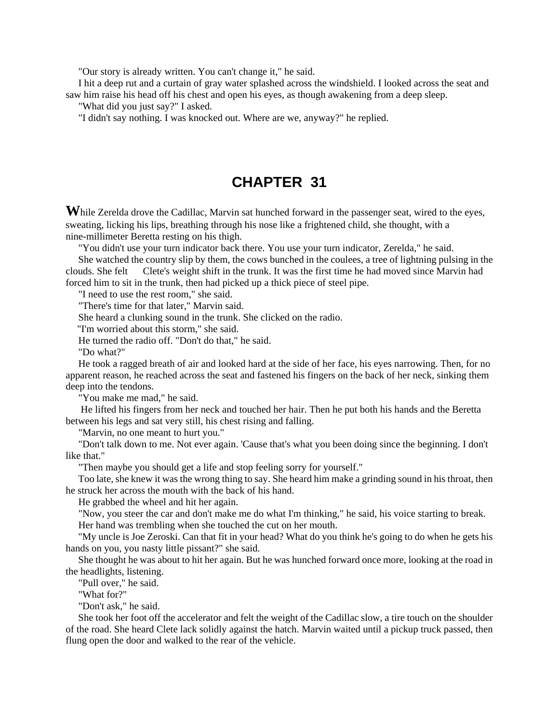"Our story is already written. You can't change it," he said.

 I hit a deep rut and a curtain of gray water splashed across the windshield. I looked across the seat and saw him raise his head off his chest and open his eyes, as though awakening from a deep sleep.

"What did you just say?" I asked.

"I didn't say nothing. I was knocked out. Where are we, anyway?" he replied.

## **CHAPTER 31**

While Zerelda drove the Cadillac, Marvin sat hunched forward in the passenger seat, wired to the eyes, sweating, licking his lips, breathing through his nose like a frightened child, she thought, with a nine-millimeter Beretta resting on his thigh.

"You didn't use your turn indicator back there. You use your turn indicator, Zerelda," he said.

 She watched the country slip by them, the cows bunched in the coulees, a tree of lightning pulsing in the clouds. She felt Clete's weight shift in the trunk. It was the first time he had moved since Marvin had forced him to sit in the trunk, then had picked up a thick piece of steel pipe.

"I need to use the rest room," she said.

"There's time for that later," Marvin said.

She heard a clunking sound in the trunk. She clicked on the radio.

"I'm worried about this storm," she said.

He turned the radio off. "Don't do that," he said.

"Do what?"

 He took a ragged breath of air and looked hard at the side of her face, his eyes narrowing. Then, for no apparent reason, he reached across the seat and fastened his fingers on the back of her neck, sinking them deep into the tendons.

"You make me mad," he said.

 He lifted his fingers from her neck and touched her hair. Then he put both his hands and the Beretta between his legs and sat very still, his chest rising and falling.

"Marvin, no one meant to hurt you."

 "Don't talk down to me. Not ever again. 'Cause that's what you been doing since the beginning. I don't like that."

"Then maybe you should get a life and stop feeling sorry for yourself."

 Too late, she knew it was the wrong thing to say. She heard him make a grinding sound in his throat, then he struck her across the mouth with the back of his hand.

He grabbed the wheel and hit her again.

 "Now, you steer the car and don't make me do what I'm thinking," he said, his voice starting to break. Her hand was trembling when she touched the cut on her mouth.

 "My uncle is Joe Zeroski. Can that fit in your head? What do you think he's going to do when he gets his hands on you, you nasty little pissant?" she said.

 She thought he was about to hit her again. But he was hunched forward once more, looking at the road in the headlights, listening.

"Pull over," he said.

"What for?"

"Don't ask," he said.

 She took her foot off the accelerator and felt the weight of the Cadillac slow, a tire touch on the shoulder of the road. She heard Clete lack solidly against the hatch. Marvin waited until a pickup truck passed, then flung open the door and walked to the rear of the vehicle.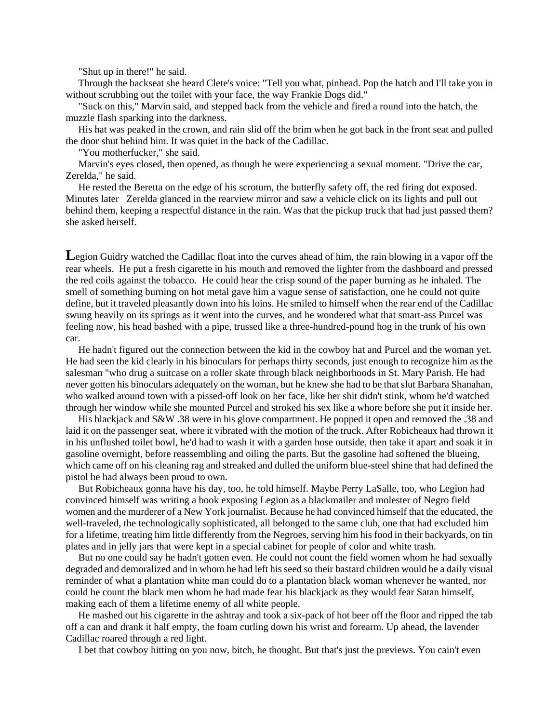"Shut up in there!" he said.

 Through the backseat she heard Clete's voice: "Tell you what, pinhead. Pop the hatch and I'll take you in without scrubbing out the toilet with your face, the way Frankie Dogs did."

 "Suck on this," Marvin said, and stepped back from the vehicle and fired a round into the hatch, the muzzle flash sparking into the darkness.

 His hat was peaked in the crown, and rain slid off the brim when he got back in the front seat and pulled the door shut behind him. It was quiet in the back of the Cadillac.

"You motherfucker," she said.

 Marvin's eyes closed, then opened, as though he were experiencing a sexual moment. "Drive the car, Zerelda," he said.

 He rested the Beretta on the edge of his scrotum, the butterfly safety off, the red firing dot exposed. Minutes later Zerelda glanced in the rearview mirror and saw a vehicle click on its lights and pull out behind them, keeping a respectful distance in the rain. Was that the pickup truck that had just passed them? she asked herself.

Legion Guidry watched the Cadillac float into the curves ahead of him, the rain blowing in a vapor off the rear wheels. He put a fresh cigarette in his mouth and removed the lighter from the dashboard and pressed the red coils against the tobacco. He could hear the crisp sound of the paper burning as he inhaled. The smell of something burning on hot metal gave him a vague sense of satisfaction, one he could not quite define, but it traveled pleasantly down into his loins. He smiled to himself when the rear end of the Cadillac swung heavily on its springs as it went into the curves, and he wondered what that smart-ass Purcel was feeling now, his head bashed with a pipe, trussed like a three-hundred-pound hog in the trunk of his own car.

 He hadn't figured out the connection between the kid in the cowboy hat and Purcel and the woman yet. He had seen the kid clearly in his binoculars for perhaps thirty seconds, just enough to recognize him as the salesman "who drug a suitcase on a roller skate through black neighborhoods in St. Mary Parish. He had never gotten his binoculars adequately on the woman, but he knew she had to be that slut Barbara Shanahan, who walked around town with a pissed-off look on her face, like her shit didn't stink, whom he'd watched through her window while she mounted Purcel and stroked his sex like a whore before she put it inside her.

 His blackjack and S&W .38 were in his glove compartment. He popped it open and removed the .38 and laid it on the passenger seat, where it vibrated with the motion of the truck. After Robicheaux had thrown it in his unflushed toilet bowl, he'd had to wash it with a garden hose outside, then take it apart and soak it in gasoline overnight, before reassembling and oiling the parts. But the gasoline had softened the blueing, which came off on his cleaning rag and streaked and dulled the uniform blue-steel shine that had defined the pistol he had always been proud to own.

 But Robicheaux gonna have his day, too, he told himself. Maybe Perry LaSalle, too, who Legion had convinced himself was writing a book exposing Legion as a blackmailer and molester of Negro field women and the murderer of a New York journalist. Because he had convinced himself that the educated, the well-traveled, the technologically sophisticated, all belonged to the same club, one that had excluded him for a lifetime, treating him little differently from the Negroes, serving him his food in their backyards, on tin plates and in jelly jars that were kept in a special cabinet for people of color and white trash.

 But no one could say he hadn't gotten even. He could not count the field women whom he had sexually degraded and demoralized and in whom he had left his seed so their bastard children would be a daily visual reminder of what a plantation white man could do to a plantation black woman whenever he wanted, nor could he count the black men whom he had made fear his blackjack as they would fear Satan himself, making each of them a lifetime enemy of all white people.

 He mashed out his cigarette in the ashtray and took a six-pack of hot beer off the floor and ripped the tab off a can and drank it half empty, the foam curling down his wrist and forearm. Up ahead, the lavender Cadillac roared through a red light.

I bet that cowboy hitting on you now, bitch, he thought. But that's just the previews. You cain't even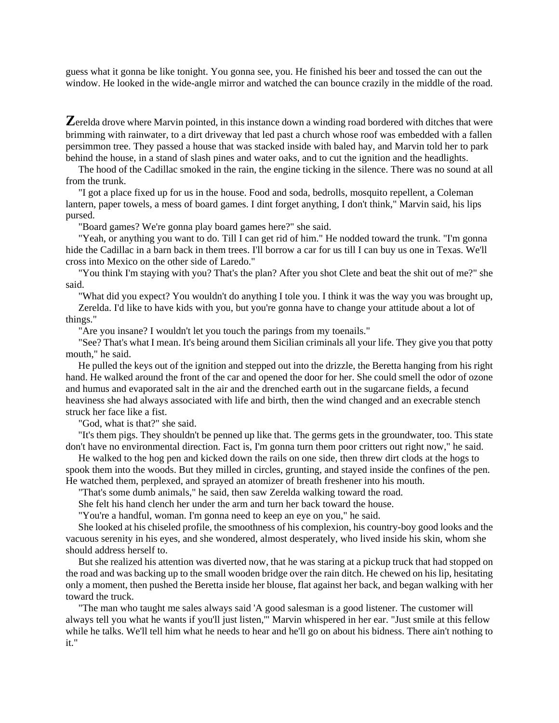guess what it gonna be like tonight. You gonna see, you. He finished his beer and tossed the can out the window. He looked in the wide-angle mirror and watched the can bounce crazily in the middle of the road.

**Z**erelda drove where Marvin pointed, in this instance down a winding road bordered with ditches that were brimming with rainwater, to a dirt driveway that led past a church whose roof was embedded with a fallen persimmon tree. They passed a house that was stacked inside with baled hay, and Marvin told her to park behind the house, in a stand of slash pines and water oaks, and to cut the ignition and the headlights.

 The hood of the Cadillac smoked in the rain, the engine ticking in the silence. There was no sound at all from the trunk.

 "I got a place fixed up for us in the house. Food and soda, bedrolls, mosquito repellent, a Coleman lantern, paper towels, a mess of board games. I dint forget anything, I don't think," Marvin said, his lips pursed.

"Board games? We're gonna play board games here?" she said.

 "Yeah, or anything you want to do. Till I can get rid of him." He nodded toward the trunk. "I'm gonna hide the Cadillac in a barn back in them trees. I'll borrow a car for us till I can buy us one in Texas. We'll cross into Mexico on the other side of Laredo."

 "You think I'm staying with you? That's the plan? After you shot Clete and beat the shit out of me?" she said.

 "What did you expect? You wouldn't do anything I tole you. I think it was the way you was brought up, Zerelda. I'd like to have kids with you, but you're gonna have to change your attitude about a lot of things."

"Are you insane? I wouldn't let you touch the parings from my toenails."

 "See? That's what I mean. It's being around them Sicilian criminals all your life. They give you that potty mouth," he said.

 He pulled the keys out of the ignition and stepped out into the drizzle, the Beretta hanging from his right hand. He walked around the front of the car and opened the door for her. She could smell the odor of ozone and humus and evaporated salt in the air and the drenched earth out in the sugarcane fields, a fecund heaviness she had always associated with life and birth, then the wind changed and an execrable stench struck her face like a fist.

"God, what is that?" she said.

 "It's them pigs. They shouldn't be penned up like that. The germs gets in the groundwater, too. This state don't have no environmental direction. Fact is, I'm gonna turn them poor critters out right now," he said.

 He walked to the hog pen and kicked down the rails on one side, then threw dirt clods at the hogs to spook them into the woods. But they milled in circles, grunting, and stayed inside the confines of the pen. He watched them, perplexed, and sprayed an atomizer of breath freshener into his mouth.

"That's some dumb animals," he said, then saw Zerelda walking toward the road.

She felt his hand clench her under the arm and turn her back toward the house.

"You're a handful, woman. I'm gonna need to keep an eye on you," he said.

 She looked at his chiseled profile, the smoothness of his complexion, his country-boy good looks and the vacuous serenity in his eyes, and she wondered, almost desperately, who lived inside his skin, whom she should address herself to.

 But she realized his attention was diverted now, that he was staring at a pickup truck that had stopped on the road and was backing up to the small wooden bridge over the rain ditch. He chewed on his lip, hesitating only a moment, then pushed the Beretta inside her blouse, flat against her back, and began walking with her toward the truck.

 "The man who taught me sales always said 'A good salesman is a good listener. The customer will always tell you what he wants if you'll just listen,'" Marvin whispered in her ear. "Just smile at this fellow while he talks. We'll tell him what he needs to hear and he'll go on about his bidness. There ain't nothing to it."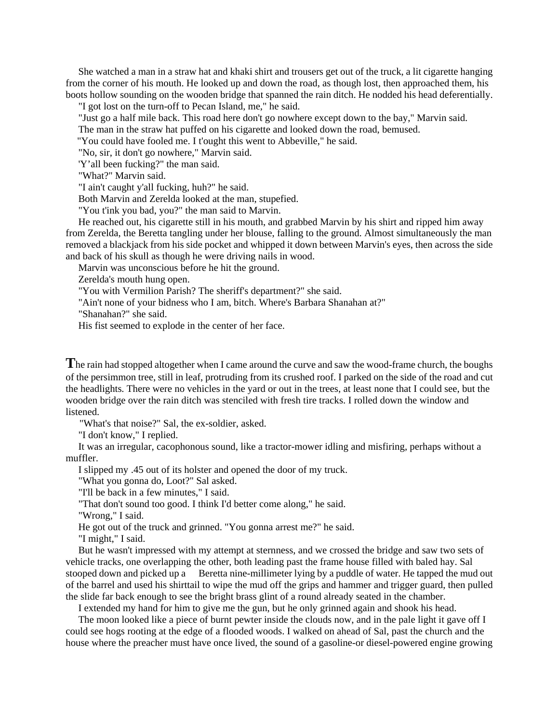She watched a man in a straw hat and khaki shirt and trousers get out of the truck, a lit cigarette hanging from the corner of his mouth. He looked up and down the road, as though lost, then approached them, his boots hollow sounding on the wooden bridge that spanned the rain ditch. He nodded his head deferentially.

"I got lost on the turn-off to Pecan Island, me," he said.

"Just go a half mile back. This road here don't go nowhere except down to the bay," Marvin said.

The man in the straw hat puffed on his cigarette and looked down the road, bemused.

"You could have fooled me. I t'ought this went to Abbeville," he said.

"No, sir, it don't go nowhere," Marvin said.

'Y'all been fucking?" the man said.

"What?" Marvin said.

"I ain't caught y'all fucking, huh?" he said.

Both Marvin and Zerelda looked at the man, stupefied.

"You t'ink you bad, you?" the man said to Marvin.

 He reached out, his cigarette still in his mouth, and grabbed Marvin by his shirt and ripped him away from Zerelda, the Beretta tangling under her blouse, falling to the ground. Almost simultaneously the man removed a blackjack from his side pocket and whipped it down between Marvin's eyes, then across the side and back of his skull as though he were driving nails in wood.

Marvin was unconscious before he hit the ground.

Zerelda's mouth hung open.

"You with Vermilion Parish? The sheriff's department?" she said.

"Ain't none of your bidness who I am, bitch. Where's Barbara Shanahan at?"

"Shanahan?" she said.

His fist seemed to explode in the center of her face.

The rain had stopped altogether when I came around the curve and saw the wood-frame church, the boughs of the persimmon tree, still in leaf, protruding from its crushed roof. I parked on the side of the road and cut the headlights. There were no vehicles in the yard or out in the trees, at least none that I could see, but the wooden bridge over the rain ditch was stenciled with fresh tire tracks. I rolled down the window and listened.

"What's that noise?" Sal, the ex-soldier, asked.

"I don't know," I replied.

 It was an irregular, cacophonous sound, like a tractor-mower idling and misfiring, perhaps without a muffler.

I slipped my .45 out of its holster and opened the door of my truck.

"What you gonna do, Loot?" Sal asked.

"I'll be back in a few minutes," I said.

"That don't sound too good. I think I'd better come along," he said.

"Wrong," I said.

He got out of the truck and grinned. "You gonna arrest me?" he said.

"I might," I said.

 But he wasn't impressed with my attempt at sternness, and we crossed the bridge and saw two sets of vehicle tracks, one overlapping the other, both leading past the frame house filled with baled hay. Sal stooped down and picked up a Beretta nine-millimeter lying by a puddle of water. He tapped the mud out of the barrel and used his shirttail to wipe the mud off the grips and hammer and trigger guard, then pulled the slide far back enough to see the bright brass glint of a round already seated in the chamber.

I extended my hand for him to give me the gun, but he only grinned again and shook his head.

 The moon looked like a piece of burnt pewter inside the clouds now, and in the pale light it gave off I could see hogs rooting at the edge of a flooded woods. I walked on ahead of Sal, past the church and the house where the preacher must have once lived, the sound of a gasoline-or diesel-powered engine growing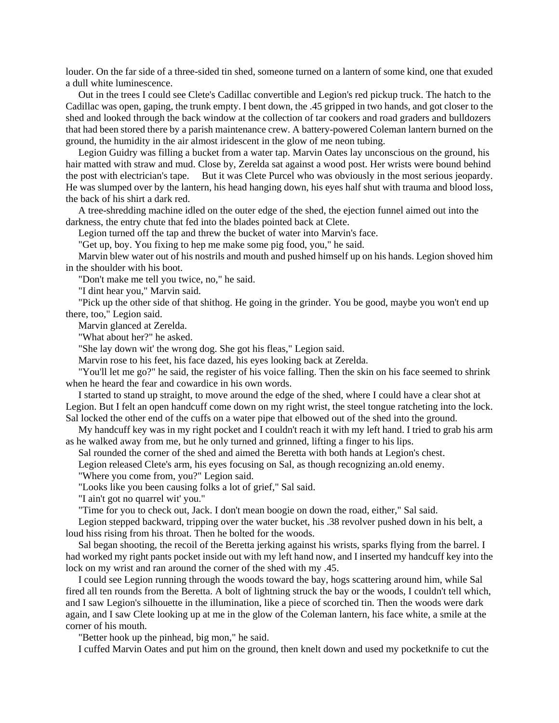louder. On the far side of a three-sided tin shed, someone turned on a lantern of some kind, one that exuded a dull white luminescence.

 Out in the trees I could see Clete's Cadillac convertible and Legion's red pickup truck. The hatch to the Cadillac was open, gaping, the trunk empty. I bent down, the .45 gripped in two hands, and got closer to the shed and looked through the back window at the collection of tar cookers and road graders and bulldozers that had been stored there by a parish maintenance crew. A battery-powered Coleman lantern burned on the ground, the humidity in the air almost iridescent in the glow of me neon tubing.

 Legion Guidry was filling a bucket from a water tap. Marvin Oates lay unconscious on the ground, his hair matted with straw and mud. Close by, Zerelda sat against a wood post. Her wrists were bound behind the post with electrician's tape. But it was Clete Purcel who was obviously in the most serious jeopardy. He was slumped over by the lantern, his head hanging down, his eyes half shut with trauma and blood loss, the back of his shirt a dark red.

 A tree-shredding machine idled on the outer edge of the shed, the ejection funnel aimed out into the darkness, the entry chute that fed into the blades pointed back at Clete.

Legion turned off the tap and threw the bucket of water into Marvin's face.

"Get up, boy. You fixing to hep me make some pig food, you," he said.

 Marvin blew water out of his nostrils and mouth and pushed himself up on his hands. Legion shoved him in the shoulder with his boot.

"Don't make me tell you twice, no," he said.

"I dint hear you," Marvin said.

 "Pick up the other side of that shithog. He going in the grinder. You be good, maybe you won't end up there, too," Legion said.

Marvin glanced at Zerelda.

"What about her?" he asked.

"She lay down wit' the wrong dog. She got his fleas," Legion said.

Marvin rose to his feet, his face dazed, his eyes looking back at Zerelda.

 "You'll let me go?" he said, the register of his voice falling. Then the skin on his face seemed to shrink when he heard the fear and cowardice in his own words.

 I started to stand up straight, to move around the edge of the shed, where I could have a clear shot at Legion. But I felt an open handcuff come down on my right wrist, the steel tongue ratcheting into the lock. Sal locked the other end of the cuffs on a water pipe that elbowed out of the shed into the ground.

 My handcuff key was in my right pocket and I couldn't reach it with my left hand. I tried to grab his arm as he walked away from me, but he only turned and grinned, lifting a finger to his lips.

Sal rounded the corner of the shed and aimed the Beretta with both hands at Legion's chest.

Legion released Clete's arm, his eyes focusing on Sal, as though recognizing an.old enemy.

"Where you come from, you?" Legion said.

"Looks like you been causing folks a lot of grief," Sal said.

"I ain't got no quarrel wit' you."

"Time for you to check out, Jack. I don't mean boogie on down the road, either," Sal said.

 Legion stepped backward, tripping over the water bucket, his .38 revolver pushed down in his belt, a loud hiss rising from his throat. Then he bolted for the woods.

 Sal began shooting, the recoil of the Beretta jerking against his wrists, sparks flying from the barrel. I had worked my right pants pocket inside out with my left hand now, and I inserted my handcuff key into the lock on my wrist and ran around the corner of the shed with my .45.

 I could see Legion running through the woods toward the bay, hogs scattering around him, while Sal fired all ten rounds from the Beretta. A bolt of lightning struck the bay or the woods, I couldn't tell which, and I saw Legion's silhouette in the illumination, like a piece of scorched tin. Then the woods were dark again, and I saw Clete looking up at me in the glow of the Coleman lantern, his face white, a smile at the corner of his mouth.

"Better hook up the pinhead, big mon," he said.

I cuffed Marvin Oates and put him on the ground, then knelt down and used my pocketknife to cut the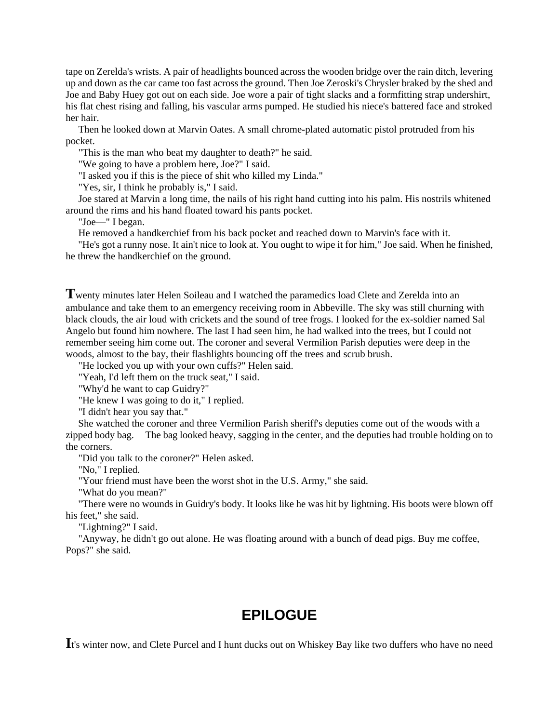tape on Zerelda's wrists. A pair of headlights bounced across the wooden bridge over the rain ditch, levering up and down as the car came too fast across the ground. Then Joe Zeroski's Chrysler braked by the shed and Joe and Baby Huey got out on each side. Joe wore a pair of tight slacks and a formfitting strap undershirt, his flat chest rising and falling, his vascular arms pumped. He studied his niece's battered face and stroked her hair.

 Then he looked down at Marvin Oates. A small chrome-plated automatic pistol protruded from his pocket.

"This is the man who beat my daughter to death?" he said.

"We going to have a problem here, Joe?" I said.

"I asked you if this is the piece of shit who killed my Linda."

"Yes, sir, I think he probably is," I said.

 Joe stared at Marvin a long time, the nails of his right hand cutting into his palm. His nostrils whitened around the rims and his hand floated toward his pants pocket.

"Joe—" I began.

He removed a handkerchief from his back pocket and reached down to Marvin's face with it.

 "He's got a runny nose. It ain't nice to look at. You ought to wipe it for him," Joe said. When he finished, he threw the handkerchief on the ground.

**T**wenty minutes later Helen Soileau and I watched the paramedics load Clete and Zerelda into an ambulance and take them to an emergency receiving room in Abbeville. The sky was still churning with black clouds, the air loud with crickets and the sound of tree frogs. I looked for the ex-soldier named Sal Angelo but found him nowhere. The last I had seen him, he had walked into the trees, but I could not remember seeing him come out. The coroner and several Vermilion Parish deputies were deep in the woods, almost to the bay, their flashlights bouncing off the trees and scrub brush.

"He locked you up with your own cuffs?" Helen said.

"Yeah, I'd left them on the truck seat," I said.

"Why'd he want to cap Guidry?"

"He knew I was going to do it," I replied.

"I didn't hear you say that."

 She watched the coroner and three Vermilion Parish sheriff's deputies come out of the woods with a zipped body bag. The bag looked heavy, sagging in the center, and the deputies had trouble holding on to the corners.

"Did you talk to the coroner?" Helen asked.

"No," I replied.

"Your friend must have been the worst shot in the U.S. Army," she said.

"What do you mean?"

 "There were no wounds in Guidry's body. It looks like he was hit by lightning. His boots were blown off his feet," she said.

"Lightning?" I said.

 "Anyway, he didn't go out alone. He was floating around with a bunch of dead pigs. Buy me coffee, Pops?" she said.

## **EPILOGUE**

It's winter now, and Clete Purcel and I hunt ducks out on Whiskey Bay like two duffers who have no need